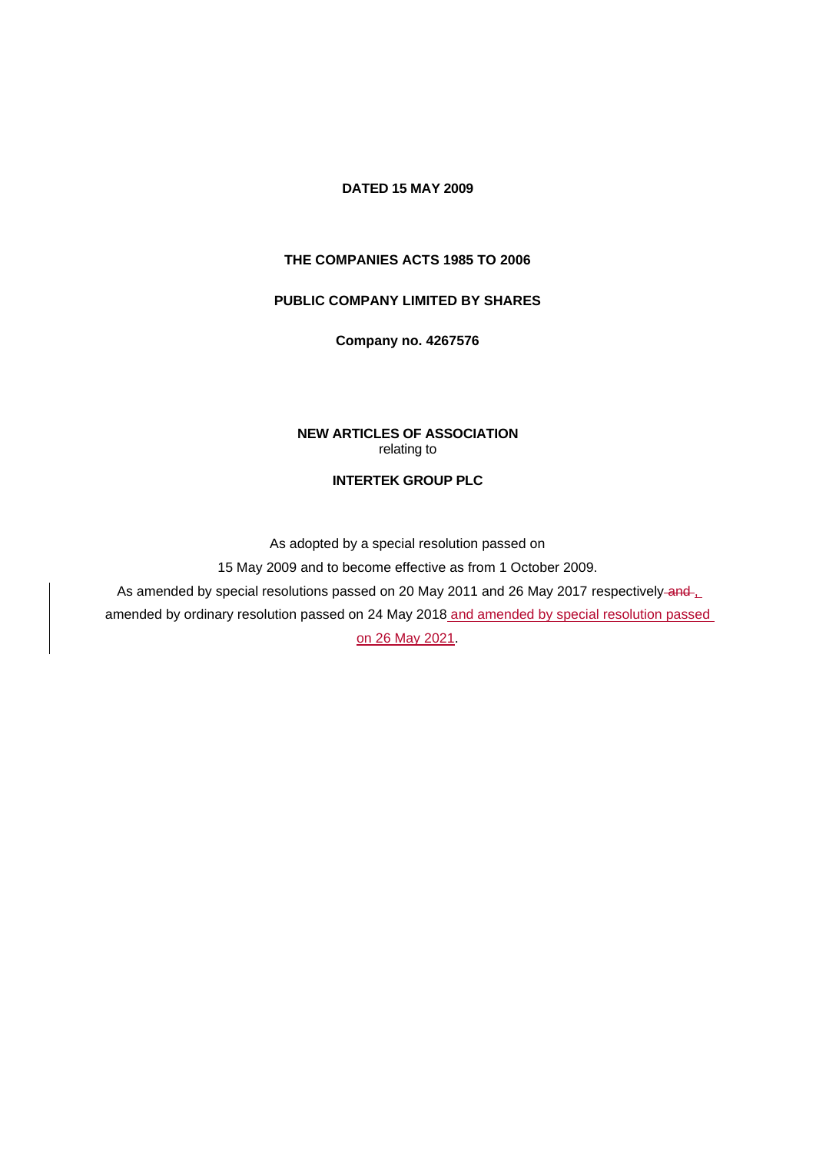### **DATED 15 MAY 2009**

#### **THE COMPANIES ACTS 1985 TO 2006**

#### **PUBLIC COMPANY LIMITED BY SHARES**

**Company no. 4267576**

### **NEW ARTICLES OF ASSOCIATION** relating to

#### **INTERTEK GROUP PLC**

As adopted by a special resolution passed on

15 May 2009 and to become effective as from 1 October 2009.

As amended by special resolutions passed on 20 May 2011 and 26 May 2017 respectively-and-

amended by ordinary resolution passed on 24 May 2018 and amended by special resolution passed

on 26 May 2021.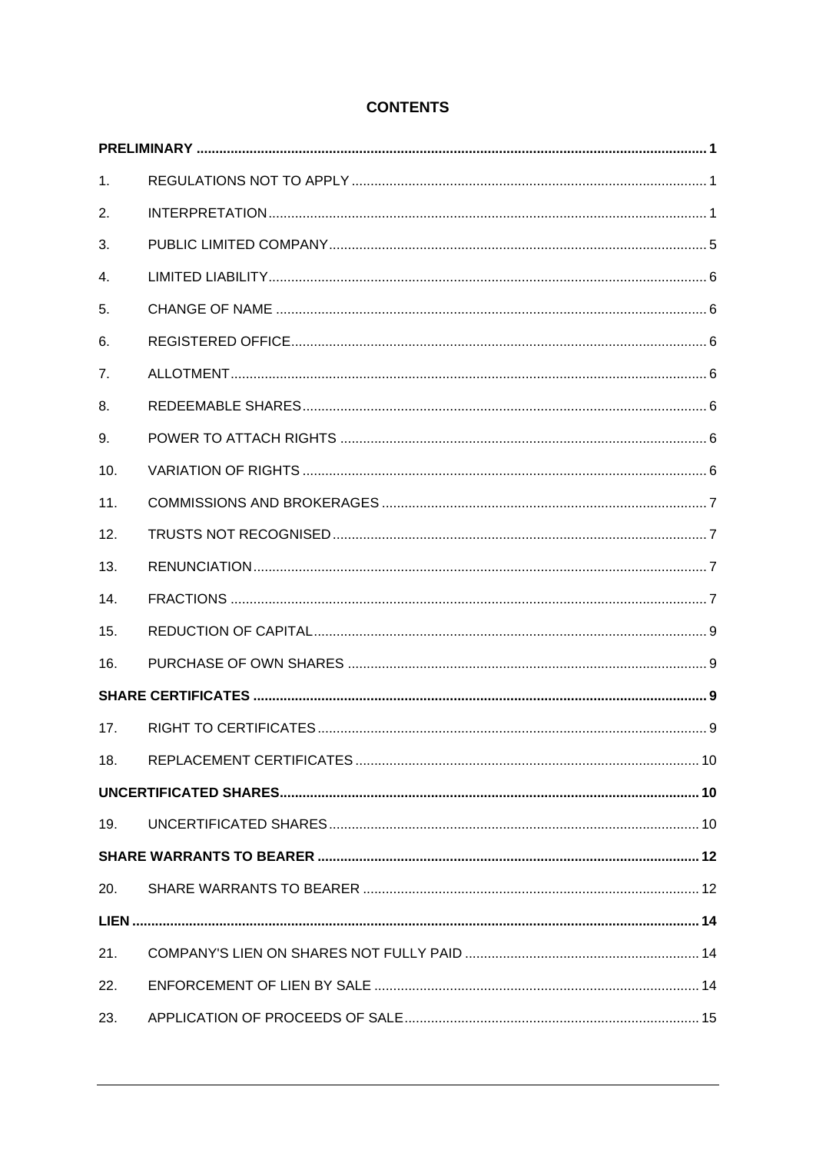# **CONTENTS**

| 1.  |  |
|-----|--|
| 2.  |  |
| 3.  |  |
| 4.  |  |
| 5.  |  |
| 6.  |  |
| 7.  |  |
| 8.  |  |
| 9.  |  |
| 10. |  |
| 11. |  |
| 12. |  |
| 13. |  |
| 14. |  |
| 15. |  |
| 16. |  |
|     |  |
| 17. |  |
|     |  |
|     |  |
| 19. |  |
|     |  |
| 20. |  |
|     |  |
| 21. |  |
| 22. |  |
| 23. |  |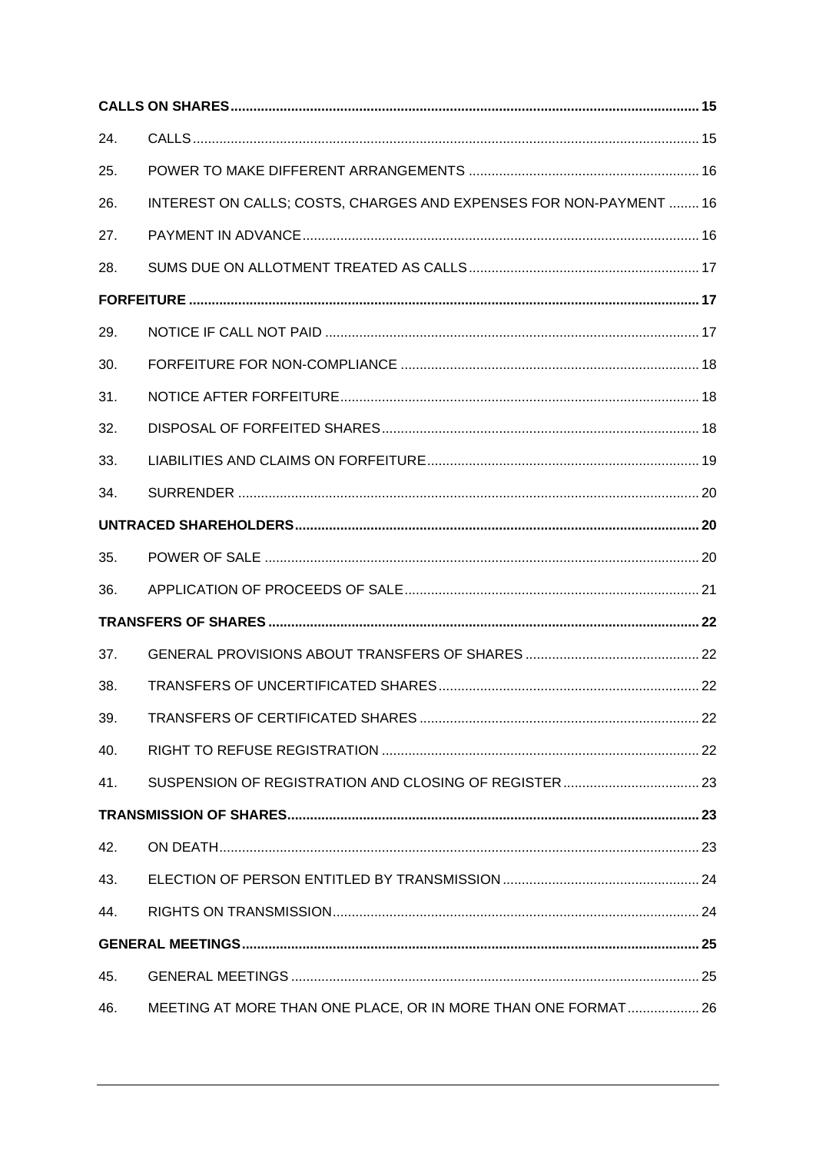| 24. |                                                                    |  |
|-----|--------------------------------------------------------------------|--|
| 25. |                                                                    |  |
| 26. | INTEREST ON CALLS; COSTS, CHARGES AND EXPENSES FOR NON-PAYMENT  16 |  |
| 27. |                                                                    |  |
| 28. |                                                                    |  |
|     |                                                                    |  |
| 29. |                                                                    |  |
| 30. |                                                                    |  |
| 31. |                                                                    |  |
| 32. |                                                                    |  |
| 33. |                                                                    |  |
| 34. |                                                                    |  |
|     |                                                                    |  |
| 35. |                                                                    |  |
| 36. |                                                                    |  |
|     |                                                                    |  |
| 37. |                                                                    |  |
| 38. |                                                                    |  |
| 39. |                                                                    |  |
| 40. |                                                                    |  |
| 41. |                                                                    |  |
|     |                                                                    |  |
| 42. |                                                                    |  |
| 43. |                                                                    |  |
| 44. |                                                                    |  |
|     |                                                                    |  |
| 45. |                                                                    |  |
| 46. | MEETING AT MORE THAN ONE PLACE, OR IN MORE THAN ONE FORMAT 26      |  |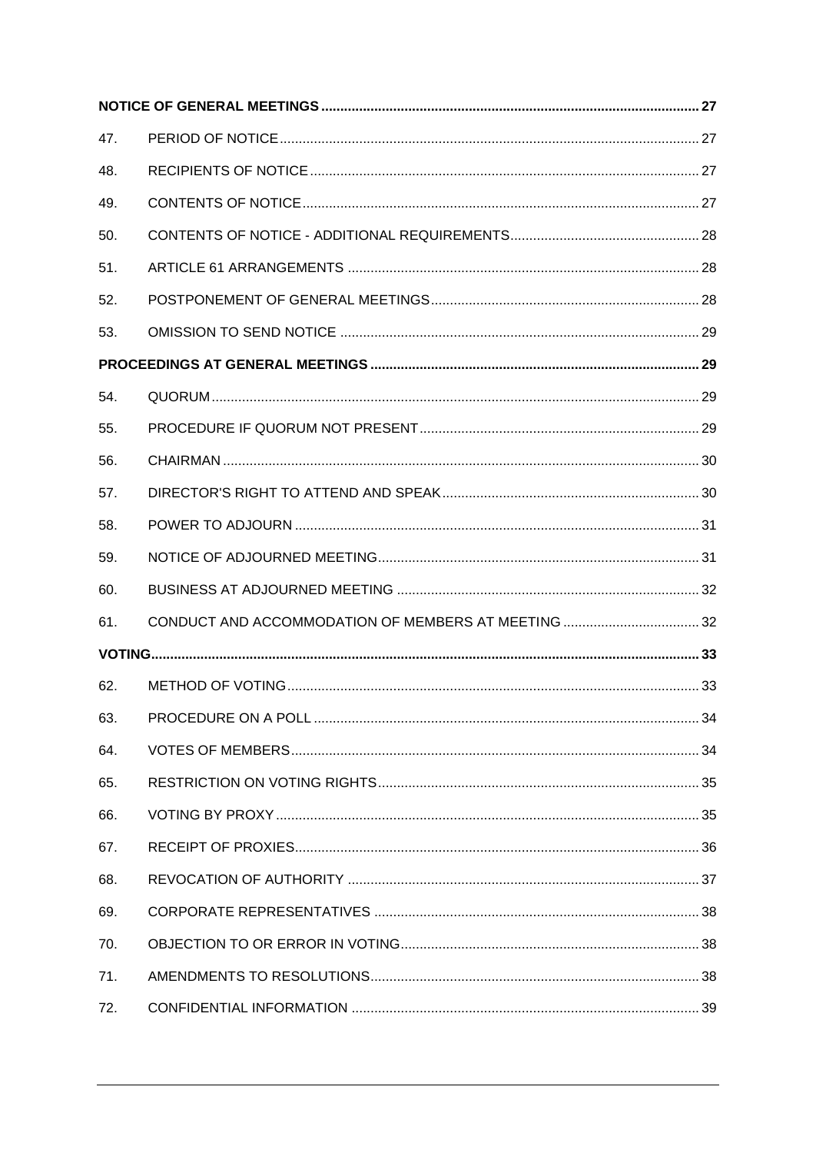| 47. |  |
|-----|--|
| 48. |  |
| 49. |  |
| 50. |  |
| 51. |  |
| 52. |  |
| 53. |  |
|     |  |
| 54. |  |
| 55. |  |
| 56. |  |
| 57. |  |
| 58. |  |
| 59. |  |
| 60. |  |
| 61. |  |
|     |  |
| 62. |  |
| 63. |  |
| 64. |  |
| 65. |  |
| 66. |  |
| 67. |  |
| 68. |  |
| 69. |  |
| 70. |  |
| 71. |  |
| 72. |  |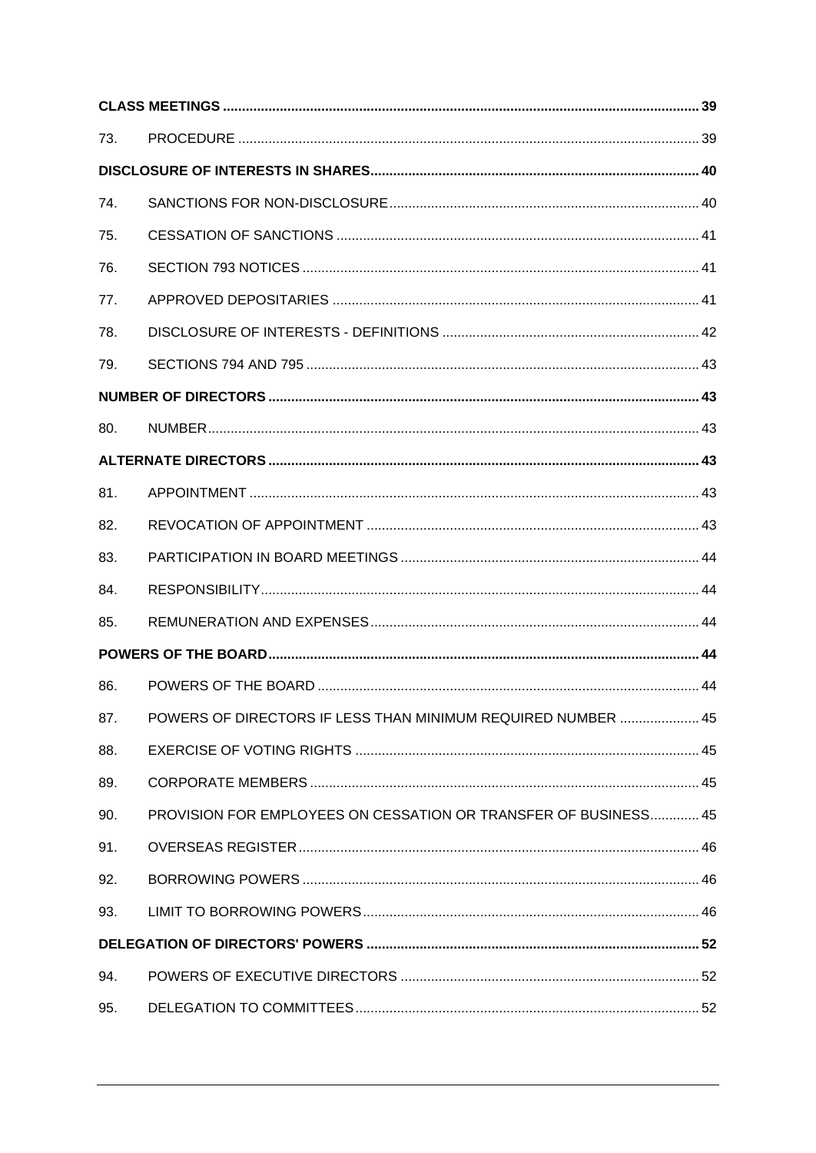| 73. |                                                                 |  |
|-----|-----------------------------------------------------------------|--|
|     |                                                                 |  |
| 74. |                                                                 |  |
| 75. |                                                                 |  |
| 76. |                                                                 |  |
| 77. |                                                                 |  |
| 78. |                                                                 |  |
| 79. |                                                                 |  |
|     |                                                                 |  |
| 80. |                                                                 |  |
|     |                                                                 |  |
| 81. |                                                                 |  |
| 82. |                                                                 |  |
| 83. |                                                                 |  |
| 84. |                                                                 |  |
| 85. |                                                                 |  |
|     |                                                                 |  |
| 86. |                                                                 |  |
| 87. | POWERS OF DIRECTORS IF LESS THAN MINIMUM REQUIRED NUMBER  45    |  |
| 88. |                                                                 |  |
| 89. |                                                                 |  |
| 90. | PROVISION FOR EMPLOYEES ON CESSATION OR TRANSFER OF BUSINESS 45 |  |
| 91. |                                                                 |  |
| 92. |                                                                 |  |
| 93. |                                                                 |  |
|     |                                                                 |  |
| 94. |                                                                 |  |
| 95. |                                                                 |  |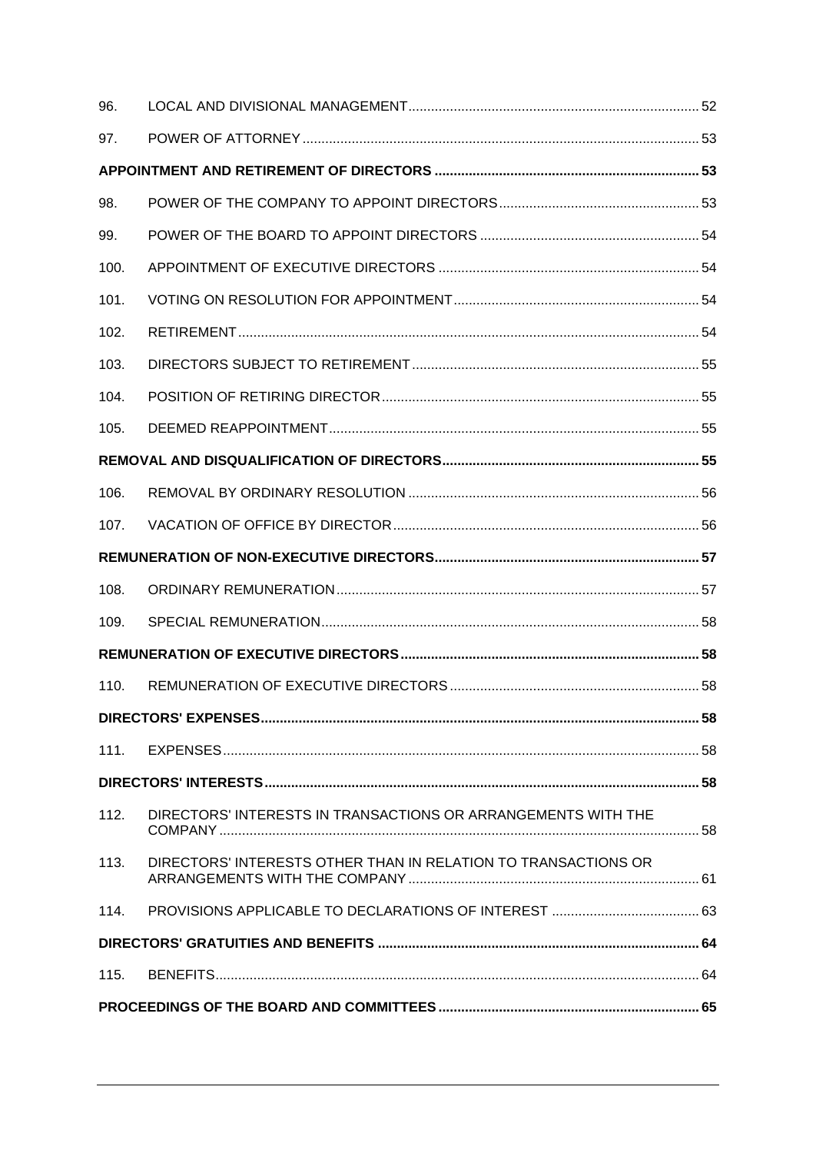| 96.  |                                                                |  |
|------|----------------------------------------------------------------|--|
| 97.  |                                                                |  |
|      |                                                                |  |
| 98.  |                                                                |  |
| 99.  |                                                                |  |
| 100. |                                                                |  |
| 101. |                                                                |  |
| 102. |                                                                |  |
| 103. |                                                                |  |
| 104. |                                                                |  |
| 105. |                                                                |  |
|      |                                                                |  |
| 106. |                                                                |  |
| 107. |                                                                |  |
|      |                                                                |  |
| 108. |                                                                |  |
| 109. |                                                                |  |
|      |                                                                |  |
| 110. |                                                                |  |
|      |                                                                |  |
| 111. |                                                                |  |
|      |                                                                |  |
| 112. | DIRECTORS' INTERESTS IN TRANSACTIONS OR ARRANGEMENTS WITH THE  |  |
| 113. | DIRECTORS' INTERESTS OTHER THAN IN RELATION TO TRANSACTIONS OR |  |
| 114. |                                                                |  |
|      |                                                                |  |
| 115. |                                                                |  |
|      |                                                                |  |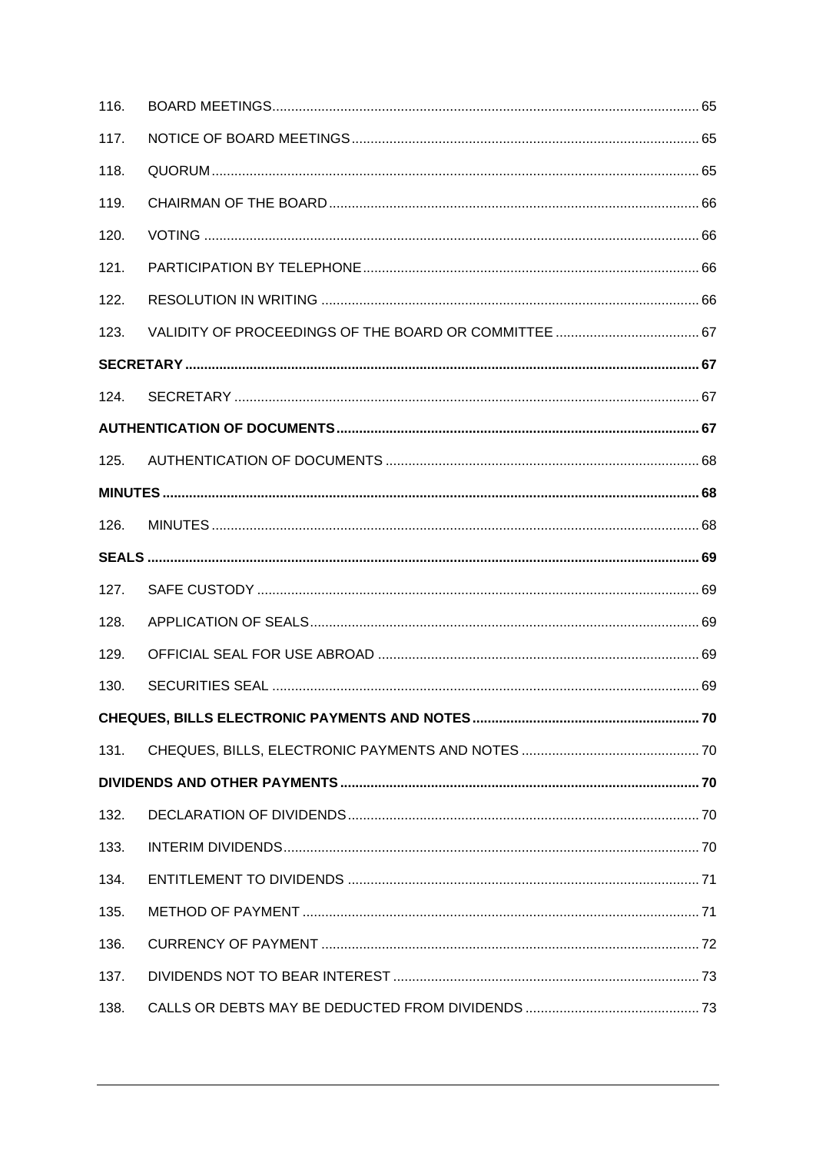| 116. |  |
|------|--|
| 117. |  |
| 118. |  |
| 119. |  |
| 120. |  |
| 121. |  |
| 122. |  |
| 123. |  |
|      |  |
| 124. |  |
|      |  |
| 125. |  |
|      |  |
| 126. |  |
|      |  |
| 127. |  |
| 128. |  |
| 129. |  |
| 130. |  |
|      |  |
| 131. |  |
|      |  |
| 132. |  |
| 133. |  |
| 134. |  |
| 135. |  |
| 136. |  |
| 137. |  |
| 138. |  |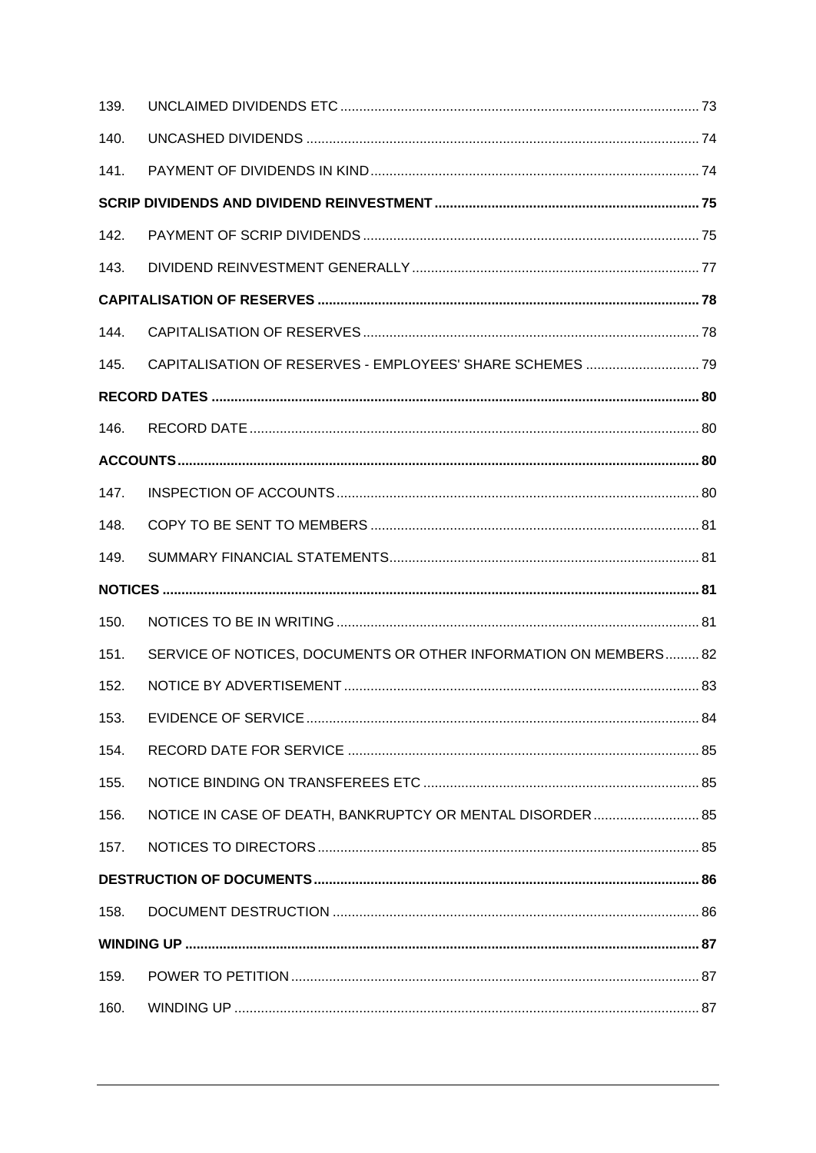| 139. |                                                                  |  |
|------|------------------------------------------------------------------|--|
| 140. |                                                                  |  |
| 141. |                                                                  |  |
|      |                                                                  |  |
| 142. |                                                                  |  |
| 143. |                                                                  |  |
|      |                                                                  |  |
| 144. |                                                                  |  |
| 145. | CAPITALISATION OF RESERVES - EMPLOYEES' SHARE SCHEMES  79        |  |
|      |                                                                  |  |
| 146. |                                                                  |  |
|      |                                                                  |  |
| 147. |                                                                  |  |
| 148. |                                                                  |  |
| 149. |                                                                  |  |
|      |                                                                  |  |
| 150. |                                                                  |  |
| 151. | SERVICE OF NOTICES, DOCUMENTS OR OTHER INFORMATION ON MEMBERS 82 |  |
| 152. |                                                                  |  |
| 153. |                                                                  |  |
| 154. |                                                                  |  |
| 155. |                                                                  |  |
| 156. | NOTICE IN CASE OF DEATH, BANKRUPTCY OR MENTAL DISORDER 85        |  |
| 157. |                                                                  |  |
|      |                                                                  |  |
| 158. |                                                                  |  |
|      |                                                                  |  |
| 159. |                                                                  |  |
| 160. |                                                                  |  |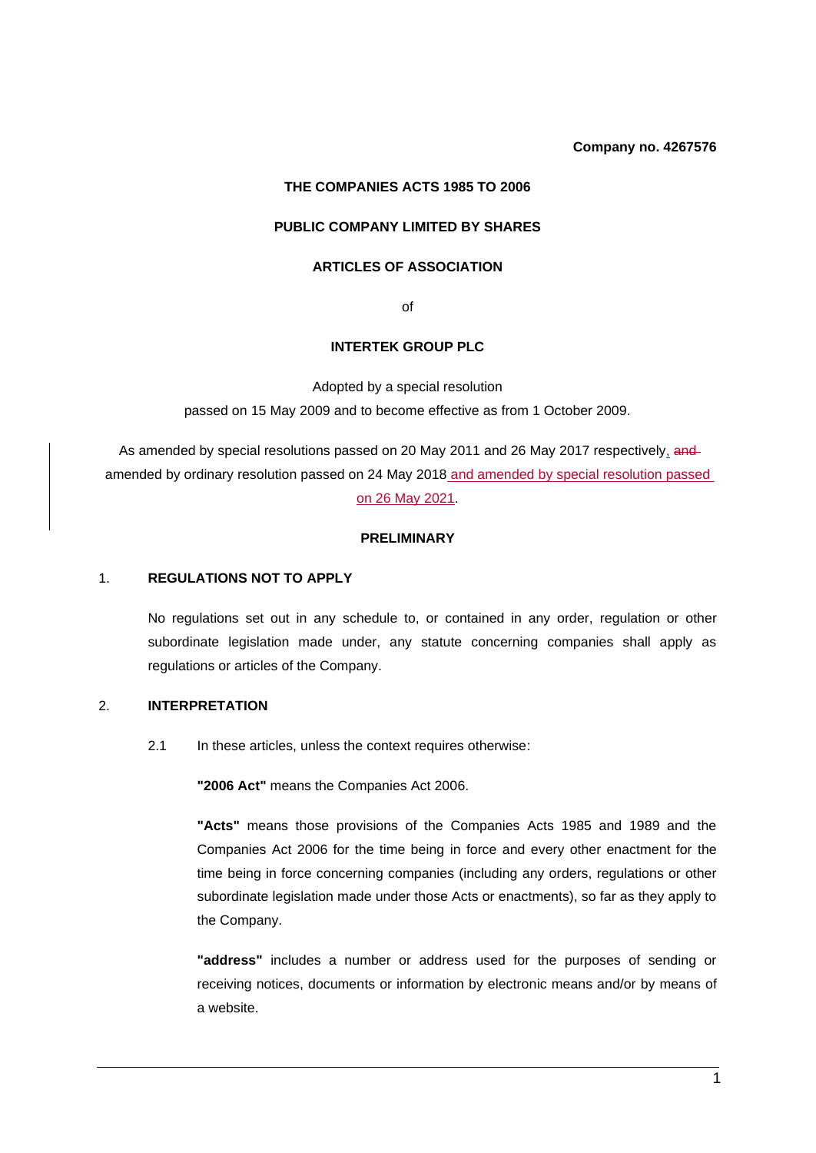#### **Company no. 4267576**

## **THE COMPANIES ACTS 1985 TO 2006**

#### **PUBLIC COMPANY LIMITED BY SHARES**

### **ARTICLES OF ASSOCIATION**

of

#### **INTERTEK GROUP PLC**

Adopted by a special resolution passed on 15 May 2009 and to become effective as from 1 October 2009.

As amended by special resolutions passed on 20 May 2011 and 26 May 2017 respectively, and amended by ordinary resolution passed on 24 May 2018 and amended by special resolution passed on 26 May 2021.

#### **PRELIMINARY**

### 1. **REGULATIONS NOT TO APPLY**

No regulations set out in any schedule to, or contained in any order, regulation or other subordinate legislation made under, any statute concerning companies shall apply as regulations or articles of the Company.

#### 2. **INTERPRETATION**

2.1 In these articles, unless the context requires otherwise:

**"2006 Act"** means the Companies Act 2006.

**"Acts"** means those provisions of the Companies Acts 1985 and 1989 and the Companies Act 2006 for the time being in force and every other enactment for the time being in force concerning companies (including any orders, regulations or other subordinate legislation made under those Acts or enactments), so far as they apply to the Company.

**"address"** includes a number or address used for the purposes of sending or receiving notices, documents or information by electronic means and/or by means of a website.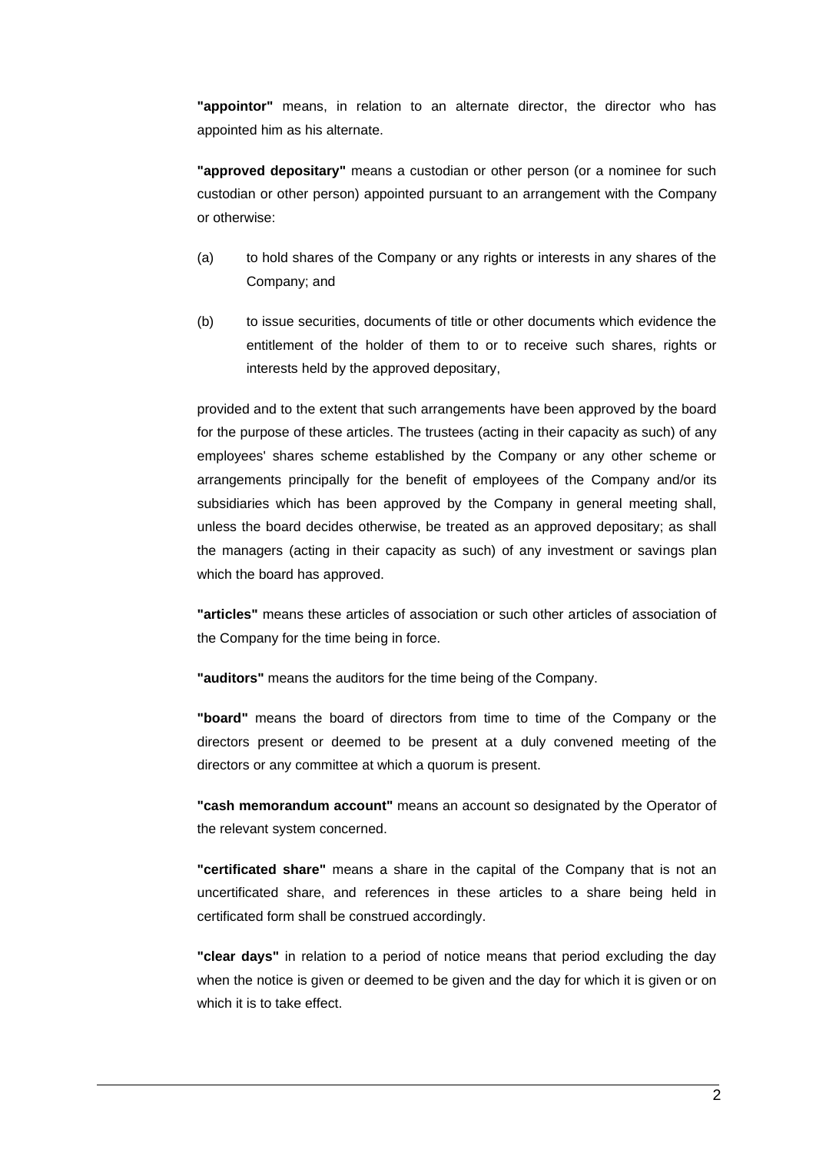**"appointor"** means, in relation to an alternate director, the director who has appointed him as his alternate.

**"approved depositary"** means a custodian or other person (or a nominee for such custodian or other person) appointed pursuant to an arrangement with the Company or otherwise:

- (a) to hold shares of the Company or any rights or interests in any shares of the Company; and
- (b) to issue securities, documents of title or other documents which evidence the entitlement of the holder of them to or to receive such shares, rights or interests held by the approved depositary,

provided and to the extent that such arrangements have been approved by the board for the purpose of these articles. The trustees (acting in their capacity as such) of any employees' shares scheme established by the Company or any other scheme or arrangements principally for the benefit of employees of the Company and/or its subsidiaries which has been approved by the Company in general meeting shall, unless the board decides otherwise, be treated as an approved depositary; as shall the managers (acting in their capacity as such) of any investment or savings plan which the board has approved.

**"articles"** means these articles of association or such other articles of association of the Company for the time being in force.

**"auditors"** means the auditors for the time being of the Company.

**"board"** means the board of directors from time to time of the Company or the directors present or deemed to be present at a duly convened meeting of the directors or any committee at which a quorum is present.

**"cash memorandum account"** means an account so designated by the Operator of the relevant system concerned.

**"certificated share"** means a share in the capital of the Company that is not an uncertificated share, and references in these articles to a share being held in certificated form shall be construed accordingly.

**"clear days"** in relation to a period of notice means that period excluding the day when the notice is given or deemed to be given and the day for which it is given or on which it is to take effect.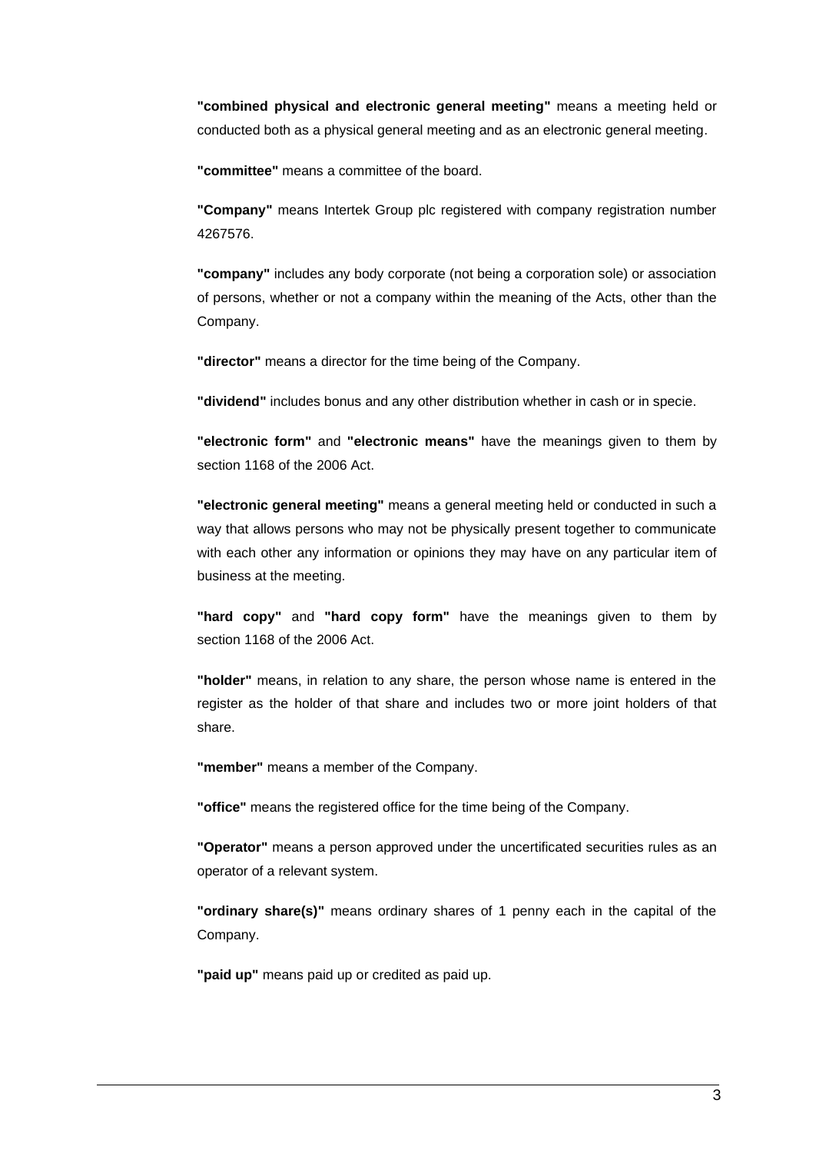**"combined physical and electronic general meeting"** means a meeting held or conducted both as a physical general meeting and as an electronic general meeting.

**"committee"** means a committee of the board.

**"Company"** means Intertek Group plc registered with company registration number 4267576.

**"company"** includes any body corporate (not being a corporation sole) or association of persons, whether or not a company within the meaning of the Acts, other than the Company.

**"director"** means a director for the time being of the Company.

**"dividend"** includes bonus and any other distribution whether in cash or in specie.

**"electronic form"** and **"electronic means"** have the meanings given to them by section 1168 of the 2006 Act.

**"electronic general meeting"** means a general meeting held or conducted in such a way that allows persons who may not be physically present together to communicate with each other any information or opinions they may have on any particular item of business at the meeting.

**"hard copy"** and **"hard copy form"** have the meanings given to them by section 1168 of the 2006 Act.

**"holder"** means, in relation to any share, the person whose name is entered in the register as the holder of that share and includes two or more joint holders of that share.

**"member"** means a member of the Company.

**"office"** means the registered office for the time being of the Company.

**"Operator"** means a person approved under the uncertificated securities rules as an operator of a relevant system.

**"ordinary share(s)"** means ordinary shares of 1 penny each in the capital of the Company.

**"paid up"** means paid up or credited as paid up.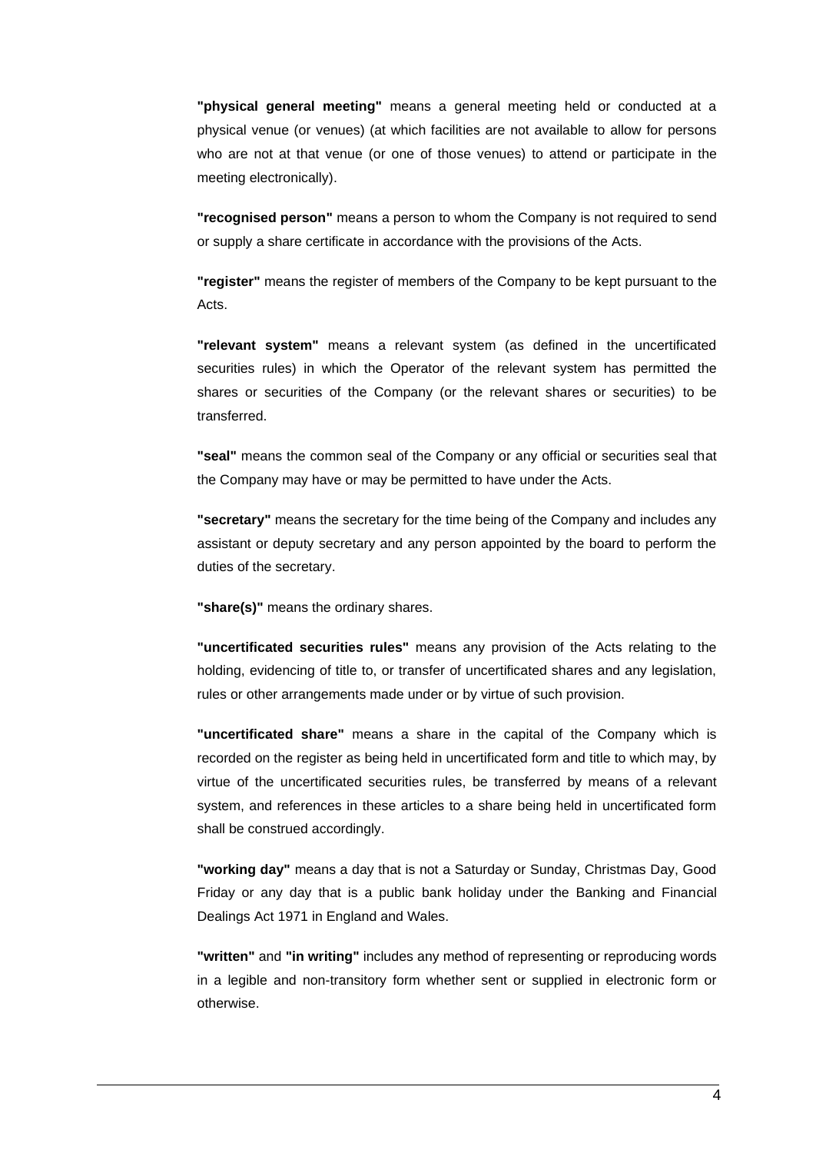**"physical general meeting"** means a general meeting held or conducted at a physical venue (or venues) (at which facilities are not available to allow for persons who are not at that venue (or one of those venues) to attend or participate in the meeting electronically).

**"recognised person"** means a person to whom the Company is not required to send or supply a share certificate in accordance with the provisions of the Acts.

**"register"** means the register of members of the Company to be kept pursuant to the Acts.

**"relevant system"** means a relevant system (as defined in the uncertificated securities rules) in which the Operator of the relevant system has permitted the shares or securities of the Company (or the relevant shares or securities) to be transferred.

**"seal"** means the common seal of the Company or any official or securities seal that the Company may have or may be permitted to have under the Acts.

**"secretary"** means the secretary for the time being of the Company and includes any assistant or deputy secretary and any person appointed by the board to perform the duties of the secretary.

**"share(s)"** means the ordinary shares.

**"uncertificated securities rules"** means any provision of the Acts relating to the holding, evidencing of title to, or transfer of uncertificated shares and any legislation, rules or other arrangements made under or by virtue of such provision.

**"uncertificated share"** means a share in the capital of the Company which is recorded on the register as being held in uncertificated form and title to which may, by virtue of the uncertificated securities rules, be transferred by means of a relevant system, and references in these articles to a share being held in uncertificated form shall be construed accordingly.

**"working day"** means a day that is not a Saturday or Sunday, Christmas Day, Good Friday or any day that is a public bank holiday under the Banking and Financial Dealings Act 1971 in England and Wales.

**"written"** and **"in writing"** includes any method of representing or reproducing words in a legible and non-transitory form whether sent or supplied in electronic form or otherwise.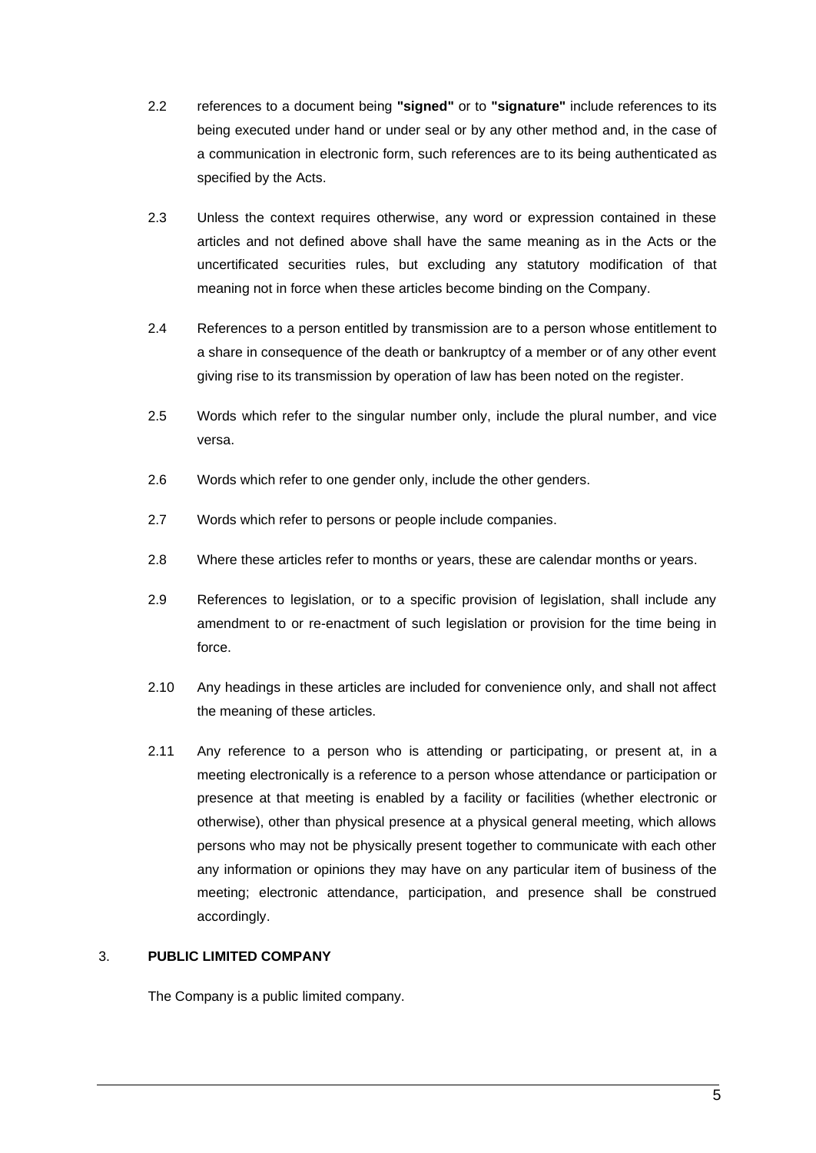- 2.2 references to a document being **"signed"** or to **"signature"** include references to its being executed under hand or under seal or by any other method and, in the case of a communication in electronic form, such references are to its being authenticated as specified by the Acts.
- 2.3 Unless the context requires otherwise, any word or expression contained in these articles and not defined above shall have the same meaning as in the Acts or the uncertificated securities rules, but excluding any statutory modification of that meaning not in force when these articles become binding on the Company.
- 2.4 References to a person entitled by transmission are to a person whose entitlement to a share in consequence of the death or bankruptcy of a member or of any other event giving rise to its transmission by operation of law has been noted on the register.
- 2.5 Words which refer to the singular number only, include the plural number, and vice versa.
- 2.6 Words which refer to one gender only, include the other genders.
- 2.7 Words which refer to persons or people include companies.
- 2.8 Where these articles refer to months or years, these are calendar months or years.
- 2.9 References to legislation, or to a specific provision of legislation, shall include any amendment to or re-enactment of such legislation or provision for the time being in force.
- 2.10 Any headings in these articles are included for convenience only, and shall not affect the meaning of these articles.
- 2.11 Any reference to a person who is attending or participating, or present at, in a meeting electronically is a reference to a person whose attendance or participation or presence at that meeting is enabled by a facility or facilities (whether electronic or otherwise), other than physical presence at a physical general meeting, which allows persons who may not be physically present together to communicate with each other any information or opinions they may have on any particular item of business of the meeting; electronic attendance, participation, and presence shall be construed accordingly.

## 3. **PUBLIC LIMITED COMPANY**

The Company is a public limited company.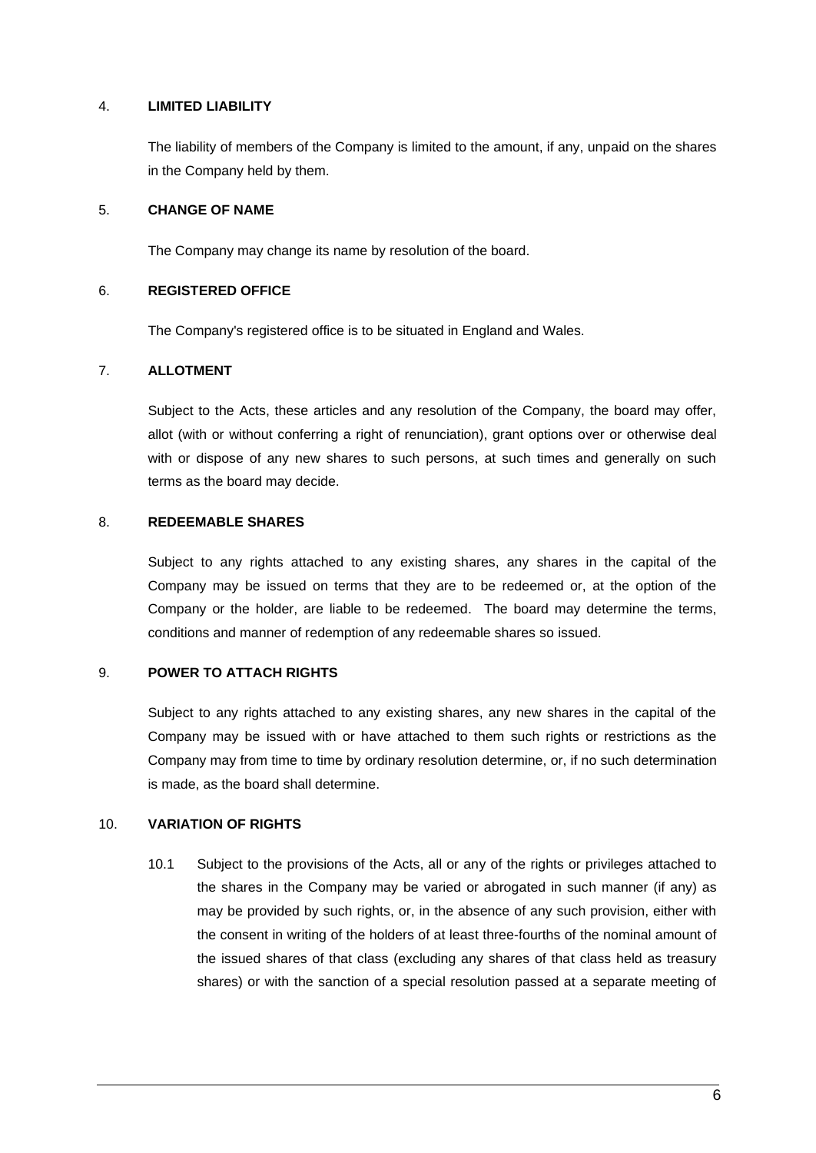### 4. **LIMITED LIABILITY**

The liability of members of the Company is limited to the amount, if any, unpaid on the shares in the Company held by them.

### 5. **CHANGE OF NAME**

The Company may change its name by resolution of the board.

### 6. **REGISTERED OFFICE**

The Company's registered office is to be situated in England and Wales.

### 7. **ALLOTMENT**

Subject to the Acts, these articles and any resolution of the Company, the board may offer, allot (with or without conferring a right of renunciation), grant options over or otherwise deal with or dispose of any new shares to such persons, at such times and generally on such terms as the board may decide.

### 8. **REDEEMABLE SHARES**

Subject to any rights attached to any existing shares, any shares in the capital of the Company may be issued on terms that they are to be redeemed or, at the option of the Company or the holder, are liable to be redeemed. The board may determine the terms, conditions and manner of redemption of any redeemable shares so issued.

### 9. **POWER TO ATTACH RIGHTS**

Subject to any rights attached to any existing shares, any new shares in the capital of the Company may be issued with or have attached to them such rights or restrictions as the Company may from time to time by ordinary resolution determine, or, if no such determination is made, as the board shall determine.

### 10. **VARIATION OF RIGHTS**

10.1 Subject to the provisions of the Acts, all or any of the rights or privileges attached to the shares in the Company may be varied or abrogated in such manner (if any) as may be provided by such rights, or, in the absence of any such provision, either with the consent in writing of the holders of at least three-fourths of the nominal amount of the issued shares of that class (excluding any shares of that class held as treasury shares) or with the sanction of a special resolution passed at a separate meeting of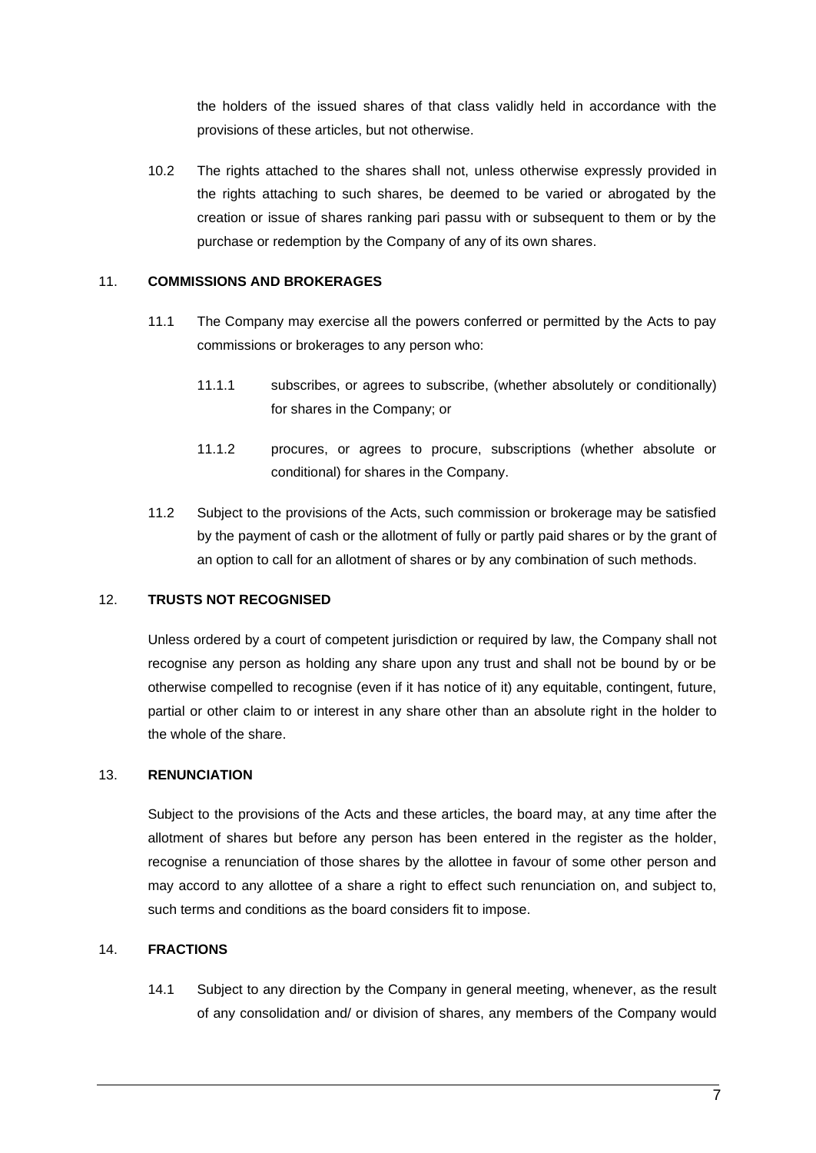the holders of the issued shares of that class validly held in accordance with the provisions of these articles, but not otherwise.

10.2 The rights attached to the shares shall not, unless otherwise expressly provided in the rights attaching to such shares, be deemed to be varied or abrogated by the creation or issue of shares ranking pari passu with or subsequent to them or by the purchase or redemption by the Company of any of its own shares.

### 11. **COMMISSIONS AND BROKERAGES**

- 11.1 The Company may exercise all the powers conferred or permitted by the Acts to pay commissions or brokerages to any person who:
	- 11.1.1 subscribes, or agrees to subscribe, (whether absolutely or conditionally) for shares in the Company; or
	- 11.1.2 procures, or agrees to procure, subscriptions (whether absolute or conditional) for shares in the Company.
- 11.2 Subject to the provisions of the Acts, such commission or brokerage may be satisfied by the payment of cash or the allotment of fully or partly paid shares or by the grant of an option to call for an allotment of shares or by any combination of such methods.

## 12. **TRUSTS NOT RECOGNISED**

Unless ordered by a court of competent jurisdiction or required by law, the Company shall not recognise any person as holding any share upon any trust and shall not be bound by or be otherwise compelled to recognise (even if it has notice of it) any equitable, contingent, future, partial or other claim to or interest in any share other than an absolute right in the holder to the whole of the share.

### 13. **RENUNCIATION**

Subject to the provisions of the Acts and these articles, the board may, at any time after the allotment of shares but before any person has been entered in the register as the holder, recognise a renunciation of those shares by the allottee in favour of some other person and may accord to any allottee of a share a right to effect such renunciation on, and subject to, such terms and conditions as the board considers fit to impose.

#### 14. **FRACTIONS**

14.1 Subject to any direction by the Company in general meeting, whenever, as the result of any consolidation and/ or division of shares, any members of the Company would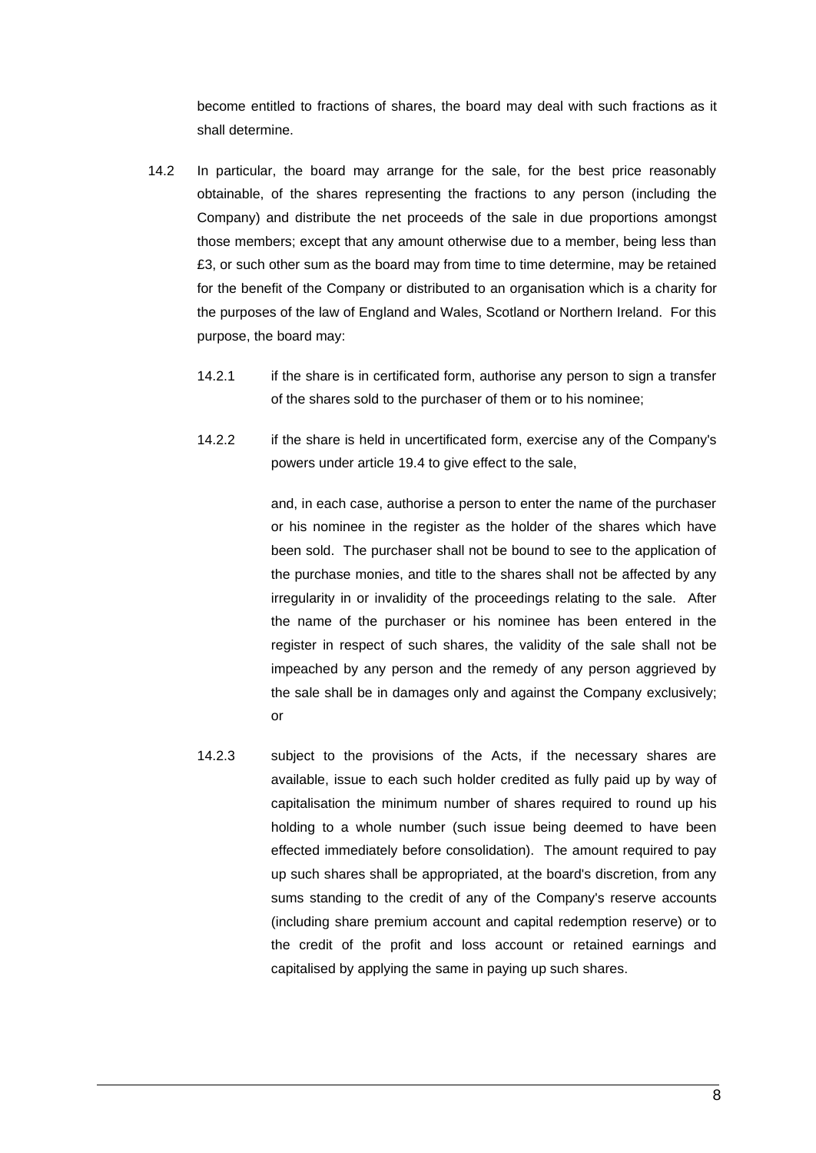become entitled to fractions of shares, the board may deal with such fractions as it shall determine.

- 14.2 In particular, the board may arrange for the sale, for the best price reasonably obtainable, of the shares representing the fractions to any person (including the Company) and distribute the net proceeds of the sale in due proportions amongst those members; except that any amount otherwise due to a member, being less than £3, or such other sum as the board may from time to time determine, may be retained for the benefit of the Company or distributed to an organisation which is a charity for the purposes of the law of England and Wales, Scotland or Northern Ireland. For this purpose, the board may:
	- 14.2.1 if the share is in certificated form, authorise any person to sign a transfer of the shares sold to the purchaser of them or to his nominee;
	- 14.2.2 if the share is held in uncertificated form, exercise any of the Company's powers under article 19.4 to give effect to the sale,

and, in each case, authorise a person to enter the name of the purchaser or his nominee in the register as the holder of the shares which have been sold. The purchaser shall not be bound to see to the application of the purchase monies, and title to the shares shall not be affected by any irregularity in or invalidity of the proceedings relating to the sale. After the name of the purchaser or his nominee has been entered in the register in respect of such shares, the validity of the sale shall not be impeached by any person and the remedy of any person aggrieved by the sale shall be in damages only and against the Company exclusively; or

14.2.3 subject to the provisions of the Acts, if the necessary shares are available, issue to each such holder credited as fully paid up by way of capitalisation the minimum number of shares required to round up his holding to a whole number (such issue being deemed to have been effected immediately before consolidation). The amount required to pay up such shares shall be appropriated, at the board's discretion, from any sums standing to the credit of any of the Company's reserve accounts (including share premium account and capital redemption reserve) or to the credit of the profit and loss account or retained earnings and capitalised by applying the same in paying up such shares.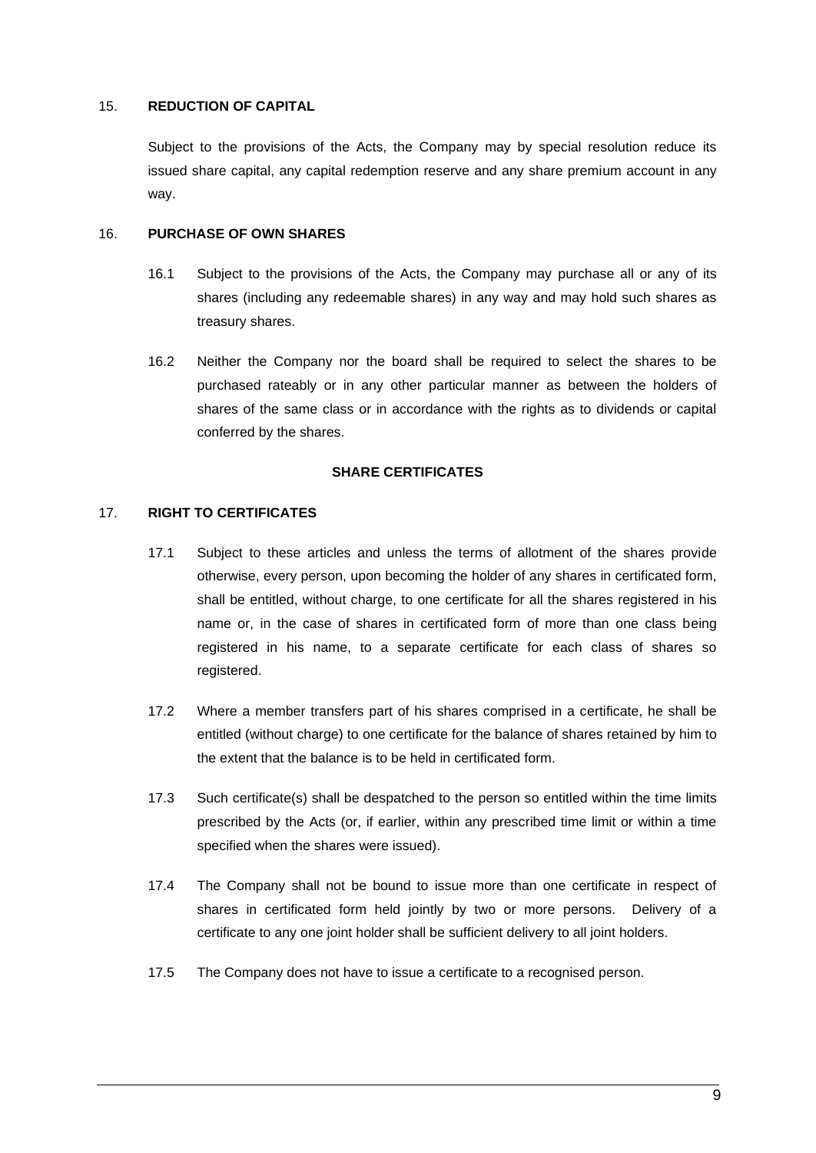#### 15. **REDUCTION OF CAPITAL**

Subject to the provisions of the Acts, the Company may by special resolution reduce its issued share capital, any capital redemption reserve and any share premium account in any way.

## 16. **PURCHASE OF OWN SHARES**

- 16.1 Subject to the provisions of the Acts, the Company may purchase all or any of its shares (including any redeemable shares) in any way and may hold such shares as treasury shares.
- 16.2 Neither the Company nor the board shall be required to select the shares to be purchased rateably or in any other particular manner as between the holders of shares of the same class or in accordance with the rights as to dividends or capital conferred by the shares.

#### **SHARE CERTIFICATES**

#### 17. **RIGHT TO CERTIFICATES**

- 17.1 Subject to these articles and unless the terms of allotment of the shares provide otherwise, every person, upon becoming the holder of any shares in certificated form, shall be entitled, without charge, to one certificate for all the shares registered in his name or, in the case of shares in certificated form of more than one class being registered in his name, to a separate certificate for each class of shares so registered.
- 17.2 Where a member transfers part of his shares comprised in a certificate, he shall be entitled (without charge) to one certificate for the balance of shares retained by him to the extent that the balance is to be held in certificated form.
- 17.3 Such certificate(s) shall be despatched to the person so entitled within the time limits prescribed by the Acts (or, if earlier, within any prescribed time limit or within a time specified when the shares were issued).
- 17.4 The Company shall not be bound to issue more than one certificate in respect of shares in certificated form held jointly by two or more persons. Delivery of a certificate to any one joint holder shall be sufficient delivery to all joint holders.
- 17.5 The Company does not have to issue a certificate to a recognised person.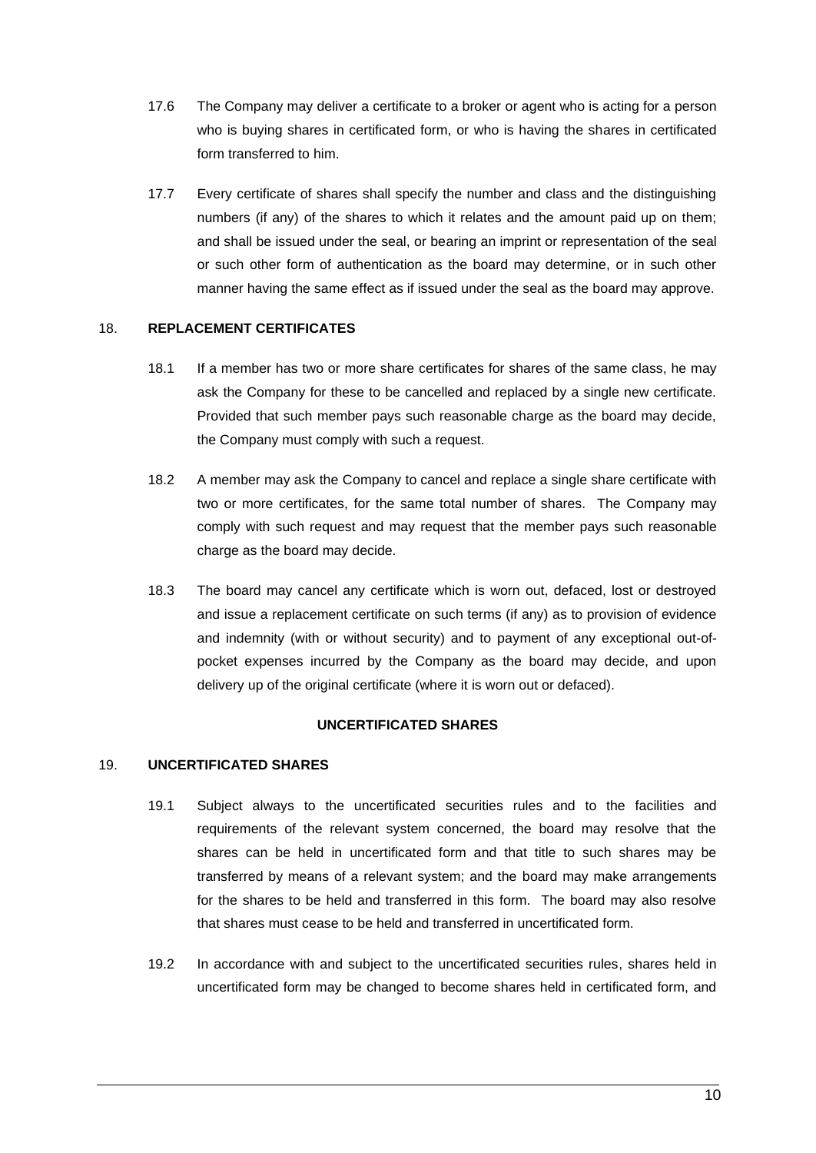- 17.6 The Company may deliver a certificate to a broker or agent who is acting for a person who is buying shares in certificated form, or who is having the shares in certificated form transferred to him.
- 17.7 Every certificate of shares shall specify the number and class and the distinguishing numbers (if any) of the shares to which it relates and the amount paid up on them; and shall be issued under the seal, or bearing an imprint or representation of the seal or such other form of authentication as the board may determine, or in such other manner having the same effect as if issued under the seal as the board may approve.

### 18. **REPLACEMENT CERTIFICATES**

- 18.1 If a member has two or more share certificates for shares of the same class, he may ask the Company for these to be cancelled and replaced by a single new certificate. Provided that such member pays such reasonable charge as the board may decide, the Company must comply with such a request.
- 18.2 A member may ask the Company to cancel and replace a single share certificate with two or more certificates, for the same total number of shares. The Company may comply with such request and may request that the member pays such reasonable charge as the board may decide.
- 18.3 The board may cancel any certificate which is worn out, defaced, lost or destroyed and issue a replacement certificate on such terms (if any) as to provision of evidence and indemnity (with or without security) and to payment of any exceptional out-ofpocket expenses incurred by the Company as the board may decide, and upon delivery up of the original certificate (where it is worn out or defaced).

### **UNCERTIFICATED SHARES**

#### 19. **UNCERTIFICATED SHARES**

- 19.1 Subject always to the uncertificated securities rules and to the facilities and requirements of the relevant system concerned, the board may resolve that the shares can be held in uncertificated form and that title to such shares may be transferred by means of a relevant system; and the board may make arrangements for the shares to be held and transferred in this form. The board may also resolve that shares must cease to be held and transferred in uncertificated form.
- 19.2 In accordance with and subject to the uncertificated securities rules, shares held in uncertificated form may be changed to become shares held in certificated form, and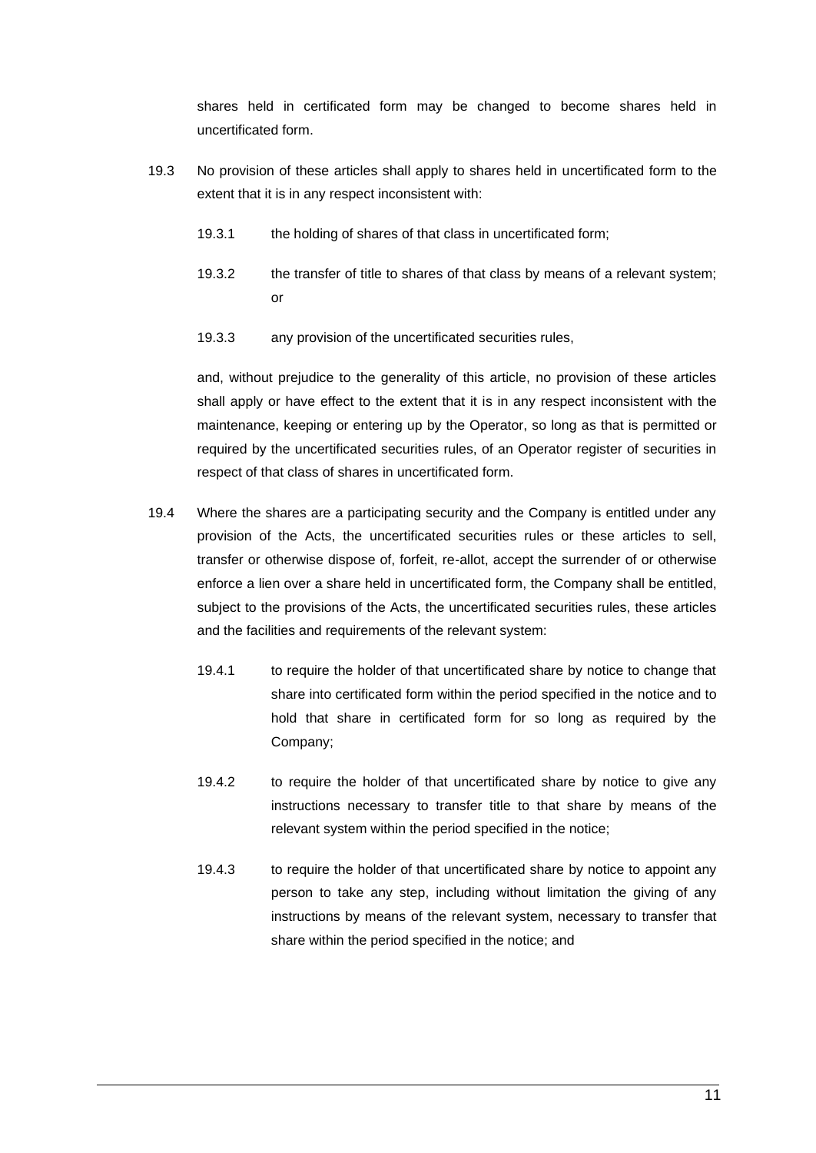shares held in certificated form may be changed to become shares held in uncertificated form.

- 19.3 No provision of these articles shall apply to shares held in uncertificated form to the extent that it is in any respect inconsistent with:
	- 19.3.1 the holding of shares of that class in uncertificated form;
	- 19.3.2 the transfer of title to shares of that class by means of a relevant system; or
	- 19.3.3 any provision of the uncertificated securities rules,

and, without prejudice to the generality of this article, no provision of these articles shall apply or have effect to the extent that it is in any respect inconsistent with the maintenance, keeping or entering up by the Operator, so long as that is permitted or required by the uncertificated securities rules, of an Operator register of securities in respect of that class of shares in uncertificated form.

- 19.4 Where the shares are a participating security and the Company is entitled under any provision of the Acts, the uncertificated securities rules or these articles to sell, transfer or otherwise dispose of, forfeit, re-allot, accept the surrender of or otherwise enforce a lien over a share held in uncertificated form, the Company shall be entitled, subject to the provisions of the Acts, the uncertificated securities rules, these articles and the facilities and requirements of the relevant system:
	- 19.4.1 to require the holder of that uncertificated share by notice to change that share into certificated form within the period specified in the notice and to hold that share in certificated form for so long as required by the Company;
	- 19.4.2 to require the holder of that uncertificated share by notice to give any instructions necessary to transfer title to that share by means of the relevant system within the period specified in the notice;
	- 19.4.3 to require the holder of that uncertificated share by notice to appoint any person to take any step, including without limitation the giving of any instructions by means of the relevant system, necessary to transfer that share within the period specified in the notice; and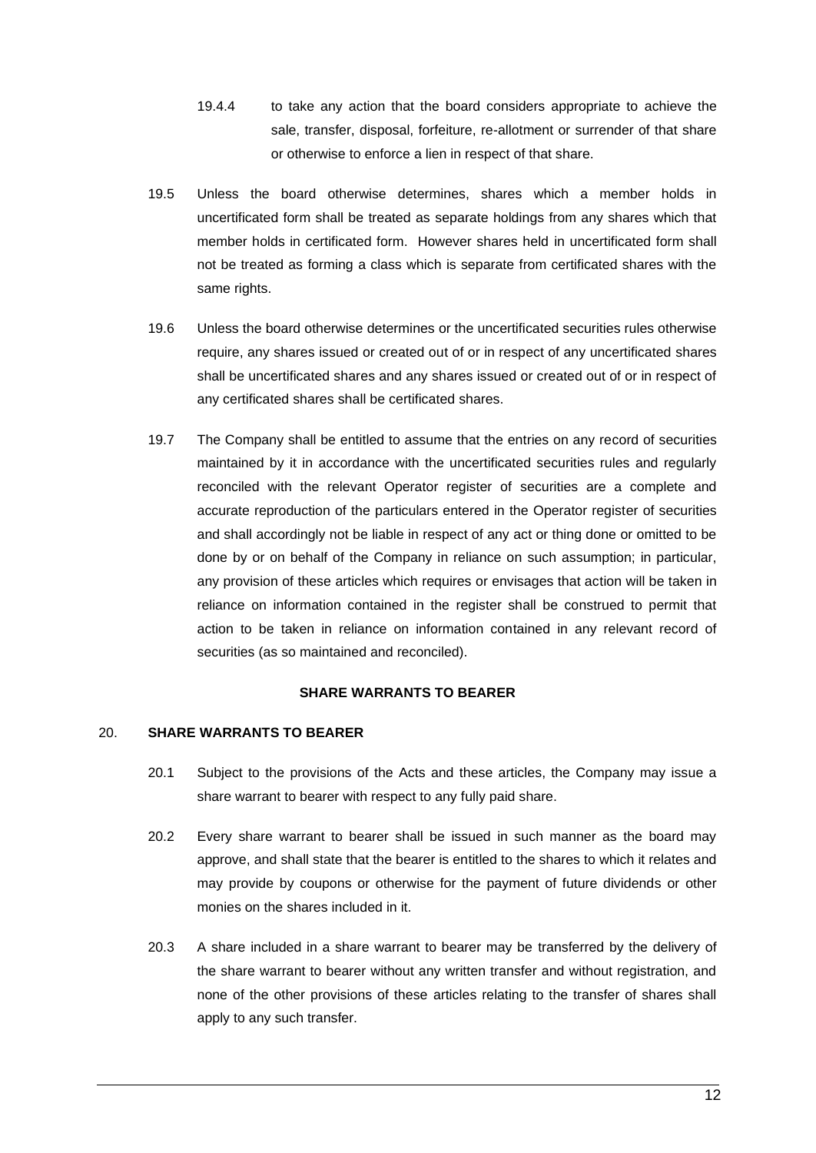- 19.4.4 to take any action that the board considers appropriate to achieve the sale, transfer, disposal, forfeiture, re-allotment or surrender of that share or otherwise to enforce a lien in respect of that share.
- 19.5 Unless the board otherwise determines, shares which a member holds in uncertificated form shall be treated as separate holdings from any shares which that member holds in certificated form. However shares held in uncertificated form shall not be treated as forming a class which is separate from certificated shares with the same rights.
- 19.6 Unless the board otherwise determines or the uncertificated securities rules otherwise require, any shares issued or created out of or in respect of any uncertificated shares shall be uncertificated shares and any shares issued or created out of or in respect of any certificated shares shall be certificated shares.
- 19.7 The Company shall be entitled to assume that the entries on any record of securities maintained by it in accordance with the uncertificated securities rules and regularly reconciled with the relevant Operator register of securities are a complete and accurate reproduction of the particulars entered in the Operator register of securities and shall accordingly not be liable in respect of any act or thing done or omitted to be done by or on behalf of the Company in reliance on such assumption; in particular, any provision of these articles which requires or envisages that action will be taken in reliance on information contained in the register shall be construed to permit that action to be taken in reliance on information contained in any relevant record of securities (as so maintained and reconciled).

#### **SHARE WARRANTS TO BEARER**

### 20. **SHARE WARRANTS TO BEARER**

- 20.1 Subject to the provisions of the Acts and these articles, the Company may issue a share warrant to bearer with respect to any fully paid share.
- 20.2 Every share warrant to bearer shall be issued in such manner as the board may approve, and shall state that the bearer is entitled to the shares to which it relates and may provide by coupons or otherwise for the payment of future dividends or other monies on the shares included in it.
- 20.3 A share included in a share warrant to bearer may be transferred by the delivery of the share warrant to bearer without any written transfer and without registration, and none of the other provisions of these articles relating to the transfer of shares shall apply to any such transfer.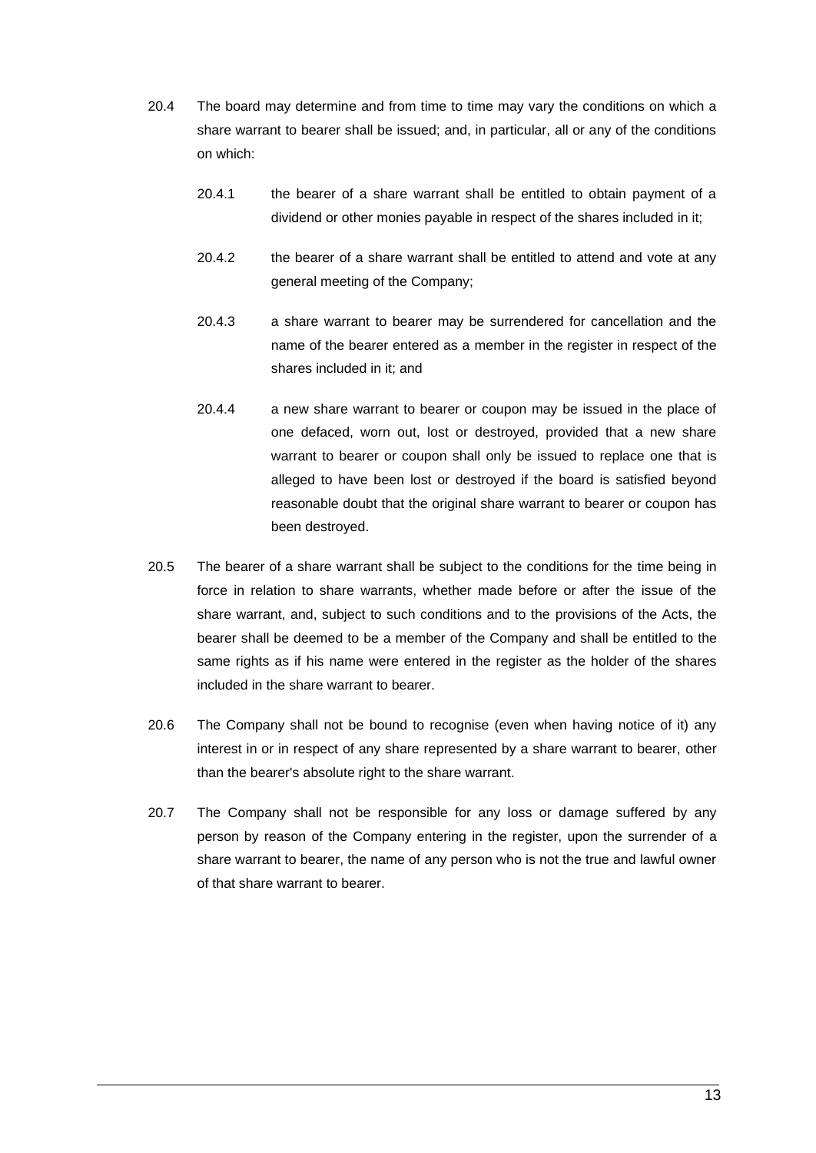- 20.4 The board may determine and from time to time may vary the conditions on which a share warrant to bearer shall be issued; and, in particular, all or any of the conditions on which:
	- 20.4.1 the bearer of a share warrant shall be entitled to obtain payment of a dividend or other monies payable in respect of the shares included in it;
	- 20.4.2 the bearer of a share warrant shall be entitled to attend and vote at any general meeting of the Company;
	- 20.4.3 a share warrant to bearer may be surrendered for cancellation and the name of the bearer entered as a member in the register in respect of the shares included in it; and
	- 20.4.4 a new share warrant to bearer or coupon may be issued in the place of one defaced, worn out, lost or destroyed, provided that a new share warrant to bearer or coupon shall only be issued to replace one that is alleged to have been lost or destroyed if the board is satisfied beyond reasonable doubt that the original share warrant to bearer or coupon has been destroyed.
- 20.5 The bearer of a share warrant shall be subject to the conditions for the time being in force in relation to share warrants, whether made before or after the issue of the share warrant, and, subject to such conditions and to the provisions of the Acts, the bearer shall be deemed to be a member of the Company and shall be entitled to the same rights as if his name were entered in the register as the holder of the shares included in the share warrant to bearer.
- 20.6 The Company shall not be bound to recognise (even when having notice of it) any interest in or in respect of any share represented by a share warrant to bearer, other than the bearer's absolute right to the share warrant.
- 20.7 The Company shall not be responsible for any loss or damage suffered by any person by reason of the Company entering in the register, upon the surrender of a share warrant to bearer, the name of any person who is not the true and lawful owner of that share warrant to bearer.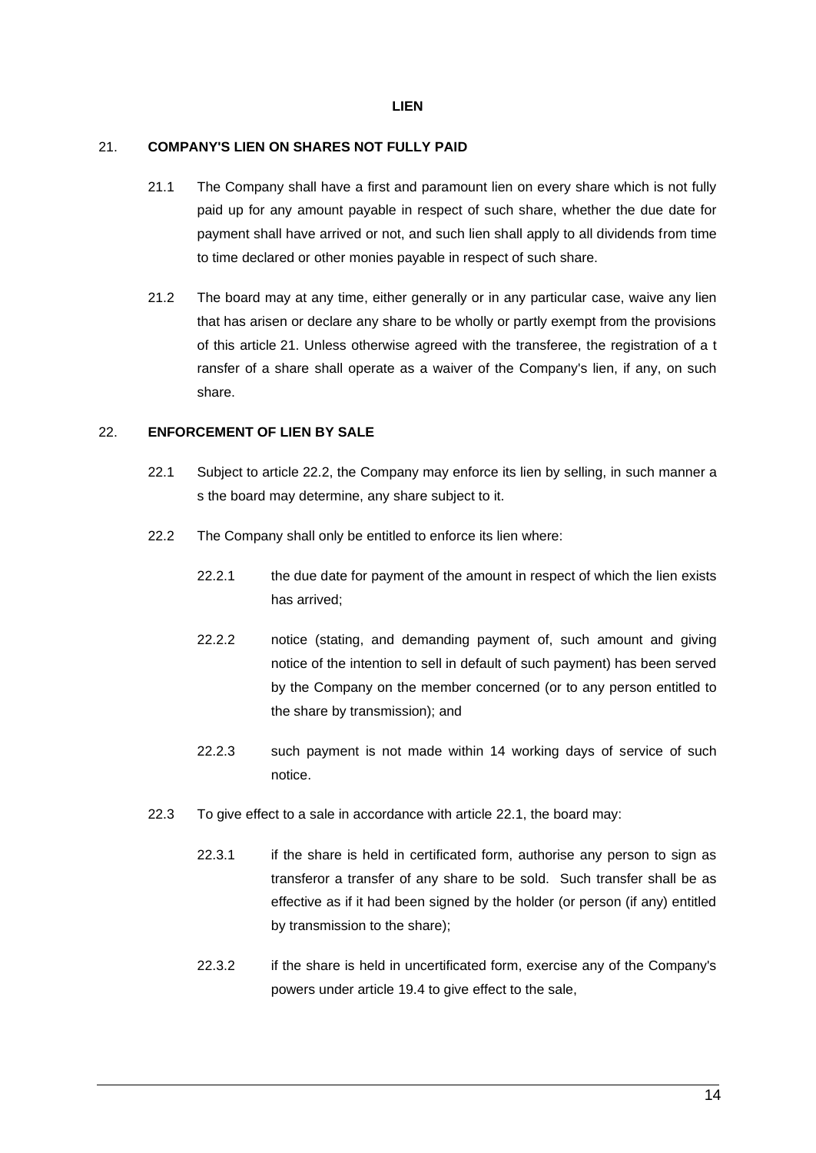#### **LIEN**

#### 21. **COMPANY'S LIEN ON SHARES NOT FULLY PAID**

- 21.1 The Company shall have a first and paramount lien on every share which is not fully paid up for any amount payable in respect of such share, whether the due date for payment shall have arrived or not, and such lien shall apply to all dividends from time to time declared or other monies payable in respect of such share.
- 21.2 The board may at any time, either generally or in any particular case, waive any lien that has arisen or declare any share to be wholly or partly exempt from the provisions of this article 21. Unless otherwise agreed with the transferee, the registration of a t ransfer of a share shall operate as a waiver of the Company's lien, if any, on such share.

## 22. **ENFORCEMENT OF LIEN BY SALE**

- 22.1 Subject to article 22.2, the Company may enforce its lien by selling, in such manner a s the board may determine, any share subject to it.
- 22.2 The Company shall only be entitled to enforce its lien where:
	- 22.2.1 the due date for payment of the amount in respect of which the lien exists has arrived;
	- 22.2.2 notice (stating, and demanding payment of, such amount and giving notice of the intention to sell in default of such payment) has been served by the Company on the member concerned (or to any person entitled to the share by transmission); and
	- 22.2.3 such payment is not made within 14 working days of service of such notice.
- 22.3 To give effect to a sale in accordance with article 22.1, the board may:
	- 22.3.1 if the share is held in certificated form, authorise any person to sign as transferor a transfer of any share to be sold. Such transfer shall be as effective as if it had been signed by the holder (or person (if any) entitled by transmission to the share);
	- 22.3.2 if the share is held in uncertificated form, exercise any of the Company's powers under article 19.4 to give effect to the sale,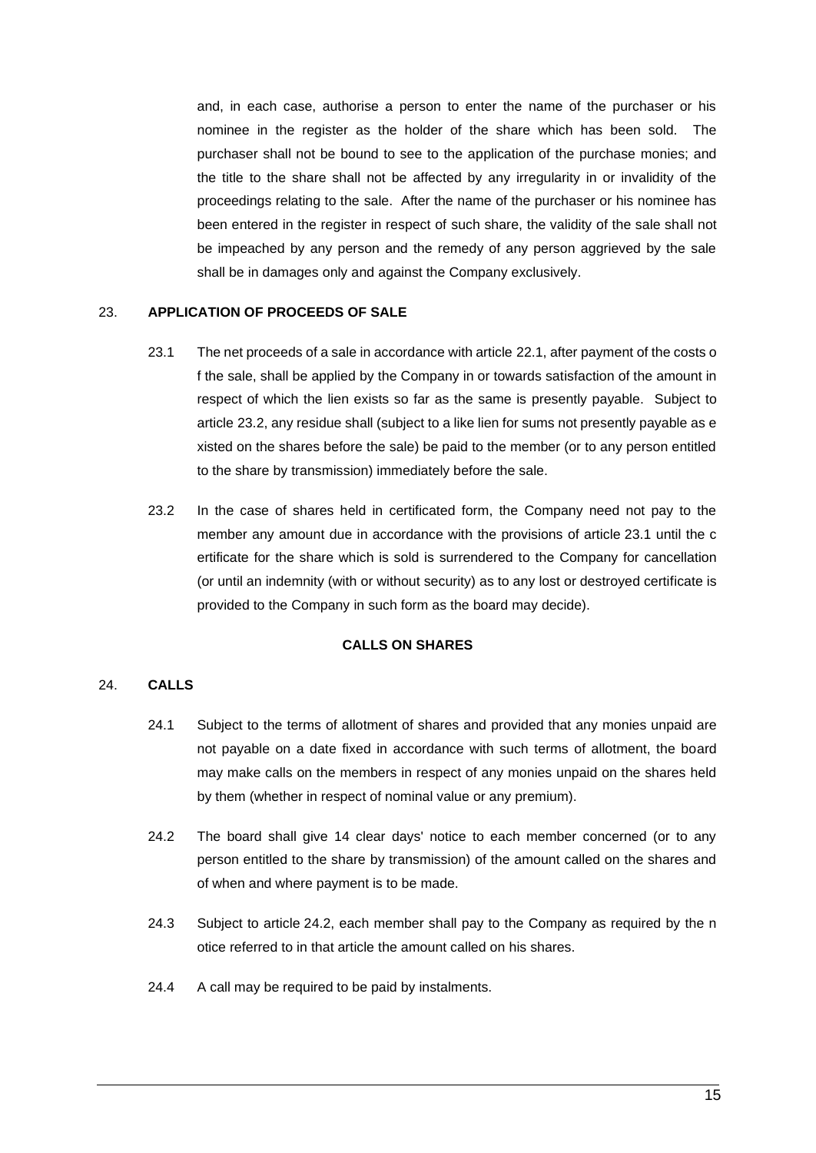and, in each case, authorise a person to enter the name of the purchaser or his nominee in the register as the holder of the share which has been sold. The purchaser shall not be bound to see to the application of the purchase monies; and the title to the share shall not be affected by any irregularity in or invalidity of the proceedings relating to the sale. After the name of the purchaser or his nominee has been entered in the register in respect of such share, the validity of the sale shall not be impeached by any person and the remedy of any person aggrieved by the sale shall be in damages only and against the Company exclusively.

#### 23. **APPLICATION OF PROCEEDS OF SALE**

- 23.1 The net proceeds of a sale in accordance with article 22.1, after payment of the costs o f the sale, shall be applied by the Company in or towards satisfaction of the amount in respect of which the lien exists so far as the same is presently payable. Subject to article 23.2, any residue shall (subject to a like lien for sums not presently payable as e xisted on the shares before the sale) be paid to the member (or to any person entitled to the share by transmission) immediately before the sale.
- 23.2 In the case of shares held in certificated form, the Company need not pay to the member any amount due in accordance with the provisions of article 23.1 until the c ertificate for the share which is sold is surrendered to the Company for cancellation (or until an indemnity (with or without security) as to any lost or destroyed certificate is provided to the Company in such form as the board may decide).

### **CALLS ON SHARES**

### 24. **CALLS**

- 24.1 Subject to the terms of allotment of shares and provided that any monies unpaid are not payable on a date fixed in accordance with such terms of allotment, the board may make calls on the members in respect of any monies unpaid on the shares held by them (whether in respect of nominal value or any premium).
- 24.2 The board shall give 14 clear days' notice to each member concerned (or to any person entitled to the share by transmission) of the amount called on the shares and of when and where payment is to be made.
- 24.3 Subject to article 24.2, each member shall pay to the Company as required by the n otice referred to in that article the amount called on his shares.
- 24.4 A call may be required to be paid by instalments.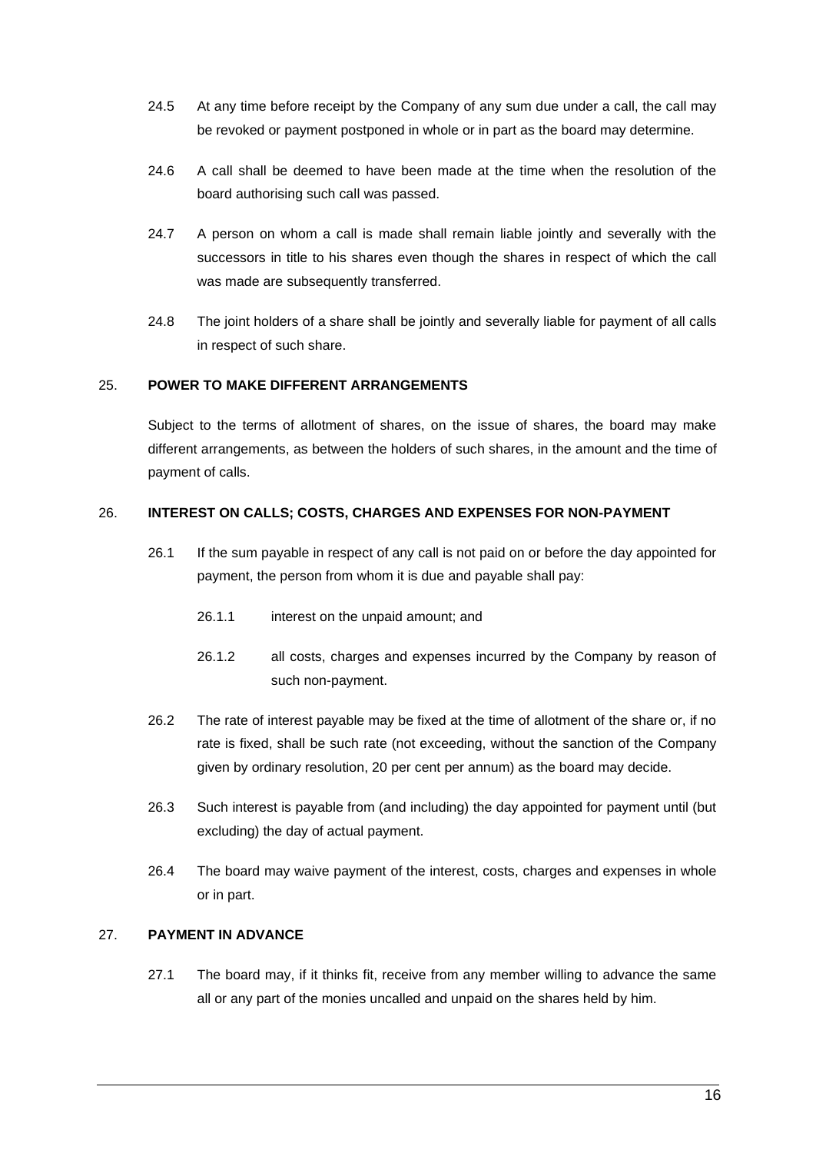- 24.5 At any time before receipt by the Company of any sum due under a call, the call may be revoked or payment postponed in whole or in part as the board may determine.
- 24.6 A call shall be deemed to have been made at the time when the resolution of the board authorising such call was passed.
- 24.7 A person on whom a call is made shall remain liable jointly and severally with the successors in title to his shares even though the shares in respect of which the call was made are subsequently transferred.
- 24.8 The joint holders of a share shall be jointly and severally liable for payment of all calls in respect of such share.

## 25. **POWER TO MAKE DIFFERENT ARRANGEMENTS**

Subject to the terms of allotment of shares, on the issue of shares, the board may make different arrangements, as between the holders of such shares, in the amount and the time of payment of calls.

#### 26. **INTEREST ON CALLS; COSTS, CHARGES AND EXPENSES FOR NON-PAYMENT**

- 26.1 If the sum payable in respect of any call is not paid on or before the day appointed for payment, the person from whom it is due and payable shall pay:
	- 26.1.1 interest on the unpaid amount; and
	- 26.1.2 all costs, charges and expenses incurred by the Company by reason of such non-payment.
- 26.2 The rate of interest payable may be fixed at the time of allotment of the share or, if no rate is fixed, shall be such rate (not exceeding, without the sanction of the Company given by ordinary resolution, 20 per cent per annum) as the board may decide.
- 26.3 Such interest is payable from (and including) the day appointed for payment until (but excluding) the day of actual payment.
- 26.4 The board may waive payment of the interest, costs, charges and expenses in whole or in part.

#### 27. **PAYMENT IN ADVANCE**

27.1 The board may, if it thinks fit, receive from any member willing to advance the same all or any part of the monies uncalled and unpaid on the shares held by him.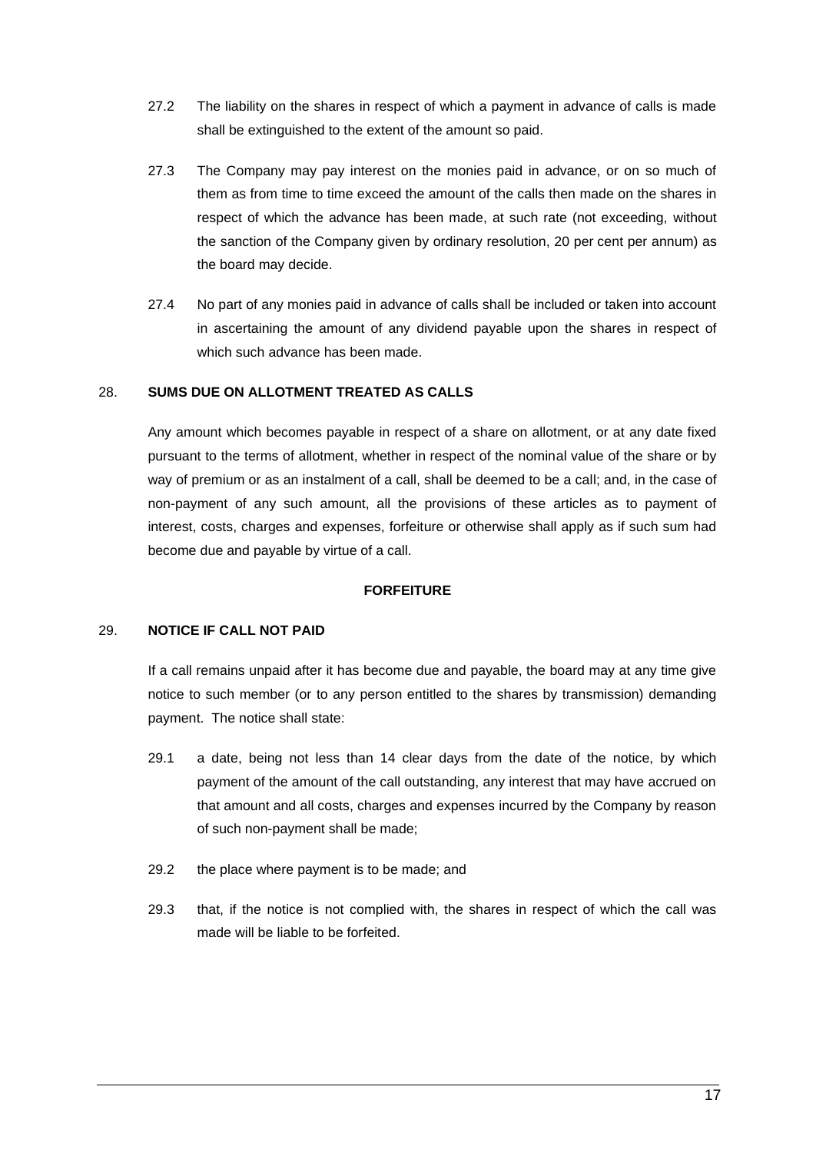- 27.2 The liability on the shares in respect of which a payment in advance of calls is made shall be extinguished to the extent of the amount so paid.
- 27.3 The Company may pay interest on the monies paid in advance, or on so much of them as from time to time exceed the amount of the calls then made on the shares in respect of which the advance has been made, at such rate (not exceeding, without the sanction of the Company given by ordinary resolution, 20 per cent per annum) as the board may decide.
- 27.4 No part of any monies paid in advance of calls shall be included or taken into account in ascertaining the amount of any dividend payable upon the shares in respect of which such advance has been made.

#### 28. **SUMS DUE ON ALLOTMENT TREATED AS CALLS**

Any amount which becomes payable in respect of a share on allotment, or at any date fixed pursuant to the terms of allotment, whether in respect of the nominal value of the share or by way of premium or as an instalment of a call, shall be deemed to be a call; and, in the case of non-payment of any such amount, all the provisions of these articles as to payment of interest, costs, charges and expenses, forfeiture or otherwise shall apply as if such sum had become due and payable by virtue of a call.

#### **FORFEITURE**

#### 29. **NOTICE IF CALL NOT PAID**

If a call remains unpaid after it has become due and payable, the board may at any time give notice to such member (or to any person entitled to the shares by transmission) demanding payment. The notice shall state:

- 29.1 a date, being not less than 14 clear days from the date of the notice, by which payment of the amount of the call outstanding, any interest that may have accrued on that amount and all costs, charges and expenses incurred by the Company by reason of such non-payment shall be made;
- 29.2 the place where payment is to be made; and
- 29.3 that, if the notice is not complied with, the shares in respect of which the call was made will be liable to be forfeited.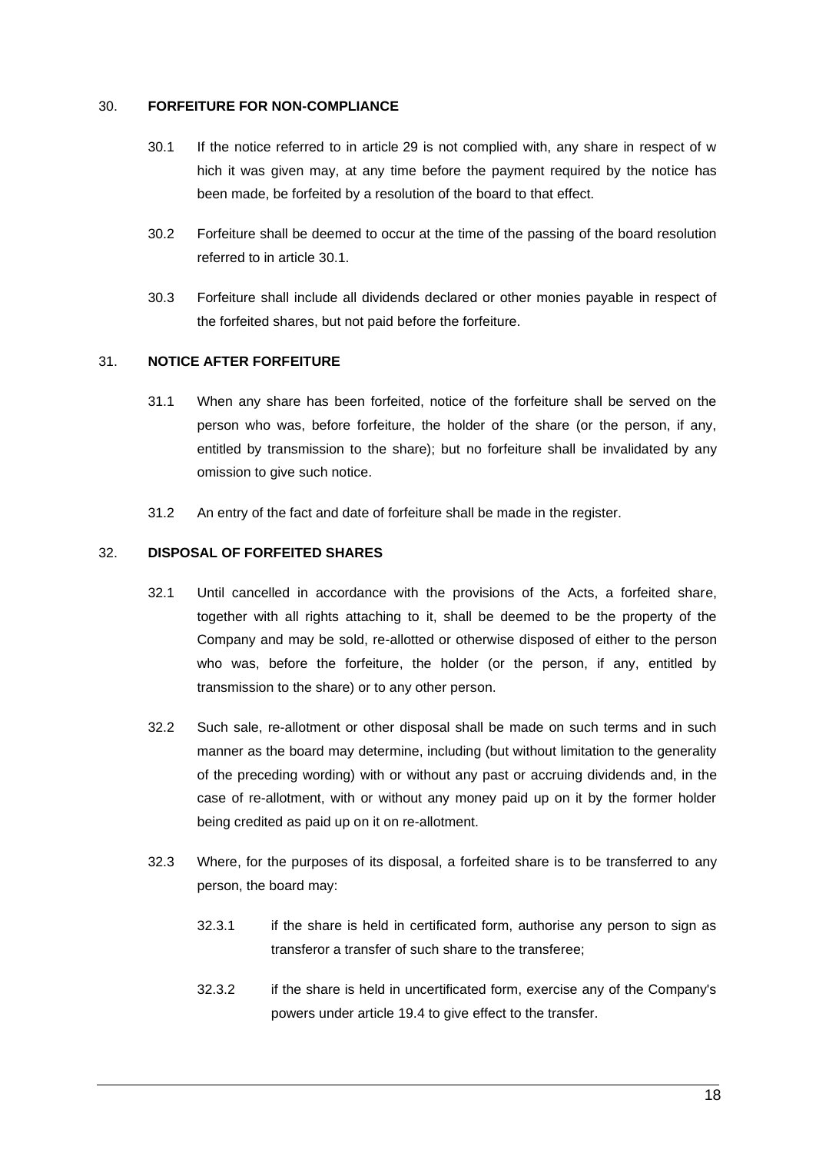### 30. **FORFEITURE FOR NON-COMPLIANCE**

- 30.1 If the notice referred to in article 29 is not complied with, any share in respect of w hich it was given may, at any time before the payment required by the notice has been made, be forfeited by a resolution of the board to that effect.
- 30.2 Forfeiture shall be deemed to occur at the time of the passing of the board resolution referred to in article 30.1.
- 30.3 Forfeiture shall include all dividends declared or other monies payable in respect of the forfeited shares, but not paid before the forfeiture.

## 31. **NOTICE AFTER FORFEITURE**

- 31.1 When any share has been forfeited, notice of the forfeiture shall be served on the person who was, before forfeiture, the holder of the share (or the person, if any, entitled by transmission to the share); but no forfeiture shall be invalidated by any omission to give such notice.
- 31.2 An entry of the fact and date of forfeiture shall be made in the register.

#### 32. **DISPOSAL OF FORFEITED SHARES**

- 32.1 Until cancelled in accordance with the provisions of the Acts, a forfeited share, together with all rights attaching to it, shall be deemed to be the property of the Company and may be sold, re-allotted or otherwise disposed of either to the person who was, before the forfeiture, the holder (or the person, if any, entitled by transmission to the share) or to any other person.
- 32.2 Such sale, re-allotment or other disposal shall be made on such terms and in such manner as the board may determine, including (but without limitation to the generality of the preceding wording) with or without any past or accruing dividends and, in the case of re-allotment, with or without any money paid up on it by the former holder being credited as paid up on it on re-allotment.
- 32.3 Where, for the purposes of its disposal, a forfeited share is to be transferred to any person, the board may:
	- 32.3.1 if the share is held in certificated form, authorise any person to sign as transferor a transfer of such share to the transferee;
	- 32.3.2 if the share is held in uncertificated form, exercise any of the Company's powers under article 19.4 to give effect to the transfer.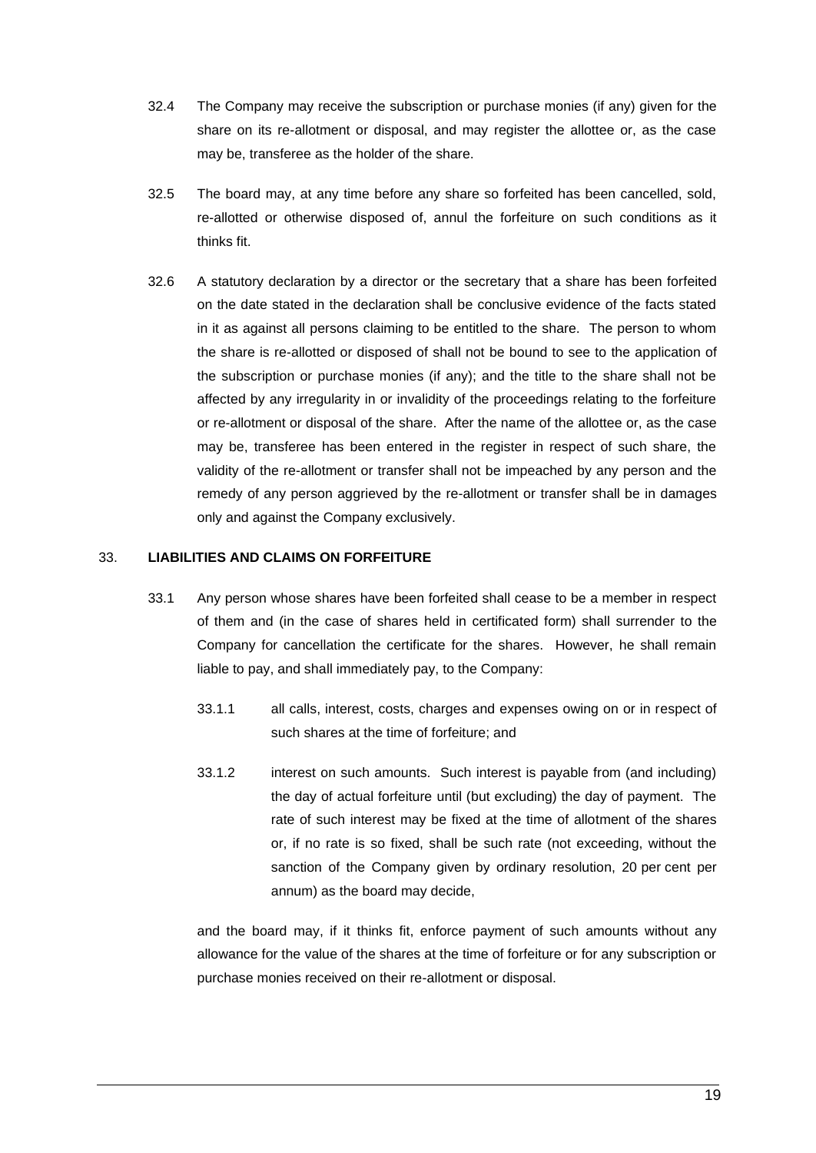- 32.4 The Company may receive the subscription or purchase monies (if any) given for the share on its re-allotment or disposal, and may register the allottee or, as the case may be, transferee as the holder of the share.
- 32.5 The board may, at any time before any share so forfeited has been cancelled, sold, re-allotted or otherwise disposed of, annul the forfeiture on such conditions as it thinks fit.
- 32.6 A statutory declaration by a director or the secretary that a share has been forfeited on the date stated in the declaration shall be conclusive evidence of the facts stated in it as against all persons claiming to be entitled to the share. The person to whom the share is re-allotted or disposed of shall not be bound to see to the application of the subscription or purchase monies (if any); and the title to the share shall not be affected by any irregularity in or invalidity of the proceedings relating to the forfeiture or re-allotment or disposal of the share. After the name of the allottee or, as the case may be, transferee has been entered in the register in respect of such share, the validity of the re-allotment or transfer shall not be impeached by any person and the remedy of any person aggrieved by the re-allotment or transfer shall be in damages only and against the Company exclusively.

#### 33. **LIABILITIES AND CLAIMS ON FORFEITURE**

- 33.1 Any person whose shares have been forfeited shall cease to be a member in respect of them and (in the case of shares held in certificated form) shall surrender to the Company for cancellation the certificate for the shares. However, he shall remain liable to pay, and shall immediately pay, to the Company:
	- 33.1.1 all calls, interest, costs, charges and expenses owing on or in respect of such shares at the time of forfeiture; and
	- 33.1.2 interest on such amounts. Such interest is payable from (and including) the day of actual forfeiture until (but excluding) the day of payment. The rate of such interest may be fixed at the time of allotment of the shares or, if no rate is so fixed, shall be such rate (not exceeding, without the sanction of the Company given by ordinary resolution, 20 per cent per annum) as the board may decide,

and the board may, if it thinks fit, enforce payment of such amounts without any allowance for the value of the shares at the time of forfeiture or for any subscription or purchase monies received on their re-allotment or disposal.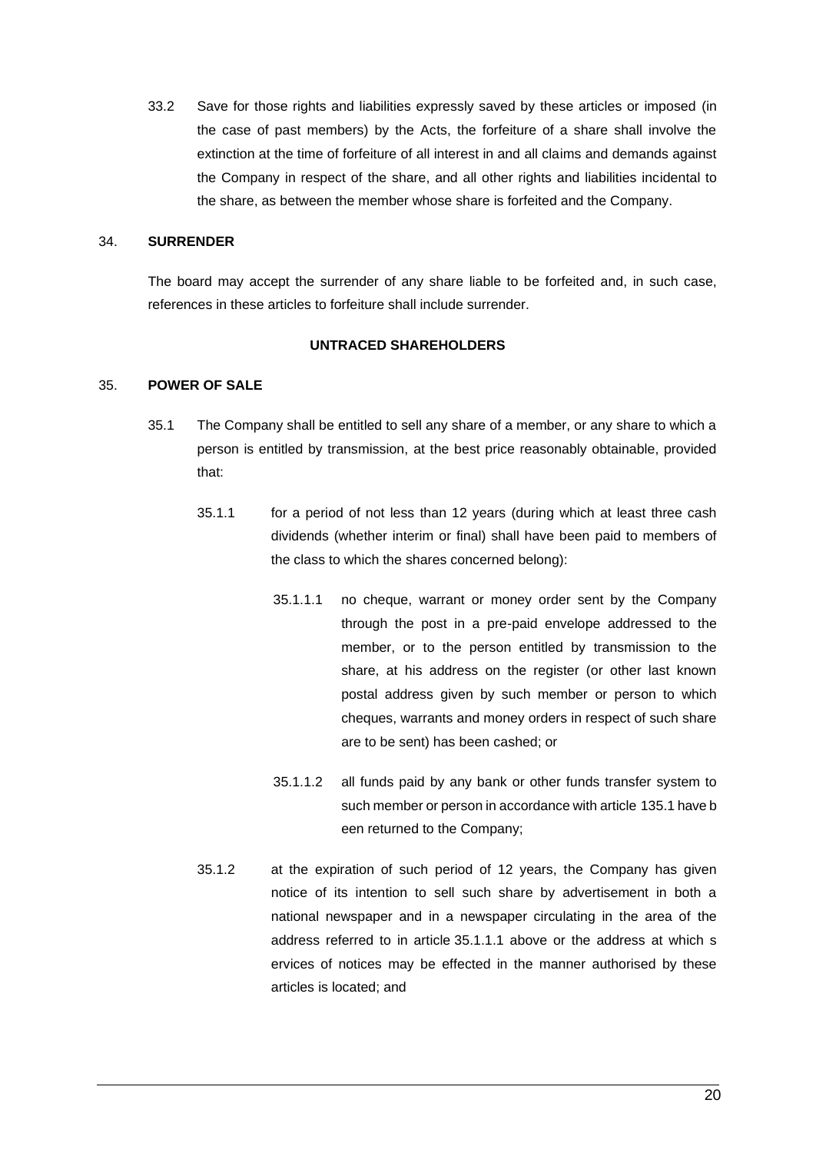33.2 Save for those rights and liabilities expressly saved by these articles or imposed (in the case of past members) by the Acts, the forfeiture of a share shall involve the extinction at the time of forfeiture of all interest in and all claims and demands against the Company in respect of the share, and all other rights and liabilities incidental to the share, as between the member whose share is forfeited and the Company.

#### 34. **SURRENDER**

The board may accept the surrender of any share liable to be forfeited and, in such case, references in these articles to forfeiture shall include surrender.

#### **UNTRACED SHAREHOLDERS**

#### 35. **POWER OF SALE**

- 35.1 The Company shall be entitled to sell any share of a member, or any share to which a person is entitled by transmission, at the best price reasonably obtainable, provided that:
	- 35.1.1 for a period of not less than 12 years (during which at least three cash dividends (whether interim or final) shall have been paid to members of the class to which the shares concerned belong):
		- 35.1.1.1 no cheque, warrant or money order sent by the Company through the post in a pre-paid envelope addressed to the member, or to the person entitled by transmission to the share, at his address on the register (or other last known postal address given by such member or person to which cheques, warrants and money orders in respect of such share are to be sent) has been cashed; or
		- 35.1.1.2 all funds paid by any bank or other funds transfer system to such member or person in accordance with article 135.1 have b een returned to the Company;
	- 35.1.2 at the expiration of such period of 12 years, the Company has given notice of its intention to sell such share by advertisement in both a national newspaper and in a newspaper circulating in the area of the address referred to in article 35.1.1.1 above or the address at which s ervices of notices may be effected in the manner authorised by these articles is located; and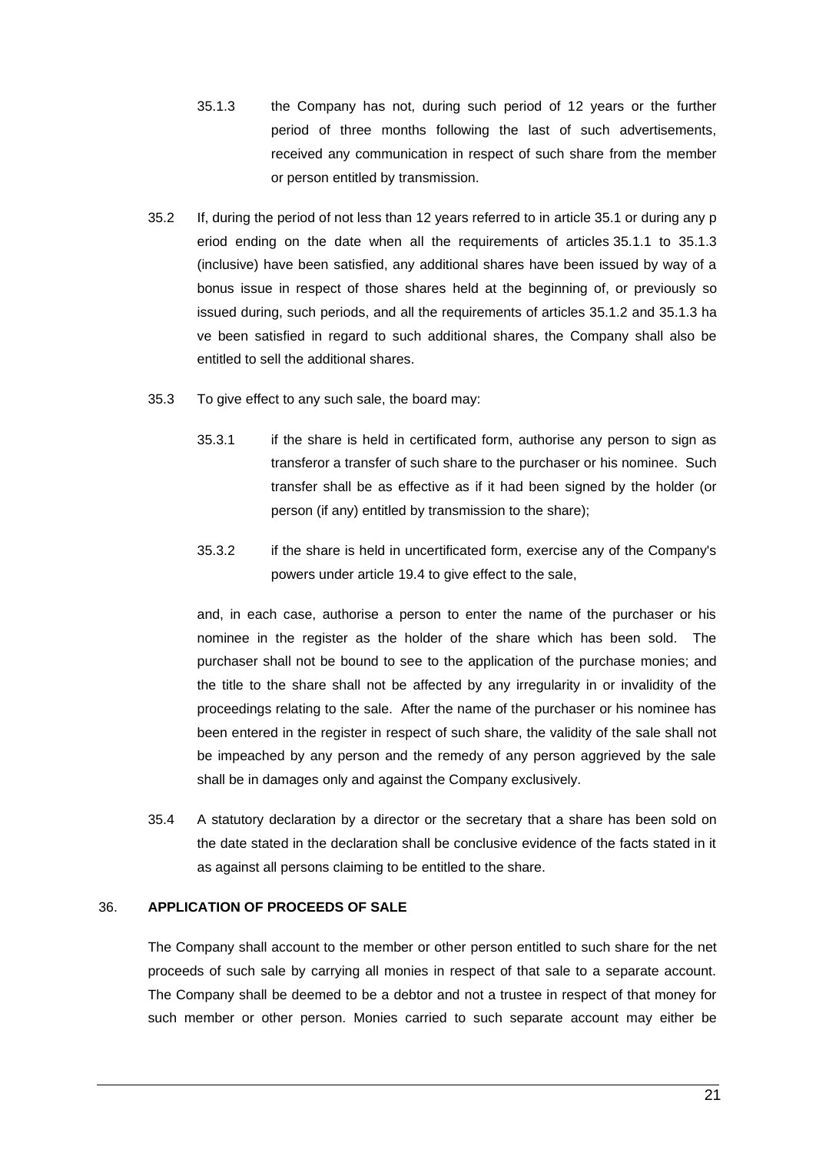- 35.1.3 the Company has not, during such period of 12 years or the further period of three months following the last of such advertisements, received any communication in respect of such share from the member or person entitled by transmission.
- 35.2 If, during the period of not less than 12 years referred to in article 35.1 or during any p eriod ending on the date when all the requirements of articles 35.1.1 to 35.1.3 (inclusive) have been satisfied, any additional shares have been issued by way of a bonus issue in respect of those shares held at the beginning of, or previously so issued during, such periods, and all the requirements of articles 35.1.2 and 35.1.3 ha ve been satisfied in regard to such additional shares, the Company shall also be entitled to sell the additional shares.
- 35.3 To give effect to any such sale, the board may:
	- 35.3.1 if the share is held in certificated form, authorise any person to sign as transferor a transfer of such share to the purchaser or his nominee. Such transfer shall be as effective as if it had been signed by the holder (or person (if any) entitled by transmission to the share);
	- 35.3.2 if the share is held in uncertificated form, exercise any of the Company's powers under article 19.4 to give effect to the sale,

and, in each case, authorise a person to enter the name of the purchaser or his nominee in the register as the holder of the share which has been sold. The purchaser shall not be bound to see to the application of the purchase monies; and the title to the share shall not be affected by any irregularity in or invalidity of the proceedings relating to the sale. After the name of the purchaser or his nominee has been entered in the register in respect of such share, the validity of the sale shall not be impeached by any person and the remedy of any person aggrieved by the sale shall be in damages only and against the Company exclusively.

35.4 A statutory declaration by a director or the secretary that a share has been sold on the date stated in the declaration shall be conclusive evidence of the facts stated in it as against all persons claiming to be entitled to the share.

## 36. **APPLICATION OF PROCEEDS OF SALE**

The Company shall account to the member or other person entitled to such share for the net proceeds of such sale by carrying all monies in respect of that sale to a separate account. The Company shall be deemed to be a debtor and not a trustee in respect of that money for such member or other person. Monies carried to such separate account may either be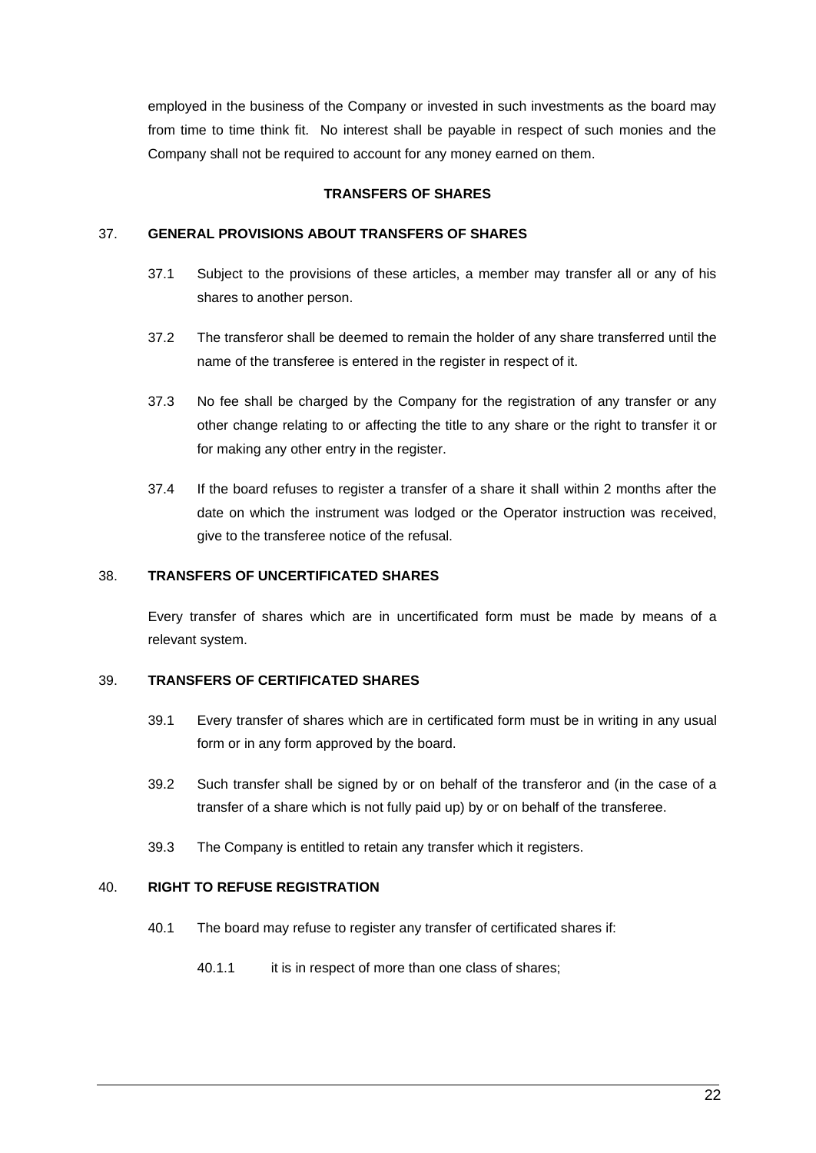employed in the business of the Company or invested in such investments as the board may from time to time think fit. No interest shall be payable in respect of such monies and the Company shall not be required to account for any money earned on them.

#### **TRANSFERS OF SHARES**

## 37. **GENERAL PROVISIONS ABOUT TRANSFERS OF SHARES**

- 37.1 Subject to the provisions of these articles, a member may transfer all or any of his shares to another person.
- 37.2 The transferor shall be deemed to remain the holder of any share transferred until the name of the transferee is entered in the register in respect of it.
- 37.3 No fee shall be charged by the Company for the registration of any transfer or any other change relating to or affecting the title to any share or the right to transfer it or for making any other entry in the register.
- 37.4 If the board refuses to register a transfer of a share it shall within 2 months after the date on which the instrument was lodged or the Operator instruction was received, give to the transferee notice of the refusal.

### 38. **TRANSFERS OF UNCERTIFICATED SHARES**

Every transfer of shares which are in uncertificated form must be made by means of a relevant system.

#### 39. **TRANSFERS OF CERTIFICATED SHARES**

- 39.1 Every transfer of shares which are in certificated form must be in writing in any usual form or in any form approved by the board.
- 39.2 Such transfer shall be signed by or on behalf of the transferor and (in the case of a transfer of a share which is not fully paid up) by or on behalf of the transferee.
- 39.3 The Company is entitled to retain any transfer which it registers.

## 40. **RIGHT TO REFUSE REGISTRATION**

- 40.1 The board may refuse to register any transfer of certificated shares if:
	- 40.1.1 it is in respect of more than one class of shares;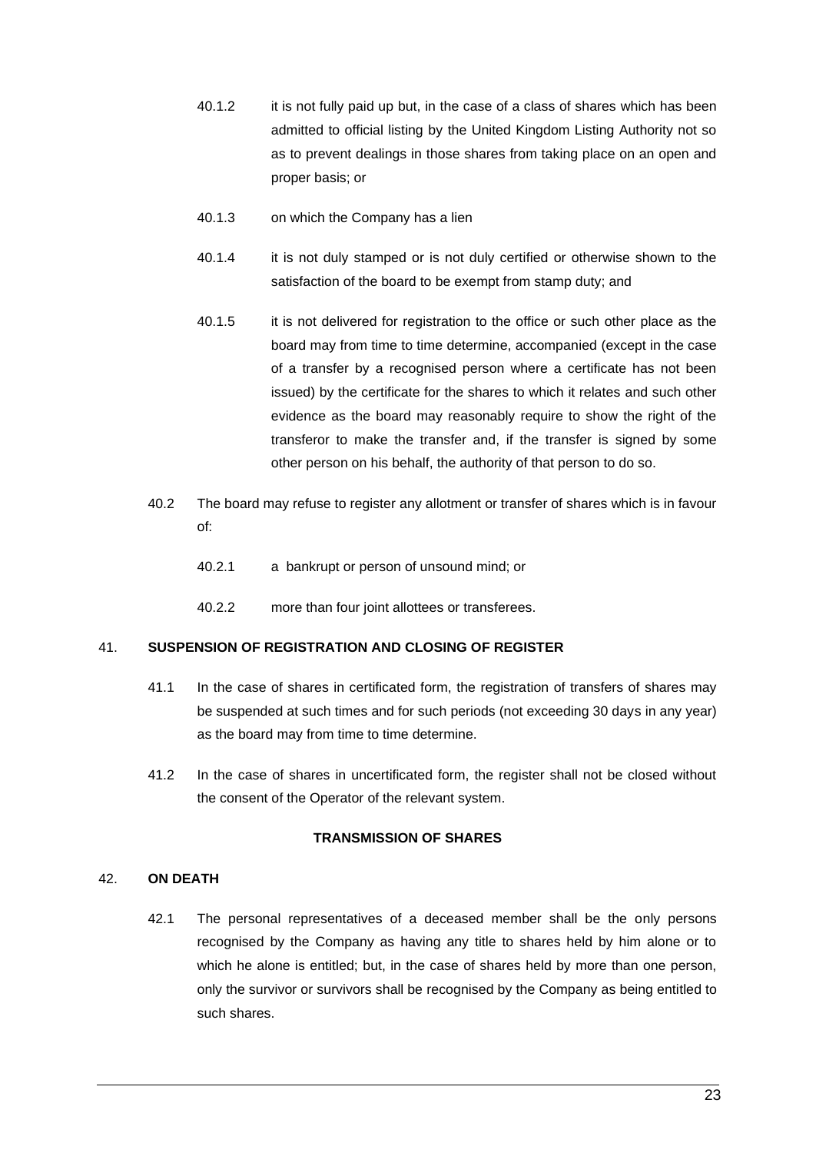- 40.1.2 it is not fully paid up but, in the case of a class of shares which has been admitted to official listing by the United Kingdom Listing Authority not so as to prevent dealings in those shares from taking place on an open and proper basis; or
- 40.1.3 on which the Company has a lien
- 40.1.4 it is not duly stamped or is not duly certified or otherwise shown to the satisfaction of the board to be exempt from stamp duty; and
- 40.1.5 it is not delivered for registration to the office or such other place as the board may from time to time determine, accompanied (except in the case of a transfer by a recognised person where a certificate has not been issued) by the certificate for the shares to which it relates and such other evidence as the board may reasonably require to show the right of the transferor to make the transfer and, if the transfer is signed by some other person on his behalf, the authority of that person to do so.
- 40.2 The board may refuse to register any allotment or transfer of shares which is in favour of:
	- 40.2.1 a bankrupt or person of unsound mind; or
	- 40.2.2 more than four joint allottees or transferees.

## 41. **SUSPENSION OF REGISTRATION AND CLOSING OF REGISTER**

- 41.1 In the case of shares in certificated form, the registration of transfers of shares may be suspended at such times and for such periods (not exceeding 30 days in any year) as the board may from time to time determine.
- 41.2 In the case of shares in uncertificated form, the register shall not be closed without the consent of the Operator of the relevant system.

#### **TRANSMISSION OF SHARES**

#### 42. **ON DEATH**

42.1 The personal representatives of a deceased member shall be the only persons recognised by the Company as having any title to shares held by him alone or to which he alone is entitled; but, in the case of shares held by more than one person, only the survivor or survivors shall be recognised by the Company as being entitled to such shares.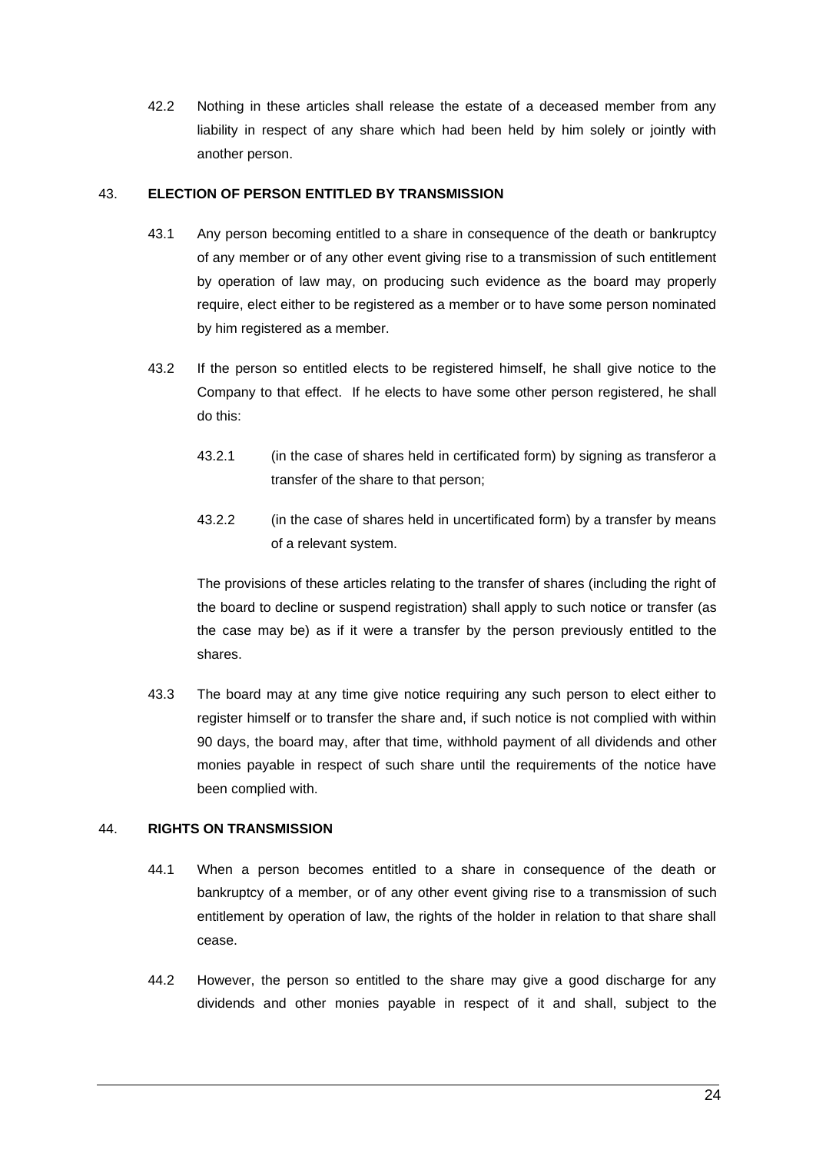42.2 Nothing in these articles shall release the estate of a deceased member from any liability in respect of any share which had been held by him solely or jointly with another person.

### 43. **ELECTION OF PERSON ENTITLED BY TRANSMISSION**

- 43.1 Any person becoming entitled to a share in consequence of the death or bankruptcy of any member or of any other event giving rise to a transmission of such entitlement by operation of law may, on producing such evidence as the board may properly require, elect either to be registered as a member or to have some person nominated by him registered as a member.
- 43.2 If the person so entitled elects to be registered himself, he shall give notice to the Company to that effect. If he elects to have some other person registered, he shall do this:
	- 43.2.1 (in the case of shares held in certificated form) by signing as transferor a transfer of the share to that person;
	- 43.2.2 (in the case of shares held in uncertificated form) by a transfer by means of a relevant system.

The provisions of these articles relating to the transfer of shares (including the right of the board to decline or suspend registration) shall apply to such notice or transfer (as the case may be) as if it were a transfer by the person previously entitled to the shares.

43.3 The board may at any time give notice requiring any such person to elect either to register himself or to transfer the share and, if such notice is not complied with within 90 days, the board may, after that time, withhold payment of all dividends and other monies payable in respect of such share until the requirements of the notice have been complied with.

#### 44. **RIGHTS ON TRANSMISSION**

- 44.1 When a person becomes entitled to a share in consequence of the death or bankruptcy of a member, or of any other event giving rise to a transmission of such entitlement by operation of law, the rights of the holder in relation to that share shall cease.
- 44.2 However, the person so entitled to the share may give a good discharge for any dividends and other monies payable in respect of it and shall, subject to the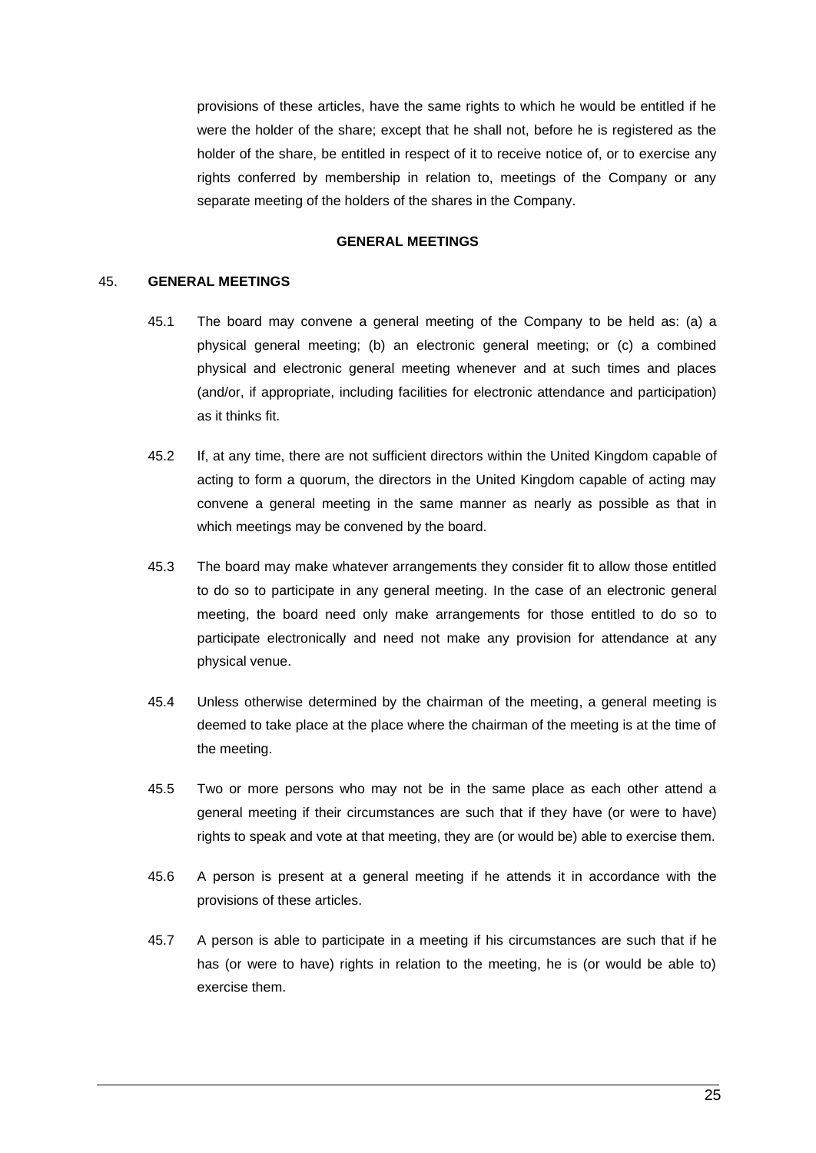provisions of these articles, have the same rights to which he would be entitled if he were the holder of the share; except that he shall not, before he is registered as the holder of the share, be entitled in respect of it to receive notice of, or to exercise any rights conferred by membership in relation to, meetings of the Company or any separate meeting of the holders of the shares in the Company.

#### **GENERAL MEETINGS**

#### <span id="page-33-0"></span>45. **GENERAL MEETINGS**

- 45.1 The board may convene a general meeting of the Company to be held as: (a) a physical general meeting; (b) an electronic general meeting; or (c) a combined physical and electronic general meeting whenever and at such times and places (and/or, if appropriate, including facilities for electronic attendance and participation) as it thinks fit.
- 45.2 If, at any time, there are not sufficient directors within the United Kingdom capable of acting to form a quorum, the directors in the United Kingdom capable of acting may convene a general meeting in the same manner as nearly as possible as that in which meetings may be convened by the board.
- 45.3 The board may make whatever arrangements they consider fit to allow those entitled to do so to participate in any general meeting. In the case of an electronic general meeting, the board need only make arrangements for those entitled to do so to participate electronically and need not make any provision for attendance at any physical venue.
- 45.4 Unless otherwise determined by the chairman of the meeting, a general meeting is deemed to take place at the place where the chairman of the meeting is at the time of the meeting.
- 45.5 Two or more persons who may not be in the same place as each other attend a general meeting if their circumstances are such that if they have (or were to have) rights to speak and vote at that meeting, they are (or would be) able to exercise them.
- 45.6 A person is present at a general meeting if he attends it in accordance with the provisions of these articles.
- 45.7 A person is able to participate in a meeting if his circumstances are such that if he has (or were to have) rights in relation to the meeting, he is (or would be able to) exercise them.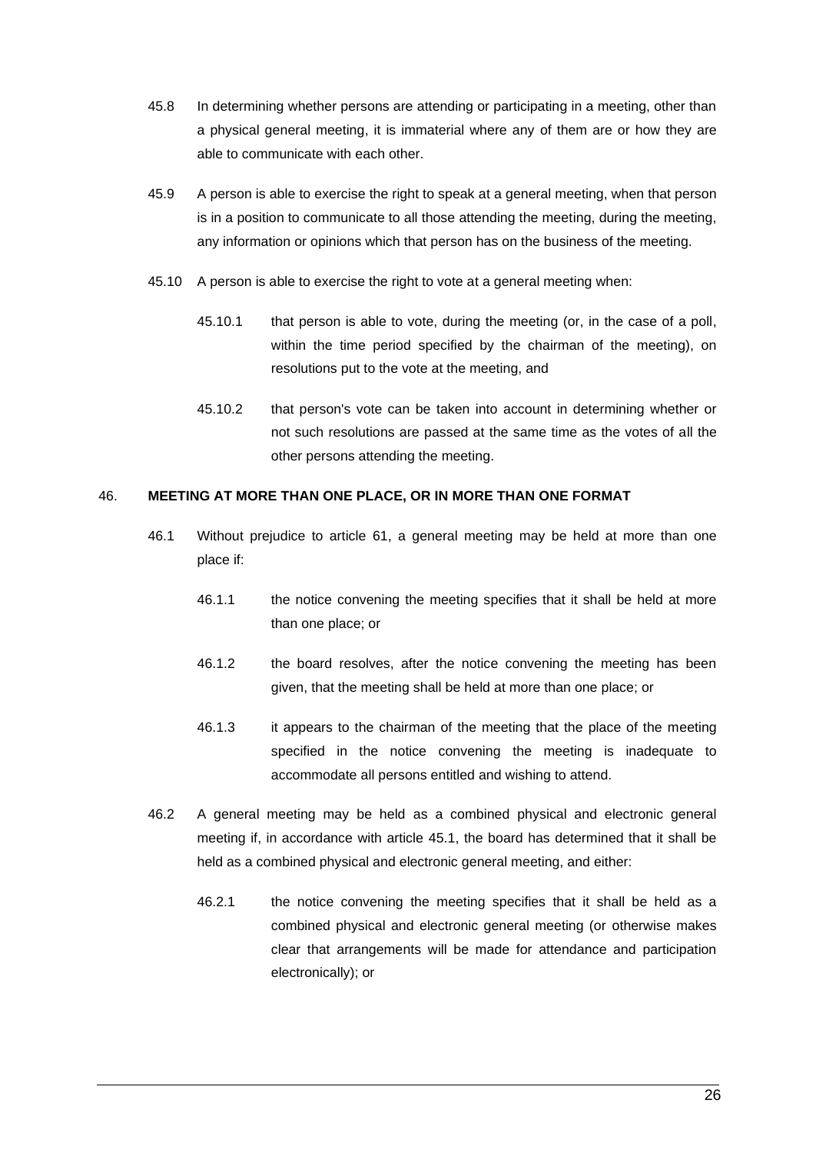- 45.8 In determining whether persons are attending or participating in a meeting, other than a physical general meeting, it is immaterial where any of them are or how they are able to communicate with each other.
- 45.9 A person is able to exercise the right to speak at a general meeting, when that person is in a position to communicate to all those attending the meeting, during the meeting, any information or opinions which that person has on the business of the meeting.
- 45.10 A person is able to exercise the right to vote at a general meeting when:
	- 45.10.1 that person is able to vote, during the meeting (or, in the case of a poll, within the time period specified by the chairman of the meeting), on resolutions put to the vote at the meeting, and
	- 45.10.2 that person's vote can be taken into account in determining whether or not such resolutions are passed at the same time as the votes of all the other persons attending the meeting.

## <span id="page-34-0"></span>46. **MEETING AT MORE THAN ONE PLACE, OR IN MORE THAN ONE FORMAT**

- 46.1 Without prejudice to article [61,](#page-40-0) a general meeting may be held at more than one place if:
	- 46.1.1 the notice convening the meeting specifies that it shall be held at more than one place; or
	- 46.1.2 the board resolves, after the notice convening the meeting has been given, that the meeting shall be held at more than one place; or
	- 46.1.3 it appears to the chairman of the meeting that the place of the meeting specified in the notice convening the meeting is inadequate to accommodate all persons entitled and wishing to attend.
- <span id="page-34-1"></span>46.2 A general meeting may be held as a combined physical and electronic general meeting if, in accordance with article [45.1,](#page-33-0) the board has determined that it shall be held as a combined physical and electronic general meeting, and either:
	- 46.2.1 the notice convening the meeting specifies that it shall be held as a combined physical and electronic general meeting (or otherwise makes clear that arrangements will be made for attendance and participation electronically); or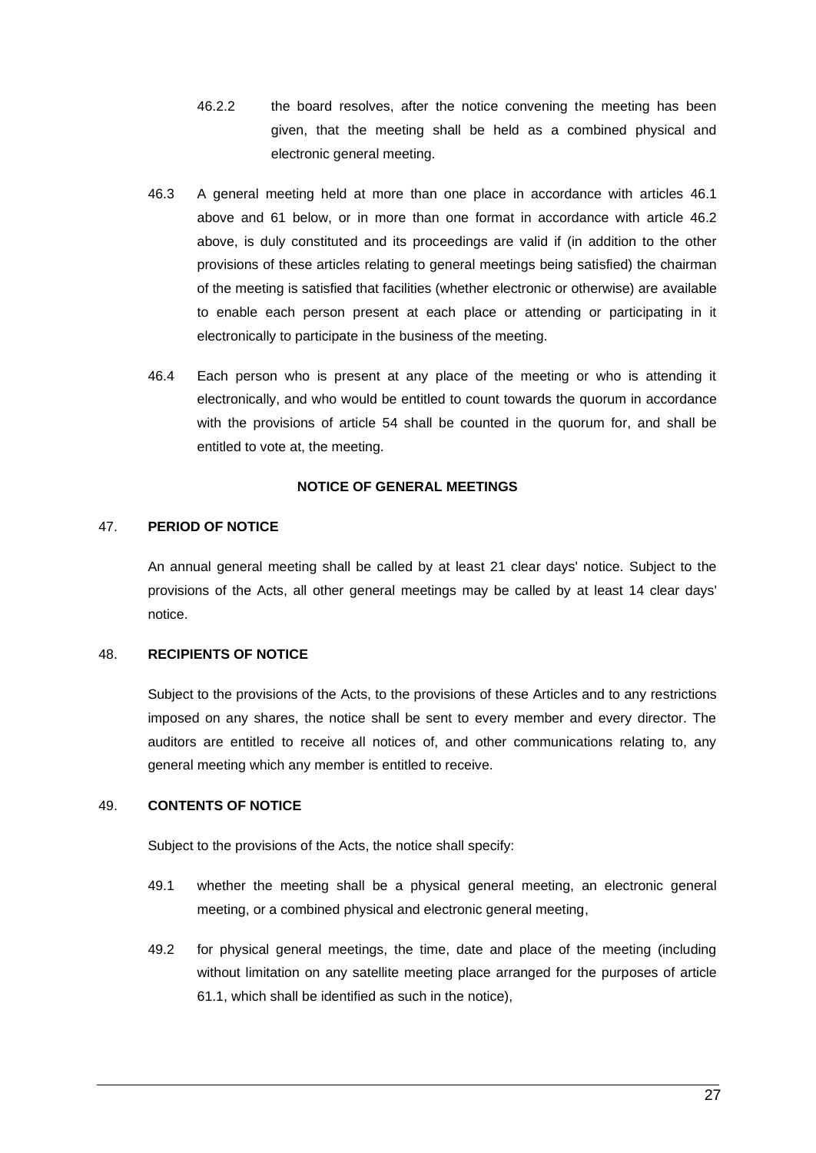- 46.2.2 the board resolves, after the notice convening the meeting has been given, that the meeting shall be held as a combined physical and electronic general meeting.
- 46.3 A general meeting held at more than one place in accordance with articles [46.1](#page-34-0) above and [61](#page-40-0) below, or in more than one format in accordance with article [46.2](#page-34-1) above, is duly constituted and its proceedings are valid if (in addition to the other provisions of these articles relating to general meetings being satisfied) the chairman of the meeting is satisfied that facilities (whether electronic or otherwise) are available to enable each person present at each place or attending or participating in it electronically to participate in the business of the meeting.
- 46.4 Each person who is present at any place of the meeting or who is attending it electronically, and who would be entitled to count towards the quorum in accordance with the provisions of article [54](#page-37-0) shall be counted in the quorum for, and shall be entitled to vote at, the meeting.

#### **NOTICE OF GENERAL MEETINGS**

#### 47. **PERIOD OF NOTICE**

An annual general meeting shall be called by at least 21 clear days' notice. Subject to the provisions of the Acts, all other general meetings may be called by at least 14 clear days' notice.

#### 48. **RECIPIENTS OF NOTICE**

Subject to the provisions of the Acts, to the provisions of these Articles and to any restrictions imposed on any shares, the notice shall be sent to every member and every director. The auditors are entitled to receive all notices of, and other communications relating to, any general meeting which any member is entitled to receive.

### 49. **CONTENTS OF NOTICE**

Subject to the provisions of the Acts, the notice shall specify:

- 49.1 whether the meeting shall be a physical general meeting, an electronic general meeting, or a combined physical and electronic general meeting,
- 49.2 for physical general meetings, the time, date and place of the meeting (including without limitation on any satellite meeting place arranged for the purposes of article [61.1,](#page-40-1) which shall be identified as such in the notice),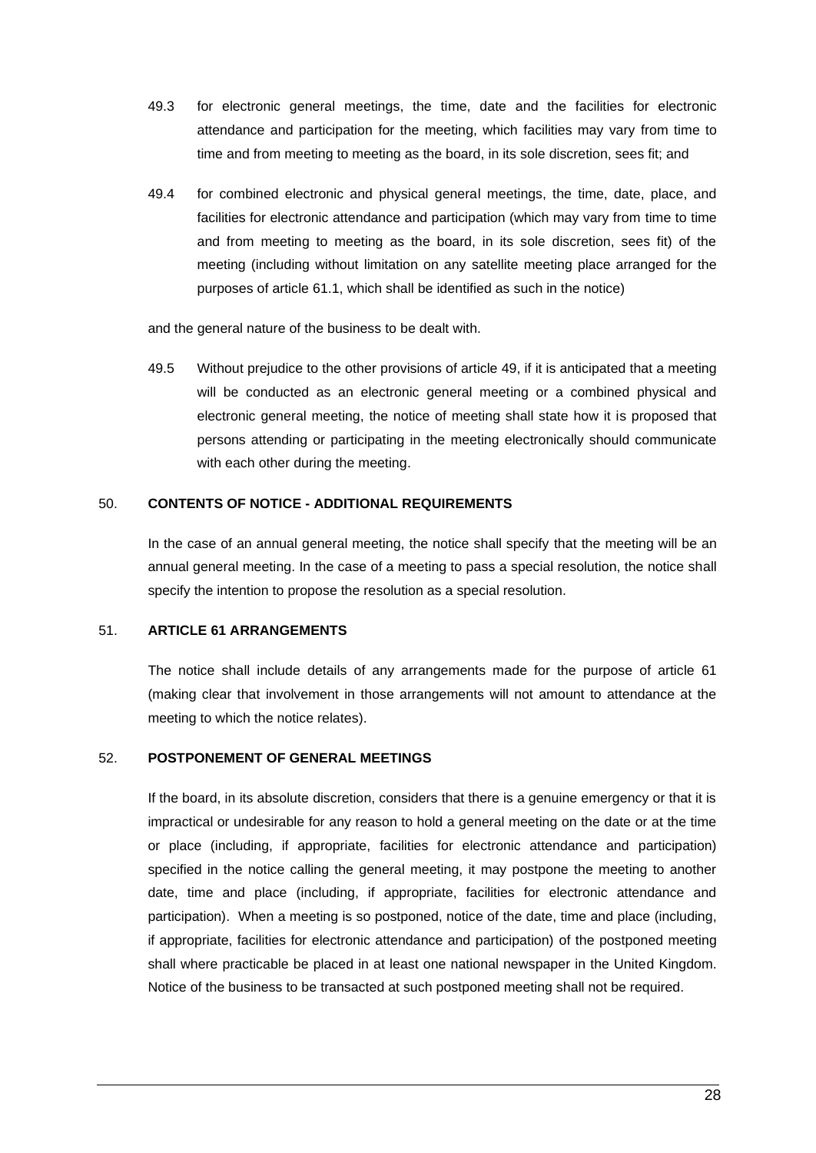- 49.3 for electronic general meetings, the time, date and the facilities for electronic attendance and participation for the meeting, which facilities may vary from time to time and from meeting to meeting as the board, in its sole discretion, sees fit; and
- 49.4 for combined electronic and physical general meetings, the time, date, place, and facilities for electronic attendance and participation (which may vary from time to time and from meeting to meeting as the board, in its sole discretion, sees fit) of the meeting (including without limitation on any satellite meeting place arranged for the purposes of article [61.1,](#page-40-0) which shall be identified as such in the notice)

and the general nature of the business to be dealt with.

49.5 Without prejudice to the other provisions of article [49,](#page-35-0) if it is anticipated that a meeting will be conducted as an electronic general meeting or a combined physical and electronic general meeting, the notice of meeting shall state how it is proposed that persons attending or participating in the meeting electronically should communicate with each other during the meeting.

# 50. **CONTENTS OF NOTICE - ADDITIONAL REQUIREMENTS**

In the case of an annual general meeting, the notice shall specify that the meeting will be an annual general meeting. In the case of a meeting to pass a special resolution, the notice shall specify the intention to propose the resolution as a special resolution.

#### 51. **ARTICLE [61](#page-40-1) ARRANGEMENTS**

The notice shall include details of any arrangements made for the purpose of article [61](#page-40-1) (making clear that involvement in those arrangements will not amount to attendance at the meeting to which the notice relates).

## 52. **POSTPONEMENT OF GENERAL MEETINGS**

If the board, in its absolute discretion, considers that there is a genuine emergency or that it is impractical or undesirable for any reason to hold a general meeting on the date or at the time or place (including, if appropriate, facilities for electronic attendance and participation) specified in the notice calling the general meeting, it may postpone the meeting to another date, time and place (including, if appropriate, facilities for electronic attendance and participation). When a meeting is so postponed, notice of the date, time and place (including, if appropriate, facilities for electronic attendance and participation) of the postponed meeting shall where practicable be placed in at least one national newspaper in the United Kingdom. Notice of the business to be transacted at such postponed meeting shall not be required.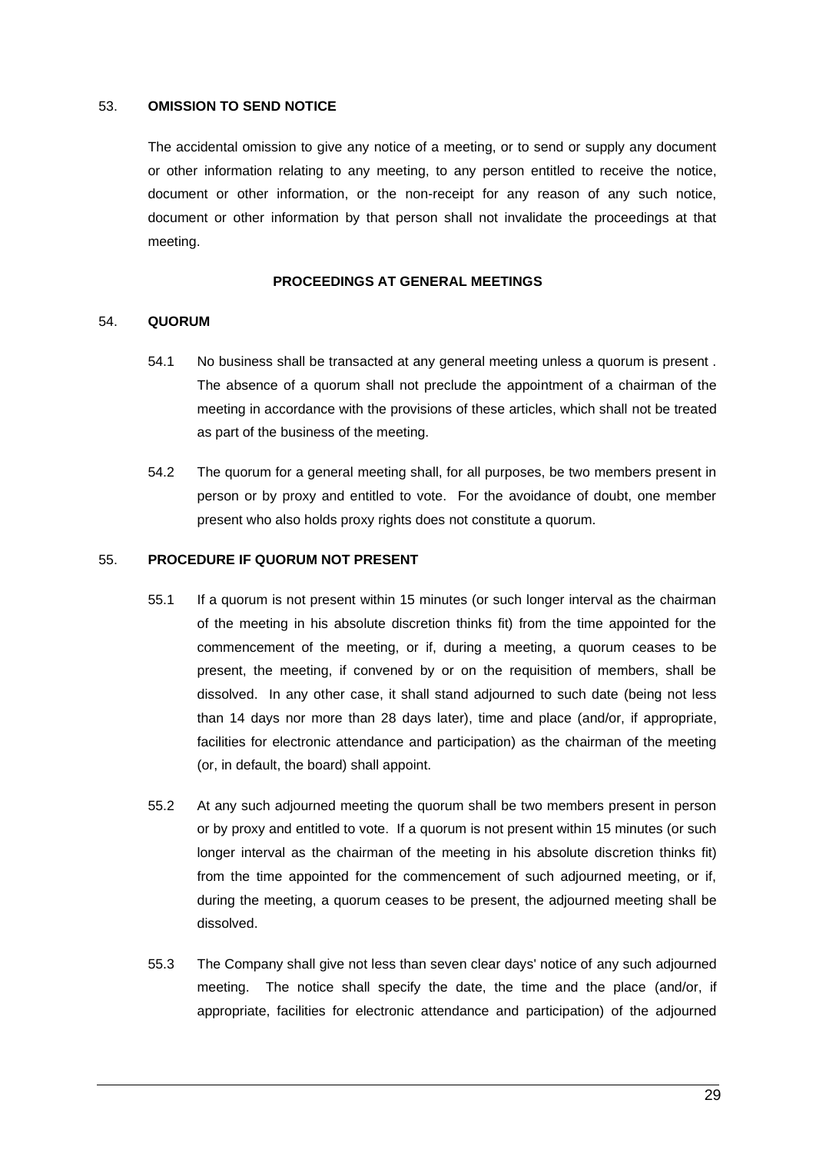#### 53. **OMISSION TO SEND NOTICE**

The accidental omission to give any notice of a meeting, or to send or supply any document or other information relating to any meeting, to any person entitled to receive the notice, document or other information, or the non-receipt for any reason of any such notice, document or other information by that person shall not invalidate the proceedings at that meeting.

## **PROCEEDINGS AT GENERAL MEETINGS**

#### 54. **QUORUM**

- 54.1 No business shall be transacted at any general meeting unless a quorum is present . The absence of a quorum shall not preclude the appointment of a chairman of the meeting in accordance with the provisions of these articles, which shall not be treated as part of the business of the meeting.
- 54.2 The quorum for a general meeting shall, for all purposes, be two members present in person or by proxy and entitled to vote. For the avoidance of doubt, one member present who also holds proxy rights does not constitute a quorum.

#### 55. **PROCEDURE IF QUORUM NOT PRESENT**

- 55.1 If a quorum is not present within 15 minutes (or such longer interval as the chairman of the meeting in his absolute discretion thinks fit) from the time appointed for the commencement of the meeting, or if, during a meeting, a quorum ceases to be present, the meeting, if convened by or on the requisition of members, shall be dissolved. In any other case, it shall stand adjourned to such date (being not less than 14 days nor more than 28 days later), time and place (and/or, if appropriate, facilities for electronic attendance and participation) as the chairman of the meeting (or, in default, the board) shall appoint.
- 55.2 At any such adjourned meeting the quorum shall be two members present in person or by proxy and entitled to vote. If a quorum is not present within 15 minutes (or such longer interval as the chairman of the meeting in his absolute discretion thinks fit) from the time appointed for the commencement of such adjourned meeting, or if, during the meeting, a quorum ceases to be present, the adjourned meeting shall be dissolved.
- 55.3 The Company shall give not less than seven clear days' notice of any such adjourned meeting. The notice shall specify the date, the time and the place (and/or, if appropriate, facilities for electronic attendance and participation) of the adjourned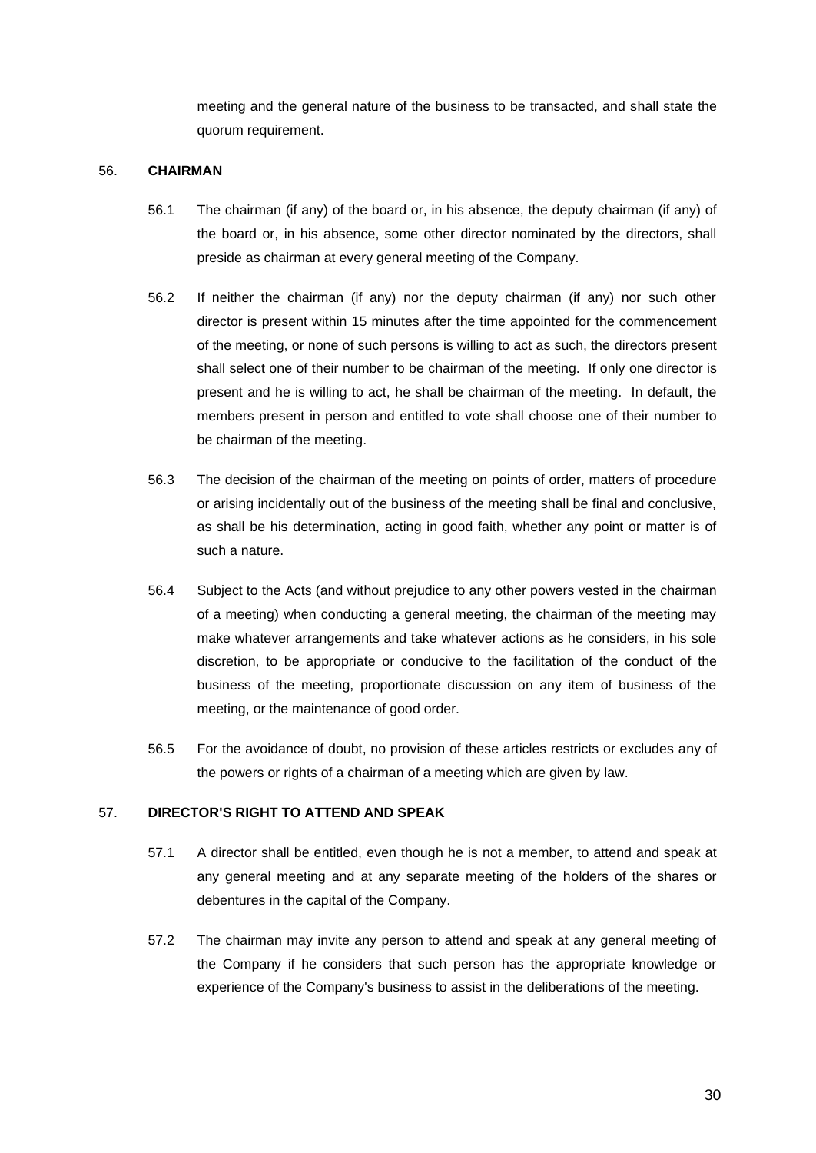meeting and the general nature of the business to be transacted, and shall state the quorum requirement.

# 56. **CHAIRMAN**

- 56.1 The chairman (if any) of the board or, in his absence, the deputy chairman (if any) of the board or, in his absence, some other director nominated by the directors, shall preside as chairman at every general meeting of the Company.
- 56.2 If neither the chairman (if any) nor the deputy chairman (if any) nor such other director is present within 15 minutes after the time appointed for the commencement of the meeting, or none of such persons is willing to act as such, the directors present shall select one of their number to be chairman of the meeting. If only one director is present and he is willing to act, he shall be chairman of the meeting. In default, the members present in person and entitled to vote shall choose one of their number to be chairman of the meeting.
- 56.3 The decision of the chairman of the meeting on points of order, matters of procedure or arising incidentally out of the business of the meeting shall be final and conclusive, as shall be his determination, acting in good faith, whether any point or matter is of such a nature.
- 56.4 Subject to the Acts (and without prejudice to any other powers vested in the chairman of a meeting) when conducting a general meeting, the chairman of the meeting may make whatever arrangements and take whatever actions as he considers, in his sole discretion, to be appropriate or conducive to the facilitation of the conduct of the business of the meeting, proportionate discussion on any item of business of the meeting, or the maintenance of good order.
- 56.5 For the avoidance of doubt, no provision of these articles restricts or excludes any of the powers or rights of a chairman of a meeting which are given by law.

## 57. **DIRECTOR'S RIGHT TO ATTEND AND SPEAK**

- 57.1 A director shall be entitled, even though he is not a member, to attend and speak at any general meeting and at any separate meeting of the holders of the shares or debentures in the capital of the Company.
- 57.2 The chairman may invite any person to attend and speak at any general meeting of the Company if he considers that such person has the appropriate knowledge or experience of the Company's business to assist in the deliberations of the meeting.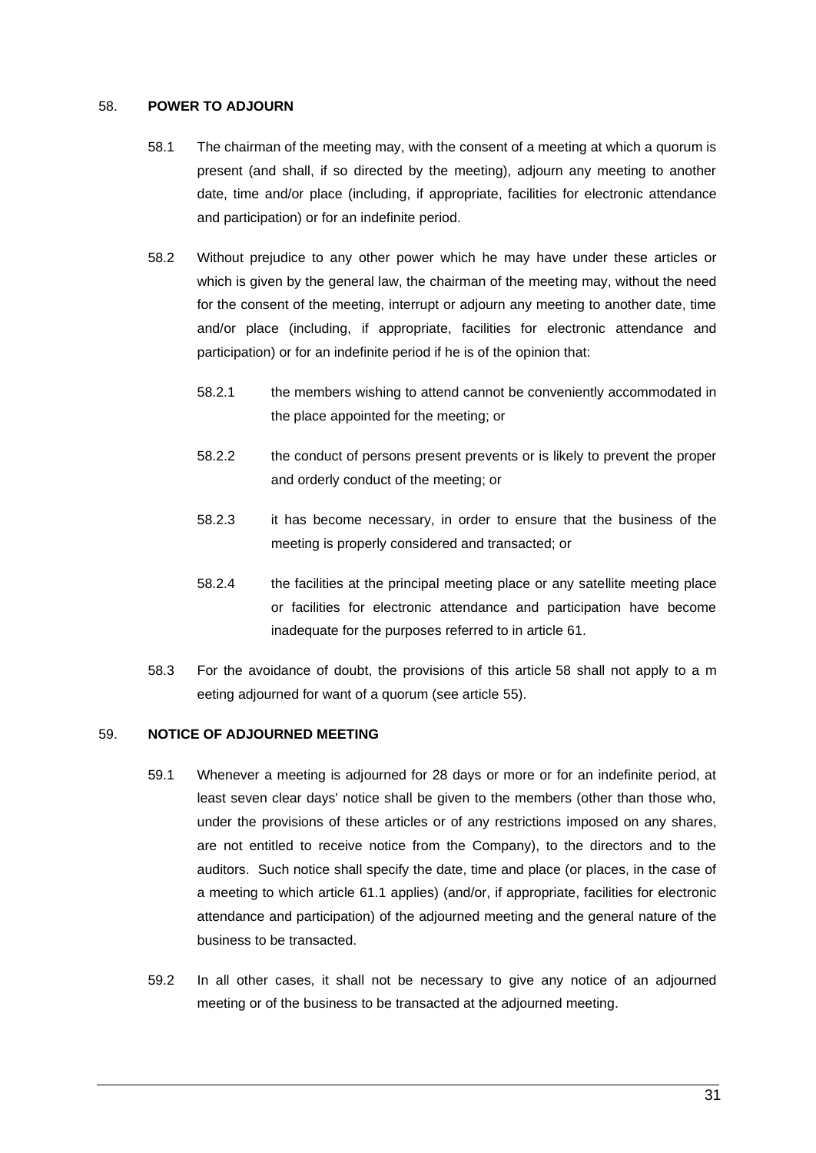#### 58. **POWER TO ADJOURN**

- 58.1 The chairman of the meeting may, with the consent of a meeting at which a quorum is present (and shall, if so directed by the meeting), adjourn any meeting to another date, time and/or place (including, if appropriate, facilities for electronic attendance and participation) or for an indefinite period.
- 58.2 Without prejudice to any other power which he may have under these articles or which is given by the general law, the chairman of the meeting may, without the need for the consent of the meeting, interrupt or adjourn any meeting to another date, time and/or place (including, if appropriate, facilities for electronic attendance and participation) or for an indefinite period if he is of the opinion that:
	- 58.2.1 the members wishing to attend cannot be conveniently accommodated in the place appointed for the meeting; or
	- 58.2.2 the conduct of persons present prevents or is likely to prevent the proper and orderly conduct of the meeting; or
	- 58.2.3 it has become necessary, in order to ensure that the business of the meeting is properly considered and transacted; or
	- 58.2.4 the facilities at the principal meeting place or any satellite meeting place or facilities for electronic attendance and participation have become inadequate for the purposes referred to in article [61.](#page-40-1)
- 58.3 For the avoidance of doubt, the provisions of this article 58 shall not apply to a m eeting adjourned for want of a quorum (see article 55).

## 59. **NOTICE OF ADJOURNED MEETING**

- 59.1 Whenever a meeting is adjourned for 28 days or more or for an indefinite period, at least seven clear days' notice shall be given to the members (other than those who, under the provisions of these articles or of any restrictions imposed on any shares, are not entitled to receive notice from the Company), to the directors and to the auditors. Such notice shall specify the date, time and place (or places, in the case of a meeting to which article [61.1](#page-40-0) applies) (and/or, if appropriate, facilities for electronic attendance and participation) of the adjourned meeting and the general nature of the business to be transacted.
- 59.2 In all other cases, it shall not be necessary to give any notice of an adjourned meeting or of the business to be transacted at the adjourned meeting.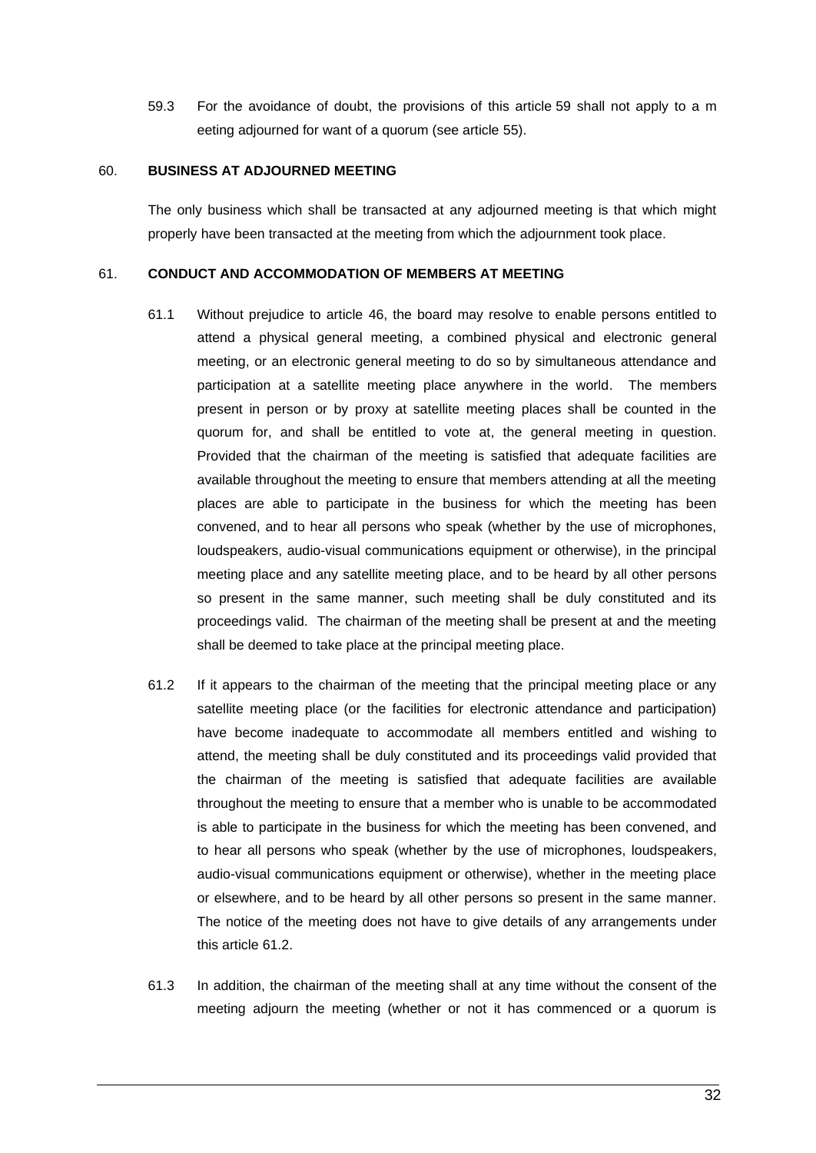59.3 For the avoidance of doubt, the provisions of this article 59 shall not apply to a m eeting adjourned for want of a quorum (see article 55).

## 60. **BUSINESS AT ADJOURNED MEETING**

The only business which shall be transacted at any adjourned meeting is that which might properly have been transacted at the meeting from which the adjournment took place.

#### <span id="page-40-1"></span><span id="page-40-0"></span>61. **CONDUCT AND ACCOMMODATION OF MEMBERS AT MEETING**

- 61.1 Without prejudice to article [46,](#page-34-0) the board may resolve to enable persons entitled to attend a physical general meeting, a combined physical and electronic general meeting, or an electronic general meeting to do so by simultaneous attendance and participation at a satellite meeting place anywhere in the world. The members present in person or by proxy at satellite meeting places shall be counted in the quorum for, and shall be entitled to vote at, the general meeting in question. Provided that the chairman of the meeting is satisfied that adequate facilities are available throughout the meeting to ensure that members attending at all the meeting places are able to participate in the business for which the meeting has been convened, and to hear all persons who speak (whether by the use of microphones, loudspeakers, audio-visual communications equipment or otherwise), in the principal meeting place and any satellite meeting place, and to be heard by all other persons so present in the same manner, such meeting shall be duly constituted and its proceedings valid. The chairman of the meeting shall be present at and the meeting shall be deemed to take place at the principal meeting place.
- 61.2 If it appears to the chairman of the meeting that the principal meeting place or any satellite meeting place (or the facilities for electronic attendance and participation) have become inadequate to accommodate all members entitled and wishing to attend, the meeting shall be duly constituted and its proceedings valid provided that the chairman of the meeting is satisfied that adequate facilities are available throughout the meeting to ensure that a member who is unable to be accommodated is able to participate in the business for which the meeting has been convened, and to hear all persons who speak (whether by the use of microphones, loudspeakers, audio-visual communications equipment or otherwise), whether in the meeting place or elsewhere, and to be heard by all other persons so present in the same manner. The notice of the meeting does not have to give details of any arrangements under this article 61.2.
- 61.3 In addition, the chairman of the meeting shall at any time without the consent of the meeting adjourn the meeting (whether or not it has commenced or a quorum is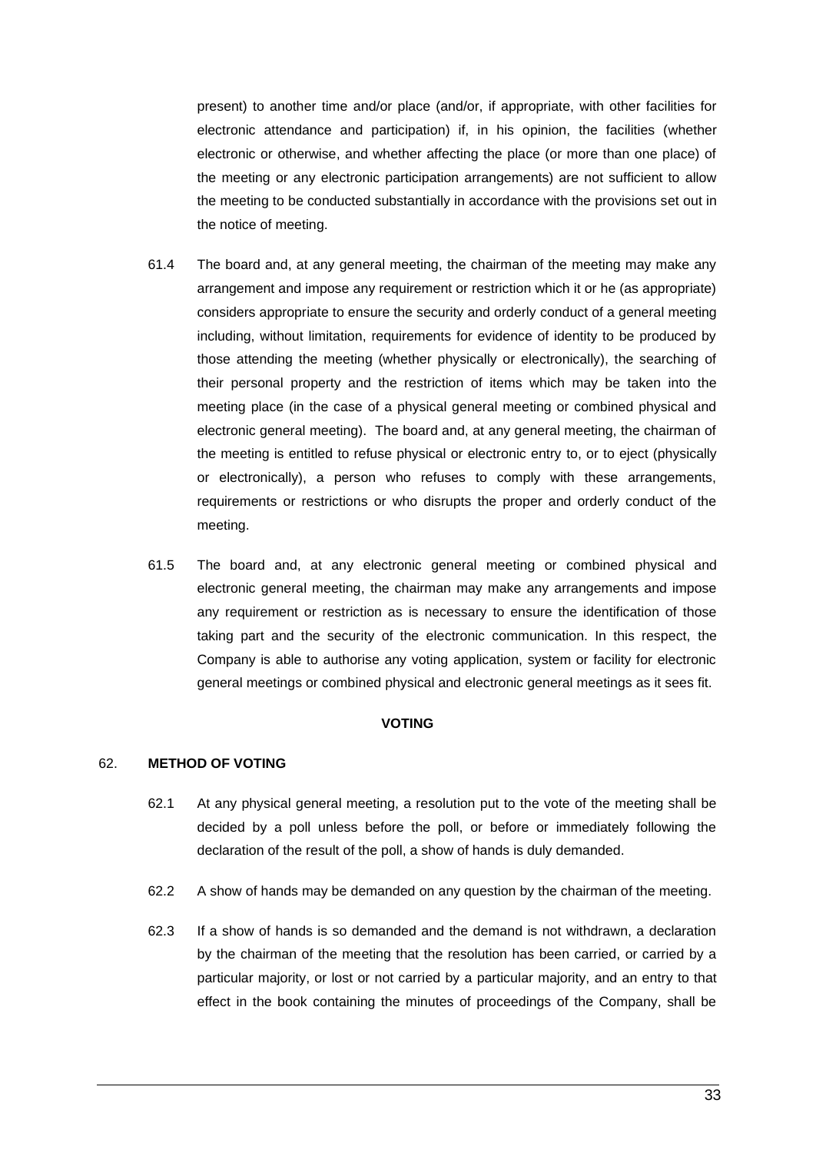present) to another time and/or place (and/or, if appropriate, with other facilities for electronic attendance and participation) if, in his opinion, the facilities (whether electronic or otherwise, and whether affecting the place (or more than one place) of the meeting or any electronic participation arrangements) are not sufficient to allow the meeting to be conducted substantially in accordance with the provisions set out in the notice of meeting.

- 61.4 The board and, at any general meeting, the chairman of the meeting may make any arrangement and impose any requirement or restriction which it or he (as appropriate) considers appropriate to ensure the security and orderly conduct of a general meeting including, without limitation, requirements for evidence of identity to be produced by those attending the meeting (whether physically or electronically), the searching of their personal property and the restriction of items which may be taken into the meeting place (in the case of a physical general meeting or combined physical and electronic general meeting). The board and, at any general meeting, the chairman of the meeting is entitled to refuse physical or electronic entry to, or to eject (physically or electronically), a person who refuses to comply with these arrangements, requirements or restrictions or who disrupts the proper and orderly conduct of the meeting.
- 61.5 The board and, at any electronic general meeting or combined physical and electronic general meeting, the chairman may make any arrangements and impose any requirement or restriction as is necessary to ensure the identification of those taking part and the security of the electronic communication. In this respect, the Company is able to authorise any voting application, system or facility for electronic general meetings or combined physical and electronic general meetings as it sees fit.

## **VOTING**

#### 62. **METHOD OF VOTING**

- 62.1 At any physical general meeting, a resolution put to the vote of the meeting shall be decided by a poll unless before the poll, or before or immediately following the declaration of the result of the poll, a show of hands is duly demanded.
- 62.2 A show of hands may be demanded on any question by the chairman of the meeting.
- 62.3 If a show of hands is so demanded and the demand is not withdrawn, a declaration by the chairman of the meeting that the resolution has been carried, or carried by a particular majority, or lost or not carried by a particular majority, and an entry to that effect in the book containing the minutes of proceedings of the Company, shall be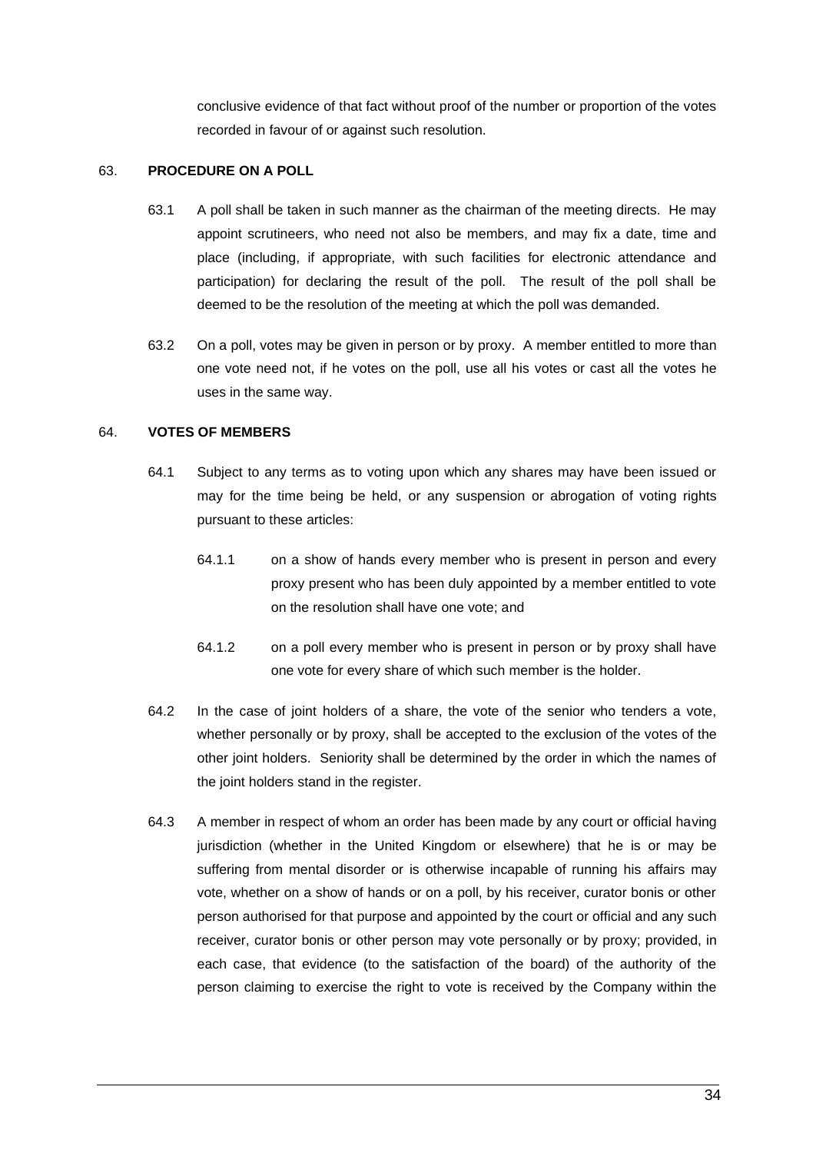conclusive evidence of that fact without proof of the number or proportion of the votes recorded in favour of or against such resolution.

# 63. **PROCEDURE ON A POLL**

- 63.1 A poll shall be taken in such manner as the chairman of the meeting directs. He may appoint scrutineers, who need not also be members, and may fix a date, time and place (including, if appropriate, with such facilities for electronic attendance and participation) for declaring the result of the poll. The result of the poll shall be deemed to be the resolution of the meeting at which the poll was demanded.
- 63.2 On a poll, votes may be given in person or by proxy. A member entitled to more than one vote need not, if he votes on the poll, use all his votes or cast all the votes he uses in the same way.

# 64. **VOTES OF MEMBERS**

- 64.1 Subject to any terms as to voting upon which any shares may have been issued or may for the time being be held, or any suspension or abrogation of voting rights pursuant to these articles:
	- 64.1.1 on a show of hands every member who is present in person and every proxy present who has been duly appointed by a member entitled to vote on the resolution shall have one vote; and
	- 64.1.2 on a poll every member who is present in person or by proxy shall have one vote for every share of which such member is the holder.
- 64.2 In the case of joint holders of a share, the vote of the senior who tenders a vote, whether personally or by proxy, shall be accepted to the exclusion of the votes of the other joint holders. Seniority shall be determined by the order in which the names of the joint holders stand in the register.
- 64.3 A member in respect of whom an order has been made by any court or official having jurisdiction (whether in the United Kingdom or elsewhere) that he is or may be suffering from mental disorder or is otherwise incapable of running his affairs may vote, whether on a show of hands or on a poll, by his receiver, curator bonis or other person authorised for that purpose and appointed by the court or official and any such receiver, curator bonis or other person may vote personally or by proxy; provided, in each case, that evidence (to the satisfaction of the board) of the authority of the person claiming to exercise the right to vote is received by the Company within the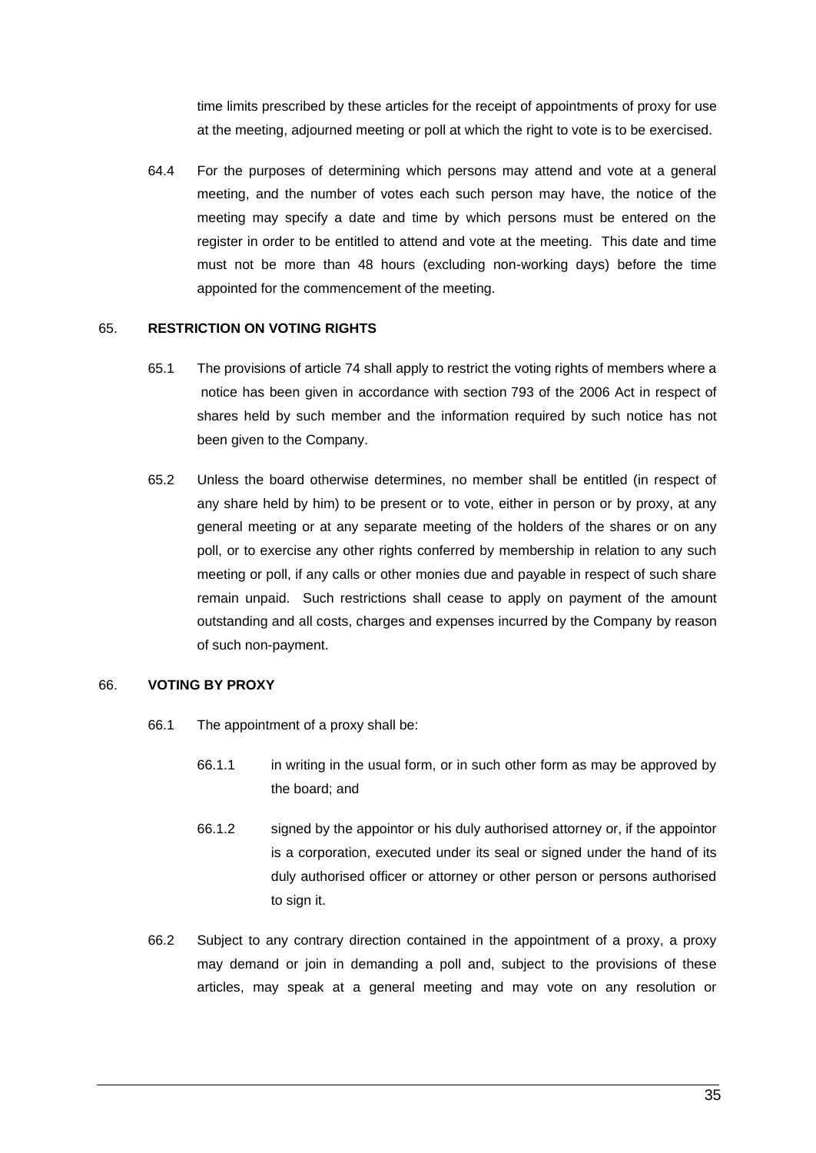time limits prescribed by these articles for the receipt of appointments of proxy for use at the meeting, adjourned meeting or poll at which the right to vote is to be exercised.

64.4 For the purposes of determining which persons may attend and vote at a general meeting, and the number of votes each such person may have, the notice of the meeting may specify a date and time by which persons must be entered on the register in order to be entitled to attend and vote at the meeting. This date and time must not be more than 48 hours (excluding non-working days) before the time appointed for the commencement of the meeting.

## 65. **RESTRICTION ON VOTING RIGHTS**

- 65.1 The provisions of article 74 shall apply to restrict the voting rights of members where a notice has been given in accordance with section 793 of the 2006 Act in respect of shares held by such member and the information required by such notice has not been given to the Company.
- 65.2 Unless the board otherwise determines, no member shall be entitled (in respect of any share held by him) to be present or to vote, either in person or by proxy, at any general meeting or at any separate meeting of the holders of the shares or on any poll, or to exercise any other rights conferred by membership in relation to any such meeting or poll, if any calls or other monies due and payable in respect of such share remain unpaid. Such restrictions shall cease to apply on payment of the amount outstanding and all costs, charges and expenses incurred by the Company by reason of such non-payment.

#### 66. **VOTING BY PROXY**

- 66.1 The appointment of a proxy shall be:
	- 66.1.1 in writing in the usual form, or in such other form as may be approved by the board; and
	- 66.1.2 signed by the appointor or his duly authorised attorney or, if the appointor is a corporation, executed under its seal or signed under the hand of its duly authorised officer or attorney or other person or persons authorised to sign it.
- 66.2 Subject to any contrary direction contained in the appointment of a proxy, a proxy may demand or join in demanding a poll and, subject to the provisions of these articles, may speak at a general meeting and may vote on any resolution or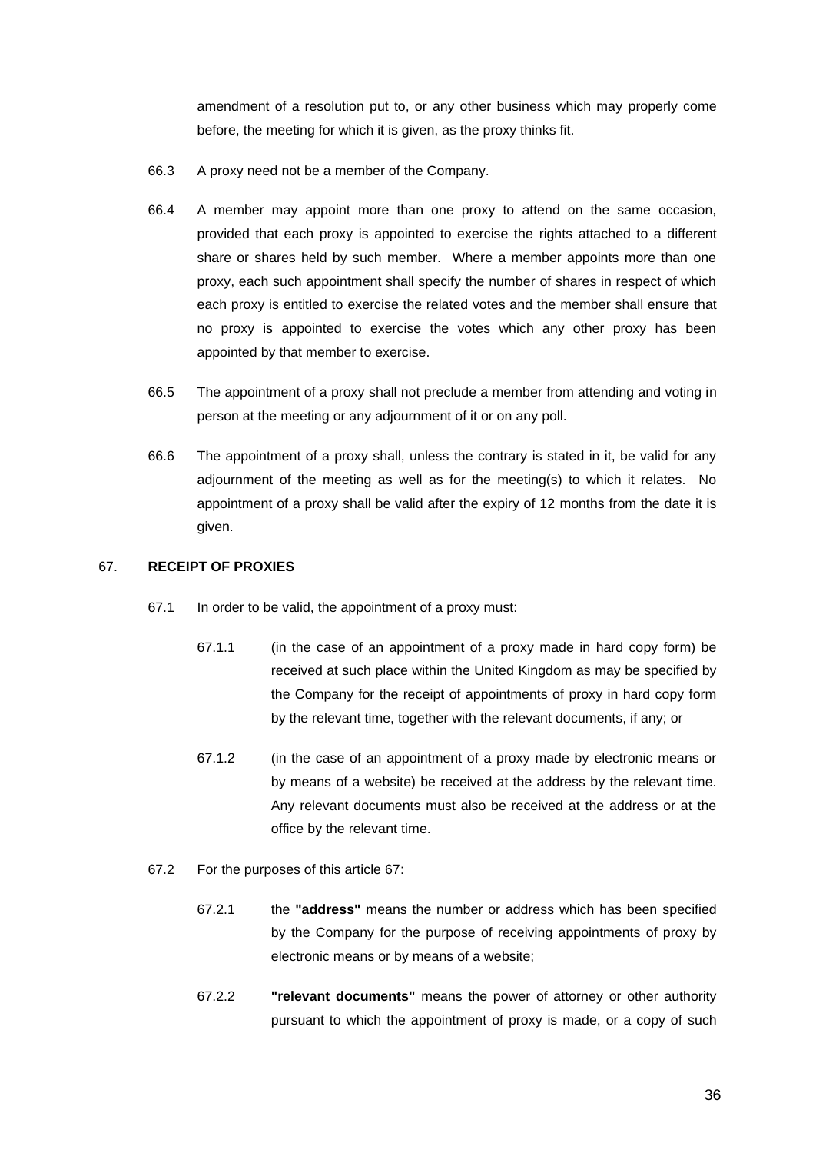amendment of a resolution put to, or any other business which may properly come before, the meeting for which it is given, as the proxy thinks fit.

- 66.3 A proxy need not be a member of the Company.
- 66.4 A member may appoint more than one proxy to attend on the same occasion, provided that each proxy is appointed to exercise the rights attached to a different share or shares held by such member. Where a member appoints more than one proxy, each such appointment shall specify the number of shares in respect of which each proxy is entitled to exercise the related votes and the member shall ensure that no proxy is appointed to exercise the votes which any other proxy has been appointed by that member to exercise.
- 66.5 The appointment of a proxy shall not preclude a member from attending and voting in person at the meeting or any adjournment of it or on any poll.
- 66.6 The appointment of a proxy shall, unless the contrary is stated in it, be valid for any adjournment of the meeting as well as for the meeting(s) to which it relates. No appointment of a proxy shall be valid after the expiry of 12 months from the date it is given.

## 67. **RECEIPT OF PROXIES**

- 67.1 In order to be valid, the appointment of a proxy must:
	- 67.1.1 (in the case of an appointment of a proxy made in hard copy form) be received at such place within the United Kingdom as may be specified by the Company for the receipt of appointments of proxy in hard copy form by the relevant time, together with the relevant documents, if any; or
	- 67.1.2 (in the case of an appointment of a proxy made by electronic means or by means of a website) be received at the address by the relevant time. Any relevant documents must also be received at the address or at the office by the relevant time.
- <span id="page-44-0"></span>67.2 For the purposes of this article 67:
	- 67.2.1 the **"address"** means the number or address which has been specified by the Company for the purpose of receiving appointments of proxy by electronic means or by means of a website;
	- 67.2.2 **"relevant documents"** means the power of attorney or other authority pursuant to which the appointment of proxy is made, or a copy of such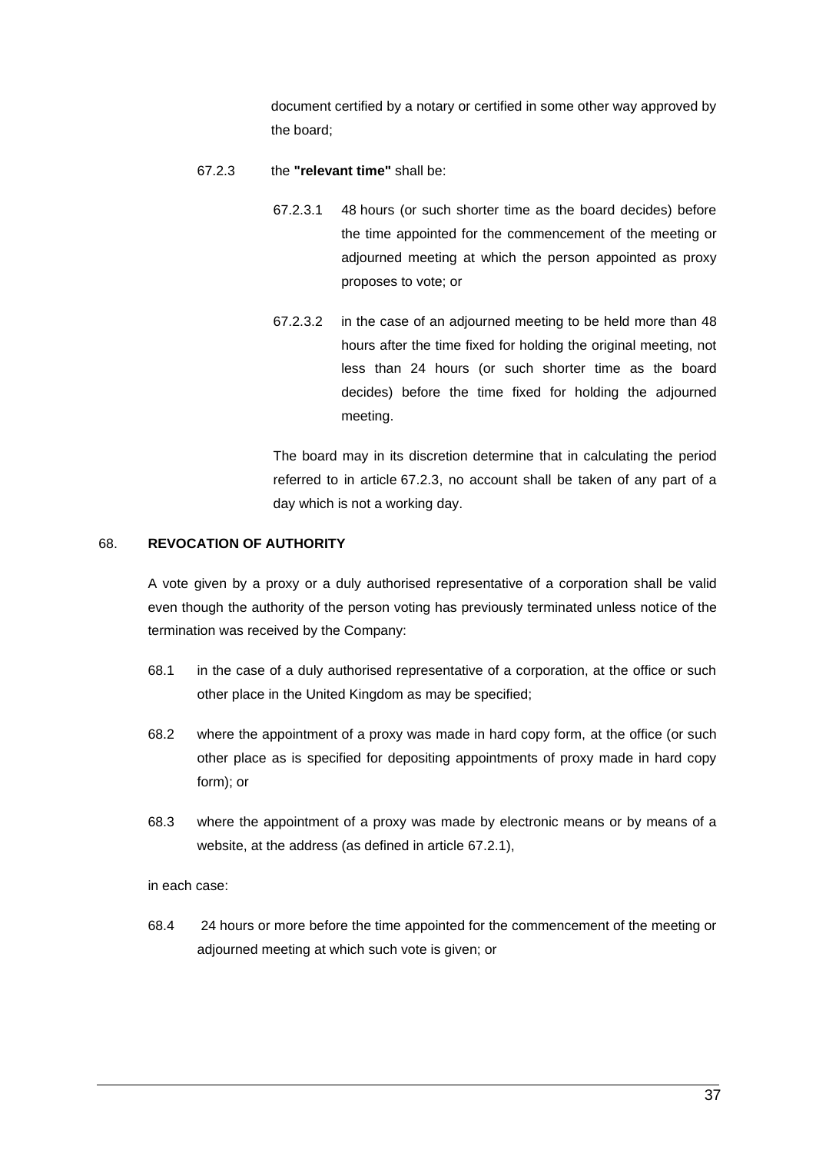document certified by a notary or certified in some other way approved by the board;

# <span id="page-45-0"></span>67.2.3 the **"relevant time"** shall be:

- 67.2.3.1 48 hours (or such shorter time as the board decides) before the time appointed for the commencement of the meeting or adjourned meeting at which the person appointed as proxy proposes to vote; or
- 67.2.3.2 in the case of an adjourned meeting to be held more than 48 hours after the time fixed for holding the original meeting, not less than 24 hours (or such shorter time as the board decides) before the time fixed for holding the adjourned meeting.

The board may in its discretion determine that in calculating the period referred to in article [67.2.3,](#page-45-0) no account shall be taken of any part of a day which is not a working day.

## <span id="page-45-1"></span>68. **REVOCATION OF AUTHORITY**

A vote given by a proxy or a duly authorised representative of a corporation shall be valid even though the authority of the person voting has previously terminated unless notice of the termination was received by the Company:

- 68.1 in the case of a duly authorised representative of a corporation, at the office or such other place in the United Kingdom as may be specified;
- 68.2 where the appointment of a proxy was made in hard copy form, at the office (or such other place as is specified for depositing appointments of proxy made in hard copy form); or
- 68.3 where the appointment of a proxy was made by electronic means or by means of a website, at the address (as defined in article [67.2.1\)](#page-44-0),

in each case:

68.4 24 hours or more before the time appointed for the commencement of the meeting or adjourned meeting at which such vote is given; or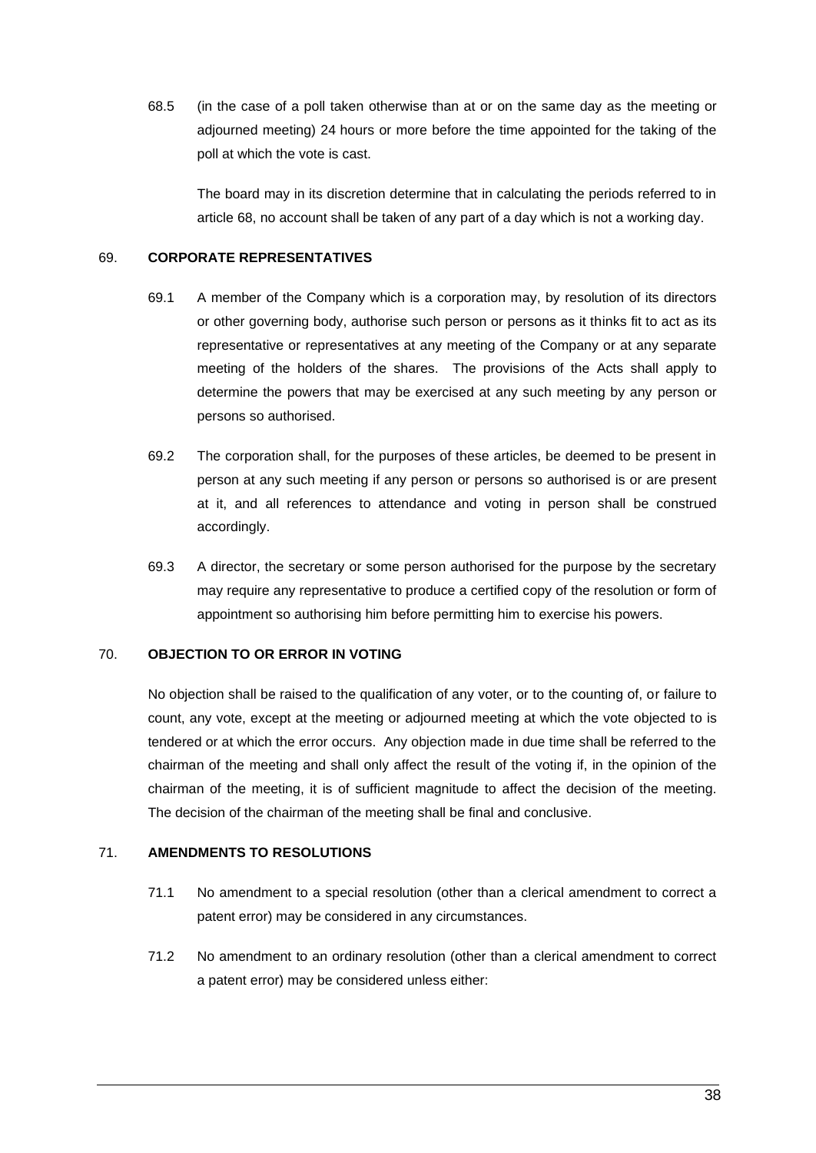68.5 (in the case of a poll taken otherwise than at or on the same day as the meeting or adjourned meeting) 24 hours or more before the time appointed for the taking of the poll at which the vote is cast.

The board may in its discretion determine that in calculating the periods referred to in article [68,](#page-45-1) no account shall be taken of any part of a day which is not a working day.

# 69. **CORPORATE REPRESENTATIVES**

- 69.1 A member of the Company which is a corporation may, by resolution of its directors or other governing body, authorise such person or persons as it thinks fit to act as its representative or representatives at any meeting of the Company or at any separate meeting of the holders of the shares. The provisions of the Acts shall apply to determine the powers that may be exercised at any such meeting by any person or persons so authorised.
- 69.2 The corporation shall, for the purposes of these articles, be deemed to be present in person at any such meeting if any person or persons so authorised is or are present at it, and all references to attendance and voting in person shall be construed accordingly.
- 69.3 A director, the secretary or some person authorised for the purpose by the secretary may require any representative to produce a certified copy of the resolution or form of appointment so authorising him before permitting him to exercise his powers.

## 70. **OBJECTION TO OR ERROR IN VOTING**

No objection shall be raised to the qualification of any voter, or to the counting of, or failure to count, any vote, except at the meeting or adjourned meeting at which the vote objected to is tendered or at which the error occurs. Any objection made in due time shall be referred to the chairman of the meeting and shall only affect the result of the voting if, in the opinion of the chairman of the meeting, it is of sufficient magnitude to affect the decision of the meeting. The decision of the chairman of the meeting shall be final and conclusive.

# 71. **AMENDMENTS TO RESOLUTIONS**

- 71.1 No amendment to a special resolution (other than a clerical amendment to correct a patent error) may be considered in any circumstances.
- 71.2 No amendment to an ordinary resolution (other than a clerical amendment to correct a patent error) may be considered unless either: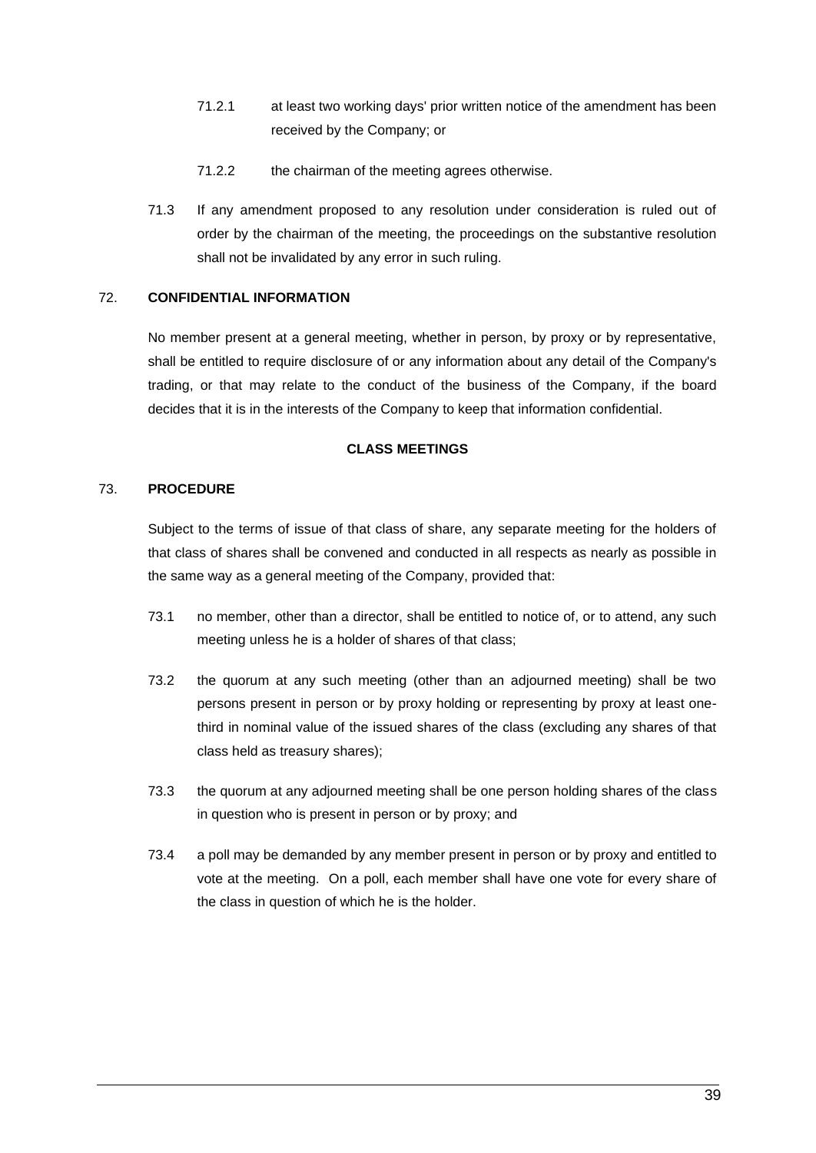- 71.2.1 at least two working days' prior written notice of the amendment has been received by the Company; or
- 71.2.2 the chairman of the meeting agrees otherwise.
- 71.3 If any amendment proposed to any resolution under consideration is ruled out of order by the chairman of the meeting, the proceedings on the substantive resolution shall not be invalidated by any error in such ruling.

# 72. **CONFIDENTIAL INFORMATION**

No member present at a general meeting, whether in person, by proxy or by representative, shall be entitled to require disclosure of or any information about any detail of the Company's trading, or that may relate to the conduct of the business of the Company, if the board decides that it is in the interests of the Company to keep that information confidential.

## **CLASS MEETINGS**

# 73. **PROCEDURE**

Subject to the terms of issue of that class of share, any separate meeting for the holders of that class of shares shall be convened and conducted in all respects as nearly as possible in the same way as a general meeting of the Company, provided that:

- 73.1 no member, other than a director, shall be entitled to notice of, or to attend, any such meeting unless he is a holder of shares of that class;
- 73.2 the quorum at any such meeting (other than an adjourned meeting) shall be two persons present in person or by proxy holding or representing by proxy at least onethird in nominal value of the issued shares of the class (excluding any shares of that class held as treasury shares);
- 73.3 the quorum at any adjourned meeting shall be one person holding shares of the class in question who is present in person or by proxy; and
- 73.4 a poll may be demanded by any member present in person or by proxy and entitled to vote at the meeting. On a poll, each member shall have one vote for every share of the class in question of which he is the holder.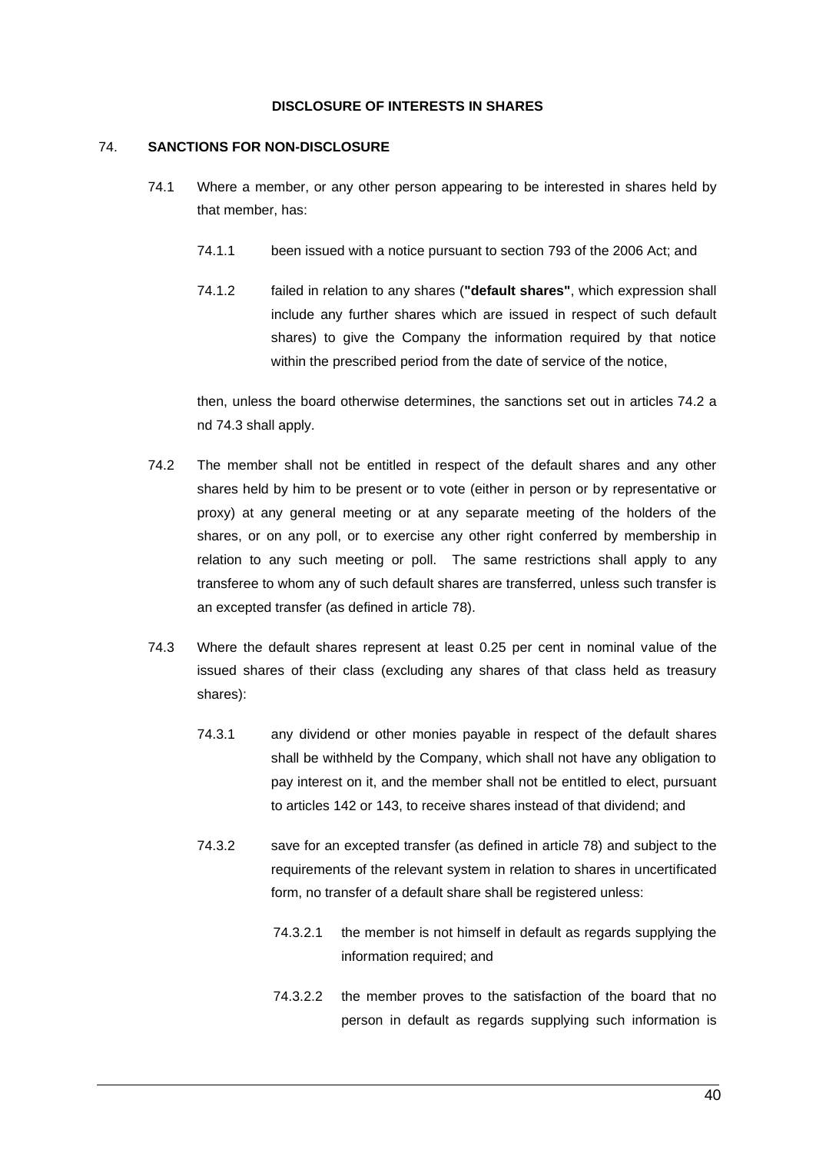#### **DISCLOSURE OF INTERESTS IN SHARES**

#### <span id="page-48-0"></span>74. **SANCTIONS FOR NON-DISCLOSURE**

- 74.1 Where a member, or any other person appearing to be interested in shares held by that member, has:
	- 74.1.1 been issued with a notice pursuant to section 793 of the 2006 Act; and
	- 74.1.2 failed in relation to any shares (**"default shares"**, which expression shall include any further shares which are issued in respect of such default shares) to give the Company the information required by that notice within the prescribed period from the date of service of the notice,

then, unless the board otherwise determines, the sanctions set out in articles 74.2 a nd 74.3 shall apply.

- 74.2 The member shall not be entitled in respect of the default shares and any other shares held by him to be present or to vote (either in person or by representative or proxy) at any general meeting or at any separate meeting of the holders of the shares, or on any poll, or to exercise any other right conferred by membership in relation to any such meeting or poll. The same restrictions shall apply to any transferee to whom any of such default shares are transferred, unless such transfer is an excepted transfer (as defined in article [78\)](#page-50-0).
- 74.3 Where the default shares represent at least 0.25 per cent in nominal value of the issued shares of their class (excluding any shares of that class held as treasury shares):
	- 74.3.1 any dividend or other monies payable in respect of the default shares shall be withheld by the Company, which shall not have any obligation to pay interest on it, and the member shall not be entitled to elect, pursuant to articles 142 or 143, to receive shares instead of that dividend; and
	- 74.3.2 save for an excepted transfer (as defined in article [78\)](#page-50-0) and subject to the requirements of the relevant system in relation to shares in uncertificated form, no transfer of a default share shall be registered unless:
		- 74.3.2.1 the member is not himself in default as regards supplying the information required; and
		- 74.3.2.2 the member proves to the satisfaction of the board that no person in default as regards supplying such information is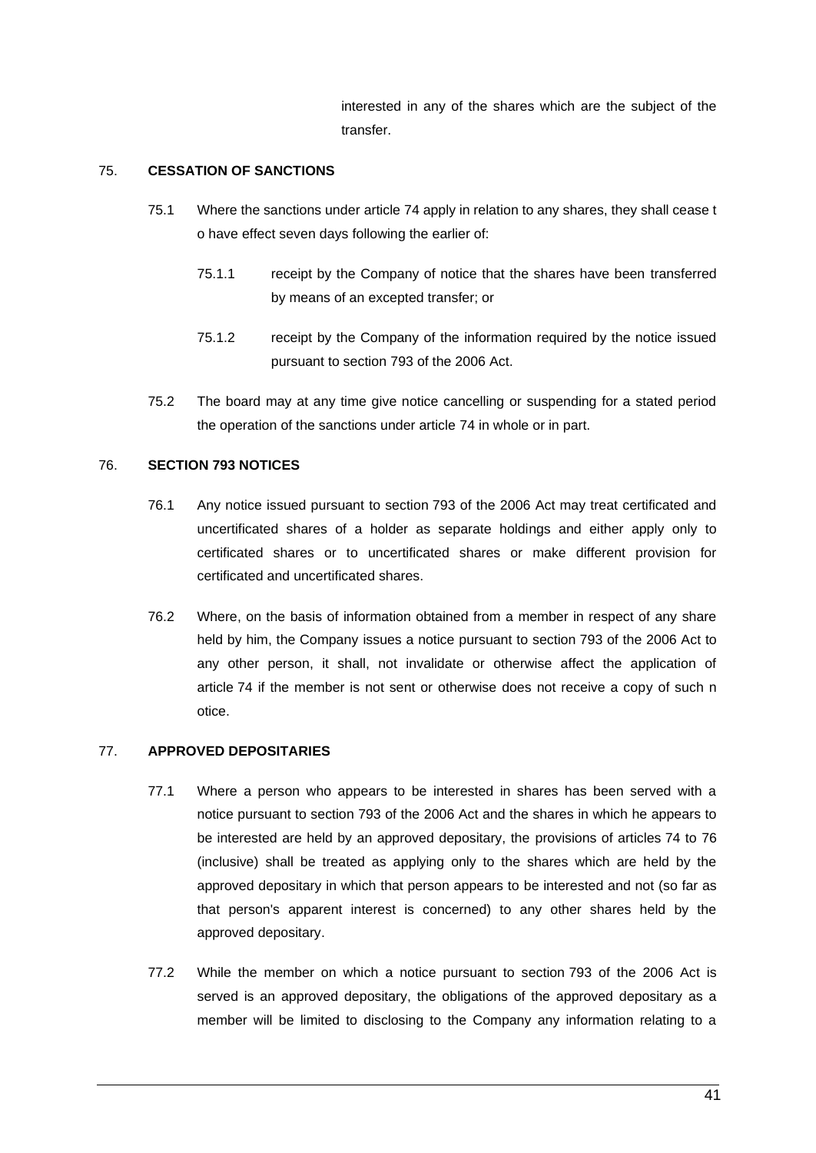<span id="page-49-0"></span>interested in any of the shares which are the subject of the transfer.

# 75. **CESSATION OF SANCTIONS**

- 75.1 Where the sanctions under article 74 apply in relation to any shares, they shall cease t o have effect seven days following the earlier of:
	- 75.1.1 receipt by the Company of notice that the shares have been transferred by means of an excepted transfer; or
	- 75.1.2 receipt by the Company of the information required by the notice issued pursuant to section 793 of the 2006 Act.
- 75.2 The board may at any time give notice cancelling or suspending for a stated period the operation of the sanctions under article 74 in whole or in part.

## 76. **SECTION 793 NOTICES**

- 76.1 Any notice issued pursuant to section 793 of the 2006 Act may treat certificated and uncertificated shares of a holder as separate holdings and either apply only to certificated shares or to uncertificated shares or make different provision for certificated and uncertificated shares.
- 76.2 Where, on the basis of information obtained from a member in respect of any share held by him, the Company issues a notice pursuant to section 793 of the 2006 Act to any other person, it shall, not invalidate or otherwise affect the application of article 74 if the member is not sent or otherwise does not receive a copy of such n otice.

# <span id="page-49-1"></span>77. **APPROVED DEPOSITARIES**

- 77.1 Where a person who appears to be interested in shares has been served with a notice pursuant to section 793 of the 2006 Act and the shares in which he appears to be interested are held by an approved depositary, the provisions of articles [74](#page-48-0) to [76](#page-49-0) (inclusive) shall be treated as applying only to the shares which are held by the approved depositary in which that person appears to be interested and not (so far as that person's apparent interest is concerned) to any other shares held by the approved depositary.
- 77.2 While the member on which a notice pursuant to section 793 of the 2006 Act is served is an approved depositary, the obligations of the approved depositary as a member will be limited to disclosing to the Company any information relating to a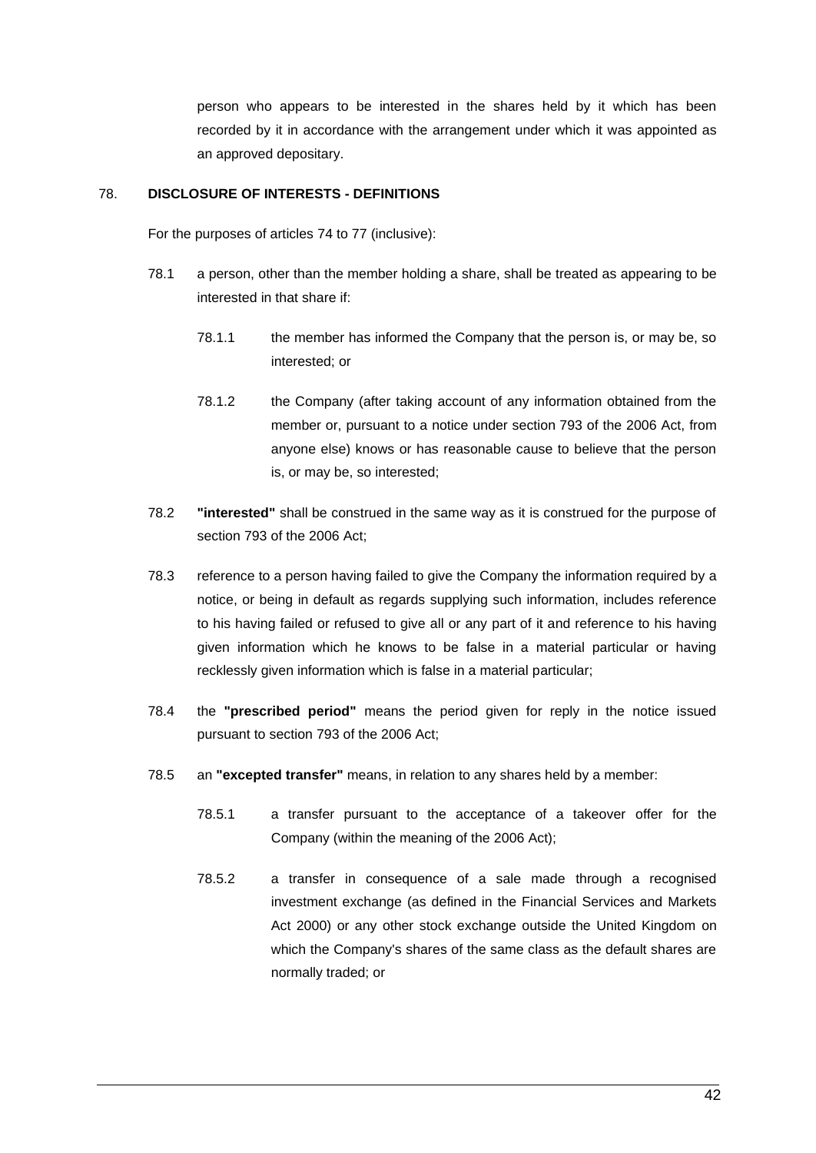person who appears to be interested in the shares held by it which has been recorded by it in accordance with the arrangement under which it was appointed as an approved depositary.

# <span id="page-50-0"></span>78. **DISCLOSURE OF INTERESTS - DEFINITIONS**

For the purposes of articles 74 to [77](#page-49-1) (inclusive):

- 78.1 a person, other than the member holding a share, shall be treated as appearing to be interested in that share if:
	- 78.1.1 the member has informed the Company that the person is, or may be, so interested; or
	- 78.1.2 the Company (after taking account of any information obtained from the member or, pursuant to a notice under section 793 of the 2006 Act, from anyone else) knows or has reasonable cause to believe that the person is, or may be, so interested;
- 78.2 **"interested"** shall be construed in the same way as it is construed for the purpose of section 793 of the 2006 Act;
- 78.3 reference to a person having failed to give the Company the information required by a notice, or being in default as regards supplying such information, includes reference to his having failed or refused to give all or any part of it and reference to his having given information which he knows to be false in a material particular or having recklessly given information which is false in a material particular;
- 78.4 the **"prescribed period"** means the period given for reply in the notice issued pursuant to section 793 of the 2006 Act;
- 78.5 an **"excepted transfer"** means, in relation to any shares held by a member:
	- 78.5.1 a transfer pursuant to the acceptance of a takeover offer for the Company (within the meaning of the 2006 Act);
	- 78.5.2 a transfer in consequence of a sale made through a recognised investment exchange (as defined in the Financial Services and Markets Act 2000) or any other stock exchange outside the United Kingdom on which the Company's shares of the same class as the default shares are normally traded; or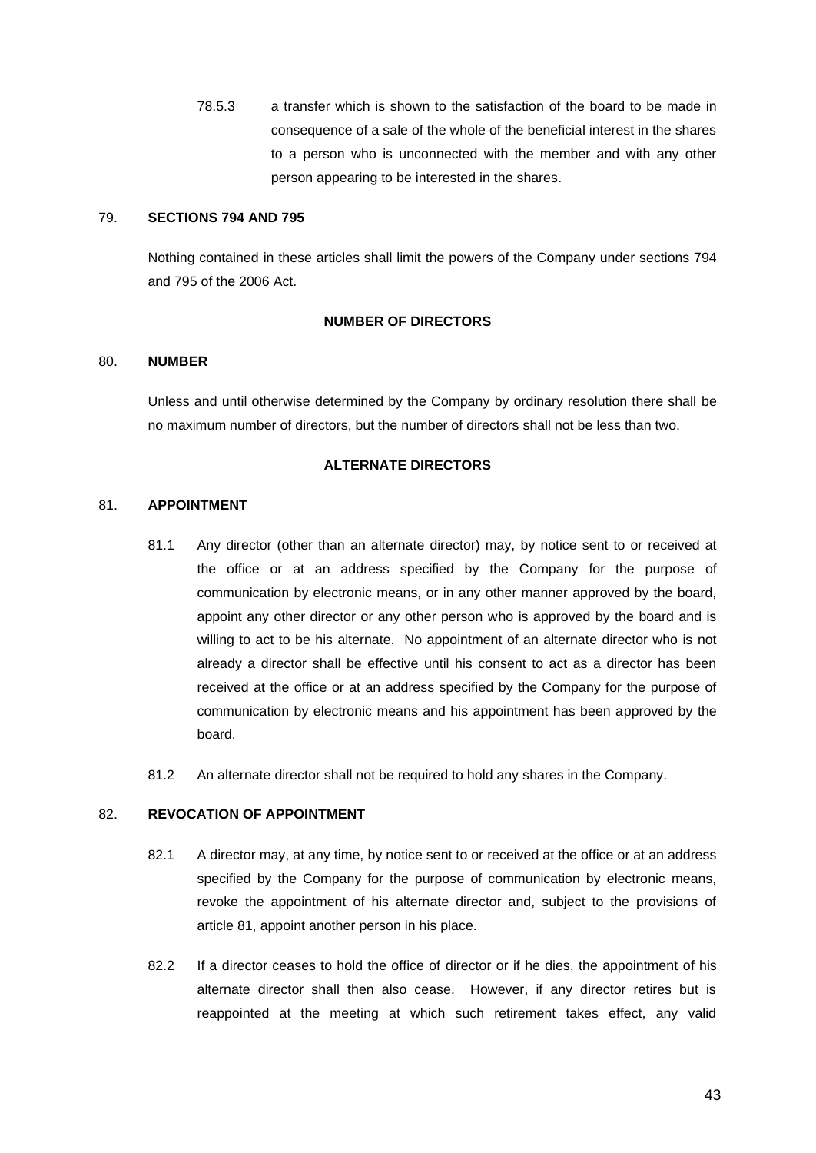78.5.3 a transfer which is shown to the satisfaction of the board to be made in consequence of a sale of the whole of the beneficial interest in the shares to a person who is unconnected with the member and with any other person appearing to be interested in the shares.

# 79. **SECTIONS 794 AND 795**

Nothing contained in these articles shall limit the powers of the Company under sections 794 and 795 of the 2006 Act.

# **NUMBER OF DIRECTORS**

# 80. **NUMBER**

Unless and until otherwise determined by the Company by ordinary resolution there shall be no maximum number of directors, but the number of directors shall not be less than two.

# **ALTERNATE DIRECTORS**

# 81. **APPOINTMENT**

- 81.1 Any director (other than an alternate director) may, by notice sent to or received at the office or at an address specified by the Company for the purpose of communication by electronic means, or in any other manner approved by the board, appoint any other director or any other person who is approved by the board and is willing to act to be his alternate. No appointment of an alternate director who is not already a director shall be effective until his consent to act as a director has been received at the office or at an address specified by the Company for the purpose of communication by electronic means and his appointment has been approved by the board.
- 81.2 An alternate director shall not be required to hold any shares in the Company.

# 82. **REVOCATION OF APPOINTMENT**

- 82.1 A director may, at any time, by notice sent to or received at the office or at an address specified by the Company for the purpose of communication by electronic means, revoke the appointment of his alternate director and, subject to the provisions of article 81, appoint another person in his place.
- 82.2 If a director ceases to hold the office of director or if he dies, the appointment of his alternate director shall then also cease. However, if any director retires but is reappointed at the meeting at which such retirement takes effect, any valid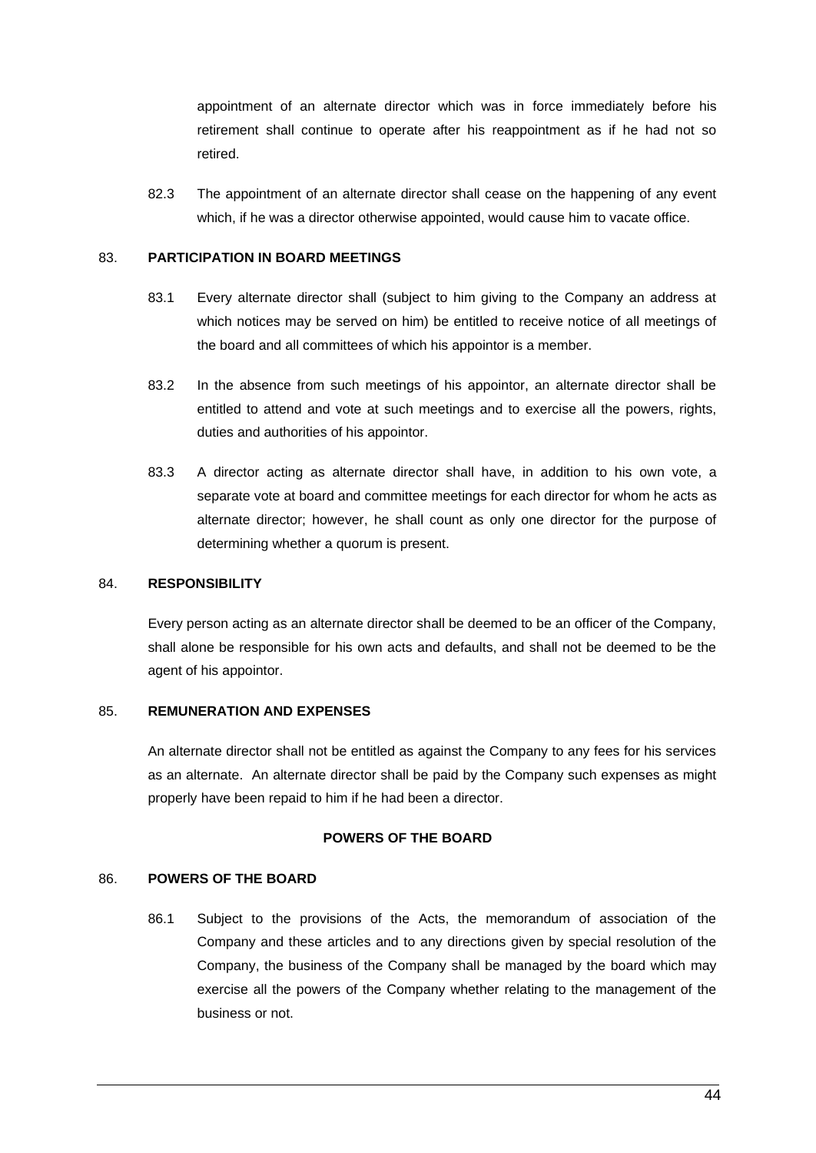appointment of an alternate director which was in force immediately before his retirement shall continue to operate after his reappointment as if he had not so retired.

82.3 The appointment of an alternate director shall cease on the happening of any event which, if he was a director otherwise appointed, would cause him to vacate office.

## 83. **PARTICIPATION IN BOARD MEETINGS**

- 83.1 Every alternate director shall (subject to him giving to the Company an address at which notices may be served on him) be entitled to receive notice of all meetings of the board and all committees of which his appointor is a member.
- 83.2 In the absence from such meetings of his appointor, an alternate director shall be entitled to attend and vote at such meetings and to exercise all the powers, rights, duties and authorities of his appointor.
- 83.3 A director acting as alternate director shall have, in addition to his own vote, a separate vote at board and committee meetings for each director for whom he acts as alternate director; however, he shall count as only one director for the purpose of determining whether a quorum is present.

# 84. **RESPONSIBILITY**

Every person acting as an alternate director shall be deemed to be an officer of the Company, shall alone be responsible for his own acts and defaults, and shall not be deemed to be the agent of his appointor.

## 85. **REMUNERATION AND EXPENSES**

An alternate director shall not be entitled as against the Company to any fees for his services as an alternate. An alternate director shall be paid by the Company such expenses as might properly have been repaid to him if he had been a director.

## **POWERS OF THE BOARD**

# 86. **POWERS OF THE BOARD**

86.1 Subject to the provisions of the Acts, the memorandum of association of the Company and these articles and to any directions given by special resolution of the Company, the business of the Company shall be managed by the board which may exercise all the powers of the Company whether relating to the management of the business or not.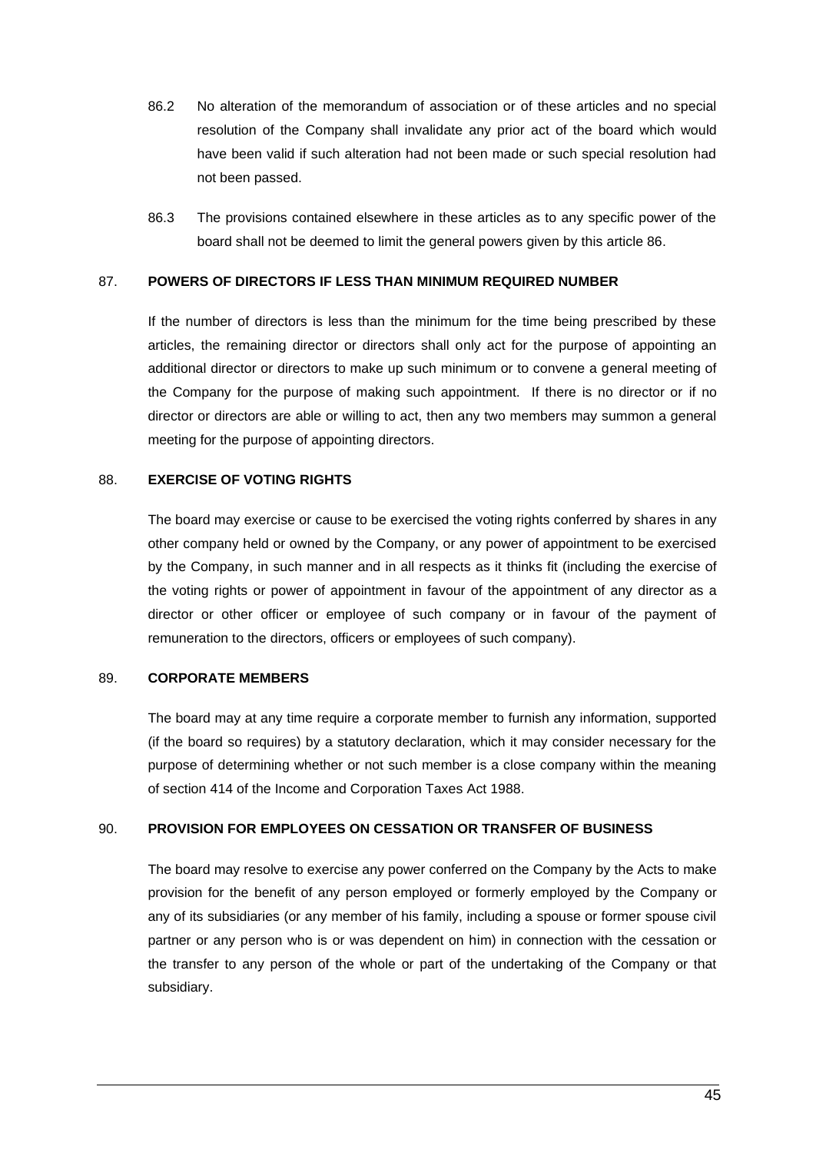- 86.2 No alteration of the memorandum of association or of these articles and no special resolution of the Company shall invalidate any prior act of the board which would have been valid if such alteration had not been made or such special resolution had not been passed.
- 86.3 The provisions contained elsewhere in these articles as to any specific power of the board shall not be deemed to limit the general powers given by this article 86.

## 87. **POWERS OF DIRECTORS IF LESS THAN MINIMUM REQUIRED NUMBER**

If the number of directors is less than the minimum for the time being prescribed by these articles, the remaining director or directors shall only act for the purpose of appointing an additional director or directors to make up such minimum or to convene a general meeting of the Company for the purpose of making such appointment. If there is no director or if no director or directors are able or willing to act, then any two members may summon a general meeting for the purpose of appointing directors.

## 88. **EXERCISE OF VOTING RIGHTS**

The board may exercise or cause to be exercised the voting rights conferred by shares in any other company held or owned by the Company, or any power of appointment to be exercised by the Company, in such manner and in all respects as it thinks fit (including the exercise of the voting rights or power of appointment in favour of the appointment of any director as a director or other officer or employee of such company or in favour of the payment of remuneration to the directors, officers or employees of such company).

## 89. **CORPORATE MEMBERS**

The board may at any time require a corporate member to furnish any information, supported (if the board so requires) by a statutory declaration, which it may consider necessary for the purpose of determining whether or not such member is a close company within the meaning of section 414 of the Income and Corporation Taxes Act 1988.

#### 90. **PROVISION FOR EMPLOYEES ON CESSATION OR TRANSFER OF BUSINESS**

The board may resolve to exercise any power conferred on the Company by the Acts to make provision for the benefit of any person employed or formerly employed by the Company or any of its subsidiaries (or any member of his family, including a spouse or former spouse civil partner or any person who is or was dependent on him) in connection with the cessation or the transfer to any person of the whole or part of the undertaking of the Company or that subsidiary.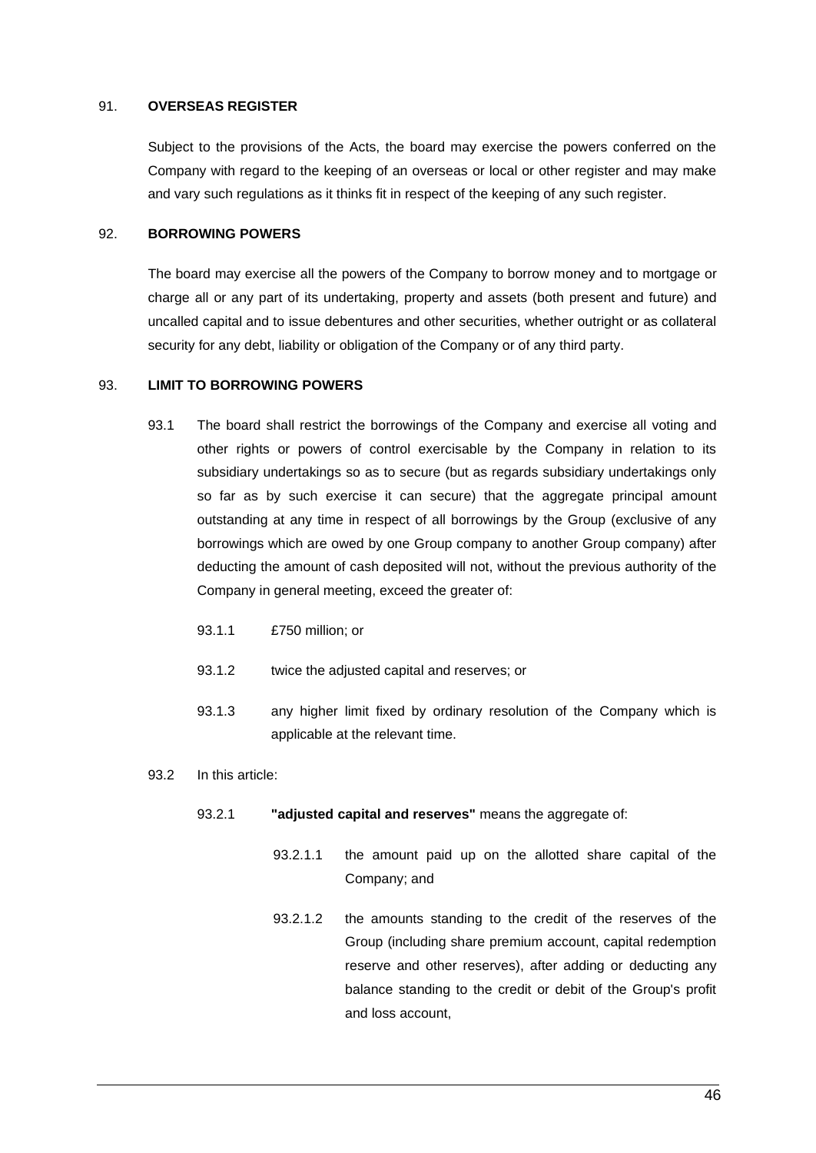## 91. **OVERSEAS REGISTER**

Subject to the provisions of the Acts, the board may exercise the powers conferred on the Company with regard to the keeping of an overseas or local or other register and may make and vary such regulations as it thinks fit in respect of the keeping of any such register.

#### 92. **BORROWING POWERS**

The board may exercise all the powers of the Company to borrow money and to mortgage or charge all or any part of its undertaking, property and assets (both present and future) and uncalled capital and to issue debentures and other securities, whether outright or as collateral security for any debt, liability or obligation of the Company or of any third party.

## 93. **LIMIT TO BORROWING POWERS**

- 93.1 The board shall restrict the borrowings of the Company and exercise all voting and other rights or powers of control exercisable by the Company in relation to its subsidiary undertakings so as to secure (but as regards subsidiary undertakings only so far as by such exercise it can secure) that the aggregate principal amount outstanding at any time in respect of all borrowings by the Group (exclusive of any borrowings which are owed by one Group company to another Group company) after deducting the amount of cash deposited will not, without the previous authority of the Company in general meeting, exceed the greater of:
	- 93.1.1 £750 million; or
	- 93.1.2 twice the adjusted capital and reserves; or
	- 93.1.3 any higher limit fixed by ordinary resolution of the Company which is applicable at the relevant time.

#### 93.2 In this article:

- 93.2.1 **"adjusted capital and reserves"** means the aggregate of:
	- 93.2.1.1 the amount paid up on the allotted share capital of the Company; and
	- 93.2.1.2 the amounts standing to the credit of the reserves of the Group (including share premium account, capital redemption reserve and other reserves), after adding or deducting any balance standing to the credit or debit of the Group's profit and loss account,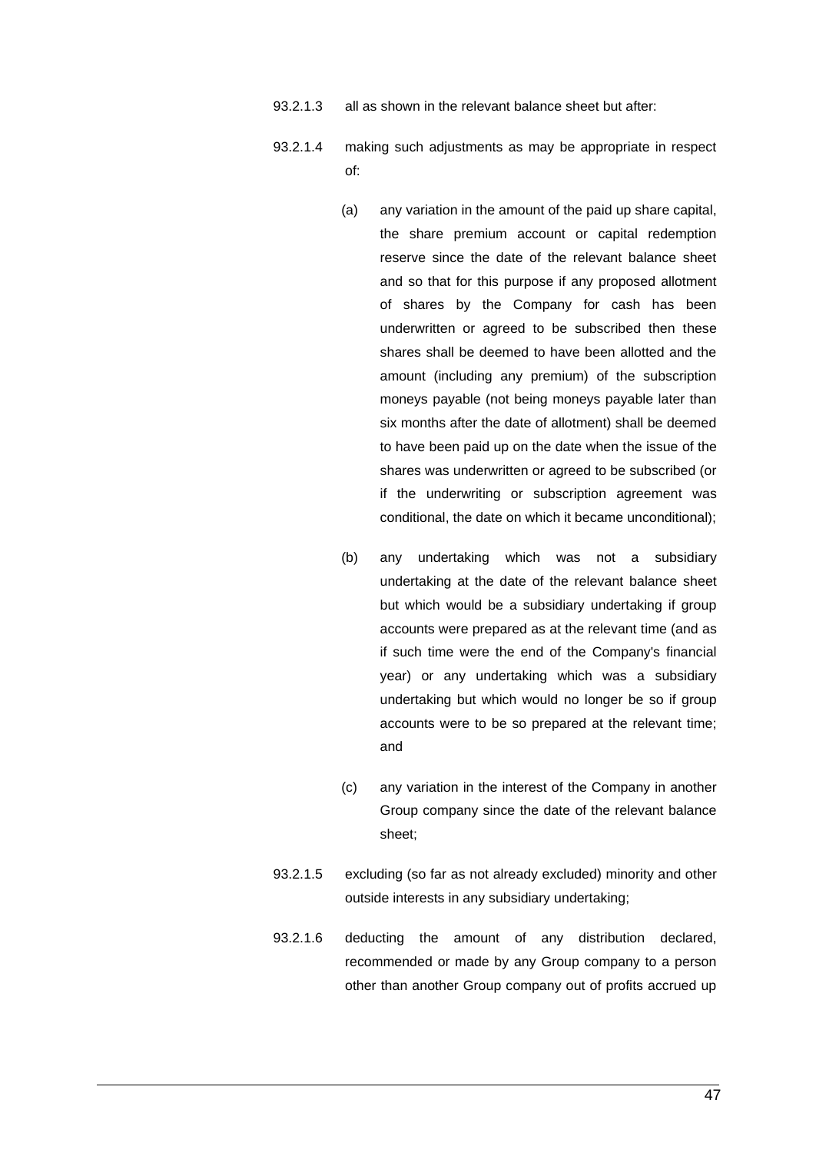- 93.2.1.3 all as shown in the relevant balance sheet but after:
- 93.2.1.4 making such adjustments as may be appropriate in respect of:
	- (a) any variation in the amount of the paid up share capital, the share premium account or capital redemption reserve since the date of the relevant balance sheet and so that for this purpose if any proposed allotment of shares by the Company for cash has been underwritten or agreed to be subscribed then these shares shall be deemed to have been allotted and the amount (including any premium) of the subscription moneys payable (not being moneys payable later than six months after the date of allotment) shall be deemed to have been paid up on the date when the issue of the shares was underwritten or agreed to be subscribed (or if the underwriting or subscription agreement was conditional, the date on which it became unconditional);
	- (b) any undertaking which was not a subsidiary undertaking at the date of the relevant balance sheet but which would be a subsidiary undertaking if group accounts were prepared as at the relevant time (and as if such time were the end of the Company's financial year) or any undertaking which was a subsidiary undertaking but which would no longer be so if group accounts were to be so prepared at the relevant time; and
	- (c) any variation in the interest of the Company in another Group company since the date of the relevant balance sheet;
- 93.2.1.5 excluding (so far as not already excluded) minority and other outside interests in any subsidiary undertaking;
- 93.2.1.6 deducting the amount of any distribution declared, recommended or made by any Group company to a person other than another Group company out of profits accrued up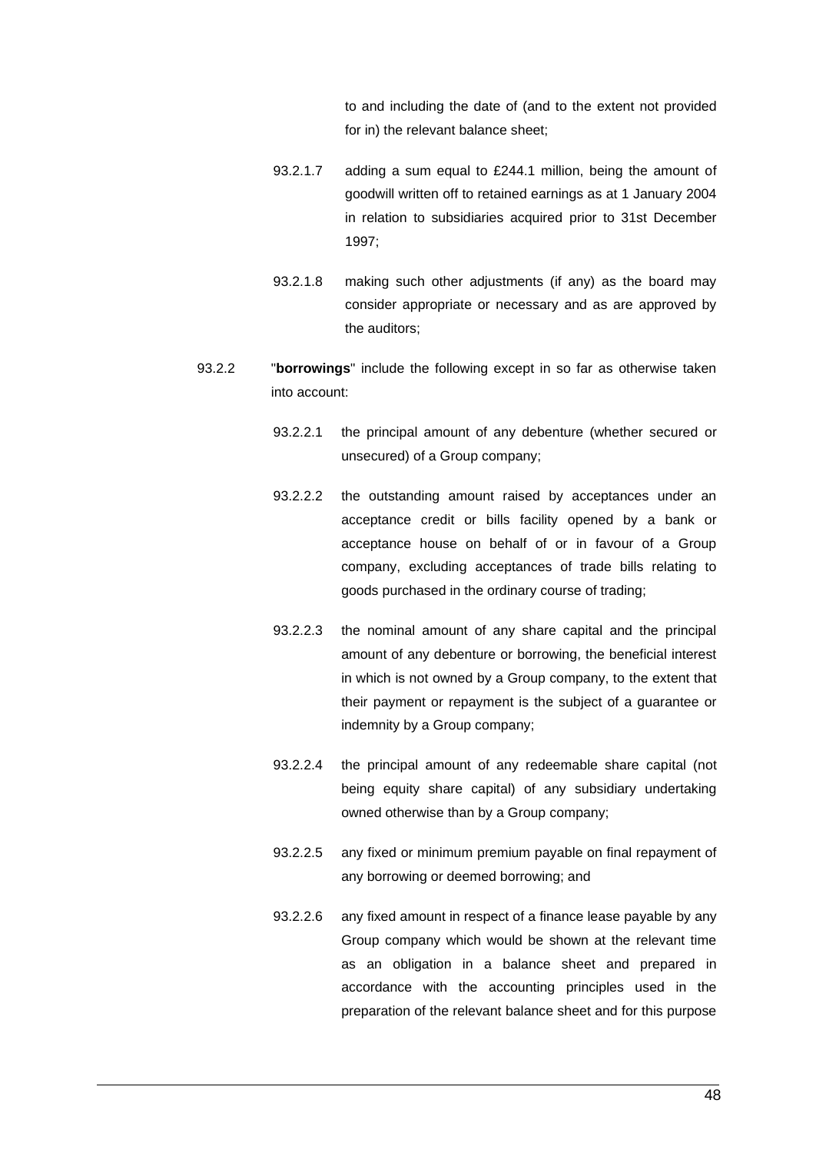to and including the date of (and to the extent not provided for in) the relevant balance sheet;

- 93.2.1.7 adding a sum equal to £244.1 million, being the amount of goodwill written off to retained earnings as at 1 January 2004 in relation to subsidiaries acquired prior to 31st December 1997;
- 93.2.1.8 making such other adjustments (if any) as the board may consider appropriate or necessary and as are approved by the auditors;
- <span id="page-56-0"></span>93.2.2 "**borrowings**" include the following except in so far as otherwise taken into account:
	- 93.2.2.1 the principal amount of any debenture (whether secured or unsecured) of a Group company;
	- 93.2.2.2 the outstanding amount raised by acceptances under an acceptance credit or bills facility opened by a bank or acceptance house on behalf of or in favour of a Group company, excluding acceptances of trade bills relating to goods purchased in the ordinary course of trading;
	- 93.2.2.3 the nominal amount of any share capital and the principal amount of any debenture or borrowing, the beneficial interest in which is not owned by a Group company, to the extent that their payment or repayment is the subject of a guarantee or indemnity by a Group company;
	- 93.2.2.4 the principal amount of any redeemable share capital (not being equity share capital) of any subsidiary undertaking owned otherwise than by a Group company;
	- 93.2.2.5 any fixed or minimum premium payable on final repayment of any borrowing or deemed borrowing; and
	- 93.2.2.6 any fixed amount in respect of a finance lease payable by any Group company which would be shown at the relevant time as an obligation in a balance sheet and prepared in accordance with the accounting principles used in the preparation of the relevant balance sheet and for this purpose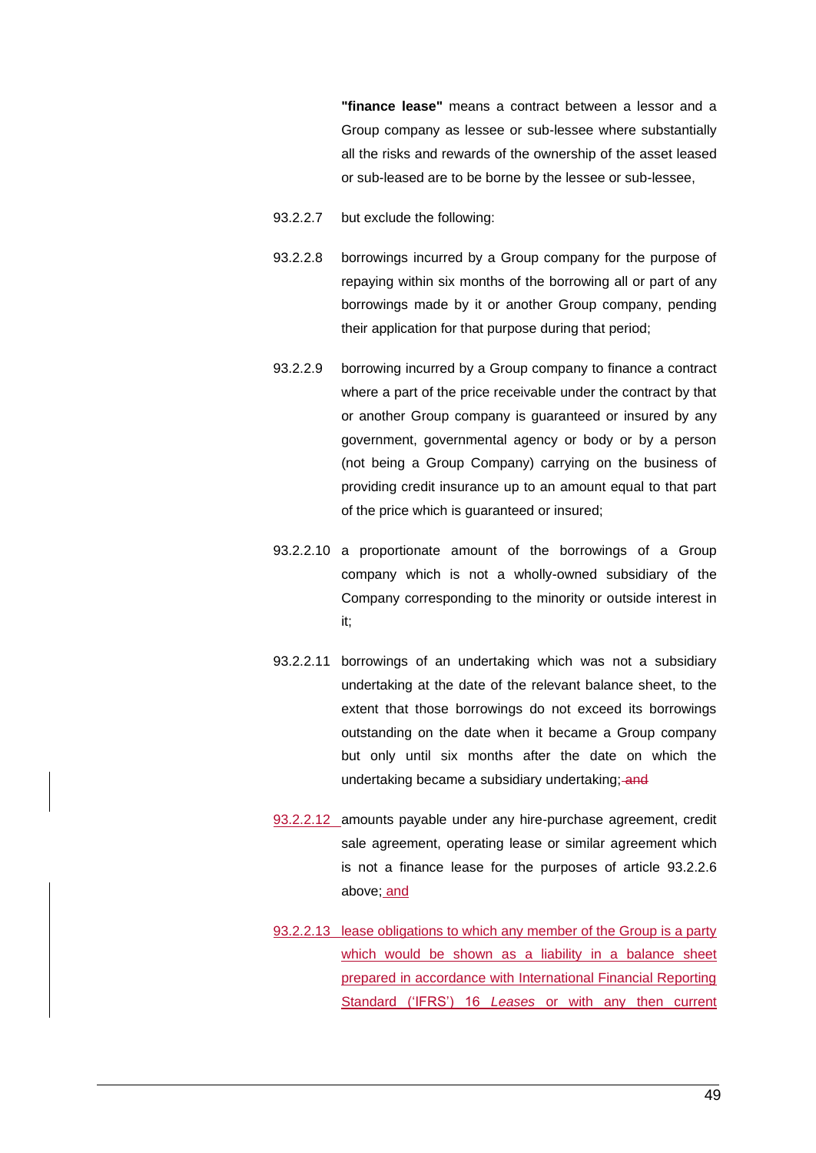**"finance lease"** means a contract between a lessor and a Group company as lessee or sub-lessee where substantially all the risks and rewards of the ownership of the asset leased or sub-leased are to be borne by the lessee or sub-lessee,

- 93.2.2.7 but exclude the following:
- 93.2.2.8 borrowings incurred by a Group company for the purpose of repaying within six months of the borrowing all or part of any borrowings made by it or another Group company, pending their application for that purpose during that period;
- 93.2.2.9 borrowing incurred by a Group company to finance a contract where a part of the price receivable under the contract by that or another Group company is guaranteed or insured by any government, governmental agency or body or by a person (not being a Group Company) carrying on the business of providing credit insurance up to an amount equal to that part of the price which is guaranteed or insured;
- 93.2.2.10 a proportionate amount of the borrowings of a Group company which is not a wholly-owned subsidiary of the Company corresponding to the minority or outside interest in it;
- 93.2.2.11 borrowings of an undertaking which was not a subsidiary undertaking at the date of the relevant balance sheet, to the extent that those borrowings do not exceed its borrowings outstanding on the date when it became a Group company but only until six months after the date on which the undertaking became a subsidiary undertaking; and
- 93.2.2.12 amounts payable under any hire-purchase agreement, credit sale agreement, operating lease or similar agreement which is not a finance lease for the purposes of article [93.2.2.6](#page-56-0) above; and
- 93.2.2.13 lease obligations to which any member of the Group is a party which would be shown as a liability in a balance sheet prepared in accordance with International Financial Reporting Standard ('IFRS') 16 *Leases* or with any then current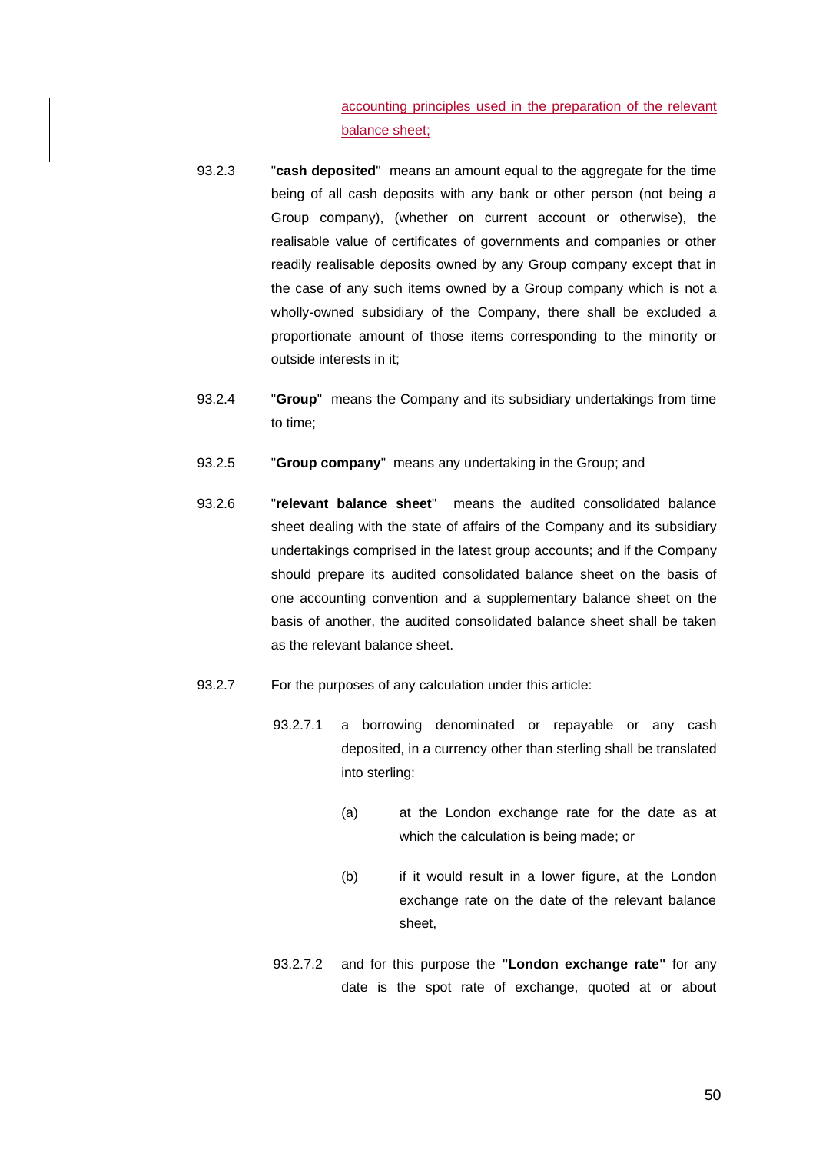accounting principles used in the preparation of the relevant balance sheet;

- 93.2.3 "**cash deposited**" means an amount equal to the aggregate for the time being of all cash deposits with any bank or other person (not being a Group company), (whether on current account or otherwise), the realisable value of certificates of governments and companies or other readily realisable deposits owned by any Group company except that in the case of any such items owned by a Group company which is not a wholly-owned subsidiary of the Company, there shall be excluded a proportionate amount of those items corresponding to the minority or outside interests in it;
- 93.2.4 "**Group**" means the Company and its subsidiary undertakings from time to time;
- 93.2.5 "**Group company**" means any undertaking in the Group; and
- 93.2.6 "**relevant balance sheet**" means the audited consolidated balance sheet dealing with the state of affairs of the Company and its subsidiary undertakings comprised in the latest group accounts; and if the Company should prepare its audited consolidated balance sheet on the basis of one accounting convention and a supplementary balance sheet on the basis of another, the audited consolidated balance sheet shall be taken as the relevant balance sheet.
- <span id="page-58-0"></span>93.2.7 For the purposes of any calculation under this article:
	- 93.2.7.1 a borrowing denominated or repayable or any cash deposited, in a currency other than sterling shall be translated into sterling:
		- (a) at the London exchange rate for the date as at which the calculation is being made; or
		- (b) if it would result in a lower figure, at the London exchange rate on the date of the relevant balance sheet,
	- 93.2.7.2 and for this purpose the **"London exchange rate"** for any date is the spot rate of exchange, quoted at or about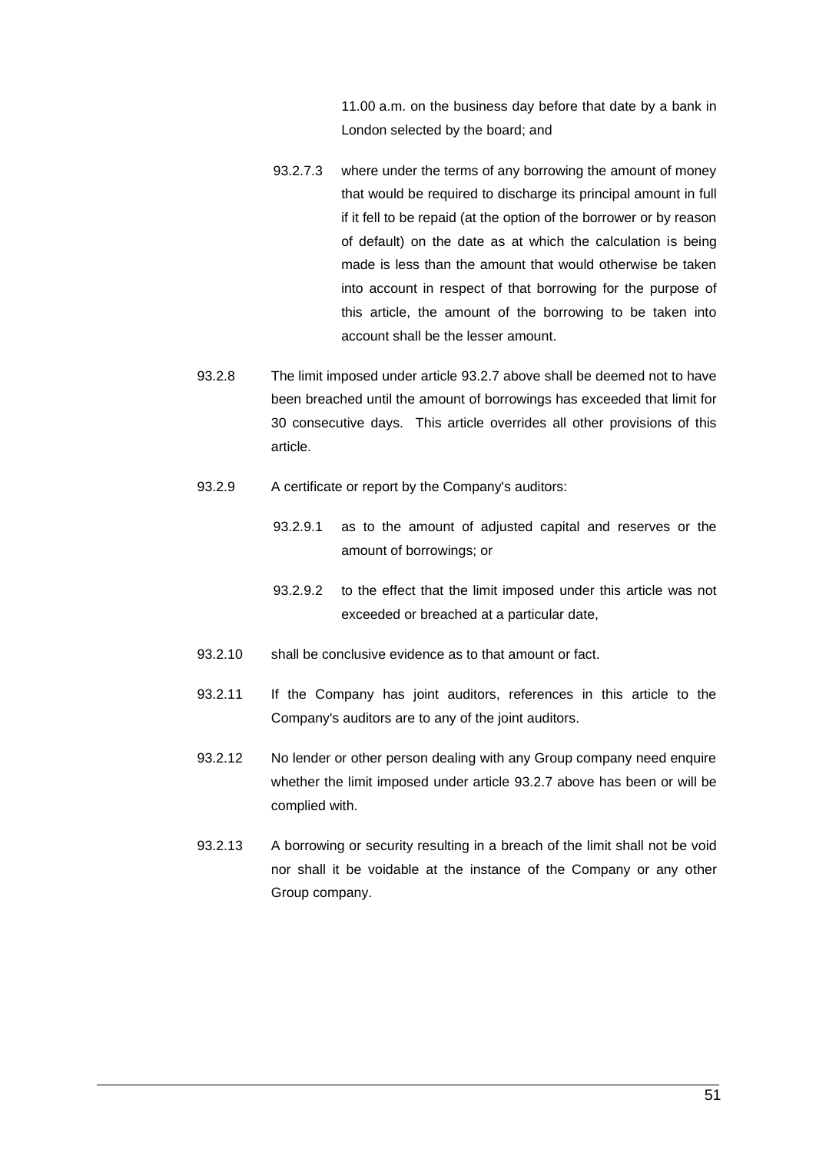11.00 a.m. on the business day before that date by a bank in London selected by the board; and

- 93.2.7.3 where under the terms of any borrowing the amount of money that would be required to discharge its principal amount in full if it fell to be repaid (at the option of the borrower or by reason of default) on the date as at which the calculation is being made is less than the amount that would otherwise be taken into account in respect of that borrowing for the purpose of this article, the amount of the borrowing to be taken into account shall be the lesser amount.
- 93.2.8 The limit imposed under article [93.2.7](#page-58-0) above shall be deemed not to have been breached until the amount of borrowings has exceeded that limit for 30 consecutive days. This article overrides all other provisions of this article.
- 93.2.9 A certificate or report by the Company's auditors:
	- 93.2.9.1 as to the amount of adjusted capital and reserves or the amount of borrowings; or
	- 93.2.9.2 to the effect that the limit imposed under this article was not exceeded or breached at a particular date,
- 93.2.10 shall be conclusive evidence as to that amount or fact.
- 93.2.11 If the Company has joint auditors, references in this article to the Company's auditors are to any of the joint auditors.
- 93.2.12 No lender or other person dealing with any Group company need enquire whether the limit imposed under article [93.2.7](#page-58-0) above has been or will be complied with.
- 93.2.13 A borrowing or security resulting in a breach of the limit shall not be void nor shall it be voidable at the instance of the Company or any other Group company.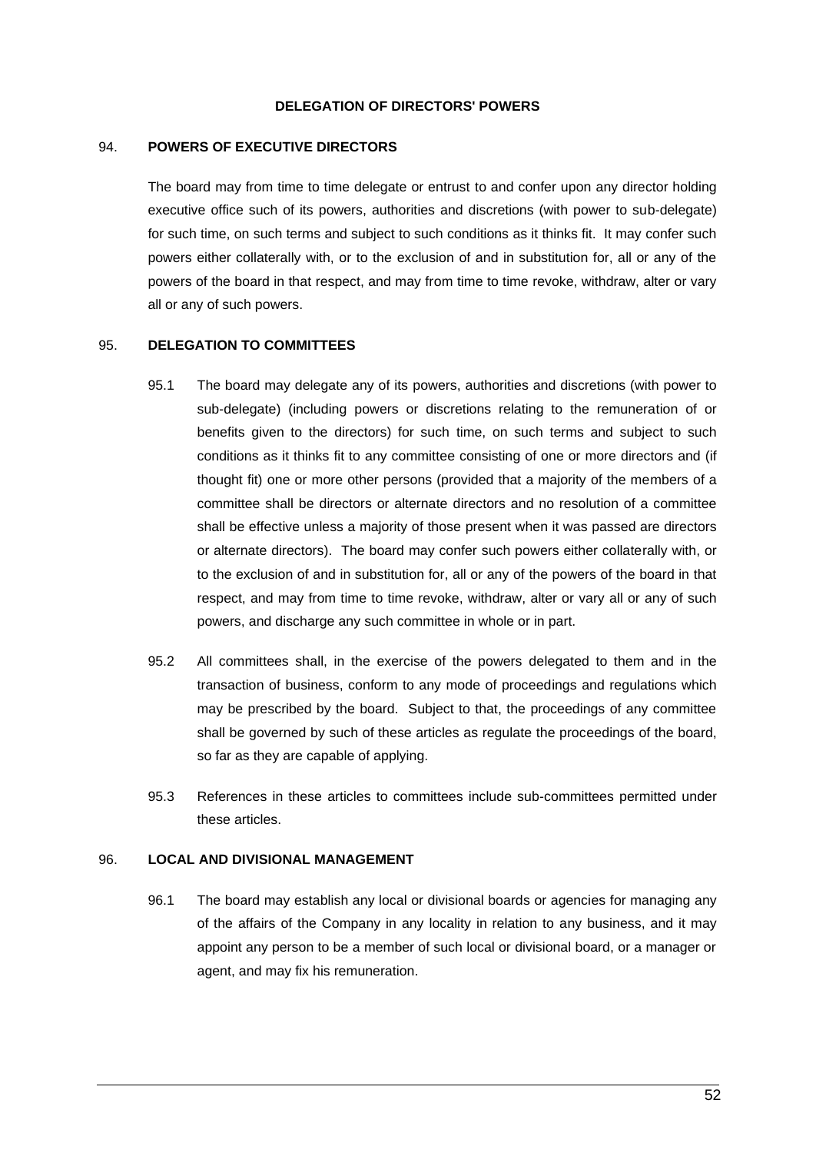#### **DELEGATION OF DIRECTORS' POWERS**

#### 94. **POWERS OF EXECUTIVE DIRECTORS**

The board may from time to time delegate or entrust to and confer upon any director holding executive office such of its powers, authorities and discretions (with power to sub-delegate) for such time, on such terms and subject to such conditions as it thinks fit. It may confer such powers either collaterally with, or to the exclusion of and in substitution for, all or any of the powers of the board in that respect, and may from time to time revoke, withdraw, alter or vary all or any of such powers.

#### 95. **DELEGATION TO COMMITTEES**

- 95.1 The board may delegate any of its powers, authorities and discretions (with power to sub-delegate) (including powers or discretions relating to the remuneration of or benefits given to the directors) for such time, on such terms and subject to such conditions as it thinks fit to any committee consisting of one or more directors and (if thought fit) one or more other persons (provided that a majority of the members of a committee shall be directors or alternate directors and no resolution of a committee shall be effective unless a majority of those present when it was passed are directors or alternate directors). The board may confer such powers either collaterally with, or to the exclusion of and in substitution for, all or any of the powers of the board in that respect, and may from time to time revoke, withdraw, alter or vary all or any of such powers, and discharge any such committee in whole or in part.
- 95.2 All committees shall, in the exercise of the powers delegated to them and in the transaction of business, conform to any mode of proceedings and regulations which may be prescribed by the board. Subject to that, the proceedings of any committee shall be governed by such of these articles as regulate the proceedings of the board, so far as they are capable of applying.
- 95.3 References in these articles to committees include sub-committees permitted under these articles.

#### 96. **LOCAL AND DIVISIONAL MANAGEMENT**

96.1 The board may establish any local or divisional boards or agencies for managing any of the affairs of the Company in any locality in relation to any business, and it may appoint any person to be a member of such local or divisional board, or a manager or agent, and may fix his remuneration.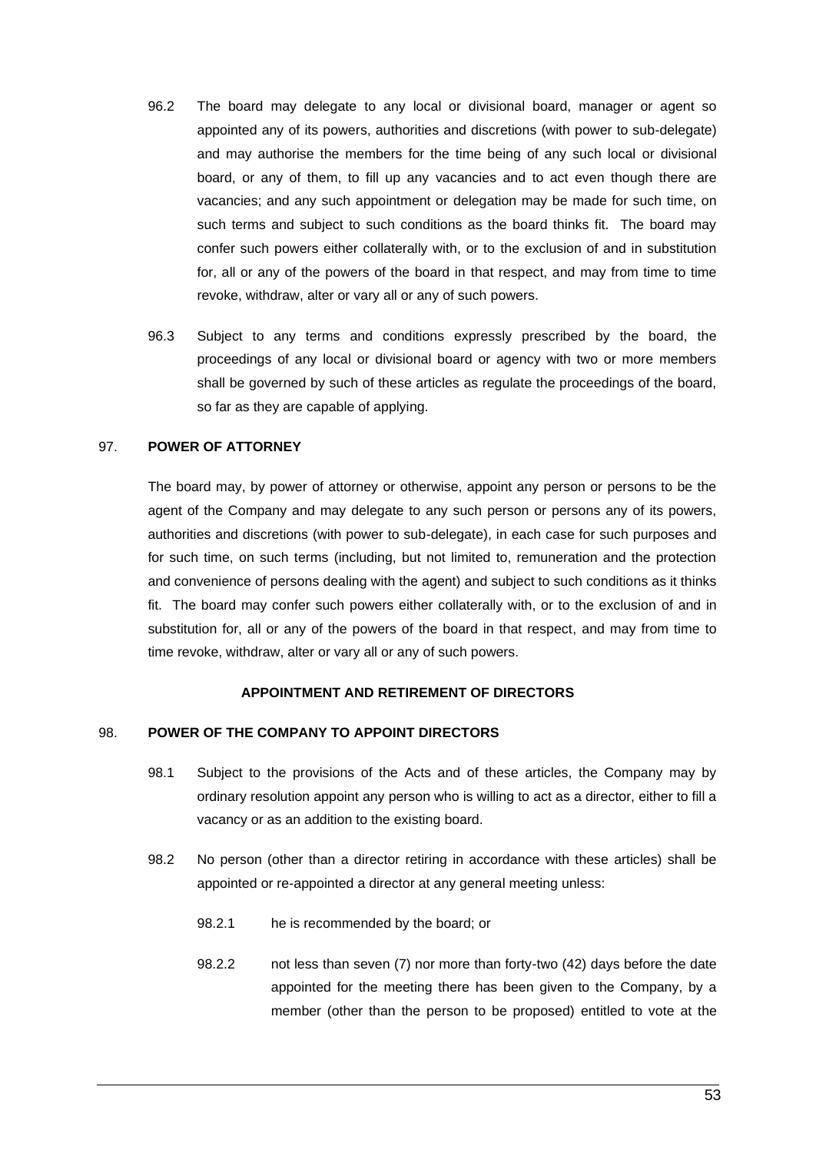- 96.2 The board may delegate to any local or divisional board, manager or agent so appointed any of its powers, authorities and discretions (with power to sub-delegate) and may authorise the members for the time being of any such local or divisional board, or any of them, to fill up any vacancies and to act even though there are vacancies; and any such appointment or delegation may be made for such time, on such terms and subject to such conditions as the board thinks fit. The board may confer such powers either collaterally with, or to the exclusion of and in substitution for, all or any of the powers of the board in that respect, and may from time to time revoke, withdraw, alter or vary all or any of such powers.
- 96.3 Subject to any terms and conditions expressly prescribed by the board, the proceedings of any local or divisional board or agency with two or more members shall be governed by such of these articles as regulate the proceedings of the board, so far as they are capable of applying.

## 97. **POWER OF ATTORNEY**

The board may, by power of attorney or otherwise, appoint any person or persons to be the agent of the Company and may delegate to any such person or persons any of its powers, authorities and discretions (with power to sub-delegate), in each case for such purposes and for such time, on such terms (including, but not limited to, remuneration and the protection and convenience of persons dealing with the agent) and subject to such conditions as it thinks fit. The board may confer such powers either collaterally with, or to the exclusion of and in substitution for, all or any of the powers of the board in that respect, and may from time to time revoke, withdraw, alter or vary all or any of such powers.

# **APPOINTMENT AND RETIREMENT OF DIRECTORS**

#### 98. **POWER OF THE COMPANY TO APPOINT DIRECTORS**

- 98.1 Subject to the provisions of the Acts and of these articles, the Company may by ordinary resolution appoint any person who is willing to act as a director, either to fill a vacancy or as an addition to the existing board.
- 98.2 No person (other than a director retiring in accordance with these articles) shall be appointed or re-appointed a director at any general meeting unless:
	- 98.2.1 he is recommended by the board; or
	- 98.2.2 not less than seven (7) nor more than forty-two (42) days before the date appointed for the meeting there has been given to the Company, by a member (other than the person to be proposed) entitled to vote at the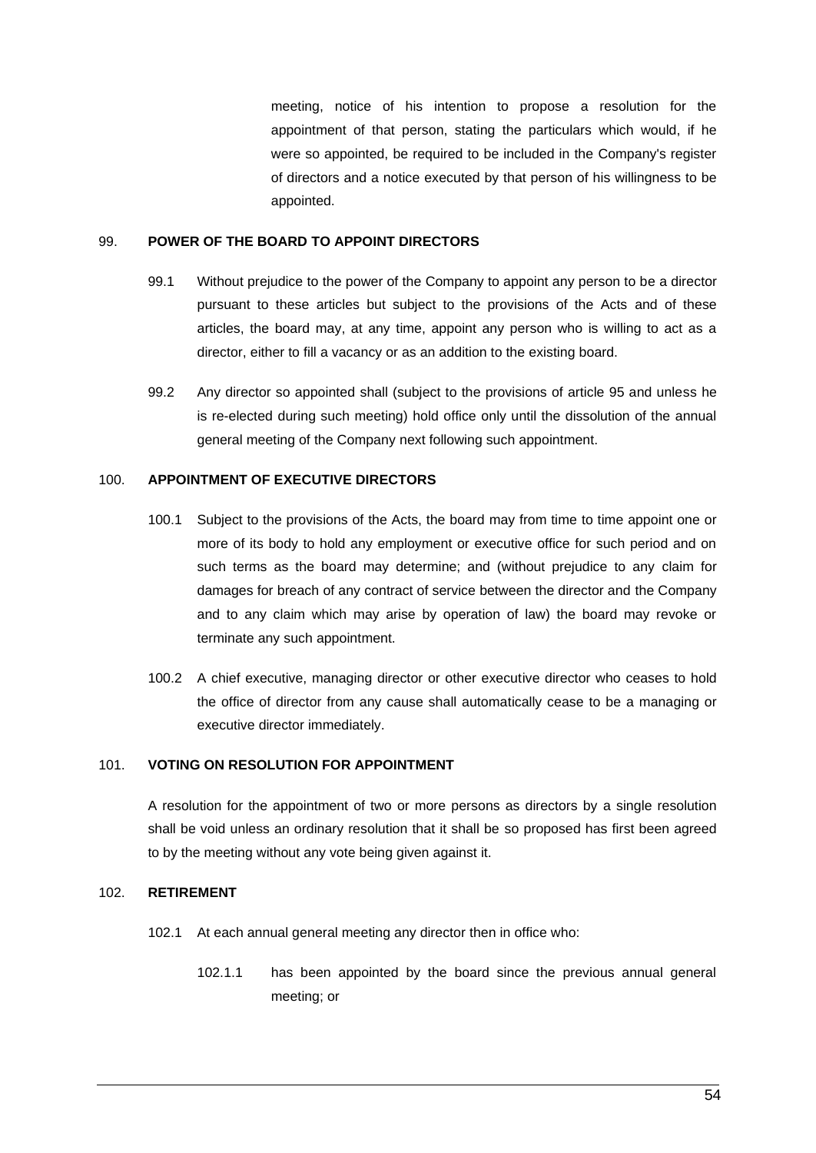meeting, notice of his intention to propose a resolution for the appointment of that person, stating the particulars which would, if he were so appointed, be required to be included in the Company's register of directors and a notice executed by that person of his willingness to be appointed.

#### 99. **POWER OF THE BOARD TO APPOINT DIRECTORS**

- 99.1 Without prejudice to the power of the Company to appoint any person to be a director pursuant to these articles but subject to the provisions of the Acts and of these articles, the board may, at any time, appoint any person who is willing to act as a director, either to fill a vacancy or as an addition to the existing board.
- 99.2 Any director so appointed shall (subject to the provisions of article 95 and unless he is re-elected during such meeting) hold office only until the dissolution of the annual general meeting of the Company next following such appointment.

# 100. **APPOINTMENT OF EXECUTIVE DIRECTORS**

- 100.1 Subject to the provisions of the Acts, the board may from time to time appoint one or more of its body to hold any employment or executive office for such period and on such terms as the board may determine; and (without prejudice to any claim for damages for breach of any contract of service between the director and the Company and to any claim which may arise by operation of law) the board may revoke or terminate any such appointment.
- 100.2 A chief executive, managing director or other executive director who ceases to hold the office of director from any cause shall automatically cease to be a managing or executive director immediately.

## 101. **VOTING ON RESOLUTION FOR APPOINTMENT**

A resolution for the appointment of two or more persons as directors by a single resolution shall be void unless an ordinary resolution that it shall be so proposed has first been agreed to by the meeting without any vote being given against it.

## 102. **RETIREMENT**

- 102.1 At each annual general meeting any director then in office who:
	- 102.1.1 has been appointed by the board since the previous annual general meeting; or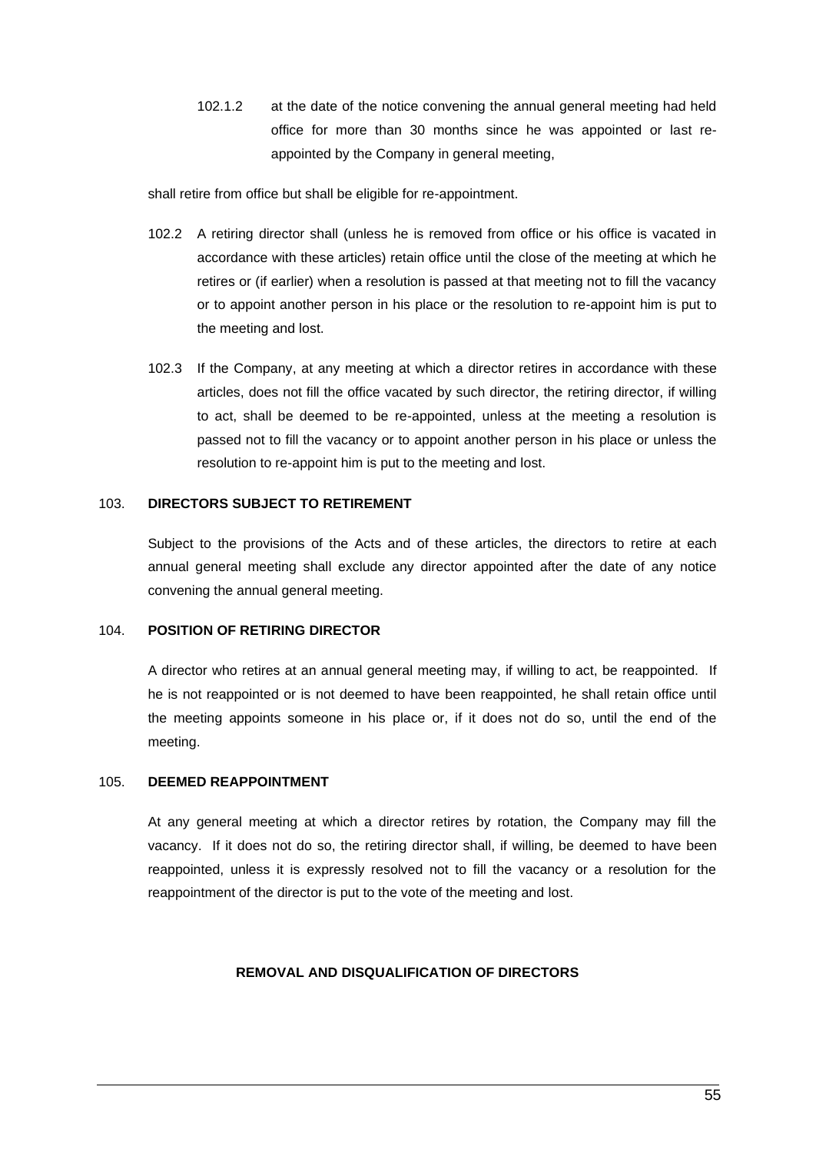102.1.2 at the date of the notice convening the annual general meeting had held office for more than 30 months since he was appointed or last reappointed by the Company in general meeting,

shall retire from office but shall be eligible for re-appointment.

- 102.2 A retiring director shall (unless he is removed from office or his office is vacated in accordance with these articles) retain office until the close of the meeting at which he retires or (if earlier) when a resolution is passed at that meeting not to fill the vacancy or to appoint another person in his place or the resolution to re-appoint him is put to the meeting and lost.
- 102.3 If the Company, at any meeting at which a director retires in accordance with these articles, does not fill the office vacated by such director, the retiring director, if willing to act, shall be deemed to be re-appointed, unless at the meeting a resolution is passed not to fill the vacancy or to appoint another person in his place or unless the resolution to re-appoint him is put to the meeting and lost.

## 103. **DIRECTORS SUBJECT TO RETIREMENT**

Subject to the provisions of the Acts and of these articles, the directors to retire at each annual general meeting shall exclude any director appointed after the date of any notice convening the annual general meeting.

#### 104. **POSITION OF RETIRING DIRECTOR**

A director who retires at an annual general meeting may, if willing to act, be reappointed. If he is not reappointed or is not deemed to have been reappointed, he shall retain office until the meeting appoints someone in his place or, if it does not do so, until the end of the meeting.

## 105. **DEEMED REAPPOINTMENT**

At any general meeting at which a director retires by rotation, the Company may fill the vacancy. If it does not do so, the retiring director shall, if willing, be deemed to have been reappointed, unless it is expressly resolved not to fill the vacancy or a resolution for the reappointment of the director is put to the vote of the meeting and lost.

#### **REMOVAL AND DISQUALIFICATION OF DIRECTORS**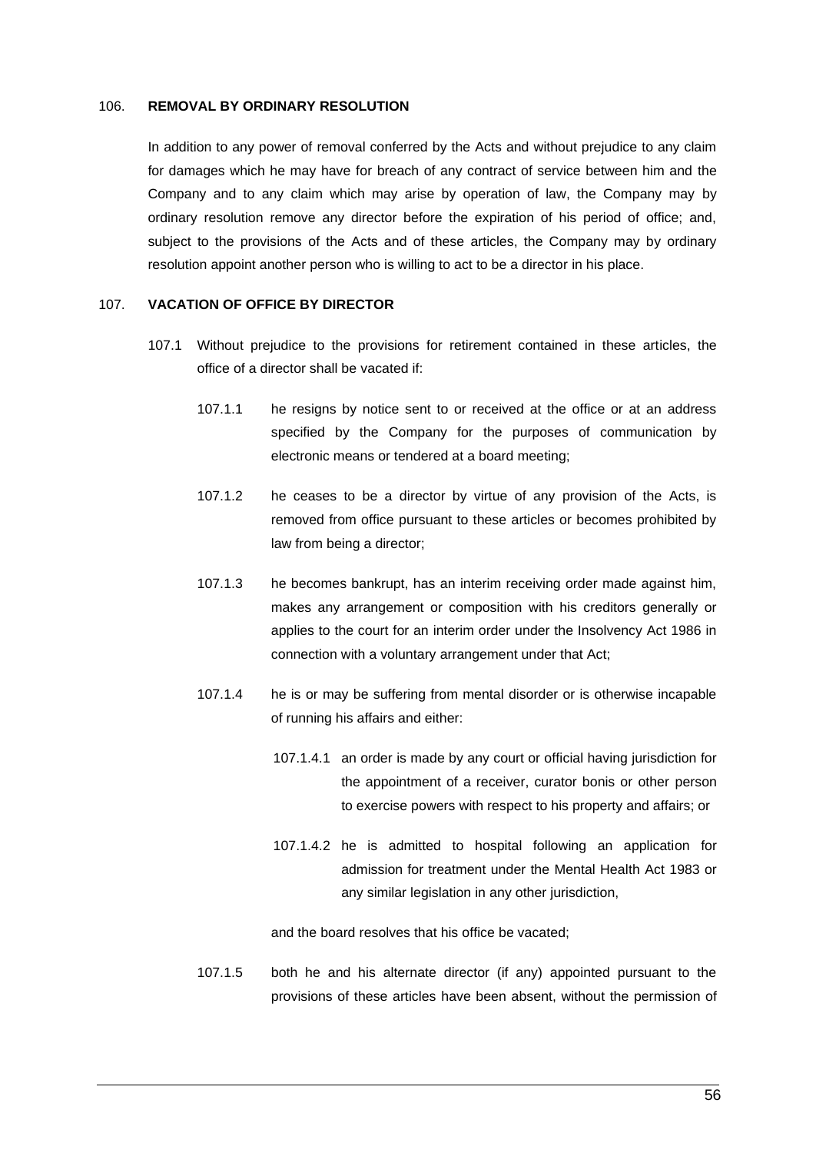#### 106. **REMOVAL BY ORDINARY RESOLUTION**

In addition to any power of removal conferred by the Acts and without prejudice to any claim for damages which he may have for breach of any contract of service between him and the Company and to any claim which may arise by operation of law, the Company may by ordinary resolution remove any director before the expiration of his period of office; and, subject to the provisions of the Acts and of these articles, the Company may by ordinary resolution appoint another person who is willing to act to be a director in his place.

#### 107. **VACATION OF OFFICE BY DIRECTOR**

- 107.1 Without prejudice to the provisions for retirement contained in these articles, the office of a director shall be vacated if:
	- 107.1.1 he resigns by notice sent to or received at the office or at an address specified by the Company for the purposes of communication by electronic means or tendered at a board meeting;
	- 107.1.2 he ceases to be a director by virtue of any provision of the Acts, is removed from office pursuant to these articles or becomes prohibited by law from being a director;
	- 107.1.3 he becomes bankrupt, has an interim receiving order made against him, makes any arrangement or composition with his creditors generally or applies to the court for an interim order under the Insolvency Act 1986 in connection with a voluntary arrangement under that Act;
	- 107.1.4 he is or may be suffering from mental disorder or is otherwise incapable of running his affairs and either:
		- 107.1.4.1 an order is made by any court or official having jurisdiction for the appointment of a receiver, curator bonis or other person to exercise powers with respect to his property and affairs; or
		- 107.1.4.2 he is admitted to hospital following an application for admission for treatment under the Mental Health Act 1983 or any similar legislation in any other jurisdiction,

and the board resolves that his office be vacated;

107.1.5 both he and his alternate director (if any) appointed pursuant to the provisions of these articles have been absent, without the permission of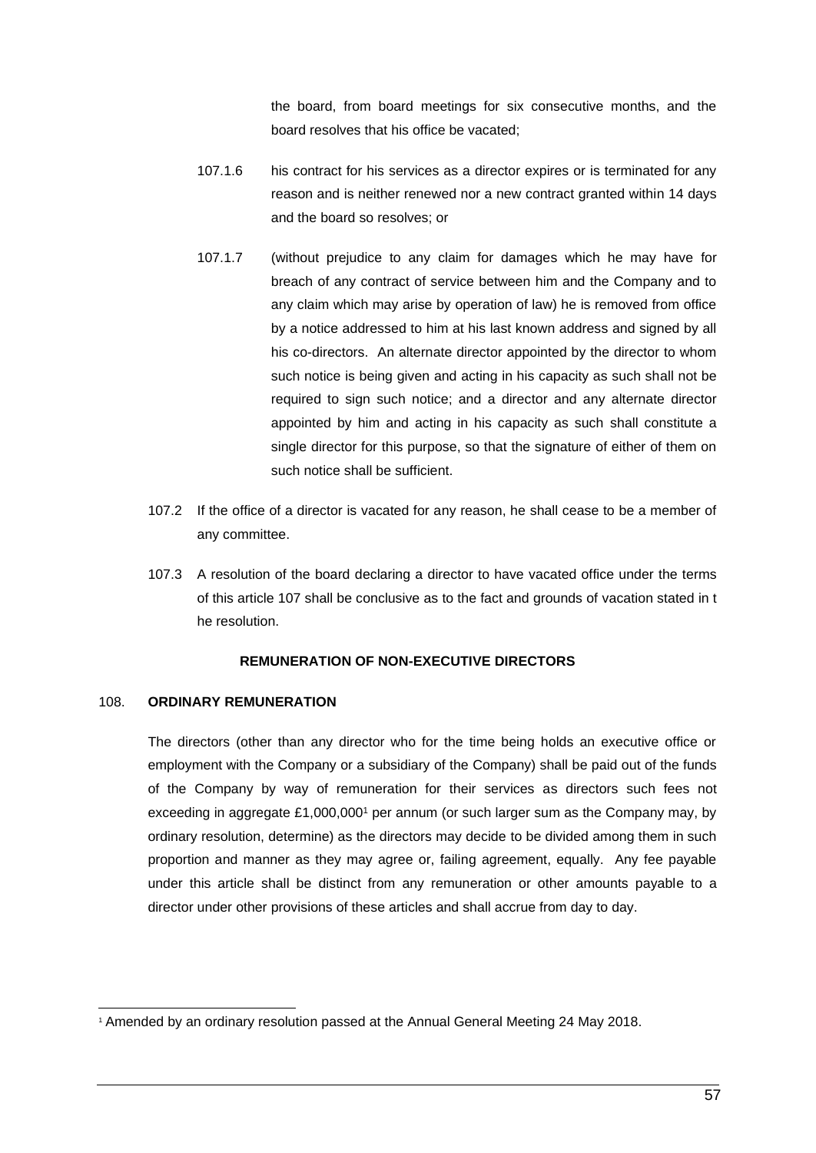the board, from board meetings for six consecutive months, and the board resolves that his office be vacated;

- 107.1.6 his contract for his services as a director expires or is terminated for any reason and is neither renewed nor a new contract granted within 14 days and the board so resolves; or
- 107.1.7 (without prejudice to any claim for damages which he may have for breach of any contract of service between him and the Company and to any claim which may arise by operation of law) he is removed from office by a notice addressed to him at his last known address and signed by all his co-directors. An alternate director appointed by the director to whom such notice is being given and acting in his capacity as such shall not be required to sign such notice; and a director and any alternate director appointed by him and acting in his capacity as such shall constitute a single director for this purpose, so that the signature of either of them on such notice shall be sufficient.
- 107.2 If the office of a director is vacated for any reason, he shall cease to be a member of any committee.
- 107.3 A resolution of the board declaring a director to have vacated office under the terms of this article 107 shall be conclusive as to the fact and grounds of vacation stated in t he resolution.

## **REMUNERATION OF NON-EXECUTIVE DIRECTORS**

#### 108. **ORDINARY REMUNERATION**

The directors (other than any director who for the time being holds an executive office or employment with the Company or a subsidiary of the Company) shall be paid out of the funds of the Company by way of remuneration for their services as directors such fees not exceeding in aggregate  $£1,000,000$ <sup>1</sup> per annum (or such larger sum as the Company may, by ordinary resolution, determine) as the directors may decide to be divided among them in such proportion and manner as they may agree or, failing agreement, equally. Any fee payable under this article shall be distinct from any remuneration or other amounts payable to a director under other provisions of these articles and shall accrue from day to day.

<sup>1</sup> Amended by an ordinary resolution passed at the Annual General Meeting 24 May 2018.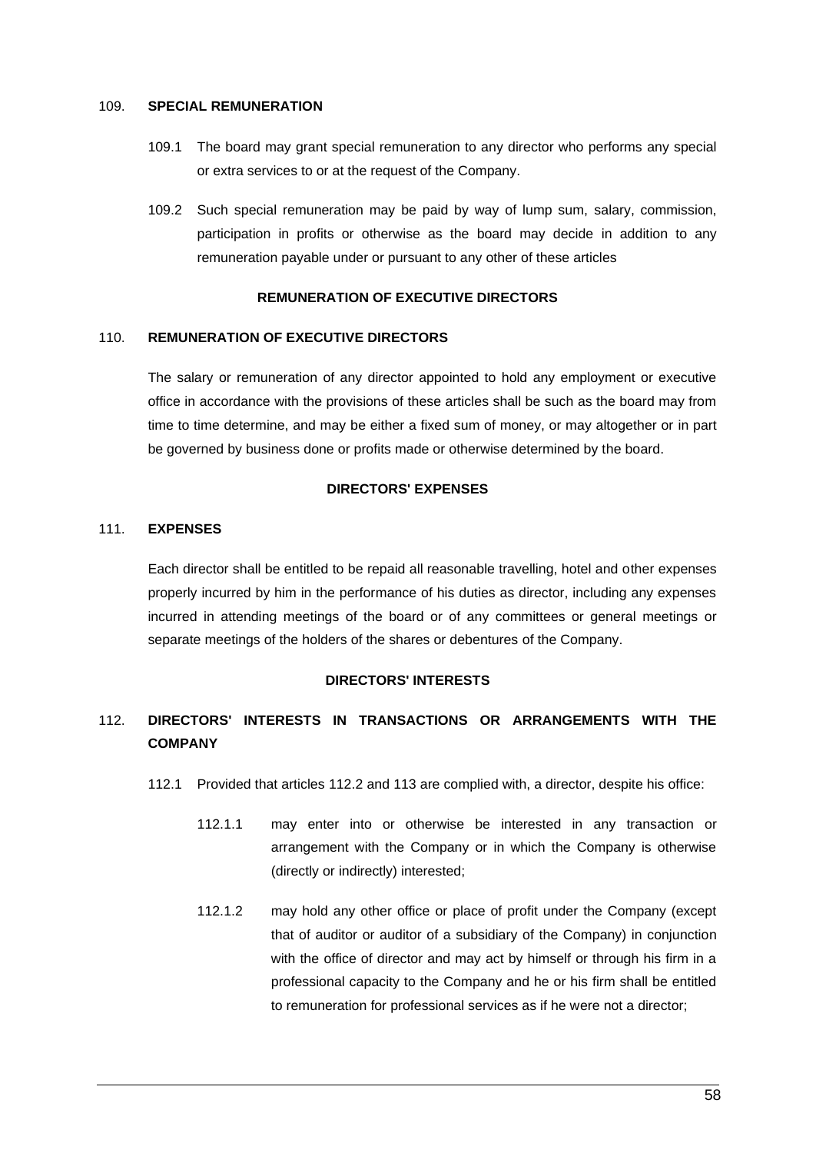#### 109. **SPECIAL REMUNERATION**

- 109.1 The board may grant special remuneration to any director who performs any special or extra services to or at the request of the Company.
- 109.2 Such special remuneration may be paid by way of lump sum, salary, commission, participation in profits or otherwise as the board may decide in addition to any remuneration payable under or pursuant to any other of these articles

## **REMUNERATION OF EXECUTIVE DIRECTORS**

#### 110. **REMUNERATION OF EXECUTIVE DIRECTORS**

The salary or remuneration of any director appointed to hold any employment or executive office in accordance with the provisions of these articles shall be such as the board may from time to time determine, and may be either a fixed sum of money, or may altogether or in part be governed by business done or profits made or otherwise determined by the board.

#### **DIRECTORS' EXPENSES**

#### 111. **EXPENSES**

Each director shall be entitled to be repaid all reasonable travelling, hotel and other expenses properly incurred by him in the performance of his duties as director, including any expenses incurred in attending meetings of the board or of any committees or general meetings or separate meetings of the holders of the shares or debentures of the Company.

#### **DIRECTORS' INTERESTS**

# <span id="page-66-0"></span>112. **DIRECTORS' INTERESTS IN TRANSACTIONS OR ARRANGEMENTS WITH THE COMPANY**

- 112.1 Provided that articles [112.2](#page-67-0) and [113](#page-69-0) are complied with, a director, despite his office:
	- 112.1.1 may enter into or otherwise be interested in any transaction or arrangement with the Company or in which the Company is otherwise (directly or indirectly) interested;
	- 112.1.2 may hold any other office or place of profit under the Company (except that of auditor or auditor of a subsidiary of the Company) in conjunction with the office of director and may act by himself or through his firm in a professional capacity to the Company and he or his firm shall be entitled to remuneration for professional services as if he were not a director;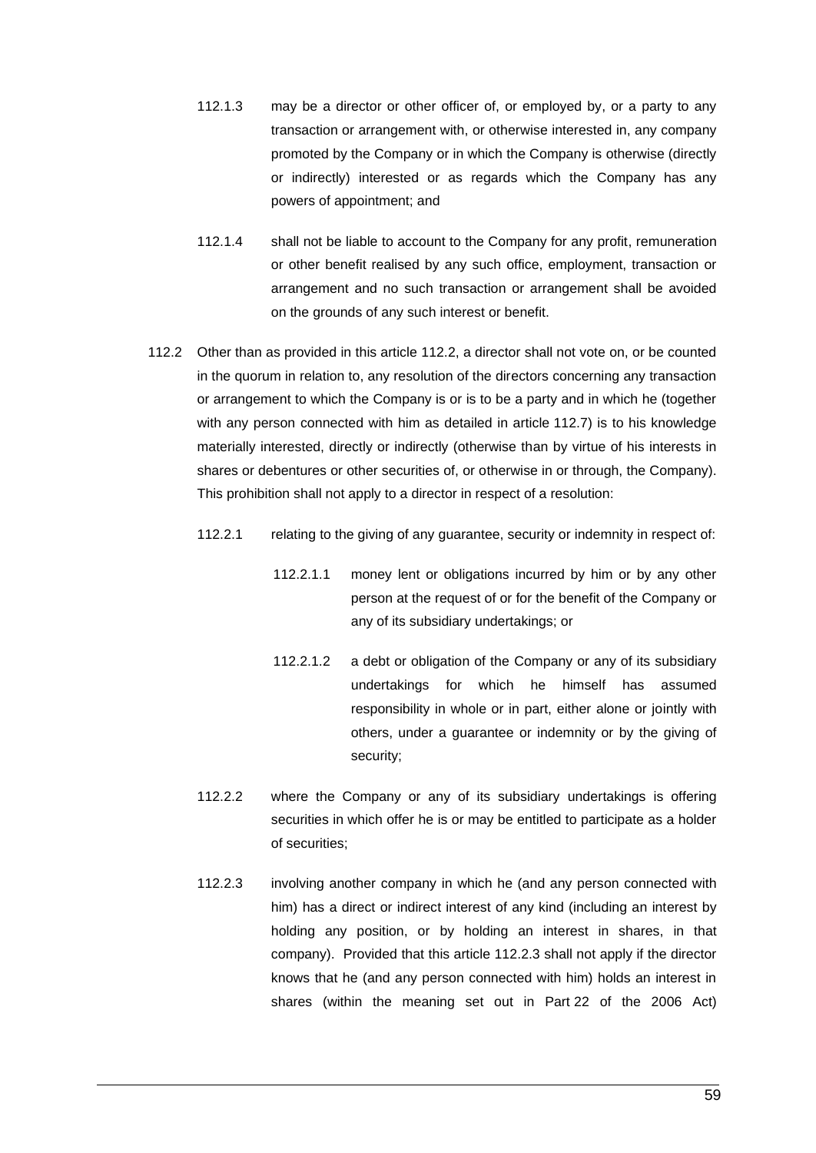- 112.1.3 may be a director or other officer of, or employed by, or a party to any transaction or arrangement with, or otherwise interested in, any company promoted by the Company or in which the Company is otherwise (directly or indirectly) interested or as regards which the Company has any powers of appointment; and
- 112.1.4 shall not be liable to account to the Company for any profit, remuneration or other benefit realised by any such office, employment, transaction or arrangement and no such transaction or arrangement shall be avoided on the grounds of any such interest or benefit.
- <span id="page-67-1"></span><span id="page-67-0"></span>112.2 Other than as provided in this article [112.2,](#page-67-0) a director shall not vote on, or be counted in the quorum in relation to, any resolution of the directors concerning any transaction or arrangement to which the Company is or is to be a party and in which he (together with any person connected with him as detailed in article [112.7\)](#page-69-1) is to his knowledge materially interested, directly or indirectly (otherwise than by virtue of his interests in shares or debentures or other securities of, or otherwise in or through, the Company). This prohibition shall not apply to a director in respect of a resolution:
	- 112.2.1 relating to the giving of any guarantee, security or indemnity in respect of:
		- 112.2.1.1 money lent or obligations incurred by him or by any other person at the request of or for the benefit of the Company or any of its subsidiary undertakings; or
		- 112.2.1.2 a debt or obligation of the Company or any of its subsidiary undertakings for which he himself has assumed responsibility in whole or in part, either alone or jointly with others, under a guarantee or indemnity or by the giving of security;
	- 112.2.2 where the Company or any of its subsidiary undertakings is offering securities in which offer he is or may be entitled to participate as a holder of securities;
	- 112.2.3 involving another company in which he (and any person connected with him) has a direct or indirect interest of any kind (including an interest by holding any position, or by holding an interest in shares, in that company). Provided that this article [112.2.3](#page-67-1) shall not apply if the director knows that he (and any person connected with him) holds an interest in shares (within the meaning set out in Part 22 of the 2006 Act)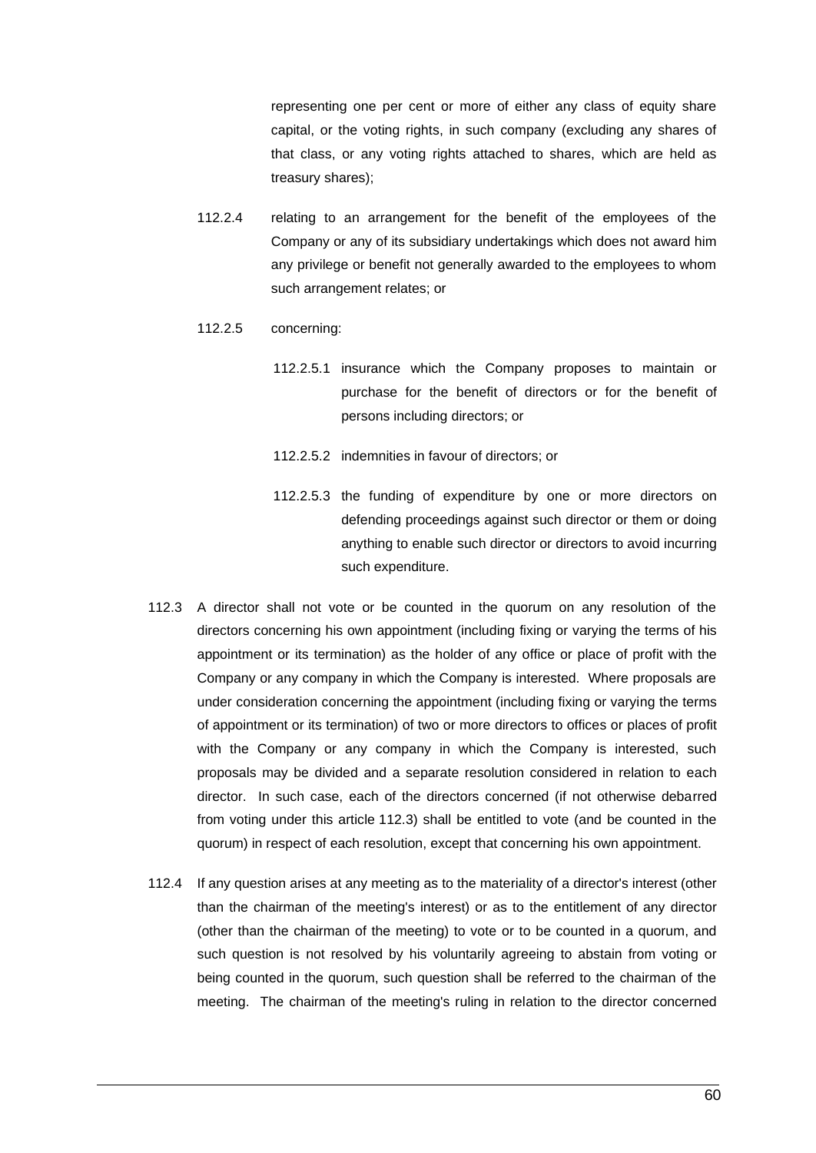representing one per cent or more of either any class of equity share capital, or the voting rights, in such company (excluding any shares of that class, or any voting rights attached to shares, which are held as treasury shares);

112.2.4 relating to an arrangement for the benefit of the employees of the Company or any of its subsidiary undertakings which does not award him any privilege or benefit not generally awarded to the employees to whom such arrangement relates; or

#### 112.2.5 concerning:

- 112.2.5.1 insurance which the Company proposes to maintain or purchase for the benefit of directors or for the benefit of persons including directors; or
- 112.2.5.2 indemnities in favour of directors; or
- 112.2.5.3 the funding of expenditure by one or more directors on defending proceedings against such director or them or doing anything to enable such director or directors to avoid incurring such expenditure.
- <span id="page-68-0"></span>112.3 A director shall not vote or be counted in the quorum on any resolution of the directors concerning his own appointment (including fixing or varying the terms of his appointment or its termination) as the holder of any office or place of profit with the Company or any company in which the Company is interested. Where proposals are under consideration concerning the appointment (including fixing or varying the terms of appointment or its termination) of two or more directors to offices or places of profit with the Company or any company in which the Company is interested, such proposals may be divided and a separate resolution considered in relation to each director. In such case, each of the directors concerned (if not otherwise debarred from voting under this article [112.3\)](#page-68-0) shall be entitled to vote (and be counted in the quorum) in respect of each resolution, except that concerning his own appointment.
- 112.4 If any question arises at any meeting as to the materiality of a director's interest (other than the chairman of the meeting's interest) or as to the entitlement of any director (other than the chairman of the meeting) to vote or to be counted in a quorum, and such question is not resolved by his voluntarily agreeing to abstain from voting or being counted in the quorum, such question shall be referred to the chairman of the meeting. The chairman of the meeting's ruling in relation to the director concerned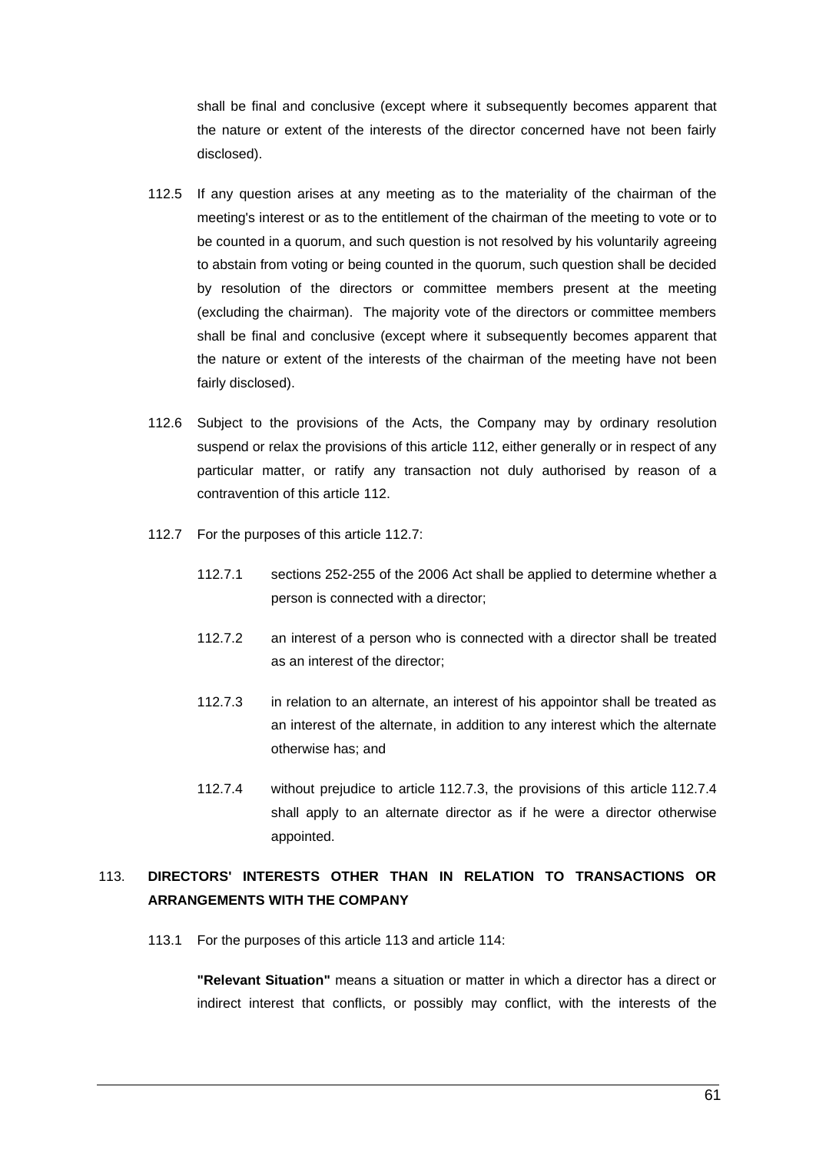shall be final and conclusive (except where it subsequently becomes apparent that the nature or extent of the interests of the director concerned have not been fairly disclosed).

- 112.5 If any question arises at any meeting as to the materiality of the chairman of the meeting's interest or as to the entitlement of the chairman of the meeting to vote or to be counted in a quorum, and such question is not resolved by his voluntarily agreeing to abstain from voting or being counted in the quorum, such question shall be decided by resolution of the directors or committee members present at the meeting (excluding the chairman). The majority vote of the directors or committee members shall be final and conclusive (except where it subsequently becomes apparent that the nature or extent of the interests of the chairman of the meeting have not been fairly disclosed).
- 112.6 Subject to the provisions of the Acts, the Company may by ordinary resolution suspend or relax the provisions of this article [112,](#page-66-0) either generally or in respect of any particular matter, or ratify any transaction not duly authorised by reason of a contravention of this article [112.](#page-66-0)
- <span id="page-69-1"></span>112.7 For the purposes of this article [112.7:](#page-69-1)
	- 112.7.1 sections 252-255 of the 2006 Act shall be applied to determine whether a person is connected with a director;
	- 112.7.2 an interest of a person who is connected with a director shall be treated as an interest of the director;
	- 112.7.3 in relation to an alternate, an interest of his appointor shall be treated as an interest of the alternate, in addition to any interest which the alternate otherwise has; and
	- 112.7.4 without prejudice to article [112.7.3,](#page-69-2) the provisions of this article [112.7.4](#page-69-3) shall apply to an alternate director as if he were a director otherwise appointed.

# <span id="page-69-3"></span><span id="page-69-2"></span><span id="page-69-0"></span>113. **DIRECTORS' INTERESTS OTHER THAN IN RELATION TO TRANSACTIONS OR ARRANGEMENTS WITH THE COMPANY**

113.1 For the purposes of this article [113](#page-69-0) and article [114:](#page-71-0)

**"Relevant Situation"** means a situation or matter in which a director has a direct or indirect interest that conflicts, or possibly may conflict, with the interests of the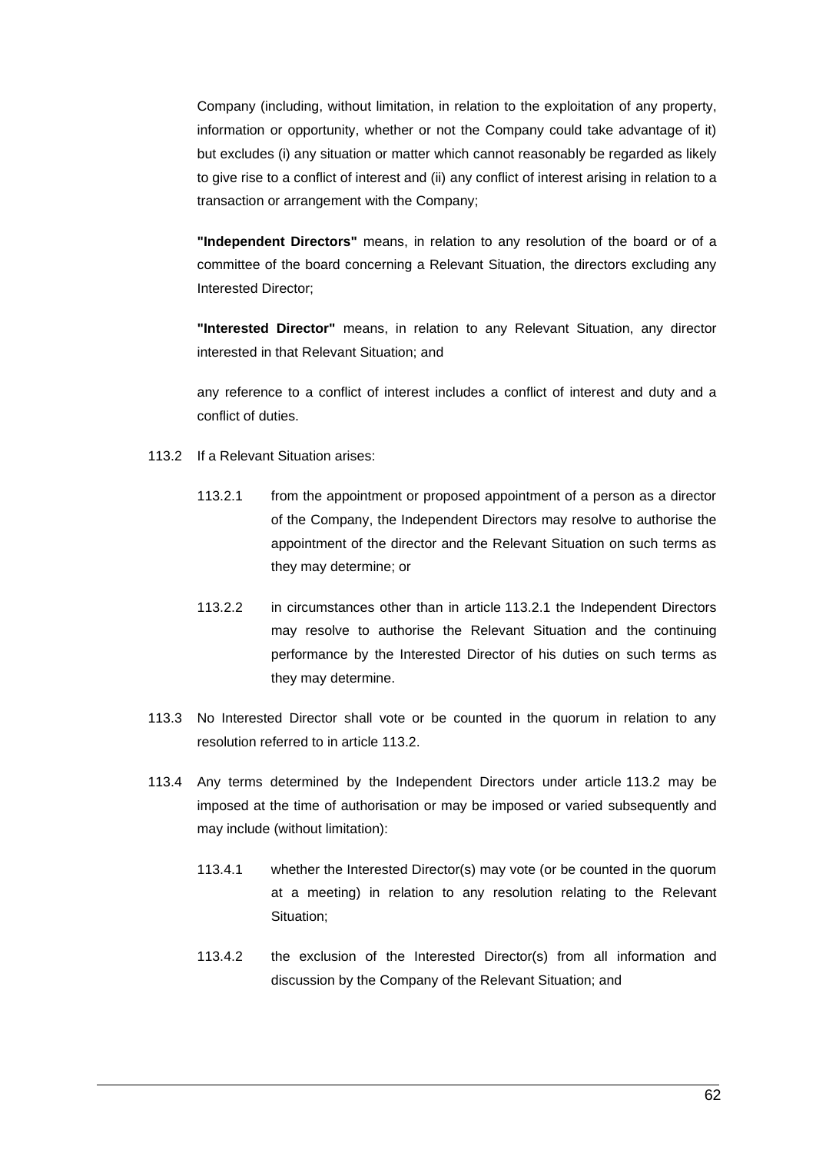Company (including, without limitation, in relation to the exploitation of any property, information or opportunity, whether or not the Company could take advantage of it) but excludes (i) any situation or matter which cannot reasonably be regarded as likely to give rise to a conflict of interest and (ii) any conflict of interest arising in relation to a transaction or arrangement with the Company;

**"Independent Directors"** means, in relation to any resolution of the board or of a committee of the board concerning a Relevant Situation, the directors excluding any Interested Director;

**"Interested Director"** means, in relation to any Relevant Situation, any director interested in that Relevant Situation; and

any reference to a conflict of interest includes a conflict of interest and duty and a conflict of duties.

- <span id="page-70-1"></span><span id="page-70-0"></span>113.2 If a Relevant Situation arises:
	- 113.2.1 from the appointment or proposed appointment of a person as a director of the Company, the Independent Directors may resolve to authorise the appointment of the director and the Relevant Situation on such terms as they may determine; or
	- 113.2.2 in circumstances other than in article [113.2.1](#page-70-0) the Independent Directors may resolve to authorise the Relevant Situation and the continuing performance by the Interested Director of his duties on such terms as they may determine.
- 113.3 No Interested Director shall vote or be counted in the quorum in relation to any resolution referred to in article [113.2.](#page-70-1)
- 113.4 Any terms determined by the Independent Directors under article [113.2](#page-70-1) may be imposed at the time of authorisation or may be imposed or varied subsequently and may include (without limitation):
	- 113.4.1 whether the Interested Director(s) may vote (or be counted in the quorum at a meeting) in relation to any resolution relating to the Relevant Situation;
	- 113.4.2 the exclusion of the Interested Director(s) from all information and discussion by the Company of the Relevant Situation; and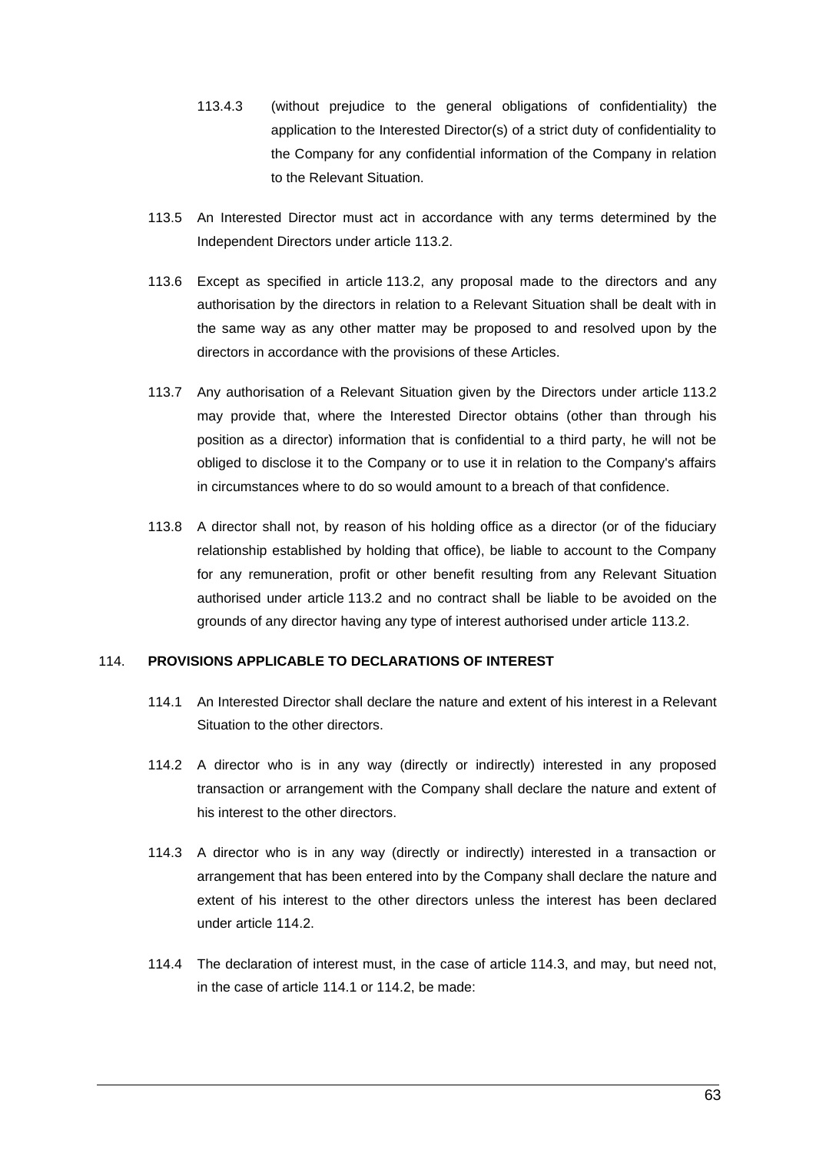- 113.4.3 (without prejudice to the general obligations of confidentiality) the application to the Interested Director(s) of a strict duty of confidentiality to the Company for any confidential information of the Company in relation to the Relevant Situation.
- 113.5 An Interested Director must act in accordance with any terms determined by the Independent Directors under article [113.2.](#page-70-1)
- 113.6 Except as specified in article [113.2,](#page-70-1) any proposal made to the directors and any authorisation by the directors in relation to a Relevant Situation shall be dealt with in the same way as any other matter may be proposed to and resolved upon by the directors in accordance with the provisions of these Articles.
- 113.7 Any authorisation of a Relevant Situation given by the Directors under article [113.2](#page-70-1) may provide that, where the Interested Director obtains (other than through his position as a director) information that is confidential to a third party, he will not be obliged to disclose it to the Company or to use it in relation to the Company's affairs in circumstances where to do so would amount to a breach of that confidence.
- 113.8 A director shall not, by reason of his holding office as a director (or of the fiduciary relationship established by holding that office), be liable to account to the Company for any remuneration, profit or other benefit resulting from any Relevant Situation authorised under article [113.2](#page-70-1) and no contract shall be liable to be avoided on the grounds of any director having any type of interest authorised under article [113.2.](#page-70-1)

## <span id="page-71-3"></span><span id="page-71-0"></span>114. **PROVISIONS APPLICABLE TO DECLARATIONS OF INTEREST**

- 114.1 An Interested Director shall declare the nature and extent of his interest in a Relevant Situation to the other directors.
- <span id="page-71-1"></span>114.2 A director who is in any way (directly or indirectly) interested in any proposed transaction or arrangement with the Company shall declare the nature and extent of his interest to the other directors.
- <span id="page-71-2"></span>114.3 A director who is in any way (directly or indirectly) interested in a transaction or arrangement that has been entered into by the Company shall declare the nature and extent of his interest to the other directors unless the interest has been declared under article [114.2.](#page-71-1)
- 114.4 The declaration of interest must, in the case of article [114.3,](#page-71-2) and may, but need not, in the case of article [114.1](#page-71-3) or [114.2,](#page-71-1) be made: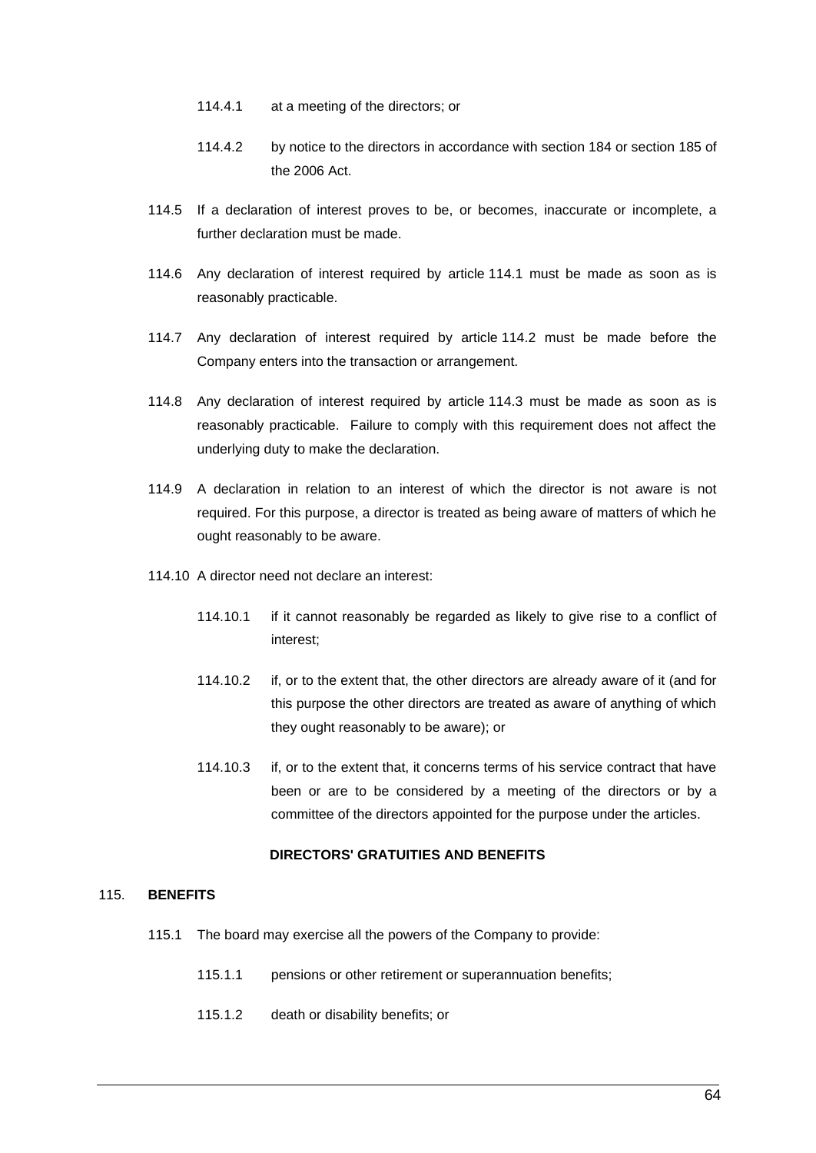- 114.4.1 at a meeting of the directors; or
- 114.4.2 by notice to the directors in accordance with section 184 or section 185 of the 2006 Act.
- 114.5 If a declaration of interest proves to be, or becomes, inaccurate or incomplete, a further declaration must be made.
- 114.6 Any declaration of interest required by article [114.1](#page-71-0) must be made as soon as is reasonably practicable.
- 114.7 Any declaration of interest required by article [114.2](#page-71-1) must be made before the Company enters into the transaction or arrangement.
- 114.8 Any declaration of interest required by article [114.3](#page-71-2) must be made as soon as is reasonably practicable. Failure to comply with this requirement does not affect the underlying duty to make the declaration.
- 114.9 A declaration in relation to an interest of which the director is not aware is not required. For this purpose, a director is treated as being aware of matters of which he ought reasonably to be aware.
- 114.10 A director need not declare an interest:
	- 114.10.1 if it cannot reasonably be regarded as likely to give rise to a conflict of interest;
	- 114.10.2 if, or to the extent that, the other directors are already aware of it (and for this purpose the other directors are treated as aware of anything of which they ought reasonably to be aware); or
	- 114.10.3 if, or to the extent that, it concerns terms of his service contract that have been or are to be considered by a meeting of the directors or by a committee of the directors appointed for the purpose under the articles.

# **DIRECTORS' GRATUITIES AND BENEFITS**

# <span id="page-72-0"></span>115. **BENEFITS**

- 115.1 The board may exercise all the powers of the Company to provide:
	- 115.1.1 pensions or other retirement or superannuation benefits;
	- 115.1.2 death or disability benefits; or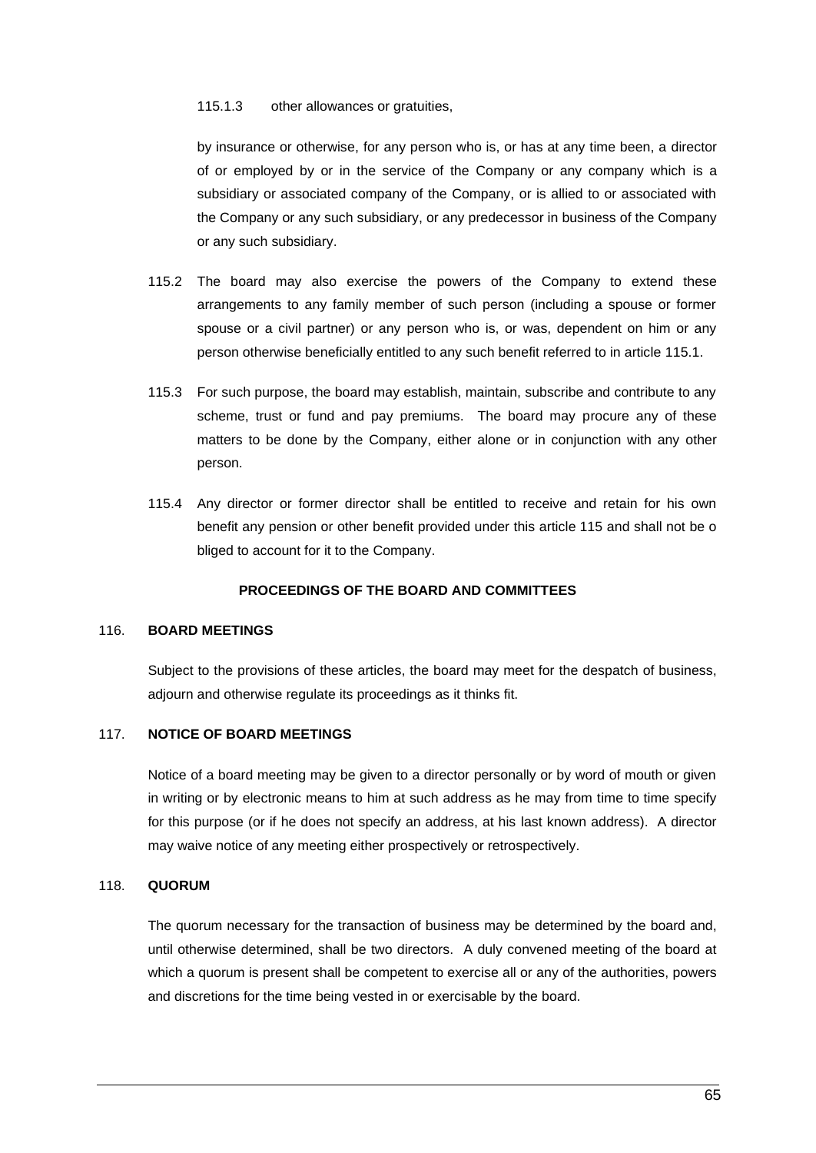#### 115.1.3 other allowances or gratuities,

by insurance or otherwise, for any person who is, or has at any time been, a director of or employed by or in the service of the Company or any company which is a subsidiary or associated company of the Company, or is allied to or associated with the Company or any such subsidiary, or any predecessor in business of the Company or any such subsidiary.

- 115.2 The board may also exercise the powers of the Company to extend these arrangements to any family member of such person (including a spouse or former spouse or a civil partner) or any person who is, or was, dependent on him or any person otherwise beneficially entitled to any such benefit referred to in article [115.1.](#page-72-0)
- 115.3 For such purpose, the board may establish, maintain, subscribe and contribute to any scheme, trust or fund and pay premiums. The board may procure any of these matters to be done by the Company, either alone or in conjunction with any other person.
- 115.4 Any director or former director shall be entitled to receive and retain for his own benefit any pension or other benefit provided under this article 115 and shall not be o bliged to account for it to the Company.

# **PROCEEDINGS OF THE BOARD AND COMMITTEES**

#### 116. **BOARD MEETINGS**

Subject to the provisions of these articles, the board may meet for the despatch of business, adjourn and otherwise regulate its proceedings as it thinks fit.

# 117. **NOTICE OF BOARD MEETINGS**

Notice of a board meeting may be given to a director personally or by word of mouth or given in writing or by electronic means to him at such address as he may from time to time specify for this purpose (or if he does not specify an address, at his last known address). A director may waive notice of any meeting either prospectively or retrospectively.

### 118. **QUORUM**

The quorum necessary for the transaction of business may be determined by the board and, until otherwise determined, shall be two directors. A duly convened meeting of the board at which a quorum is present shall be competent to exercise all or any of the authorities, powers and discretions for the time being vested in or exercisable by the board.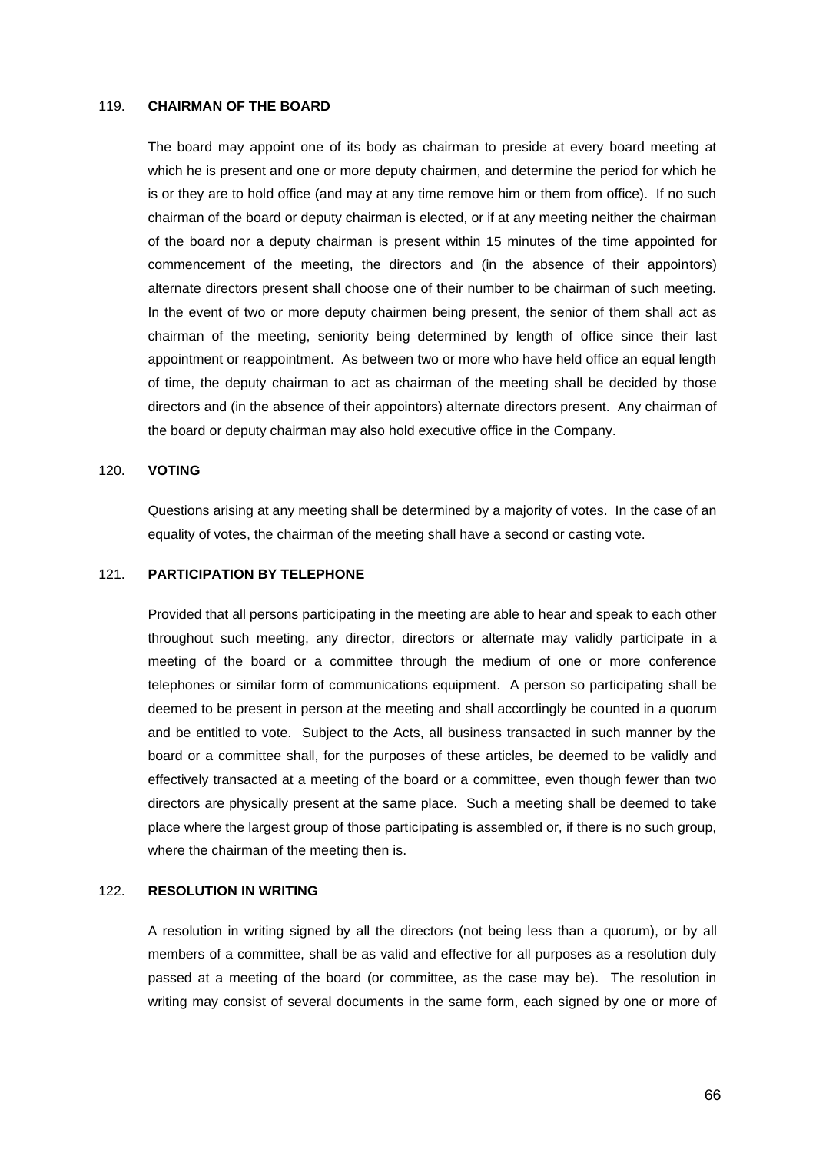#### 119. **CHAIRMAN OF THE BOARD**

The board may appoint one of its body as chairman to preside at every board meeting at which he is present and one or more deputy chairmen, and determine the period for which he is or they are to hold office (and may at any time remove him or them from office). If no such chairman of the board or deputy chairman is elected, or if at any meeting neither the chairman of the board nor a deputy chairman is present within 15 minutes of the time appointed for commencement of the meeting, the directors and (in the absence of their appointors) alternate directors present shall choose one of their number to be chairman of such meeting. In the event of two or more deputy chairmen being present, the senior of them shall act as chairman of the meeting, seniority being determined by length of office since their last appointment or reappointment. As between two or more who have held office an equal length of time, the deputy chairman to act as chairman of the meeting shall be decided by those directors and (in the absence of their appointors) alternate directors present. Any chairman of the board or deputy chairman may also hold executive office in the Company.

#### 120. **VOTING**

Questions arising at any meeting shall be determined by a majority of votes. In the case of an equality of votes, the chairman of the meeting shall have a second or casting vote.

### 121. **PARTICIPATION BY TELEPHONE**

Provided that all persons participating in the meeting are able to hear and speak to each other throughout such meeting, any director, directors or alternate may validly participate in a meeting of the board or a committee through the medium of one or more conference telephones or similar form of communications equipment. A person so participating shall be deemed to be present in person at the meeting and shall accordingly be counted in a quorum and be entitled to vote. Subject to the Acts, all business transacted in such manner by the board or a committee shall, for the purposes of these articles, be deemed to be validly and effectively transacted at a meeting of the board or a committee, even though fewer than two directors are physically present at the same place. Such a meeting shall be deemed to take place where the largest group of those participating is assembled or, if there is no such group, where the chairman of the meeting then is.

## 122. **RESOLUTION IN WRITING**

A resolution in writing signed by all the directors (not being less than a quorum), or by all members of a committee, shall be as valid and effective for all purposes as a resolution duly passed at a meeting of the board (or committee, as the case may be). The resolution in writing may consist of several documents in the same form, each signed by one or more of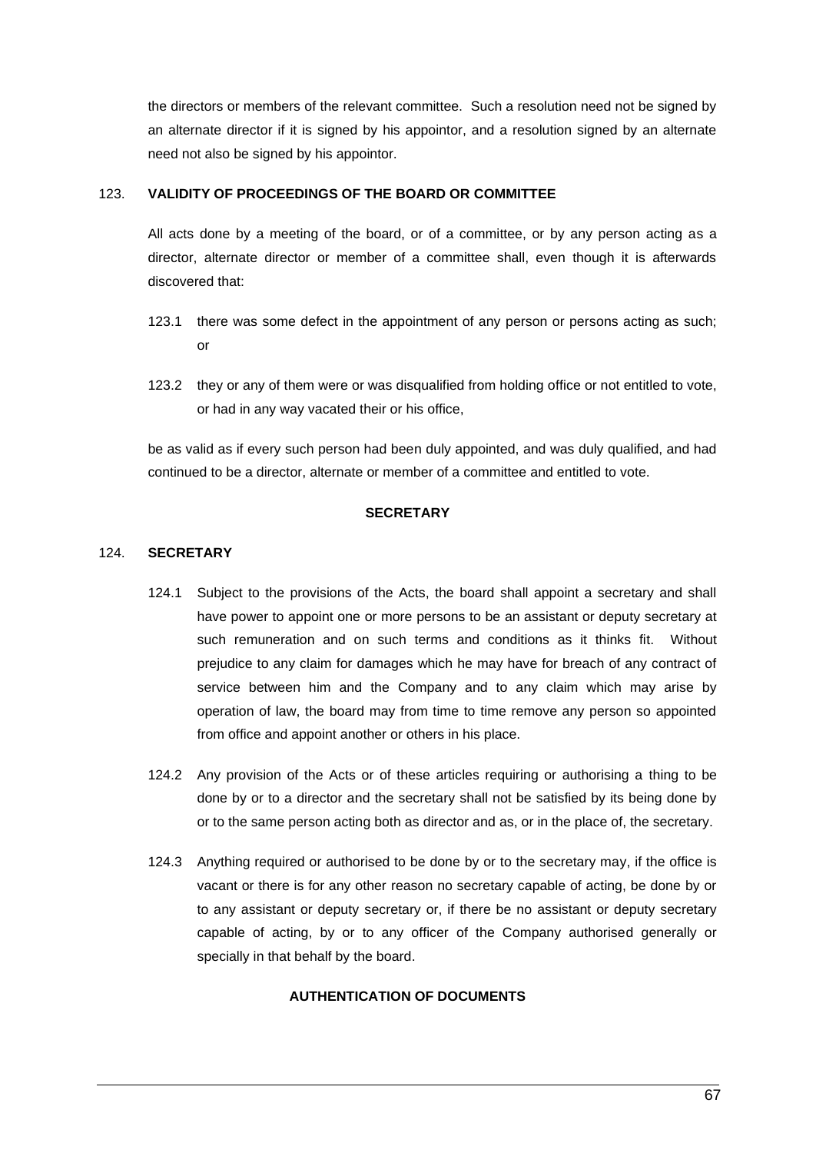the directors or members of the relevant committee. Such a resolution need not be signed by an alternate director if it is signed by his appointor, and a resolution signed by an alternate need not also be signed by his appointor.

# 123. **VALIDITY OF PROCEEDINGS OF THE BOARD OR COMMITTEE**

All acts done by a meeting of the board, or of a committee, or by any person acting as a director, alternate director or member of a committee shall, even though it is afterwards discovered that:

- 123.1 there was some defect in the appointment of any person or persons acting as such; or
- 123.2 they or any of them were or was disqualified from holding office or not entitled to vote, or had in any way vacated their or his office,

be as valid as if every such person had been duly appointed, and was duly qualified, and had continued to be a director, alternate or member of a committee and entitled to vote.

# **SECRETARY**

# 124. **SECRETARY**

- 124.1 Subject to the provisions of the Acts, the board shall appoint a secretary and shall have power to appoint one or more persons to be an assistant or deputy secretary at such remuneration and on such terms and conditions as it thinks fit. Without prejudice to any claim for damages which he may have for breach of any contract of service between him and the Company and to any claim which may arise by operation of law, the board may from time to time remove any person so appointed from office and appoint another or others in his place.
- 124.2 Any provision of the Acts or of these articles requiring or authorising a thing to be done by or to a director and the secretary shall not be satisfied by its being done by or to the same person acting both as director and as, or in the place of, the secretary.
- 124.3 Anything required or authorised to be done by or to the secretary may, if the office is vacant or there is for any other reason no secretary capable of acting, be done by or to any assistant or deputy secretary or, if there be no assistant or deputy secretary capable of acting, by or to any officer of the Company authorised generally or specially in that behalf by the board.

# **AUTHENTICATION OF DOCUMENTS**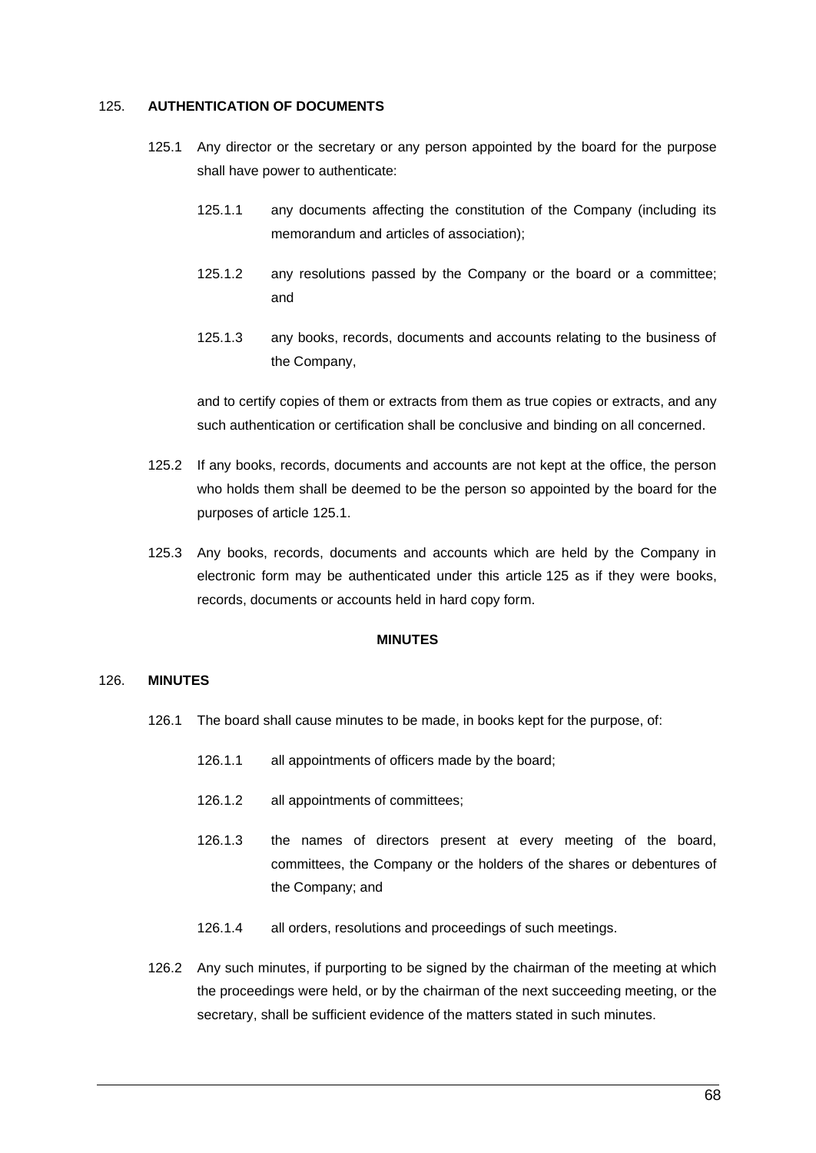#### <span id="page-76-0"></span>125. **AUTHENTICATION OF DOCUMENTS**

- 125.1 Any director or the secretary or any person appointed by the board for the purpose shall have power to authenticate:
	- 125.1.1 any documents affecting the constitution of the Company (including its memorandum and articles of association);
	- 125.1.2 any resolutions passed by the Company or the board or a committee; and
	- 125.1.3 any books, records, documents and accounts relating to the business of the Company,

and to certify copies of them or extracts from them as true copies or extracts, and any such authentication or certification shall be conclusive and binding on all concerned.

- 125.2 If any books, records, documents and accounts are not kept at the office, the person who holds them shall be deemed to be the person so appointed by the board for the purposes of article 125.1.
- 125.3 Any books, records, documents and accounts which are held by the Company in electronic form may be authenticated under this article [125](#page-76-0) as if they were books, records, documents or accounts held in hard copy form.

# **MINUTES**

# 126. **MINUTES**

- 126.1 The board shall cause minutes to be made, in books kept for the purpose, of:
	- 126.1.1 all appointments of officers made by the board;
	- 126.1.2 all appointments of committees;
	- 126.1.3 the names of directors present at every meeting of the board, committees, the Company or the holders of the shares or debentures of the Company; and
	- 126.1.4 all orders, resolutions and proceedings of such meetings.
- 126.2 Any such minutes, if purporting to be signed by the chairman of the meeting at which the proceedings were held, or by the chairman of the next succeeding meeting, or the secretary, shall be sufficient evidence of the matters stated in such minutes.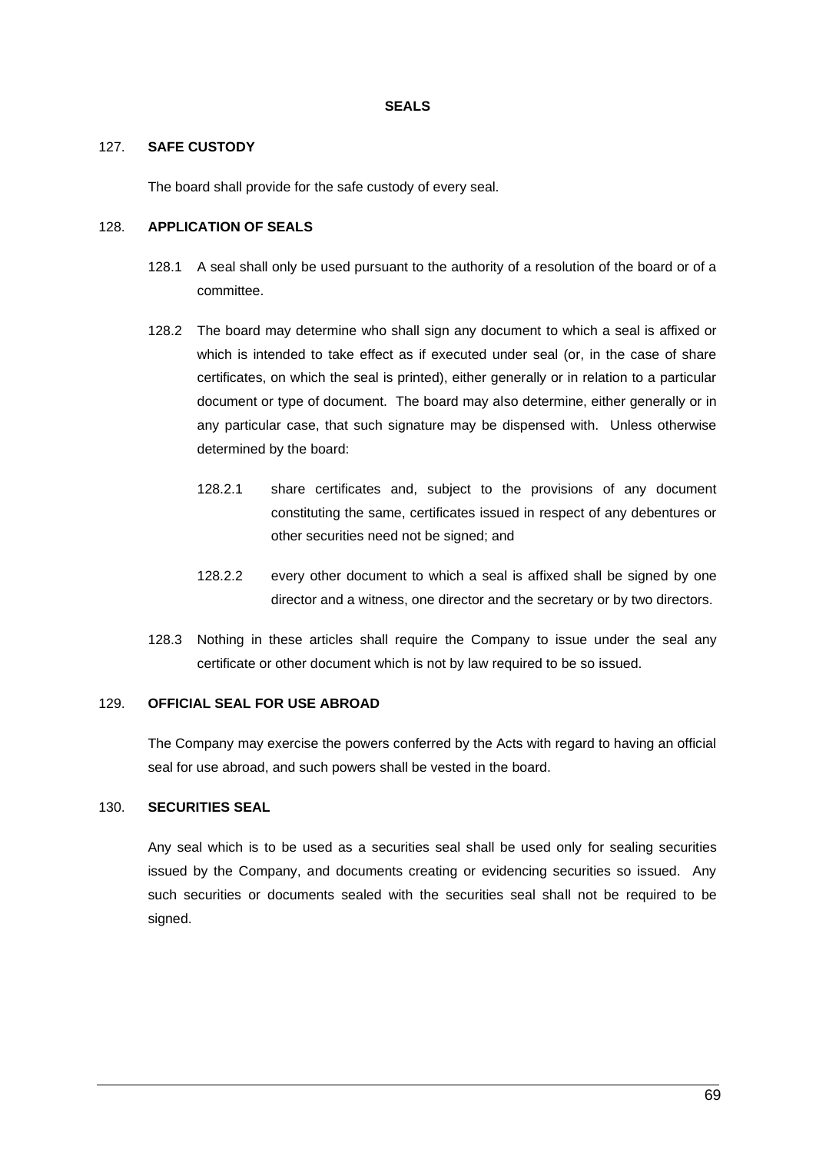## **SEALS**

## 127. **SAFE CUSTODY**

The board shall provide for the safe custody of every seal.

## 128. **APPLICATION OF SEALS**

- 128.1 A seal shall only be used pursuant to the authority of a resolution of the board or of a committee.
- 128.2 The board may determine who shall sign any document to which a seal is affixed or which is intended to take effect as if executed under seal (or, in the case of share certificates, on which the seal is printed), either generally or in relation to a particular document or type of document. The board may also determine, either generally or in any particular case, that such signature may be dispensed with. Unless otherwise determined by the board:
	- 128.2.1 share certificates and, subject to the provisions of any document constituting the same, certificates issued in respect of any debentures or other securities need not be signed; and
	- 128.2.2 every other document to which a seal is affixed shall be signed by one director and a witness, one director and the secretary or by two directors.
- 128.3 Nothing in these articles shall require the Company to issue under the seal any certificate or other document which is not by law required to be so issued.

#### 129. **OFFICIAL SEAL FOR USE ABROAD**

The Company may exercise the powers conferred by the Acts with regard to having an official seal for use abroad, and such powers shall be vested in the board.

# 130. **SECURITIES SEAL**

Any seal which is to be used as a securities seal shall be used only for sealing securities issued by the Company, and documents creating or evidencing securities so issued. Any such securities or documents sealed with the securities seal shall not be required to be signed.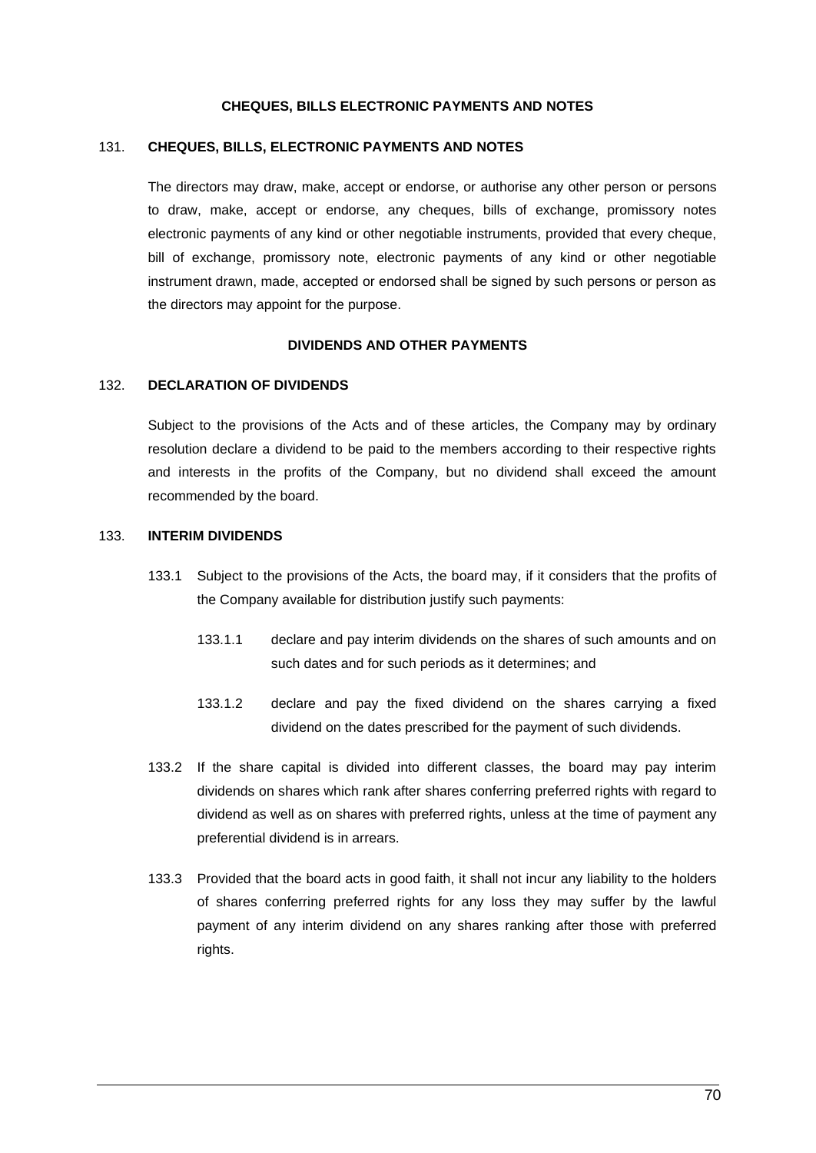### **CHEQUES, BILLS ELECTRONIC PAYMENTS AND NOTES**

#### 131. **CHEQUES, BILLS, ELECTRONIC PAYMENTS AND NOTES**

The directors may draw, make, accept or endorse, or authorise any other person or persons to draw, make, accept or endorse, any cheques, bills of exchange, promissory notes electronic payments of any kind or other negotiable instruments, provided that every cheque, bill of exchange, promissory note, electronic payments of any kind or other negotiable instrument drawn, made, accepted or endorsed shall be signed by such persons or person as the directors may appoint for the purpose.

#### **DIVIDENDS AND OTHER PAYMENTS**

## <span id="page-78-0"></span>132. **DECLARATION OF DIVIDENDS**

Subject to the provisions of the Acts and of these articles, the Company may by ordinary resolution declare a dividend to be paid to the members according to their respective rights and interests in the profits of the Company, but no dividend shall exceed the amount recommended by the board.

## 133. **INTERIM DIVIDENDS**

- 133.1 Subject to the provisions of the Acts, the board may, if it considers that the profits of the Company available for distribution justify such payments:
	- 133.1.1 declare and pay interim dividends on the shares of such amounts and on such dates and for such periods as it determines; and
	- 133.1.2 declare and pay the fixed dividend on the shares carrying a fixed dividend on the dates prescribed for the payment of such dividends.
- 133.2 If the share capital is divided into different classes, the board may pay interim dividends on shares which rank after shares conferring preferred rights with regard to dividend as well as on shares with preferred rights, unless at the time of payment any preferential dividend is in arrears.
- 133.3 Provided that the board acts in good faith, it shall not incur any liability to the holders of shares conferring preferred rights for any loss they may suffer by the lawful payment of any interim dividend on any shares ranking after those with preferred rights.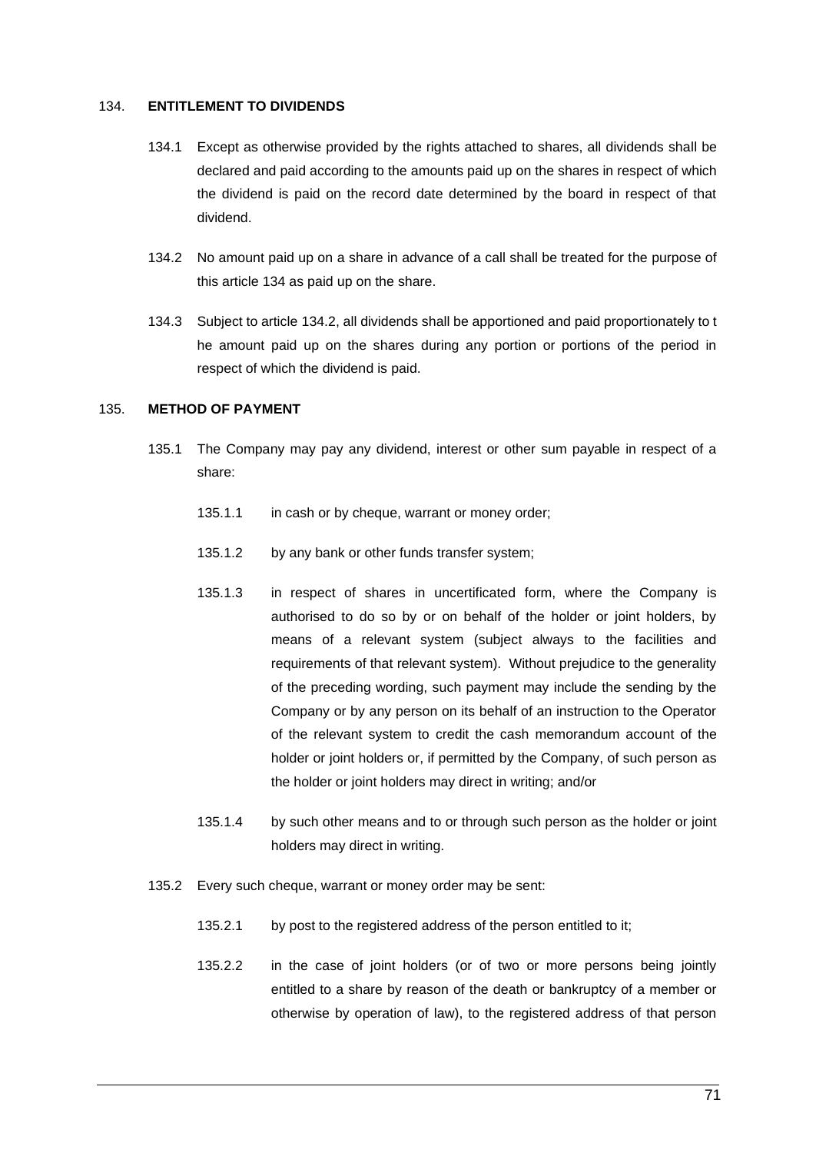## 134. **ENTITLEMENT TO DIVIDENDS**

- 134.1 Except as otherwise provided by the rights attached to shares, all dividends shall be declared and paid according to the amounts paid up on the shares in respect of which the dividend is paid on the record date determined by the board in respect of that dividend.
- 134.2 No amount paid up on a share in advance of a call shall be treated for the purpose of this article 134 as paid up on the share.
- 134.3 Subject to article 134.2, all dividends shall be apportioned and paid proportionately to t he amount paid up on the shares during any portion or portions of the period in respect of which the dividend is paid.

# 135. **METHOD OF PAYMENT**

- 135.1 The Company may pay any dividend, interest or other sum payable in respect of a share:
	- 135.1.1 in cash or by cheque, warrant or money order;
	- 135.1.2 by any bank or other funds transfer system;
	- 135.1.3 in respect of shares in uncertificated form, where the Company is authorised to do so by or on behalf of the holder or joint holders, by means of a relevant system (subject always to the facilities and requirements of that relevant system). Without prejudice to the generality of the preceding wording, such payment may include the sending by the Company or by any person on its behalf of an instruction to the Operator of the relevant system to credit the cash memorandum account of the holder or joint holders or, if permitted by the Company, of such person as the holder or joint holders may direct in writing; and/or
	- 135.1.4 by such other means and to or through such person as the holder or joint holders may direct in writing.
- 135.2 Every such cheque, warrant or money order may be sent:
	- 135.2.1 by post to the registered address of the person entitled to it;
	- 135.2.2 in the case of joint holders (or of two or more persons being jointly entitled to a share by reason of the death or bankruptcy of a member or otherwise by operation of law), to the registered address of that person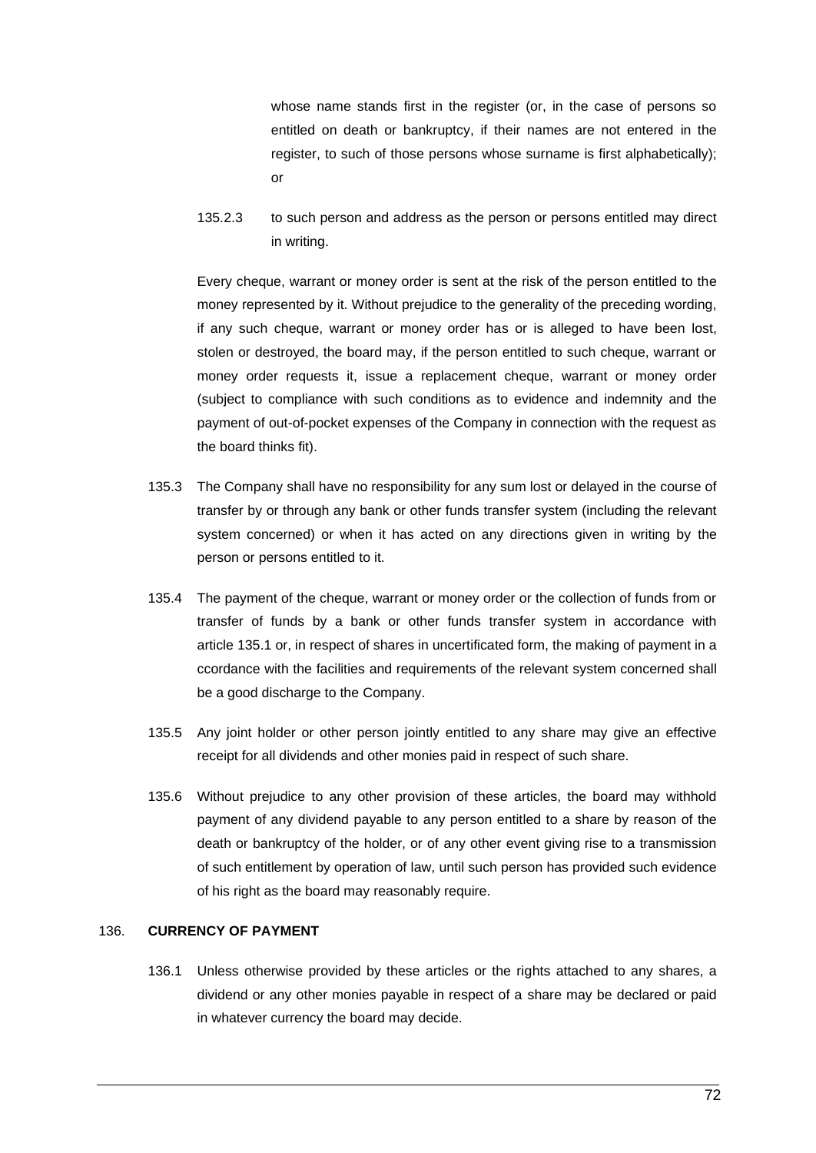whose name stands first in the register (or, in the case of persons so entitled on death or bankruptcy, if their names are not entered in the register, to such of those persons whose surname is first alphabetically); or

135.2.3 to such person and address as the person or persons entitled may direct in writing.

Every cheque, warrant or money order is sent at the risk of the person entitled to the money represented by it. Without prejudice to the generality of the preceding wording, if any such cheque, warrant or money order has or is alleged to have been lost, stolen or destroyed, the board may, if the person entitled to such cheque, warrant or money order requests it, issue a replacement cheque, warrant or money order (subject to compliance with such conditions as to evidence and indemnity and the payment of out-of-pocket expenses of the Company in connection with the request as the board thinks fit).

- 135.3 The Company shall have no responsibility for any sum lost or delayed in the course of transfer by or through any bank or other funds transfer system (including the relevant system concerned) or when it has acted on any directions given in writing by the person or persons entitled to it.
- 135.4 The payment of the cheque, warrant or money order or the collection of funds from or transfer of funds by a bank or other funds transfer system in accordance with article 135.1 or, in respect of shares in uncertificated form, the making of payment in a ccordance with the facilities and requirements of the relevant system concerned shall be a good discharge to the Company.
- 135.5 Any joint holder or other person jointly entitled to any share may give an effective receipt for all dividends and other monies paid in respect of such share.
- 135.6 Without prejudice to any other provision of these articles, the board may withhold payment of any dividend payable to any person entitled to a share by reason of the death or bankruptcy of the holder, or of any other event giving rise to a transmission of such entitlement by operation of law, until such person has provided such evidence of his right as the board may reasonably require.

# 136. **CURRENCY OF PAYMENT**

136.1 Unless otherwise provided by these articles or the rights attached to any shares, a dividend or any other monies payable in respect of a share may be declared or paid in whatever currency the board may decide.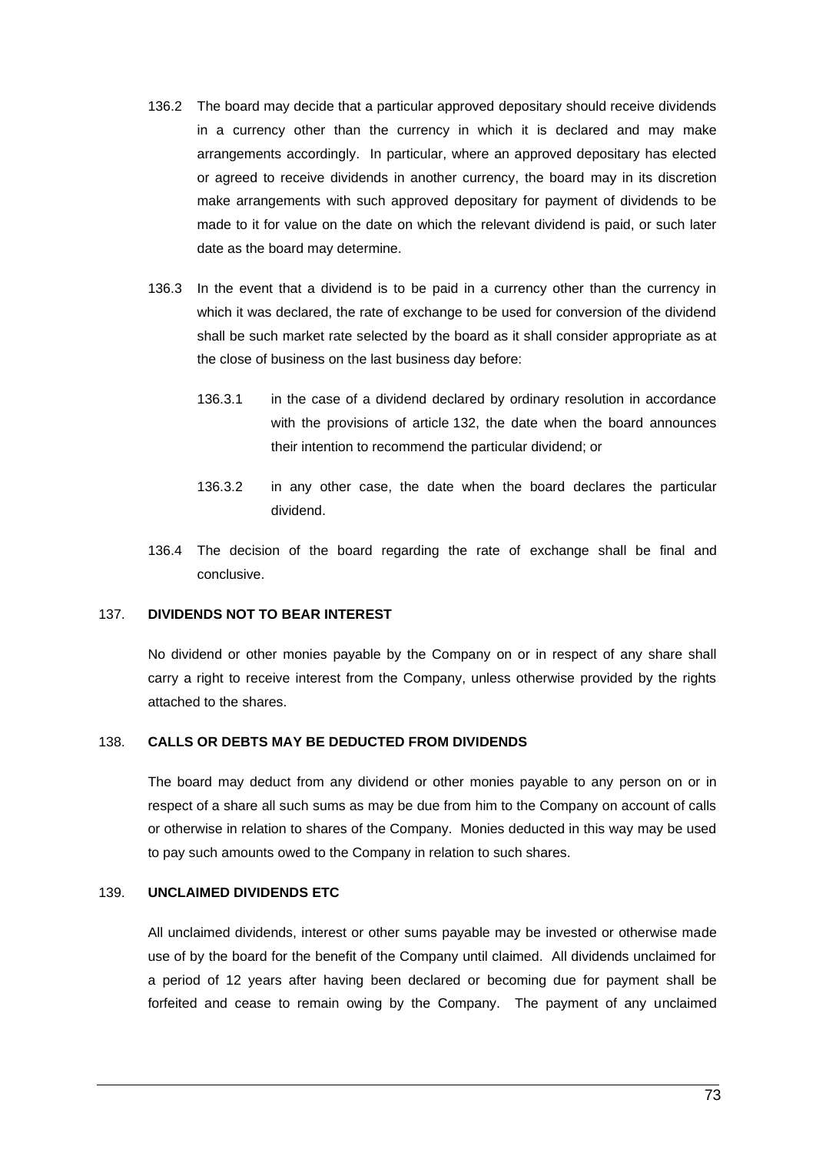- 136.2 The board may decide that a particular approved depositary should receive dividends in a currency other than the currency in which it is declared and may make arrangements accordingly. In particular, where an approved depositary has elected or agreed to receive dividends in another currency, the board may in its discretion make arrangements with such approved depositary for payment of dividends to be made to it for value on the date on which the relevant dividend is paid, or such later date as the board may determine.
- 136.3 In the event that a dividend is to be paid in a currency other than the currency in which it was declared, the rate of exchange to be used for conversion of the dividend shall be such market rate selected by the board as it shall consider appropriate as at the close of business on the last business day before:
	- 136.3.1 in the case of a dividend declared by ordinary resolution in accordance with the provisions of article [132,](#page-78-0) the date when the board announces their intention to recommend the particular dividend; or
	- 136.3.2 in any other case, the date when the board declares the particular dividend.
- 136.4 The decision of the board regarding the rate of exchange shall be final and conclusive.

# 137. **DIVIDENDS NOT TO BEAR INTEREST**

No dividend or other monies payable by the Company on or in respect of any share shall carry a right to receive interest from the Company, unless otherwise provided by the rights attached to the shares.

### 138. **CALLS OR DEBTS MAY BE DEDUCTED FROM DIVIDENDS**

The board may deduct from any dividend or other monies payable to any person on or in respect of a share all such sums as may be due from him to the Company on account of calls or otherwise in relation to shares of the Company. Monies deducted in this way may be used to pay such amounts owed to the Company in relation to such shares.

# 139. **UNCLAIMED DIVIDENDS ETC**

All unclaimed dividends, interest or other sums payable may be invested or otherwise made use of by the board for the benefit of the Company until claimed. All dividends unclaimed for a period of 12 years after having been declared or becoming due for payment shall be forfeited and cease to remain owing by the Company. The payment of any unclaimed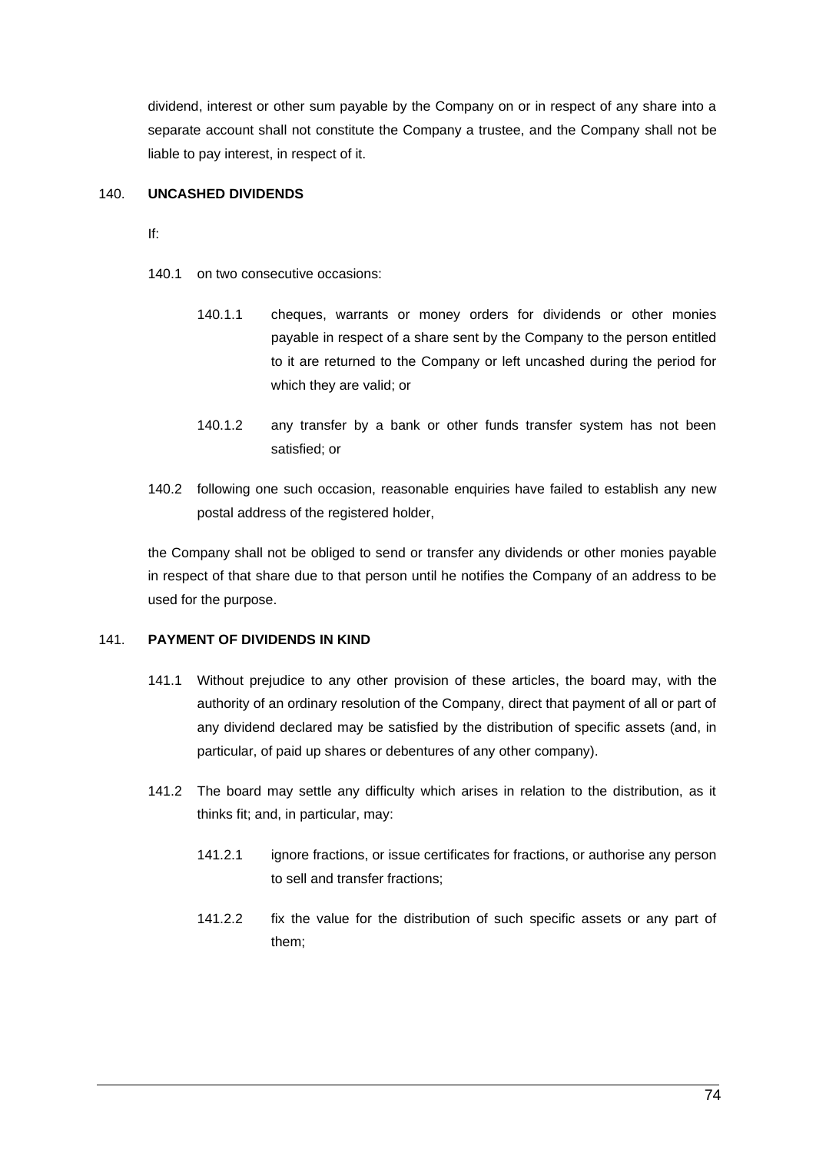dividend, interest or other sum payable by the Company on or in respect of any share into a separate account shall not constitute the Company a trustee, and the Company shall not be liable to pay interest, in respect of it.

# 140. **UNCASHED DIVIDENDS**

If:

- 140.1 on two consecutive occasions:
	- 140.1.1 cheques, warrants or money orders for dividends or other monies payable in respect of a share sent by the Company to the person entitled to it are returned to the Company or left uncashed during the period for which they are valid; or
	- 140.1.2 any transfer by a bank or other funds transfer system has not been satisfied; or
- 140.2 following one such occasion, reasonable enquiries have failed to establish any new postal address of the registered holder,

the Company shall not be obliged to send or transfer any dividends or other monies payable in respect of that share due to that person until he notifies the Company of an address to be used for the purpose.

# 141. **PAYMENT OF DIVIDENDS IN KIND**

- 141.1 Without prejudice to any other provision of these articles, the board may, with the authority of an ordinary resolution of the Company, direct that payment of all or part of any dividend declared may be satisfied by the distribution of specific assets (and, in particular, of paid up shares or debentures of any other company).
- 141.2 The board may settle any difficulty which arises in relation to the distribution, as it thinks fit; and, in particular, may:
	- 141.2.1 ignore fractions, or issue certificates for fractions, or authorise any person to sell and transfer fractions;
	- 141.2.2 fix the value for the distribution of such specific assets or any part of them;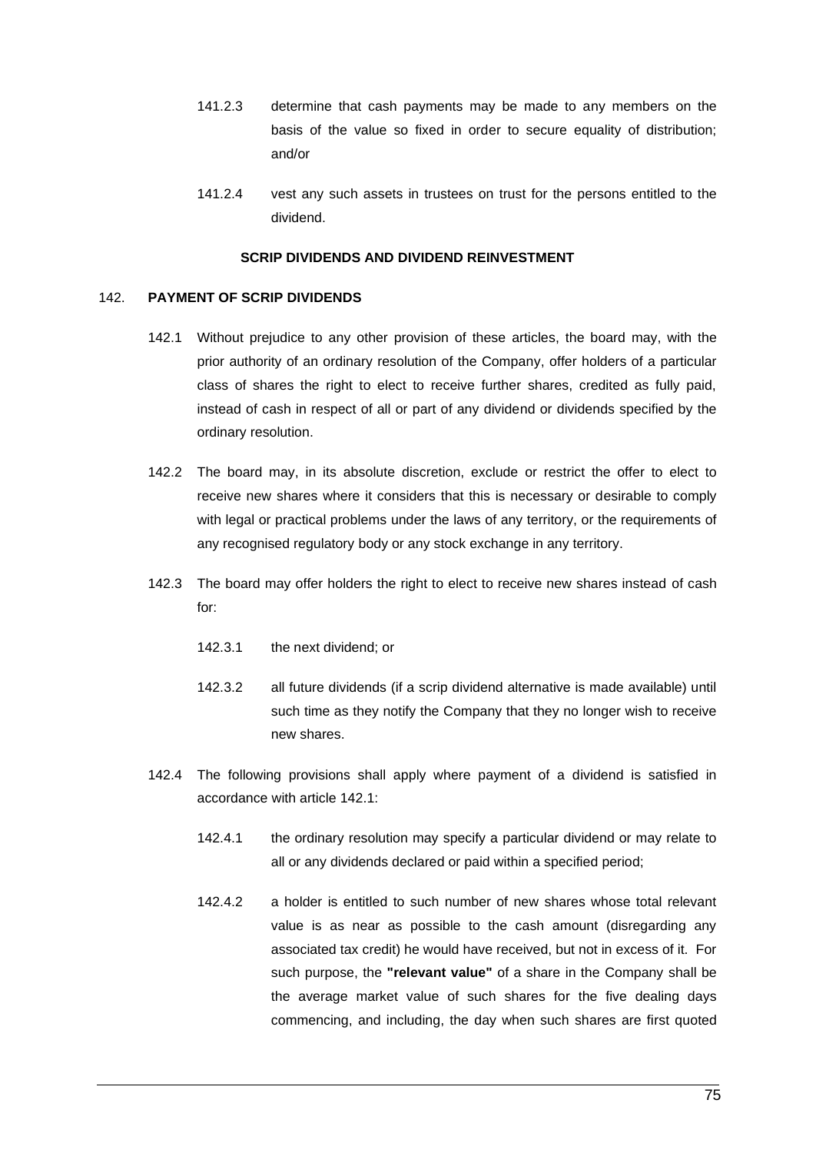- 141.2.3 determine that cash payments may be made to any members on the basis of the value so fixed in order to secure equality of distribution; and/or
- 141.2.4 vest any such assets in trustees on trust for the persons entitled to the dividend.

## **SCRIP DIVIDENDS AND DIVIDEND REINVESTMENT**

# 142. **PAYMENT OF SCRIP DIVIDENDS**

- 142.1 Without prejudice to any other provision of these articles, the board may, with the prior authority of an ordinary resolution of the Company, offer holders of a particular class of shares the right to elect to receive further shares, credited as fully paid, instead of cash in respect of all or part of any dividend or dividends specified by the ordinary resolution.
- 142.2 The board may, in its absolute discretion, exclude or restrict the offer to elect to receive new shares where it considers that this is necessary or desirable to comply with legal or practical problems under the laws of any territory, or the requirements of any recognised regulatory body or any stock exchange in any territory.
- 142.3 The board may offer holders the right to elect to receive new shares instead of cash for:
	- 142.3.1 the next dividend; or
	- 142.3.2 all future dividends (if a scrip dividend alternative is made available) until such time as they notify the Company that they no longer wish to receive new shares.
- 142.4 The following provisions shall apply where payment of a dividend is satisfied in accordance with article 142.1:
	- 142.4.1 the ordinary resolution may specify a particular dividend or may relate to all or any dividends declared or paid within a specified period;
	- 142.4.2 a holder is entitled to such number of new shares whose total relevant value is as near as possible to the cash amount (disregarding any associated tax credit) he would have received, but not in excess of it. For such purpose, the **"relevant value"** of a share in the Company shall be the average market value of such shares for the five dealing days commencing, and including, the day when such shares are first quoted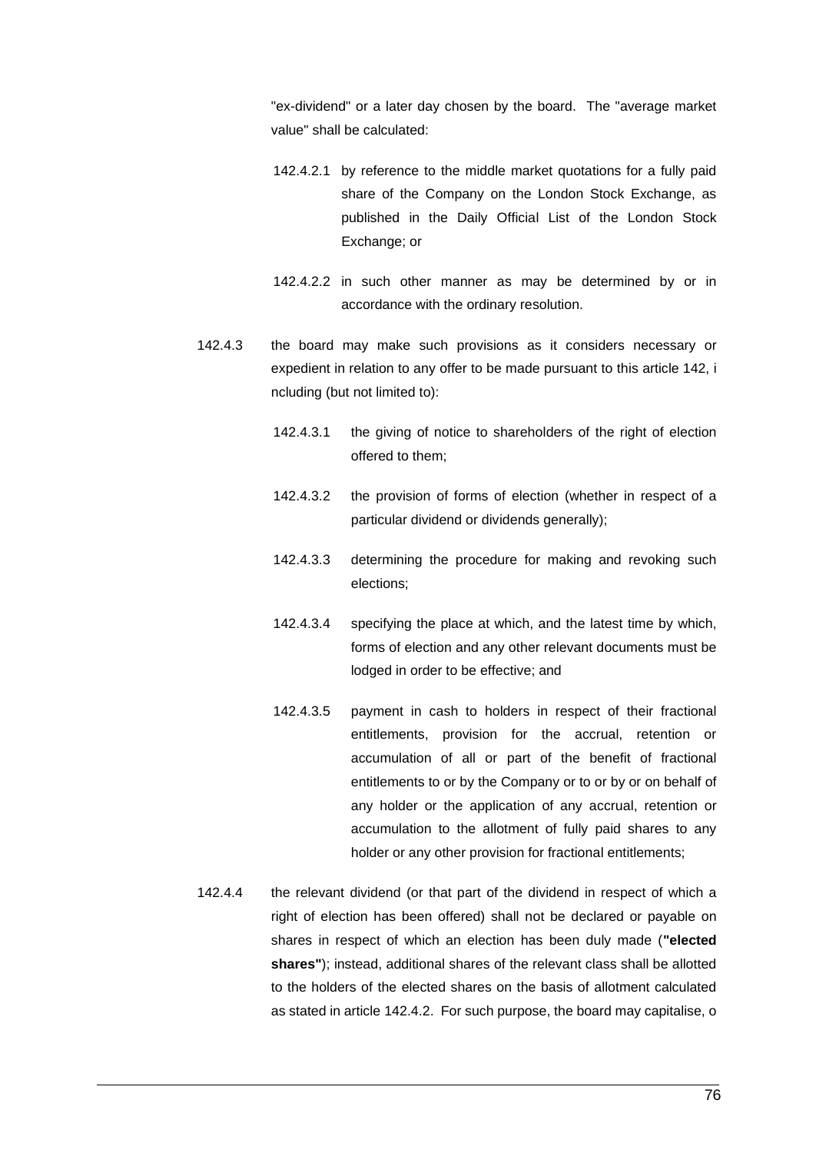"ex-dividend" or a later day chosen by the board. The "average market value" shall be calculated:

- 142.4.2.1 by reference to the middle market quotations for a fully paid share of the Company on the London Stock Exchange, as published in the Daily Official List of the London Stock Exchange; or
- 142.4.2.2 in such other manner as may be determined by or in accordance with the ordinary resolution.
- 142.4.3 the board may make such provisions as it considers necessary or expedient in relation to any offer to be made pursuant to this article 142, i ncluding (but not limited to):
	- 142.4.3.1 the giving of notice to shareholders of the right of election offered to them;
	- 142.4.3.2 the provision of forms of election (whether in respect of a particular dividend or dividends generally);
	- 142.4.3.3 determining the procedure for making and revoking such elections;
	- 142.4.3.4 specifying the place at which, and the latest time by which, forms of election and any other relevant documents must be lodged in order to be effective; and
	- 142.4.3.5 payment in cash to holders in respect of their fractional entitlements, provision for the accrual, retention or accumulation of all or part of the benefit of fractional entitlements to or by the Company or to or by or on behalf of any holder or the application of any accrual, retention or accumulation to the allotment of fully paid shares to any holder or any other provision for fractional entitlements;
- 142.4.4 the relevant dividend (or that part of the dividend in respect of which a right of election has been offered) shall not be declared or payable on shares in respect of which an election has been duly made (**"elected shares"**); instead, additional shares of the relevant class shall be allotted to the holders of the elected shares on the basis of allotment calculated as stated in article 142.4.2. For such purpose, the board may capitalise, o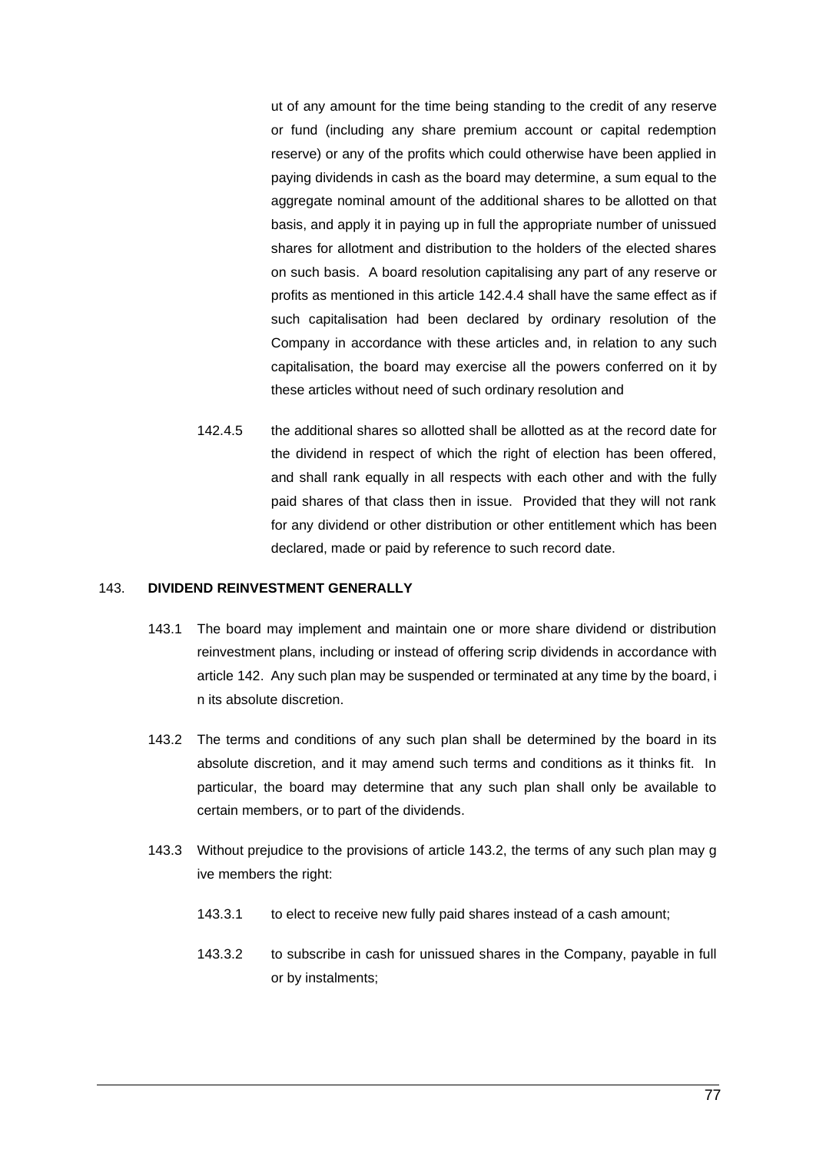ut of any amount for the time being standing to the credit of any reserve or fund (including any share premium account or capital redemption reserve) or any of the profits which could otherwise have been applied in paying dividends in cash as the board may determine, a sum equal to the aggregate nominal amount of the additional shares to be allotted on that basis, and apply it in paying up in full the appropriate number of unissued shares for allotment and distribution to the holders of the elected shares on such basis. A board resolution capitalising any part of any reserve or profits as mentioned in this article 142.4.4 shall have the same effect as if such capitalisation had been declared by ordinary resolution of the Company in accordance with these articles and, in relation to any such capitalisation, the board may exercise all the powers conferred on it by these articles without need of such ordinary resolution and

142.4.5 the additional shares so allotted shall be allotted as at the record date for the dividend in respect of which the right of election has been offered, and shall rank equally in all respects with each other and with the fully paid shares of that class then in issue. Provided that they will not rank for any dividend or other distribution or other entitlement which has been declared, made or paid by reference to such record date.

#### 143. **DIVIDEND REINVESTMENT GENERALLY**

- 143.1 The board may implement and maintain one or more share dividend or distribution reinvestment plans, including or instead of offering scrip dividends in accordance with article 142. Any such plan may be suspended or terminated at any time by the board, i n its absolute discretion.
- 143.2 The terms and conditions of any such plan shall be determined by the board in its absolute discretion, and it may amend such terms and conditions as it thinks fit. In particular, the board may determine that any such plan shall only be available to certain members, or to part of the dividends.
- 143.3 Without prejudice to the provisions of article 143.2, the terms of any such plan may g ive members the right:
	- 143.3.1 to elect to receive new fully paid shares instead of a cash amount;
	- 143.3.2 to subscribe in cash for unissued shares in the Company, payable in full or by instalments;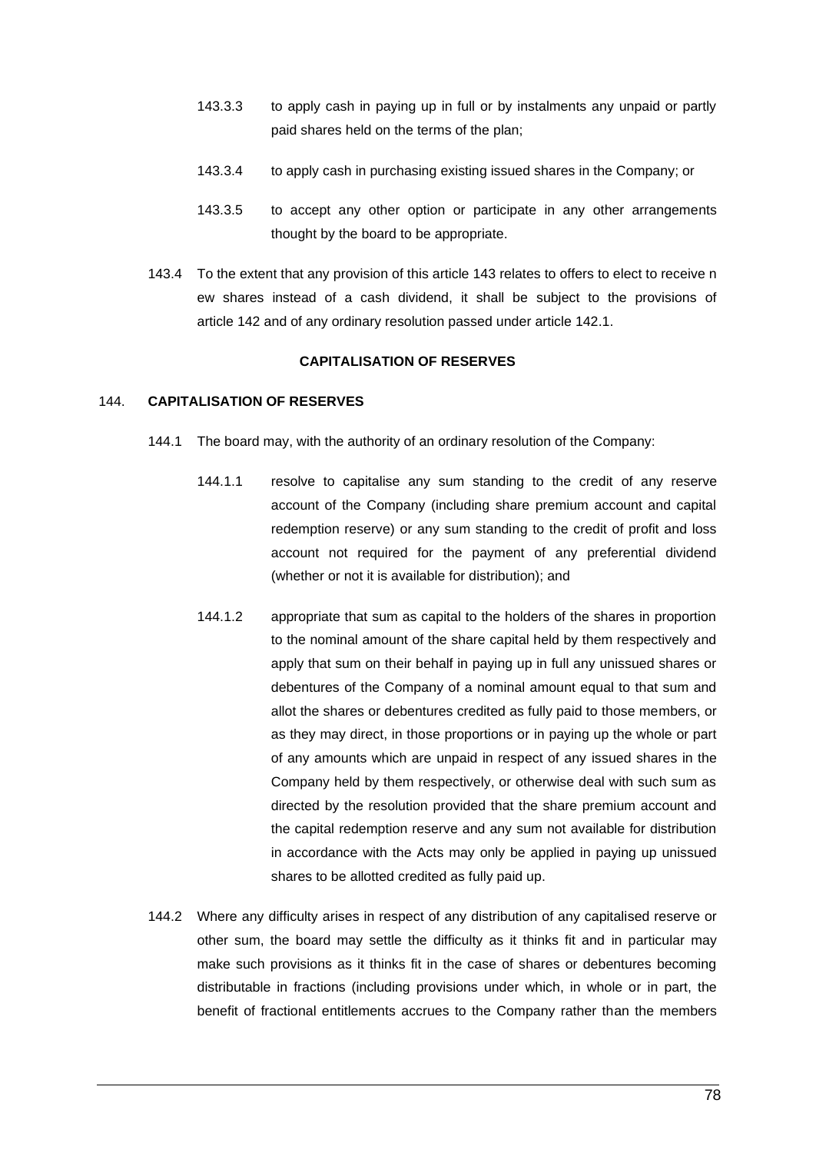- 143.3.3 to apply cash in paying up in full or by instalments any unpaid or partly paid shares held on the terms of the plan;
- 143.3.4 to apply cash in purchasing existing issued shares in the Company; or
- 143.3.5 to accept any other option or participate in any other arrangements thought by the board to be appropriate.
- 143.4 To the extent that any provision of this article 143 relates to offers to elect to receive n ew shares instead of a cash dividend, it shall be subject to the provisions of article 142 and of any ordinary resolution passed under article 142.1.

# **CAPITALISATION OF RESERVES**

# 144. **CAPITALISATION OF RESERVES**

- 144.1 The board may, with the authority of an ordinary resolution of the Company:
	- 144.1.1 resolve to capitalise any sum standing to the credit of any reserve account of the Company (including share premium account and capital redemption reserve) or any sum standing to the credit of profit and loss account not required for the payment of any preferential dividend (whether or not it is available for distribution); and
	- 144.1.2 appropriate that sum as capital to the holders of the shares in proportion to the nominal amount of the share capital held by them respectively and apply that sum on their behalf in paying up in full any unissued shares or debentures of the Company of a nominal amount equal to that sum and allot the shares or debentures credited as fully paid to those members, or as they may direct, in those proportions or in paying up the whole or part of any amounts which are unpaid in respect of any issued shares in the Company held by them respectively, or otherwise deal with such sum as directed by the resolution provided that the share premium account and the capital redemption reserve and any sum not available for distribution in accordance with the Acts may only be applied in paying up unissued shares to be allotted credited as fully paid up.
- 144.2 Where any difficulty arises in respect of any distribution of any capitalised reserve or other sum, the board may settle the difficulty as it thinks fit and in particular may make such provisions as it thinks fit in the case of shares or debentures becoming distributable in fractions (including provisions under which, in whole or in part, the benefit of fractional entitlements accrues to the Company rather than the members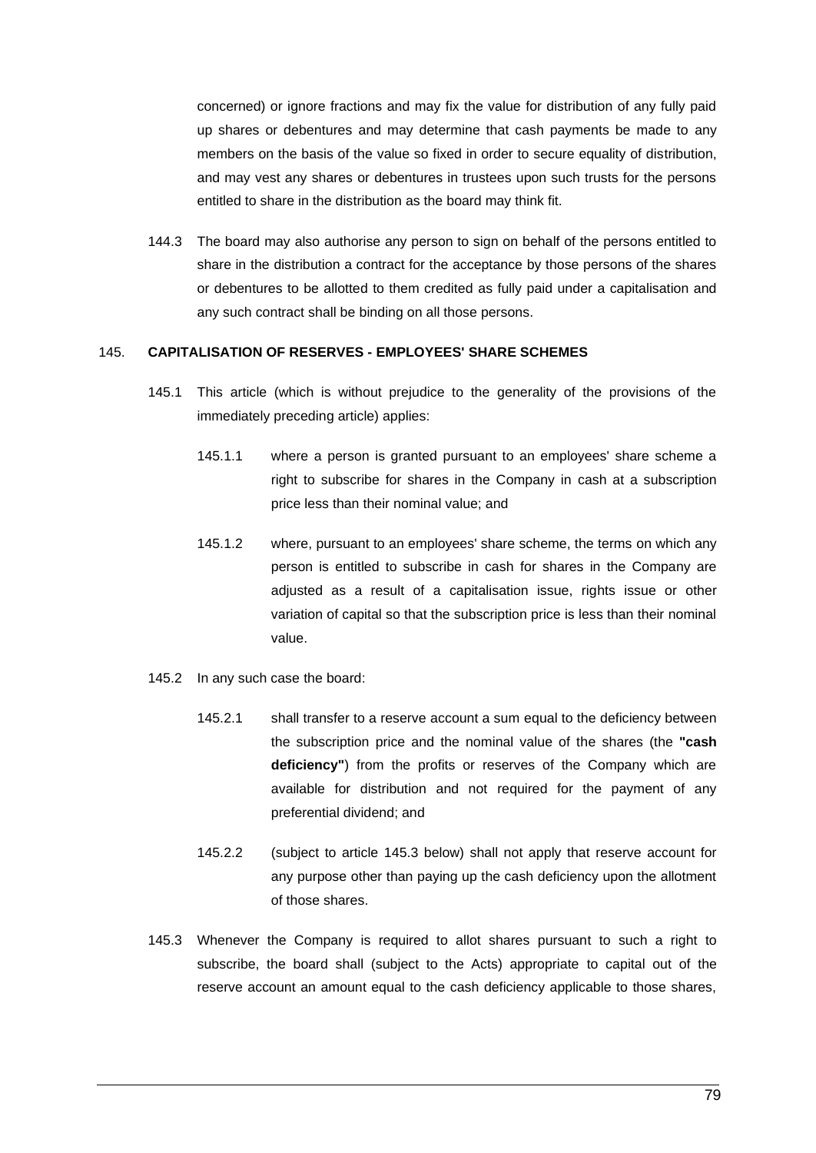concerned) or ignore fractions and may fix the value for distribution of any fully paid up shares or debentures and may determine that cash payments be made to any members on the basis of the value so fixed in order to secure equality of distribution, and may vest any shares or debentures in trustees upon such trusts for the persons entitled to share in the distribution as the board may think fit.

144.3 The board may also authorise any person to sign on behalf of the persons entitled to share in the distribution a contract for the acceptance by those persons of the shares or debentures to be allotted to them credited as fully paid under a capitalisation and any such contract shall be binding on all those persons.

# 145. **CAPITALISATION OF RESERVES - EMPLOYEES' SHARE SCHEMES**

- 145.1 This article (which is without prejudice to the generality of the provisions of the immediately preceding article) applies:
	- 145.1.1 where a person is granted pursuant to an employees' share scheme a right to subscribe for shares in the Company in cash at a subscription price less than their nominal value; and
	- 145.1.2 where, pursuant to an employees' share scheme, the terms on which any person is entitled to subscribe in cash for shares in the Company are adjusted as a result of a capitalisation issue, rights issue or other variation of capital so that the subscription price is less than their nominal value.
- 145.2 In any such case the board:
	- 145.2.1 shall transfer to a reserve account a sum equal to the deficiency between the subscription price and the nominal value of the shares (the **"cash deficiency"**) from the profits or reserves of the Company which are available for distribution and not required for the payment of any preferential dividend; and
	- 145.2.2 (subject to article [145.3](#page-87-0) below) shall not apply that reserve account for any purpose other than paying up the cash deficiency upon the allotment of those shares.
- <span id="page-87-0"></span>145.3 Whenever the Company is required to allot shares pursuant to such a right to subscribe, the board shall (subject to the Acts) appropriate to capital out of the reserve account an amount equal to the cash deficiency applicable to those shares,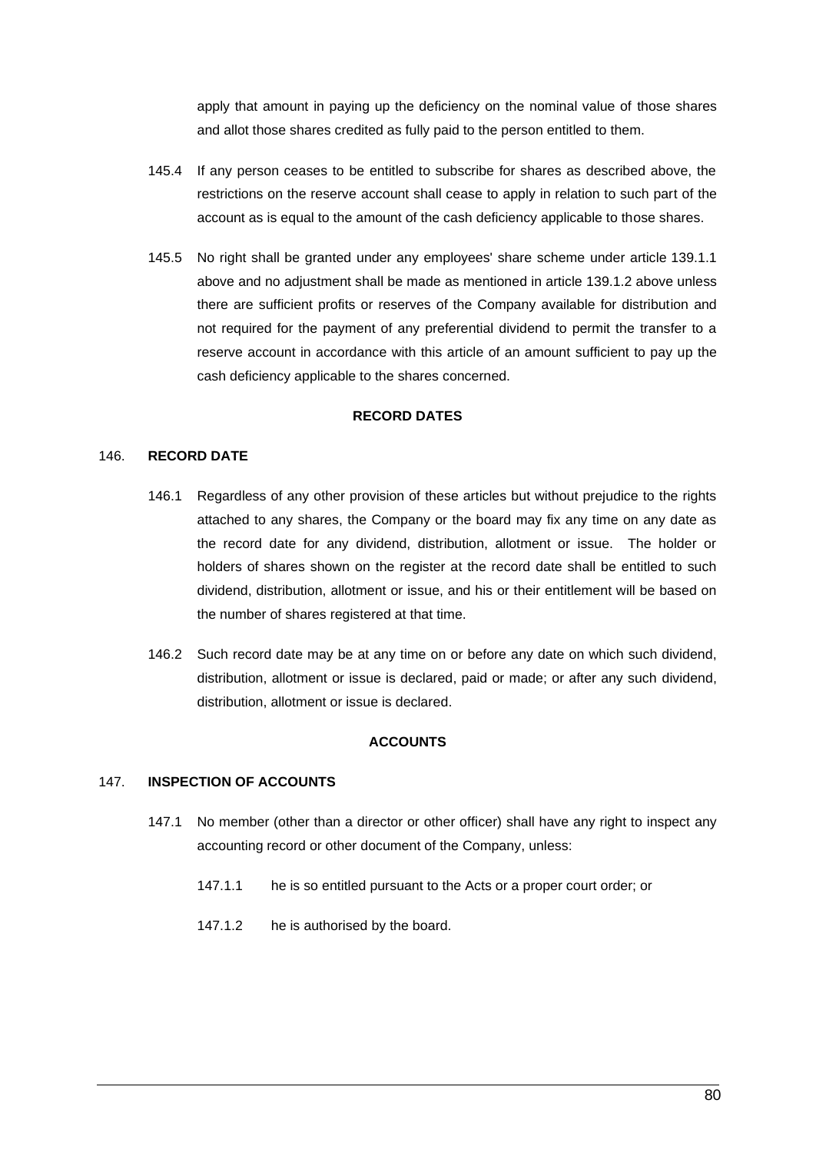apply that amount in paying up the deficiency on the nominal value of those shares and allot those shares credited as fully paid to the person entitled to them.

- 145.4 If any person ceases to be entitled to subscribe for shares as described above, the restrictions on the reserve account shall cease to apply in relation to such part of the account as is equal to the amount of the cash deficiency applicable to those shares.
- 145.5 No right shall be granted under any employees' share scheme under article 139.1.1 above and no adjustment shall be made as mentioned in article 139.1.2 above unless there are sufficient profits or reserves of the Company available for distribution and not required for the payment of any preferential dividend to permit the transfer to a reserve account in accordance with this article of an amount sufficient to pay up the cash deficiency applicable to the shares concerned.

### **RECORD DATES**

## 146. **RECORD DATE**

- 146.1 Regardless of any other provision of these articles but without prejudice to the rights attached to any shares, the Company or the board may fix any time on any date as the record date for any dividend, distribution, allotment or issue. The holder or holders of shares shown on the register at the record date shall be entitled to such dividend, distribution, allotment or issue, and his or their entitlement will be based on the number of shares registered at that time.
- 146.2 Such record date may be at any time on or before any date on which such dividend, distribution, allotment or issue is declared, paid or made; or after any such dividend, distribution, allotment or issue is declared.

# **ACCOUNTS**

## 147. **INSPECTION OF ACCOUNTS**

- 147.1 No member (other than a director or other officer) shall have any right to inspect any accounting record or other document of the Company, unless:
	- 147.1.1 he is so entitled pursuant to the Acts or a proper court order; or
	- 147.1.2 he is authorised by the board.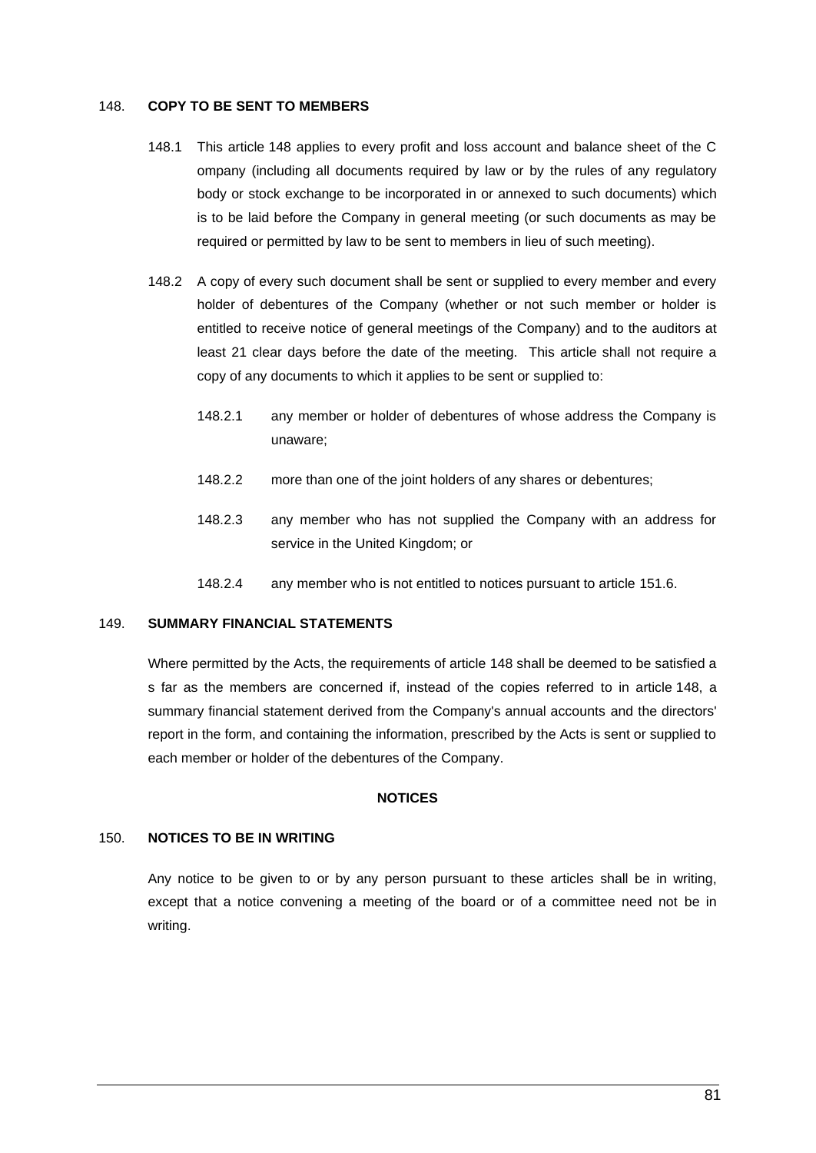### 148. **COPY TO BE SENT TO MEMBERS**

- 148.1 This article 148 applies to every profit and loss account and balance sheet of the C ompany (including all documents required by law or by the rules of any regulatory body or stock exchange to be incorporated in or annexed to such documents) which is to be laid before the Company in general meeting (or such documents as may be required or permitted by law to be sent to members in lieu of such meeting).
- 148.2 A copy of every such document shall be sent or supplied to every member and every holder of debentures of the Company (whether or not such member or holder is entitled to receive notice of general meetings of the Company) and to the auditors at least 21 clear days before the date of the meeting. This article shall not require a copy of any documents to which it applies to be sent or supplied to:
	- 148.2.1 any member or holder of debentures of whose address the Company is unaware;
	- 148.2.2 more than one of the joint holders of any shares or debentures;
	- 148.2.3 any member who has not supplied the Company with an address for service in the United Kingdom; or
	- 148.2.4 any member who is not entitled to notices pursuant to article 151.6.

# 149. **SUMMARY FINANCIAL STATEMENTS**

Where permitted by the Acts, the requirements of article 148 shall be deemed to be satisfied a s far as the members are concerned if, instead of the copies referred to in article 148, a summary financial statement derived from the Company's annual accounts and the directors' report in the form, and containing the information, prescribed by the Acts is sent or supplied to each member or holder of the debentures of the Company.

## **NOTICES**

# 150. **NOTICES TO BE IN WRITING**

Any notice to be given to or by any person pursuant to these articles shall be in writing, except that a notice convening a meeting of the board or of a committee need not be in writing.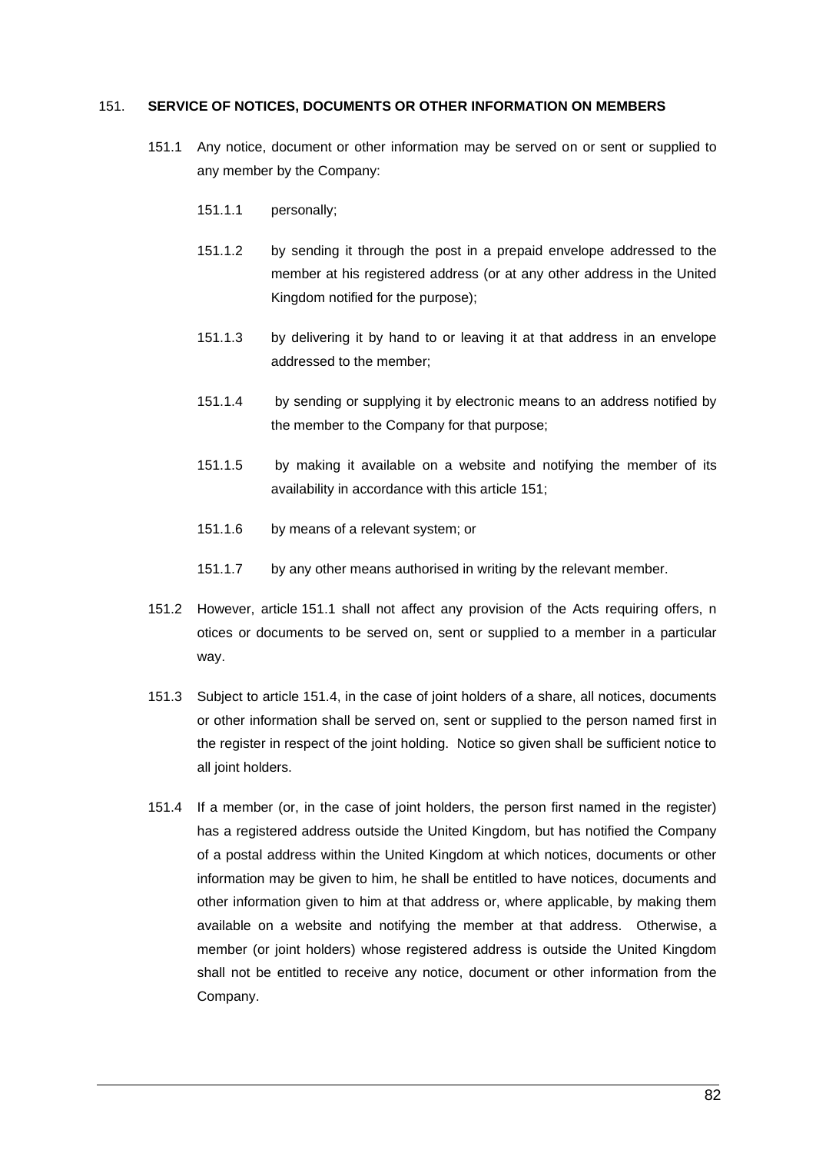### <span id="page-90-0"></span>151. **SERVICE OF NOTICES, DOCUMENTS OR OTHER INFORMATION ON MEMBERS**

- 151.1 Any notice, document or other information may be served on or sent or supplied to any member by the Company:
	- 151.1.1 personally;
	- 151.1.2 by sending it through the post in a prepaid envelope addressed to the member at his registered address (or at any other address in the United Kingdom notified for the purpose);
	- 151.1.3 by delivering it by hand to or leaving it at that address in an envelope addressed to the member;
	- 151.1.4 by sending or supplying it by electronic means to an address notified by the member to the Company for that purpose;
	- 151.1.5 by making it available on a website and notifying the member of its availability in accordance with this article [151;](#page-90-0)
	- 151.1.6 by means of a relevant system; or
	- 151.1.7 by any other means authorised in writing by the relevant member.
- 151.2 However, article 151.1 shall not affect any provision of the Acts requiring offers, n otices or documents to be served on, sent or supplied to a member in a particular way.
- 151.3 Subject to article [151.4,](#page-90-1) in the case of joint holders of a share, all notices, documents or other information shall be served on, sent or supplied to the person named first in the register in respect of the joint holding. Notice so given shall be sufficient notice to all joint holders.
- <span id="page-90-1"></span>151.4 If a member (or, in the case of joint holders, the person first named in the register) has a registered address outside the United Kingdom, but has notified the Company of a postal address within the United Kingdom at which notices, documents or other information may be given to him, he shall be entitled to have notices, documents and other information given to him at that address or, where applicable, by making them available on a website and notifying the member at that address. Otherwise, a member (or joint holders) whose registered address is outside the United Kingdom shall not be entitled to receive any notice, document or other information from the Company.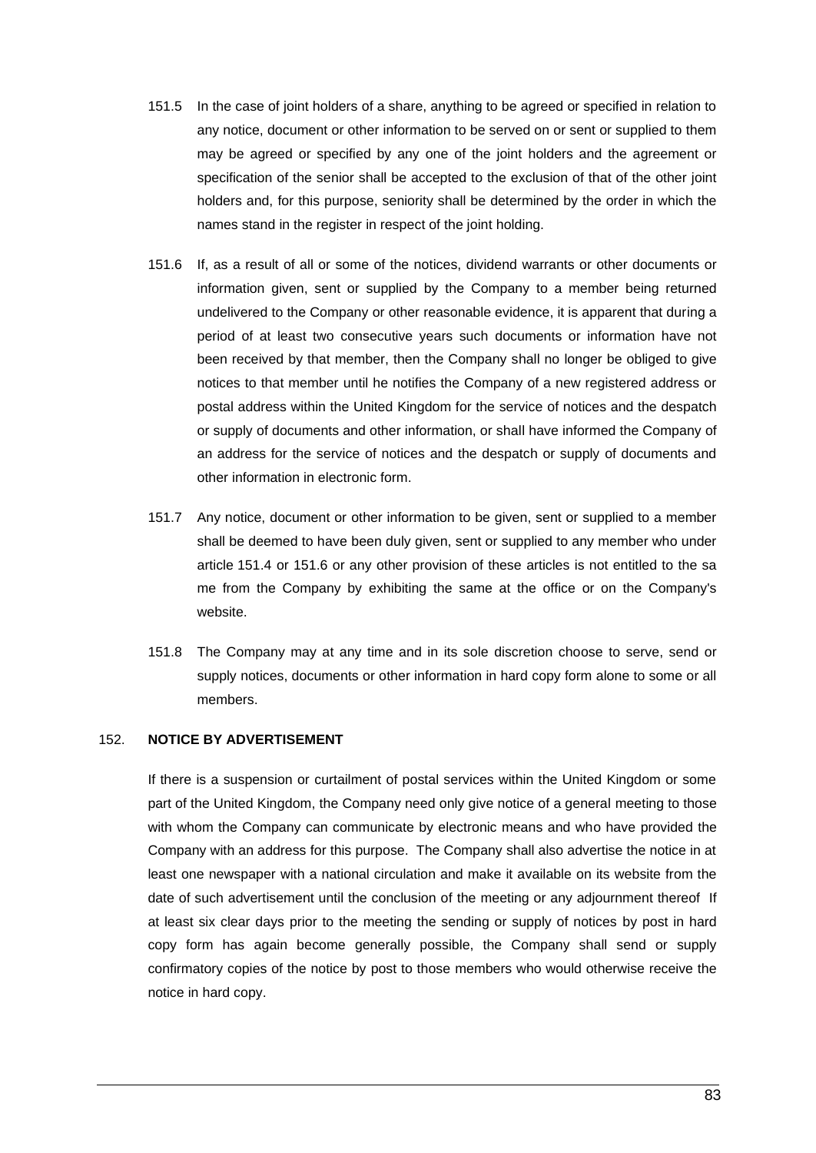- 151.5 In the case of joint holders of a share, anything to be agreed or specified in relation to any notice, document or other information to be served on or sent or supplied to them may be agreed or specified by any one of the joint holders and the agreement or specification of the senior shall be accepted to the exclusion of that of the other joint holders and, for this purpose, seniority shall be determined by the order in which the names stand in the register in respect of the joint holding.
- 151.6 If, as a result of all or some of the notices, dividend warrants or other documents or information given, sent or supplied by the Company to a member being returned undelivered to the Company or other reasonable evidence, it is apparent that during a period of at least two consecutive years such documents or information have not been received by that member, then the Company shall no longer be obliged to give notices to that member until he notifies the Company of a new registered address or postal address within the United Kingdom for the service of notices and the despatch or supply of documents and other information, or shall have informed the Company of an address for the service of notices and the despatch or supply of documents and other information in electronic form.
- 151.7 Any notice, document or other information to be given, sent or supplied to a member shall be deemed to have been duly given, sent or supplied to any member who under article 151.4 or 151.6 or any other provision of these articles is not entitled to the sa me from the Company by exhibiting the same at the office or on the Company's website.
- 151.8 The Company may at any time and in its sole discretion choose to serve, send or supply notices, documents or other information in hard copy form alone to some or all members.

# 152. **NOTICE BY ADVERTISEMENT**

If there is a suspension or curtailment of postal services within the United Kingdom or some part of the United Kingdom, the Company need only give notice of a general meeting to those with whom the Company can communicate by electronic means and who have provided the Company with an address for this purpose. The Company shall also advertise the notice in at least one newspaper with a national circulation and make it available on its website from the date of such advertisement until the conclusion of the meeting or any adjournment thereof If at least six clear days prior to the meeting the sending or supply of notices by post in hard copy form has again become generally possible, the Company shall send or supply confirmatory copies of the notice by post to those members who would otherwise receive the notice in hard copy.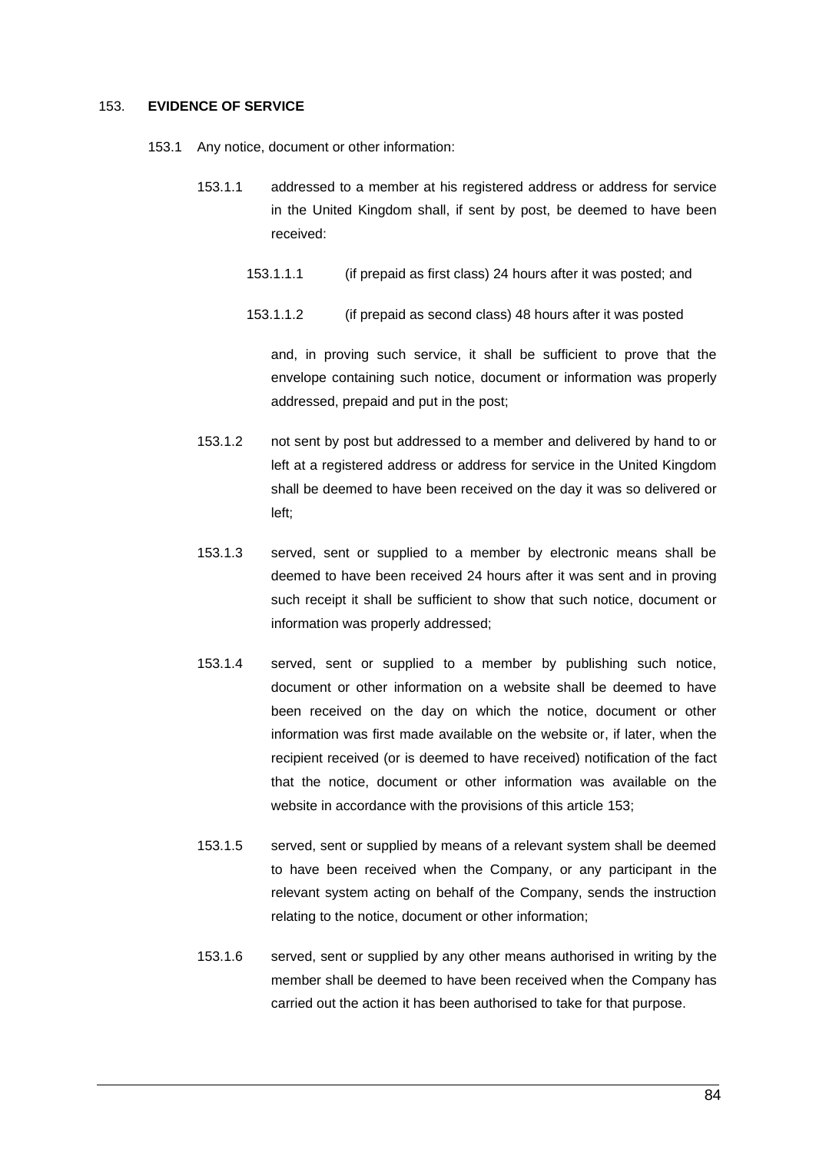#### 153. **EVIDENCE OF SERVICE**

- 153.1 Any notice, document or other information:
	- 153.1.1 addressed to a member at his registered address or address for service in the United Kingdom shall, if sent by post, be deemed to have been received:
		- 153.1.1.1 (if prepaid as first class) 24 hours after it was posted; and
		- 153.1.1.2 (if prepaid as second class) 48 hours after it was posted

and, in proving such service, it shall be sufficient to prove that the envelope containing such notice, document or information was properly addressed, prepaid and put in the post;

- 153.1.2 not sent by post but addressed to a member and delivered by hand to or left at a registered address or address for service in the United Kingdom shall be deemed to have been received on the day it was so delivered or left;
- 153.1.3 served, sent or supplied to a member by electronic means shall be deemed to have been received 24 hours after it was sent and in proving such receipt it shall be sufficient to show that such notice, document or information was properly addressed;
- 153.1.4 served, sent or supplied to a member by publishing such notice, document or other information on a website shall be deemed to have been received on the day on which the notice, document or other information was first made available on the website or, if later, when the recipient received (or is deemed to have received) notification of the fact that the notice, document or other information was available on the website in accordance with the provisions of this article 153;
- 153.1.5 served, sent or supplied by means of a relevant system shall be deemed to have been received when the Company, or any participant in the relevant system acting on behalf of the Company, sends the instruction relating to the notice, document or other information;
- 153.1.6 served, sent or supplied by any other means authorised in writing by the member shall be deemed to have been received when the Company has carried out the action it has been authorised to take for that purpose.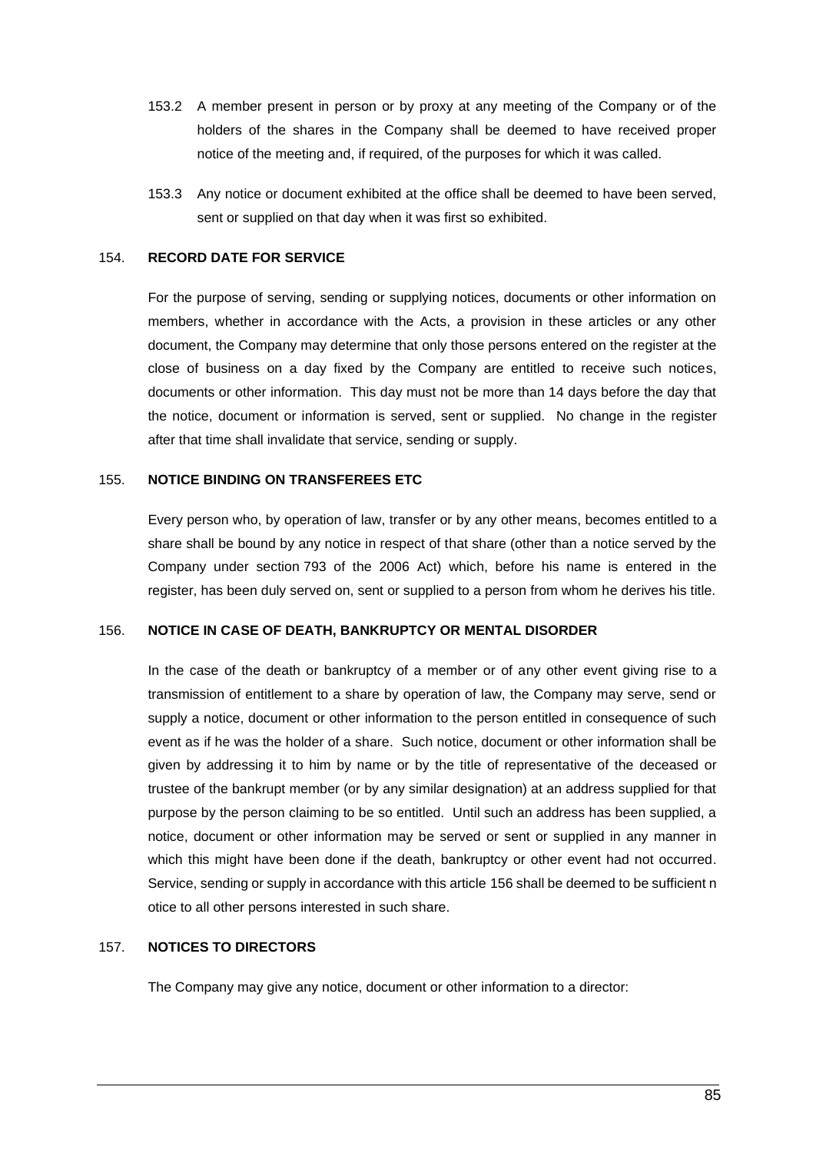- 153.2 A member present in person or by proxy at any meeting of the Company or of the holders of the shares in the Company shall be deemed to have received proper notice of the meeting and, if required, of the purposes for which it was called.
- 153.3 Any notice or document exhibited at the office shall be deemed to have been served, sent or supplied on that day when it was first so exhibited.

### 154. **RECORD DATE FOR SERVICE**

For the purpose of serving, sending or supplying notices, documents or other information on members, whether in accordance with the Acts, a provision in these articles or any other document, the Company may determine that only those persons entered on the register at the close of business on a day fixed by the Company are entitled to receive such notices, documents or other information. This day must not be more than 14 days before the day that the notice, document or information is served, sent or supplied. No change in the register after that time shall invalidate that service, sending or supply.

## 155. **NOTICE BINDING ON TRANSFEREES ETC**

Every person who, by operation of law, transfer or by any other means, becomes entitled to a share shall be bound by any notice in respect of that share (other than a notice served by the Company under section 793 of the 2006 Act) which, before his name is entered in the register, has been duly served on, sent or supplied to a person from whom he derives his title.

#### 156. **NOTICE IN CASE OF DEATH, BANKRUPTCY OR MENTAL DISORDER**

In the case of the death or bankruptcy of a member or of any other event giving rise to a transmission of entitlement to a share by operation of law, the Company may serve, send or supply a notice, document or other information to the person entitled in consequence of such event as if he was the holder of a share. Such notice, document or other information shall be given by addressing it to him by name or by the title of representative of the deceased or trustee of the bankrupt member (or by any similar designation) at an address supplied for that purpose by the person claiming to be so entitled. Until such an address has been supplied, a notice, document or other information may be served or sent or supplied in any manner in which this might have been done if the death, bankruptcy or other event had not occurred. Service, sending or supply in accordance with this article 156 shall be deemed to be sufficient n otice to all other persons interested in such share.

### 157. **NOTICES TO DIRECTORS**

The Company may give any notice, document or other information to a director: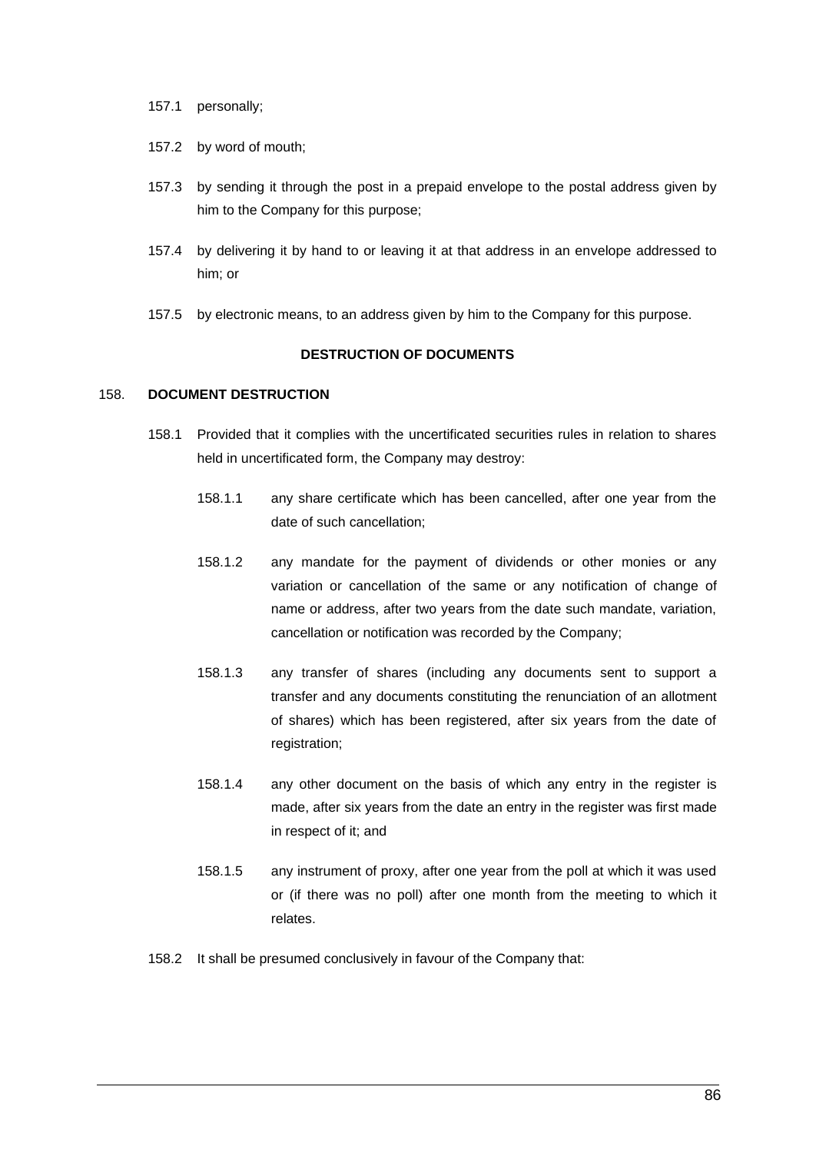- 157.1 personally;
- 157.2 by word of mouth;
- 157.3 by sending it through the post in a prepaid envelope to the postal address given by him to the Company for this purpose;
- 157.4 by delivering it by hand to or leaving it at that address in an envelope addressed to him; or
- 157.5 by electronic means, to an address given by him to the Company for this purpose.

# **DESTRUCTION OF DOCUMENTS**

## 158. **DOCUMENT DESTRUCTION**

- 158.1 Provided that it complies with the uncertificated securities rules in relation to shares held in uncertificated form, the Company may destroy:
	- 158.1.1 any share certificate which has been cancelled, after one year from the date of such cancellation;
	- 158.1.2 any mandate for the payment of dividends or other monies or any variation or cancellation of the same or any notification of change of name or address, after two years from the date such mandate, variation, cancellation or notification was recorded by the Company;
	- 158.1.3 any transfer of shares (including any documents sent to support a transfer and any documents constituting the renunciation of an allotment of shares) which has been registered, after six years from the date of registration;
	- 158.1.4 any other document on the basis of which any entry in the register is made, after six years from the date an entry in the register was first made in respect of it; and
	- 158.1.5 any instrument of proxy, after one year from the poll at which it was used or (if there was no poll) after one month from the meeting to which it relates.
- 158.2 It shall be presumed conclusively in favour of the Company that: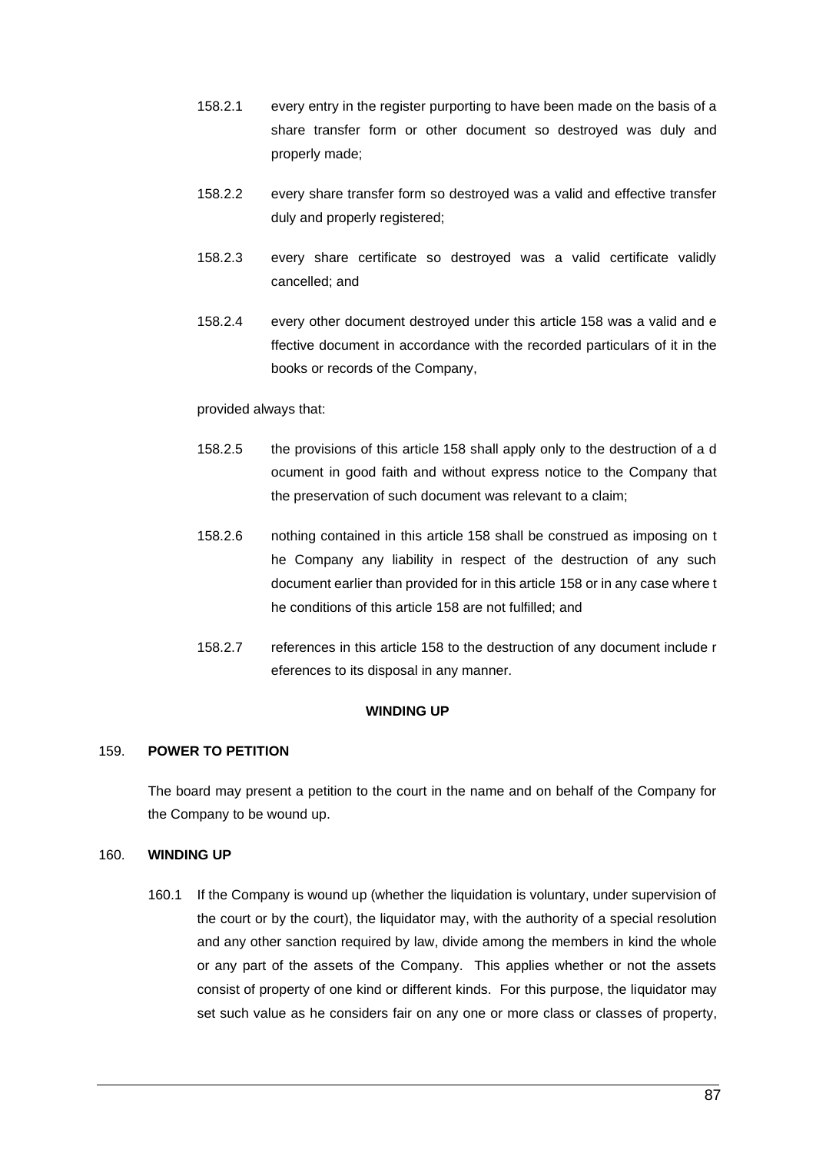- 158.2.1 every entry in the register purporting to have been made on the basis of a share transfer form or other document so destroyed was duly and properly made;
- 158.2.2 every share transfer form so destroyed was a valid and effective transfer duly and properly registered;
- 158.2.3 every share certificate so destroyed was a valid certificate validly cancelled; and
- 158.2.4 every other document destroyed under this article 158 was a valid and e ffective document in accordance with the recorded particulars of it in the books or records of the Company,

### provided always that:

- 158.2.5 the provisions of this article 158 shall apply only to the destruction of a d ocument in good faith and without express notice to the Company that the preservation of such document was relevant to a claim;
- 158.2.6 nothing contained in this article 158 shall be construed as imposing on t he Company any liability in respect of the destruction of any such document earlier than provided for in this article 158 or in any case where t he conditions of this article 158 are not fulfilled; and
- 158.2.7 references in this article 158 to the destruction of any document include r eferences to its disposal in any manner.

### **WINDING UP**

### 159. **POWER TO PETITION**

The board may present a petition to the court in the name and on behalf of the Company for the Company to be wound up.

## 160. **WINDING UP**

160.1 If the Company is wound up (whether the liquidation is voluntary, under supervision of the court or by the court), the liquidator may, with the authority of a special resolution and any other sanction required by law, divide among the members in kind the whole or any part of the assets of the Company. This applies whether or not the assets consist of property of one kind or different kinds. For this purpose, the liquidator may set such value as he considers fair on any one or more class or classes of property,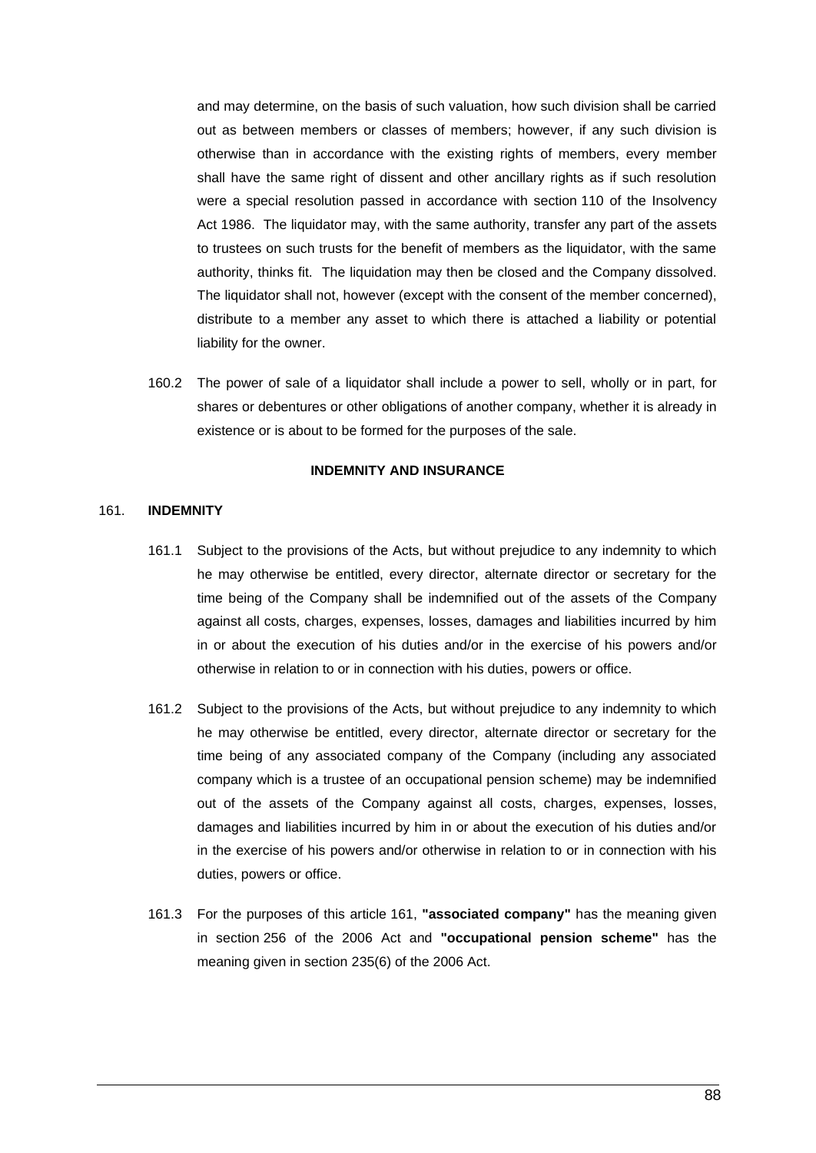and may determine, on the basis of such valuation, how such division shall be carried out as between members or classes of members; however, if any such division is otherwise than in accordance with the existing rights of members, every member shall have the same right of dissent and other ancillary rights as if such resolution were a special resolution passed in accordance with section 110 of the Insolvency Act 1986. The liquidator may, with the same authority, transfer any part of the assets to trustees on such trusts for the benefit of members as the liquidator, with the same authority, thinks fit. The liquidation may then be closed and the Company dissolved. The liquidator shall not, however (except with the consent of the member concerned), distribute to a member any asset to which there is attached a liability or potential liability for the owner.

160.2 The power of sale of a liquidator shall include a power to sell, wholly or in part, for shares or debentures or other obligations of another company, whether it is already in existence or is about to be formed for the purposes of the sale.

#### **INDEMNITY AND INSURANCE**

#### <span id="page-96-0"></span>161. **INDEMNITY**

- 161.1 Subject to the provisions of the Acts, but without prejudice to any indemnity to which he may otherwise be entitled, every director, alternate director or secretary for the time being of the Company shall be indemnified out of the assets of the Company against all costs, charges, expenses, losses, damages and liabilities incurred by him in or about the execution of his duties and/or in the exercise of his powers and/or otherwise in relation to or in connection with his duties, powers or office.
- 161.2 Subject to the provisions of the Acts, but without prejudice to any indemnity to which he may otherwise be entitled, every director, alternate director or secretary for the time being of any associated company of the Company (including any associated company which is a trustee of an occupational pension scheme) may be indemnified out of the assets of the Company against all costs, charges, expenses, losses, damages and liabilities incurred by him in or about the execution of his duties and/or in the exercise of his powers and/or otherwise in relation to or in connection with his duties, powers or office.
- 161.3 For the purposes of this article [161,](#page-96-0) **"associated company"** has the meaning given in section 256 of the 2006 Act and **"occupational pension scheme"** has the meaning given in section 235(6) of the 2006 Act.